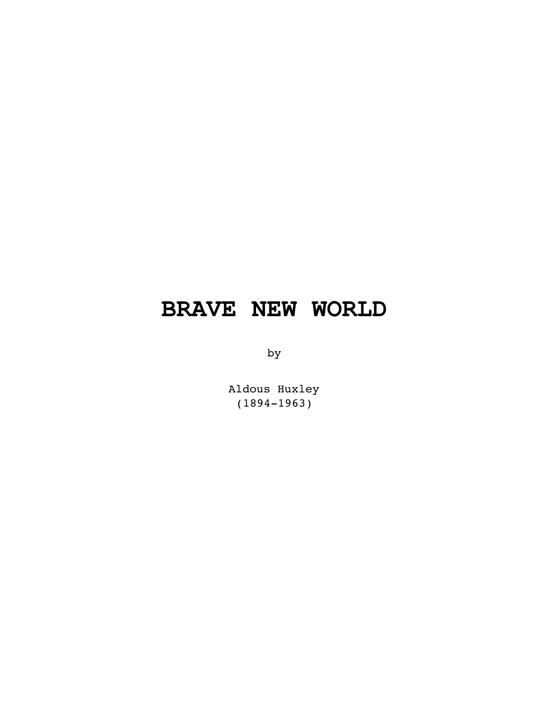### **BRAVE NEW WORLD**

by

Aldous Huxley (1894-1963)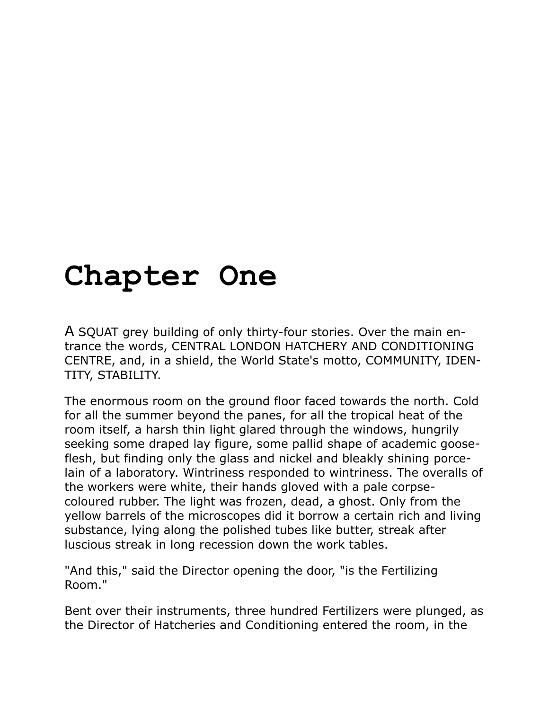# **Chapter One**

A SQUAT grey building of only thirty-four stories. Over the main entrance the words, CENTRAL LONDON HATCHERY AND CONDITIONING CENTRE, and, in a shield, the World State's motto, COMMUNITY, IDEN-TITY, STABILITY.

The enormous room on the ground floor faced towards the north. Cold for all the summer beyond the panes, for all the tropical heat of the room itself, a harsh thin light glared through the windows, hungrily seeking some draped lay figure, some pallid shape of academic gooseflesh, but finding only the glass and nickel and bleakly shining porcelain of a laboratory. Wintriness responded to wintriness. The overalls of the workers were white, their hands gloved with a pale corpsecoloured rubber. The light was frozen, dead, a ghost. Only from the yellow barrels of the microscopes did it borrow a certain rich and living substance, lying along the polished tubes like butter, streak after luscious streak in long recession down the work tables.

"And this," said the Director opening the door, "is the Fertilizing Room."

Bent over their instruments, three hundred Fertilizers were plunged, as the Director of Hatcheries and Conditioning entered the room, in the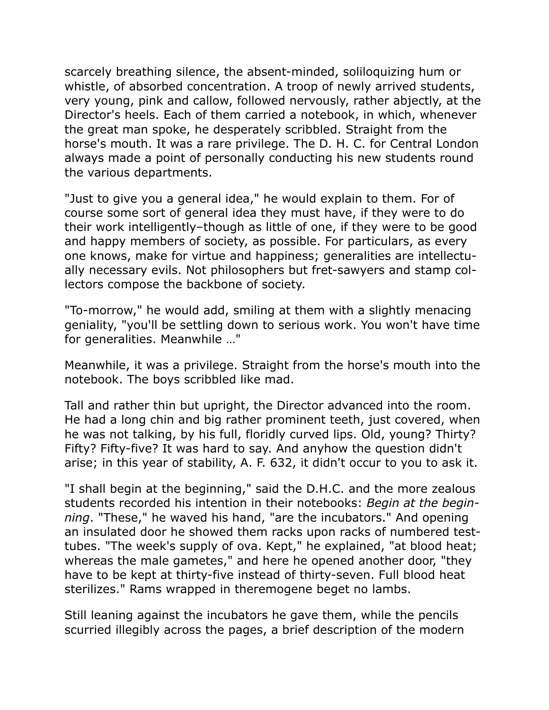scarcely breathing silence, the absent-minded, soliloquizing hum or whistle, of absorbed concentration. A troop of newly arrived students, very young, pink and callow, followed nervously, rather abjectly, at the Director's heels. Each of them carried a notebook, in which, whenever the great man spoke, he desperately scribbled. Straight from the horse's mouth. It was a rare privilege. The D. H. C. for Central London always made a point of personally conducting his new students round the various departments.

"Just to give you a general idea," he would explain to them. For of course some sort of general idea they must have, if they were to do their work intelligently–though as little of one, if they were to be good and happy members of society, as possible. For particulars, as every one knows, make for virtue and happiness; generalities are intellectually necessary evils. Not philosophers but fret-sawyers and stamp collectors compose the backbone of society.

"To-morrow," he would add, smiling at them with a slightly menacing geniality, "you'll be settling down to serious work. You won't have time for generalities. Meanwhile …"

Meanwhile, it was a privilege. Straight from the horse's mouth into the notebook. The boys scribbled like mad.

Tall and rather thin but upright, the Director advanced into the room. He had a long chin and big rather prominent teeth, just covered, when he was not talking, by his full, floridly curved lips. Old, young? Thirty? Fifty? Fifty-five? It was hard to say. And anyhow the question didn't arise; in this year of stability, A. F. 632, it didn't occur to you to ask it.

"I shall begin at the beginning," said the D.H.C. and the more zealous students recorded his intention in their notebooks: *Begin at the beginning*. "These," he waved his hand, "are the incubators." And opening an insulated door he showed them racks upon racks of numbered testtubes. "The week's supply of ova. Kept," he explained, "at blood heat; whereas the male gametes," and here he opened another door, "they have to be kept at thirty-five instead of thirty-seven. Full blood heat sterilizes." Rams wrapped in theremogene beget no lambs.

Still leaning against the incubators he gave them, while the pencils scurried illegibly across the pages, a brief description of the modern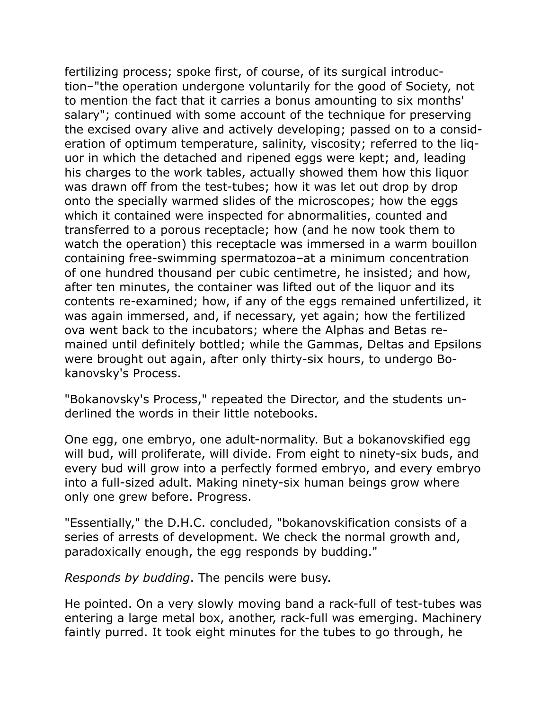fertilizing process; spoke first, of course, of its surgical introduction–"the operation undergone voluntarily for the good of Society, not to mention the fact that it carries a bonus amounting to six months' salary"; continued with some account of the technique for preserving the excised ovary alive and actively developing; passed on to a consideration of optimum temperature, salinity, viscosity; referred to the liquor in which the detached and ripened eggs were kept; and, leading his charges to the work tables, actually showed them how this liquor was drawn off from the test-tubes; how it was let out drop by drop onto the specially warmed slides of the microscopes; how the eggs which it contained were inspected for abnormalities, counted and transferred to a porous receptacle; how (and he now took them to watch the operation) this receptacle was immersed in a warm bouillon containing free-swimming spermatozoa–at a minimum concentration of one hundred thousand per cubic centimetre, he insisted; and how, after ten minutes, the container was lifted out of the liquor and its contents re-examined; how, if any of the eggs remained unfertilized, it was again immersed, and, if necessary, yet again; how the fertilized ova went back to the incubators; where the Alphas and Betas remained until definitely bottled; while the Gammas, Deltas and Epsilons were brought out again, after only thirty-six hours, to undergo Bokanovsky's Process.

"Bokanovsky's Process," repeated the Director, and the students underlined the words in their little notebooks.

One egg, one embryo, one adult-normality. But a bokanovskified egg will bud, will proliferate, will divide. From eight to ninety-six buds, and every bud will grow into a perfectly formed embryo, and every embryo into a full-sized adult. Making ninety-six human beings grow where only one grew before. Progress.

"Essentially," the D.H.C. concluded, "bokanovskification consists of a series of arrests of development. We check the normal growth and, paradoxically enough, the egg responds by budding."

*Responds by budding*. The pencils were busy.

He pointed. On a very slowly moving band a rack-full of test-tubes was entering a large metal box, another, rack-full was emerging. Machinery faintly purred. It took eight minutes for the tubes to go through, he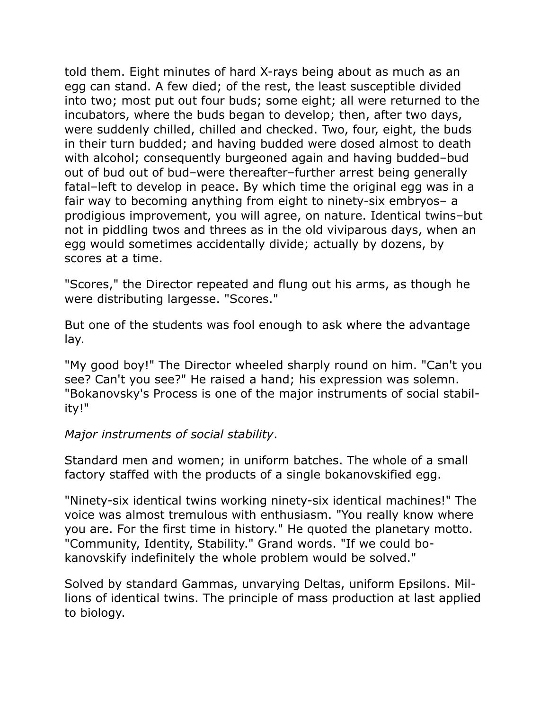told them. Eight minutes of hard X-rays being about as much as an egg can stand. A few died; of the rest, the least susceptible divided into two; most put out four buds; some eight; all were returned to the incubators, where the buds began to develop; then, after two days, were suddenly chilled, chilled and checked. Two, four, eight, the buds in their turn budded; and having budded were dosed almost to death with alcohol; consequently burgeoned again and having budded–bud out of bud out of bud–were thereafter–further arrest being generally fatal–left to develop in peace. By which time the original egg was in a fair way to becoming anything from eight to ninety-six embryos– a prodigious improvement, you will agree, on nature. Identical twins–but not in piddling twos and threes as in the old viviparous days, when an egg would sometimes accidentally divide; actually by dozens, by scores at a time.

"Scores," the Director repeated and flung out his arms, as though he were distributing largesse. "Scores."

But one of the students was fool enough to ask where the advantage lay.

"My good boy!" The Director wheeled sharply round on him. "Can't you see? Can't you see?" He raised a hand; his expression was solemn. "Bokanovsky's Process is one of the major instruments of social stability!"

#### *Major instruments of social stability*.

Standard men and women; in uniform batches. The whole of a small factory staffed with the products of a single bokanovskified egg.

"Ninety-six identical twins working ninety-six identical machines!" The voice was almost tremulous with enthusiasm. "You really know where you are. For the first time in history." He quoted the planetary motto. "Community, Identity, Stability." Grand words. "If we could bokanovskify indefinitely the whole problem would be solved."

Solved by standard Gammas, unvarying Deltas, uniform Epsilons. Millions of identical twins. The principle of mass production at last applied to biology.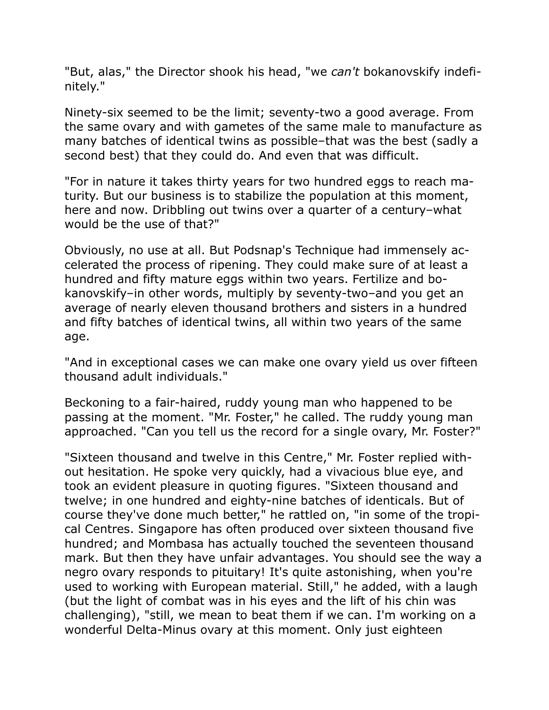"But, alas," the Director shook his head, "we *can't* bokanovskify indefinitely."

Ninety-six seemed to be the limit; seventy-two a good average. From the same ovary and with gametes of the same male to manufacture as many batches of identical twins as possible–that was the best (sadly a second best) that they could do. And even that was difficult.

"For in nature it takes thirty years for two hundred eggs to reach maturity. But our business is to stabilize the population at this moment, here and now. Dribbling out twins over a quarter of a century–what would be the use of that?"

Obviously, no use at all. But Podsnap's Technique had immensely accelerated the process of ripening. They could make sure of at least a hundred and fifty mature eggs within two years. Fertilize and bokanovskify–in other words, multiply by seventy-two–and you get an average of nearly eleven thousand brothers and sisters in a hundred and fifty batches of identical twins, all within two years of the same age.

"And in exceptional cases we can make one ovary yield us over fifteen thousand adult individuals."

Beckoning to a fair-haired, ruddy young man who happened to be passing at the moment. "Mr. Foster," he called. The ruddy young man approached. "Can you tell us the record for a single ovary, Mr. Foster?"

"Sixteen thousand and twelve in this Centre," Mr. Foster replied without hesitation. He spoke very quickly, had a vivacious blue eye, and took an evident pleasure in quoting figures. "Sixteen thousand and twelve; in one hundred and eighty-nine batches of identicals. But of course they've done much better," he rattled on, "in some of the tropical Centres. Singapore has often produced over sixteen thousand five hundred; and Mombasa has actually touched the seventeen thousand mark. But then they have unfair advantages. You should see the way a negro ovary responds to pituitary! It's quite astonishing, when you're used to working with European material. Still," he added, with a laugh (but the light of combat was in his eyes and the lift of his chin was challenging), "still, we mean to beat them if we can. I'm working on a wonderful Delta-Minus ovary at this moment. Only just eighteen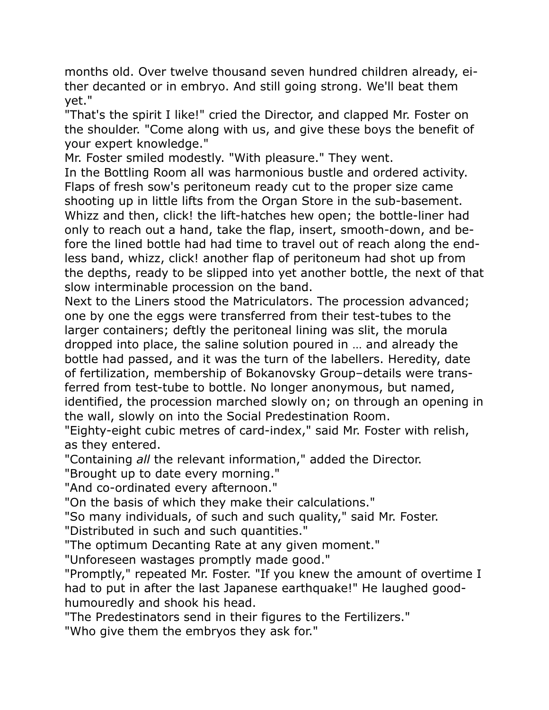months old. Over twelve thousand seven hundred children already, either decanted or in embryo. And still going strong. We'll beat them yet."

"That's the spirit I like!" cried the Director, and clapped Mr. Foster on the shoulder. "Come along with us, and give these boys the benefit of your expert knowledge."

Mr. Foster smiled modestly. "With pleasure." They went.

In the Bottling Room all was harmonious bustle and ordered activity. Flaps of fresh sow's peritoneum ready cut to the proper size came shooting up in little lifts from the Organ Store in the sub-basement. Whizz and then, click! the lift-hatches hew open; the bottle-liner had only to reach out a hand, take the flap, insert, smooth-down, and before the lined bottle had had time to travel out of reach along the endless band, whizz, click! another flap of peritoneum had shot up from the depths, ready to be slipped into yet another bottle, the next of that slow interminable procession on the band.

Next to the Liners stood the Matriculators. The procession advanced; one by one the eggs were transferred from their test-tubes to the larger containers; deftly the peritoneal lining was slit, the morula dropped into place, the saline solution poured in … and already the bottle had passed, and it was the turn of the labellers. Heredity, date of fertilization, membership of Bokanovsky Group–details were transferred from test-tube to bottle. No longer anonymous, but named, identified, the procession marched slowly on; on through an opening in the wall, slowly on into the Social Predestination Room.

"Eighty-eight cubic metres of card-index," said Mr. Foster with relish, as they entered.

"Containing *all* the relevant information," added the Director.

"Brought up to date every morning."

"And co-ordinated every afternoon."

"On the basis of which they make their calculations."

"So many individuals, of such and such quality," said Mr. Foster.

"Distributed in such and such quantities."

"The optimum Decanting Rate at any given moment."

"Unforeseen wastages promptly made good."

"Promptly," repeated Mr. Foster. "If you knew the amount of overtime I had to put in after the last Japanese earthquake!" He laughed goodhumouredly and shook his head.

"The Predestinators send in their figures to the Fertilizers."

"Who give them the embryos they ask for."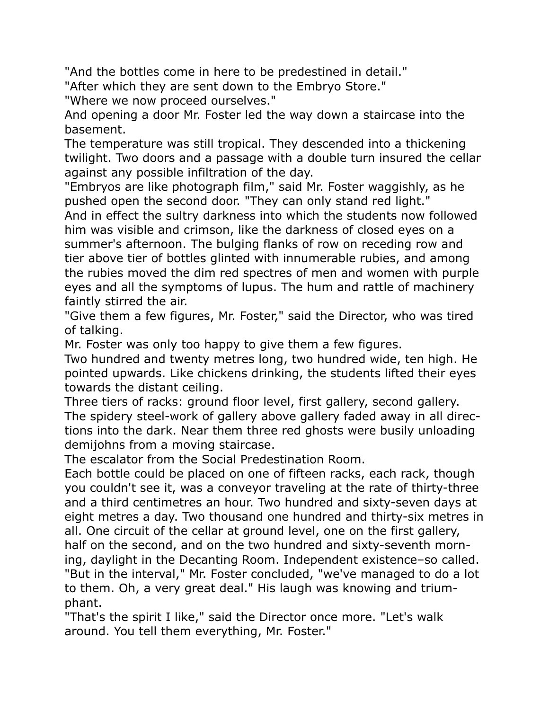"And the bottles come in here to be predestined in detail."

"After which they are sent down to the Embryo Store."

"Where we now proceed ourselves."

And opening a door Mr. Foster led the way down a staircase into the basement.

The temperature was still tropical. They descended into a thickening twilight. Two doors and a passage with a double turn insured the cellar against any possible infiltration of the day.

"Embryos are like photograph film," said Mr. Foster waggishly, as he pushed open the second door. "They can only stand red light."

And in effect the sultry darkness into which the students now followed him was visible and crimson, like the darkness of closed eyes on a summer's afternoon. The bulging flanks of row on receding row and tier above tier of bottles glinted with innumerable rubies, and among the rubies moved the dim red spectres of men and women with purple eyes and all the symptoms of lupus. The hum and rattle of machinery faintly stirred the air.

"Give them a few figures, Mr. Foster," said the Director, who was tired of talking.

Mr. Foster was only too happy to give them a few figures.

Two hundred and twenty metres long, two hundred wide, ten high. He pointed upwards. Like chickens drinking, the students lifted their eyes towards the distant ceiling.

Three tiers of racks: ground floor level, first gallery, second gallery. The spidery steel-work of gallery above gallery faded away in all directions into the dark. Near them three red ghosts were busily unloading demijohns from a moving staircase.

The escalator from the Social Predestination Room.

Each bottle could be placed on one of fifteen racks, each rack, though you couldn't see it, was a conveyor traveling at the rate of thirty-three and a third centimetres an hour. Two hundred and sixty-seven days at eight metres a day. Two thousand one hundred and thirty-six metres in all. One circuit of the cellar at ground level, one on the first gallery, half on the second, and on the two hundred and sixty-seventh morning, daylight in the Decanting Room. Independent existence–so called. "But in the interval," Mr. Foster concluded, "we've managed to do a lot to them. Oh, a very great deal." His laugh was knowing and triumphant.

"That's the spirit I like," said the Director once more. "Let's walk around. You tell them everything, Mr. Foster."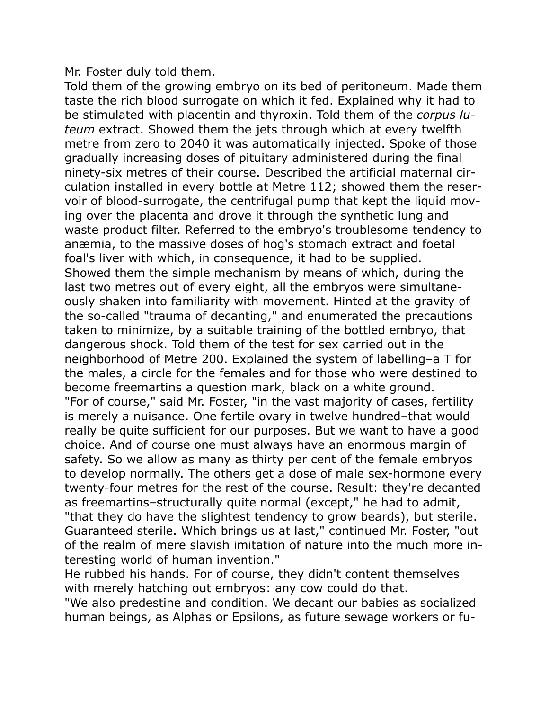Mr. Foster duly told them.

Told them of the growing embryo on its bed of peritoneum. Made them taste the rich blood surrogate on which it fed. Explained why it had to be stimulated with placentin and thyroxin. Told them of the *corpus luteum* extract. Showed them the jets through which at every twelfth metre from zero to 2040 it was automatically injected. Spoke of those gradually increasing doses of pituitary administered during the final ninety-six metres of their course. Described the artificial maternal circulation installed in every bottle at Metre 112; showed them the reservoir of blood-surrogate, the centrifugal pump that kept the liquid moving over the placenta and drove it through the synthetic lung and waste product filter. Referred to the embryo's troublesome tendency to anæmia, to the massive doses of hog's stomach extract and foetal foal's liver with which, in consequence, it had to be supplied. Showed them the simple mechanism by means of which, during the last two metres out of every eight, all the embryos were simultaneously shaken into familiarity with movement. Hinted at the gravity of the so-called "trauma of decanting," and enumerated the precautions taken to minimize, by a suitable training of the bottled embryo, that dangerous shock. Told them of the test for sex carried out in the neighborhood of Metre 200. Explained the system of labelling–a T for the males, a circle for the females and for those who were destined to become freemartins a question mark, black on a white ground. "For of course," said Mr. Foster, "in the vast majority of cases, fertility is merely a nuisance. One fertile ovary in twelve hundred–that would really be quite sufficient for our purposes. But we want to have a good choice. And of course one must always have an enormous margin of safety. So we allow as many as thirty per cent of the female embryos to develop normally. The others get a dose of male sex-hormone every twenty-four metres for the rest of the course. Result: they're decanted as freemartins–structurally quite normal (except," he had to admit, "that they do have the slightest tendency to grow beards), but sterile. Guaranteed sterile. Which brings us at last," continued Mr. Foster, "out of the realm of mere slavish imitation of nature into the much more interesting world of human invention."

He rubbed his hands. For of course, they didn't content themselves with merely hatching out embryos: any cow could do that.

"We also predestine and condition. We decant our babies as socialized human beings, as Alphas or Epsilons, as future sewage workers or fu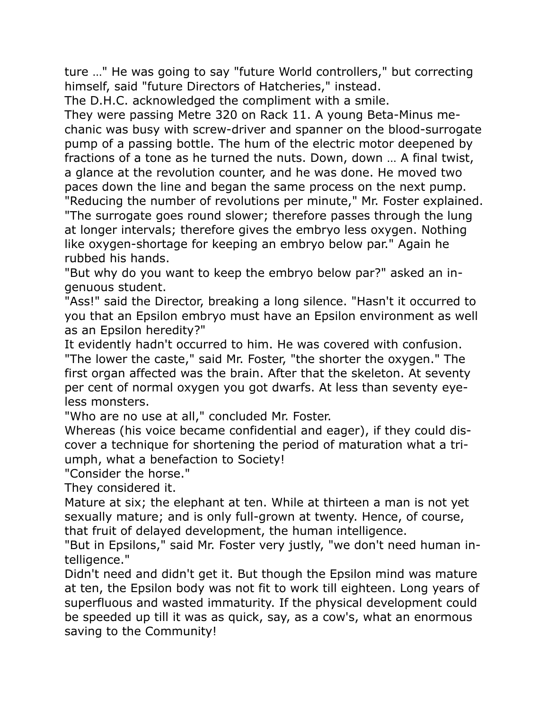ture …" He was going to say "future World controllers," but correcting himself, said "future Directors of Hatcheries," instead.

The D.H.C. acknowledged the compliment with a smile.

They were passing Metre 320 on Rack 11. A young Beta-Minus mechanic was busy with screw-driver and spanner on the blood-surrogate pump of a passing bottle. The hum of the electric motor deepened by fractions of a tone as he turned the nuts. Down, down … A final twist, a glance at the revolution counter, and he was done. He moved two paces down the line and began the same process on the next pump. "Reducing the number of revolutions per minute," Mr. Foster explained. "The surrogate goes round slower; therefore passes through the lung at longer intervals; therefore gives the embryo less oxygen. Nothing like oxygen-shortage for keeping an embryo below par." Again he rubbed his hands.

"But why do you want to keep the embryo below par?" asked an ingenuous student.

"Ass!" said the Director, breaking a long silence. "Hasn't it occurred to you that an Epsilon embryo must have an Epsilon environment as well as an Epsilon heredity?"

It evidently hadn't occurred to him. He was covered with confusion. "The lower the caste," said Mr. Foster, "the shorter the oxygen." The first organ affected was the brain. After that the skeleton. At seventy per cent of normal oxygen you got dwarfs. At less than seventy eyeless monsters.

"Who are no use at all," concluded Mr. Foster.

Whereas (his voice became confidential and eager), if they could discover a technique for shortening the period of maturation what a triumph, what a benefaction to Society!

"Consider the horse."

They considered it.

Mature at six; the elephant at ten. While at thirteen a man is not yet sexually mature; and is only full-grown at twenty. Hence, of course, that fruit of delayed development, the human intelligence.

"But in Epsilons," said Mr. Foster very justly, "we don't need human intelligence."

Didn't need and didn't get it. But though the Epsilon mind was mature at ten, the Epsilon body was not fit to work till eighteen. Long years of superfluous and wasted immaturity. If the physical development could be speeded up till it was as quick, say, as a cow's, what an enormous saving to the Community!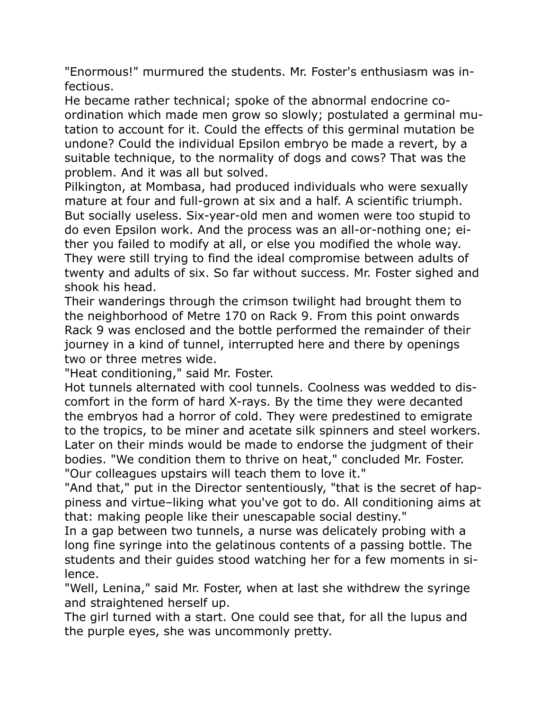"Enormous!" murmured the students. Mr. Foster's enthusiasm was infectious.

He became rather technical; spoke of the abnormal endocrine coordination which made men grow so slowly; postulated a germinal mutation to account for it. Could the effects of this germinal mutation be undone? Could the individual Epsilon embryo be made a revert, by a suitable technique, to the normality of dogs and cows? That was the problem. And it was all but solved.

Pilkington, at Mombasa, had produced individuals who were sexually mature at four and full-grown at six and a half. A scientific triumph. But socially useless. Six-year-old men and women were too stupid to do even Epsilon work. And the process was an all-or-nothing one; either you failed to modify at all, or else you modified the whole way. They were still trying to find the ideal compromise between adults of twenty and adults of six. So far without success. Mr. Foster sighed and shook his head.

Their wanderings through the crimson twilight had brought them to the neighborhood of Metre 170 on Rack 9. From this point onwards Rack 9 was enclosed and the bottle performed the remainder of their journey in a kind of tunnel, interrupted here and there by openings two or three metres wide.

"Heat conditioning," said Mr. Foster.

Hot tunnels alternated with cool tunnels. Coolness was wedded to discomfort in the form of hard X-rays. By the time they were decanted the embryos had a horror of cold. They were predestined to emigrate to the tropics, to be miner and acetate silk spinners and steel workers. Later on their minds would be made to endorse the judgment of their bodies. "We condition them to thrive on heat," concluded Mr. Foster. "Our colleagues upstairs will teach them to love it."

"And that," put in the Director sententiously, "that is the secret of happiness and virtue–liking what you've got to do. All conditioning aims at that: making people like their unescapable social destiny."

In a gap between two tunnels, a nurse was delicately probing with a long fine syringe into the gelatinous contents of a passing bottle. The students and their guides stood watching her for a few moments in silence.

"Well, Lenina," said Mr. Foster, when at last she withdrew the syringe and straightened herself up.

The girl turned with a start. One could see that, for all the lupus and the purple eyes, she was uncommonly pretty.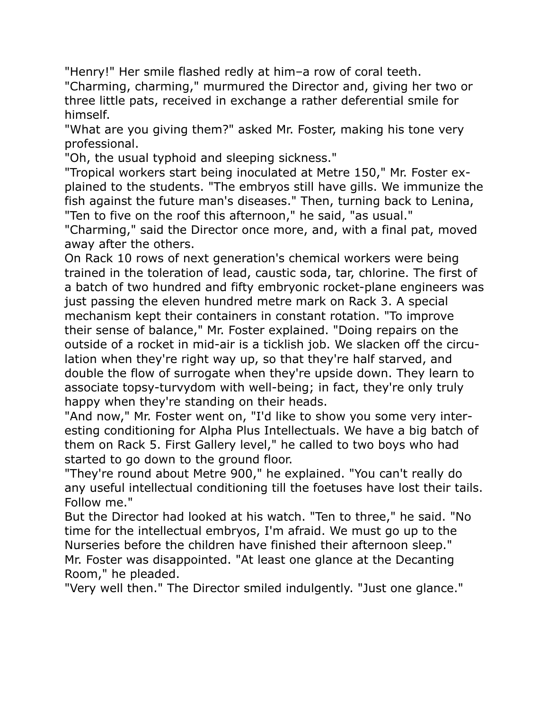"Henry!" Her smile flashed redly at him–a row of coral teeth.

"Charming, charming," murmured the Director and, giving her two or three little pats, received in exchange a rather deferential smile for himself.

"What are you giving them?" asked Mr. Foster, making his tone very professional.

"Oh, the usual typhoid and sleeping sickness."

"Tropical workers start being inoculated at Metre 150," Mr. Foster explained to the students. "The embryos still have gills. We immunize the fish against the future man's diseases." Then, turning back to Lenina, "Ten to five on the roof this afternoon," he said, "as usual."

"Charming," said the Director once more, and, with a final pat, moved away after the others.

On Rack 10 rows of next generation's chemical workers were being trained in the toleration of lead, caustic soda, tar, chlorine. The first of a batch of two hundred and fifty embryonic rocket-plane engineers was just passing the eleven hundred metre mark on Rack 3. A special mechanism kept their containers in constant rotation. "To improve their sense of balance," Mr. Foster explained. "Doing repairs on the outside of a rocket in mid-air is a ticklish job. We slacken off the circulation when they're right way up, so that they're half starved, and double the flow of surrogate when they're upside down. They learn to associate topsy-turvydom with well-being; in fact, they're only truly happy when they're standing on their heads.

"And now," Mr. Foster went on, "I'd like to show you some very interesting conditioning for Alpha Plus Intellectuals. We have a big batch of them on Rack 5. First Gallery level," he called to two boys who had started to go down to the ground floor.

"They're round about Metre 900," he explained. "You can't really do any useful intellectual conditioning till the foetuses have lost their tails. Follow me."

But the Director had looked at his watch. "Ten to three," he said. "No time for the intellectual embryos, I'm afraid. We must go up to the Nurseries before the children have finished their afternoon sleep." Mr. Foster was disappointed. "At least one glance at the Decanting Room," he pleaded.

"Very well then." The Director smiled indulgently. "Just one glance."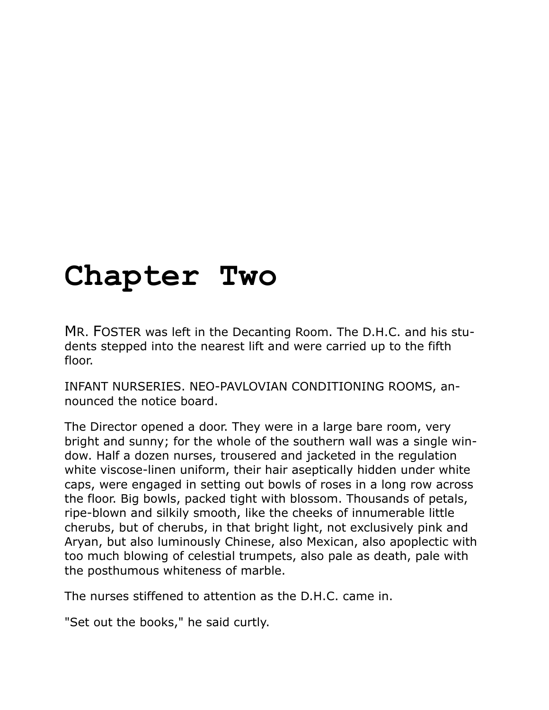## **Chapter Two**

MR. FOSTER was left in the Decanting Room. The D.H.C. and his students stepped into the nearest lift and were carried up to the fifth floor.

INFANT NURSERIES. NEO-PAVLOVIAN CONDITIONING ROOMS, announced the notice board.

The Director opened a door. They were in a large bare room, very bright and sunny; for the whole of the southern wall was a single window. Half a dozen nurses, trousered and jacketed in the regulation white viscose-linen uniform, their hair aseptically hidden under white caps, were engaged in setting out bowls of roses in a long row across the floor. Big bowls, packed tight with blossom. Thousands of petals, ripe-blown and silkily smooth, like the cheeks of innumerable little cherubs, but of cherubs, in that bright light, not exclusively pink and Aryan, but also luminously Chinese, also Mexican, also apoplectic with too much blowing of celestial trumpets, also pale as death, pale with the posthumous whiteness of marble.

The nurses stiffened to attention as the D.H.C. came in.

"Set out the books," he said curtly.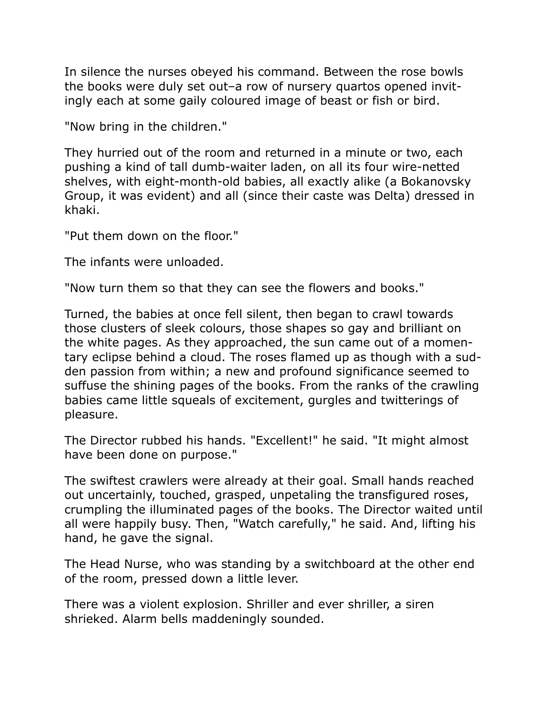In silence the nurses obeyed his command. Between the rose bowls the books were duly set out–a row of nursery quartos opened invitingly each at some gaily coloured image of beast or fish or bird.

"Now bring in the children."

They hurried out of the room and returned in a minute or two, each pushing a kind of tall dumb-waiter laden, on all its four wire-netted shelves, with eight-month-old babies, all exactly alike (a Bokanovsky Group, it was evident) and all (since their caste was Delta) dressed in khaki.

"Put them down on the floor."

The infants were unloaded.

"Now turn them so that they can see the flowers and books."

Turned, the babies at once fell silent, then began to crawl towards those clusters of sleek colours, those shapes so gay and brilliant on the white pages. As they approached, the sun came out of a momentary eclipse behind a cloud. The roses flamed up as though with a sudden passion from within; a new and profound significance seemed to suffuse the shining pages of the books. From the ranks of the crawling babies came little squeals of excitement, gurgles and twitterings of pleasure.

The Director rubbed his hands. "Excellent!" he said. "It might almost have been done on purpose."

The swiftest crawlers were already at their goal. Small hands reached out uncertainly, touched, grasped, unpetaling the transfigured roses, crumpling the illuminated pages of the books. The Director waited until all were happily busy. Then, "Watch carefully," he said. And, lifting his hand, he gave the signal.

The Head Nurse, who was standing by a switchboard at the other end of the room, pressed down a little lever.

There was a violent explosion. Shriller and ever shriller, a siren shrieked. Alarm bells maddeningly sounded.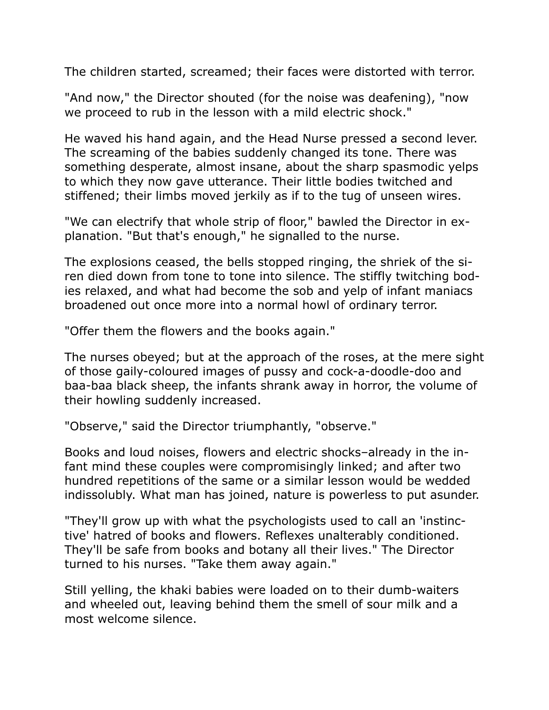The children started, screamed; their faces were distorted with terror.

"And now," the Director shouted (for the noise was deafening), "now we proceed to rub in the lesson with a mild electric shock."

He waved his hand again, and the Head Nurse pressed a second lever. The screaming of the babies suddenly changed its tone. There was something desperate, almost insane, about the sharp spasmodic yelps to which they now gave utterance. Their little bodies twitched and stiffened; their limbs moved jerkily as if to the tug of unseen wires.

"We can electrify that whole strip of floor," bawled the Director in explanation. "But that's enough," he signalled to the nurse.

The explosions ceased, the bells stopped ringing, the shriek of the siren died down from tone to tone into silence. The stiffly twitching bodies relaxed, and what had become the sob and yelp of infant maniacs broadened out once more into a normal howl of ordinary terror.

"Offer them the flowers and the books again."

The nurses obeyed; but at the approach of the roses, at the mere sight of those gaily-coloured images of pussy and cock-a-doodle-doo and baa-baa black sheep, the infants shrank away in horror, the volume of their howling suddenly increased.

"Observe," said the Director triumphantly, "observe."

Books and loud noises, flowers and electric shocks–already in the infant mind these couples were compromisingly linked; and after two hundred repetitions of the same or a similar lesson would be wedded indissolubly. What man has joined, nature is powerless to put asunder.

"They'll grow up with what the psychologists used to call an 'instinctive' hatred of books and flowers. Reflexes unalterably conditioned. They'll be safe from books and botany all their lives." The Director turned to his nurses. "Take them away again."

Still yelling, the khaki babies were loaded on to their dumb-waiters and wheeled out, leaving behind them the smell of sour milk and a most welcome silence.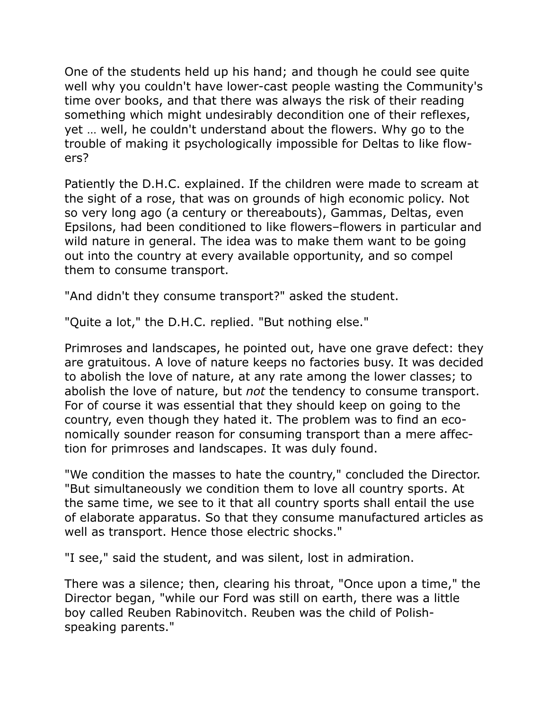One of the students held up his hand; and though he could see quite well why you couldn't have lower-cast people wasting the Community's time over books, and that there was always the risk of their reading something which might undesirably decondition one of their reflexes, yet … well, he couldn't understand about the flowers. Why go to the trouble of making it psychologically impossible for Deltas to like flowers?

Patiently the D.H.C. explained. If the children were made to scream at the sight of a rose, that was on grounds of high economic policy. Not so very long ago (a century or thereabouts), Gammas, Deltas, even Epsilons, had been conditioned to like flowers–flowers in particular and wild nature in general. The idea was to make them want to be going out into the country at every available opportunity, and so compel them to consume transport.

"And didn't they consume transport?" asked the student.

"Quite a lot," the D.H.C. replied. "But nothing else."

Primroses and landscapes, he pointed out, have one grave defect: they are gratuitous. A love of nature keeps no factories busy. It was decided to abolish the love of nature, at any rate among the lower classes; to abolish the love of nature, but *not* the tendency to consume transport. For of course it was essential that they should keep on going to the country, even though they hated it. The problem was to find an economically sounder reason for consuming transport than a mere affection for primroses and landscapes. It was duly found.

"We condition the masses to hate the country," concluded the Director. "But simultaneously we condition them to love all country sports. At the same time, we see to it that all country sports shall entail the use of elaborate apparatus. So that they consume manufactured articles as well as transport. Hence those electric shocks."

"I see," said the student, and was silent, lost in admiration.

There was a silence; then, clearing his throat, "Once upon a time," the Director began, "while our Ford was still on earth, there was a little boy called Reuben Rabinovitch. Reuben was the child of Polishspeaking parents."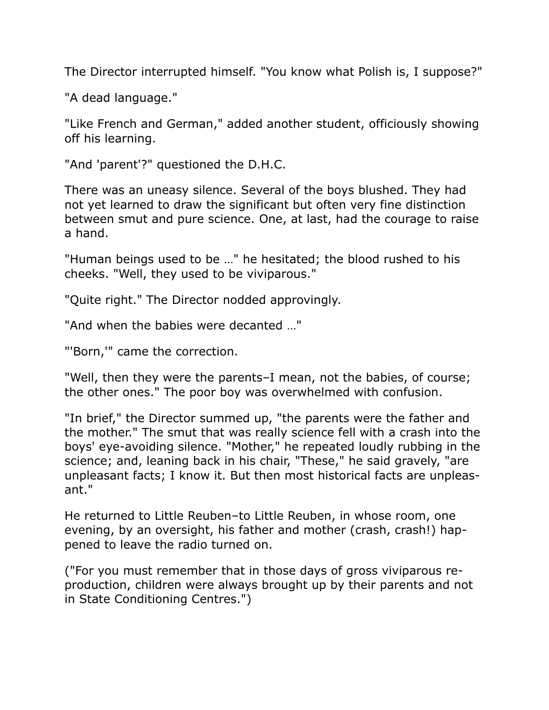The Director interrupted himself. "You know what Polish is, I suppose?"

"A dead language."

"Like French and German," added another student, officiously showing off his learning.

"And 'parent'?" questioned the D.H.C.

There was an uneasy silence. Several of the boys blushed. They had not yet learned to draw the significant but often very fine distinction between smut and pure science. One, at last, had the courage to raise a hand.

"Human beings used to be …" he hesitated; the blood rushed to his cheeks. "Well, they used to be viviparous."

"Quite right." The Director nodded approvingly.

"And when the babies were decanted …"

"'Born,'" came the correction.

"Well, then they were the parents–I mean, not the babies, of course; the other ones." The poor boy was overwhelmed with confusion.

"In brief," the Director summed up, "the parents were the father and the mother." The smut that was really science fell with a crash into the boys' eye-avoiding silence. "Mother," he repeated loudly rubbing in the science; and, leaning back in his chair, "These," he said gravely, "are unpleasant facts; I know it. But then most historical facts are unpleasant."

He returned to Little Reuben–to Little Reuben, in whose room, one evening, by an oversight, his father and mother (crash, crash!) happened to leave the radio turned on.

("For you must remember that in those days of gross viviparous reproduction, children were always brought up by their parents and not in State Conditioning Centres.")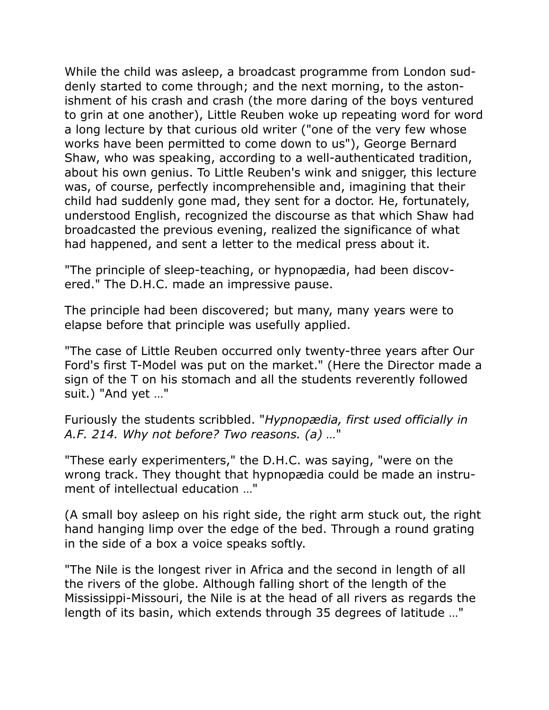While the child was asleep, a broadcast programme from London suddenly started to come through; and the next morning, to the astonishment of his crash and crash (the more daring of the boys ventured to grin at one another), Little Reuben woke up repeating word for word a long lecture by that curious old writer ("one of the very few whose works have been permitted to come down to us"), George Bernard Shaw, who was speaking, according to a well-authenticated tradition, about his own genius. To Little Reuben's wink and snigger, this lecture was, of course, perfectly incomprehensible and, imagining that their child had suddenly gone mad, they sent for a doctor. He, fortunately, understood English, recognized the discourse as that which Shaw had broadcasted the previous evening, realized the significance of what had happened, and sent a letter to the medical press about it.

"The principle of sleep-teaching, or hypnopædia, had been discovered." The D.H.C. made an impressive pause.

The principle had been discovered; but many, many years were to elapse before that principle was usefully applied.

"The case of Little Reuben occurred only twenty-three years after Our Ford's first T-Model was put on the market." (Here the Director made a sign of the T on his stomach and all the students reverently followed suit.) "And yet …"

Furiously the students scribbled. "*Hypnopædia, first used officially in A.F. 214. Why not before? Two reasons. (a) …*"

"These early experimenters," the D.H.C. was saying, "were on the wrong track. They thought that hypnopædia could be made an instrument of intellectual education …"

(A small boy asleep on his right side, the right arm stuck out, the right hand hanging limp over the edge of the bed. Through a round grating in the side of a box a voice speaks softly.

"The Nile is the longest river in Africa and the second in length of all the rivers of the globe. Although falling short of the length of the Mississippi-Missouri, the Nile is at the head of all rivers as regards the length of its basin, which extends through 35 degrees of latitude …"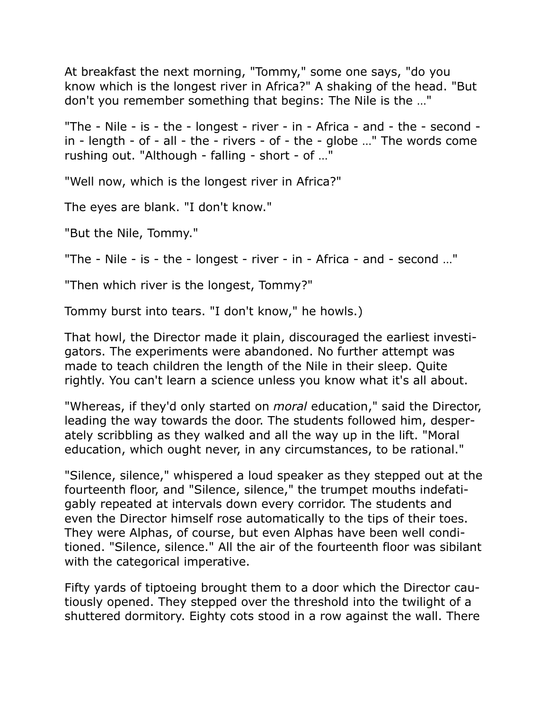At breakfast the next morning, "Tommy," some one says, "do you know which is the longest river in Africa?" A shaking of the head. "But don't you remember something that begins: The Nile is the …"

"The - Nile - is - the - longest - river - in - Africa - and - the - second in - length - of - all - the - rivers - of - the - globe …" The words come rushing out. "Although - falling - short - of …"

"Well now, which is the longest river in Africa?"

The eyes are blank. "I don't know."

"But the Nile, Tommy."

"The - Nile - is - the - longest - river - in - Africa - and - second …"

"Then which river is the longest, Tommy?"

Tommy burst into tears. "I don't know," he howls.)

That howl, the Director made it plain, discouraged the earliest investigators. The experiments were abandoned. No further attempt was made to teach children the length of the Nile in their sleep. Quite rightly. You can't learn a science unless you know what it's all about.

"Whereas, if they'd only started on *moral* education," said the Director, leading the way towards the door. The students followed him, desperately scribbling as they walked and all the way up in the lift. "Moral education, which ought never, in any circumstances, to be rational."

"Silence, silence," whispered a loud speaker as they stepped out at the fourteenth floor, and "Silence, silence," the trumpet mouths indefatigably repeated at intervals down every corridor. The students and even the Director himself rose automatically to the tips of their toes. They were Alphas, of course, but even Alphas have been well conditioned. "Silence, silence." All the air of the fourteenth floor was sibilant with the categorical imperative.

Fifty yards of tiptoeing brought them to a door which the Director cautiously opened. They stepped over the threshold into the twilight of a shuttered dormitory. Eighty cots stood in a row against the wall. There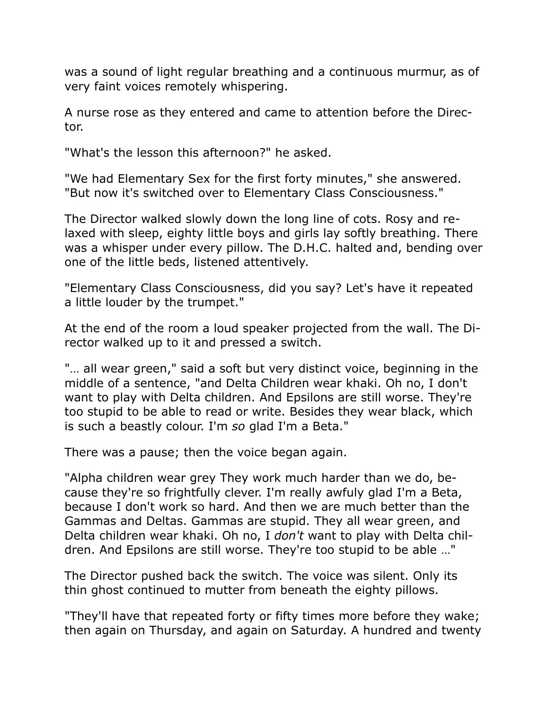was a sound of light regular breathing and a continuous murmur, as of very faint voices remotely whispering.

A nurse rose as they entered and came to attention before the Director.

"What's the lesson this afternoon?" he asked.

"We had Elementary Sex for the first forty minutes," she answered. "But now it's switched over to Elementary Class Consciousness."

The Director walked slowly down the long line of cots. Rosy and relaxed with sleep, eighty little boys and girls lay softly breathing. There was a whisper under every pillow. The D.H.C. halted and, bending over one of the little beds, listened attentively.

"Elementary Class Consciousness, did you say? Let's have it repeated a little louder by the trumpet."

At the end of the room a loud speaker projected from the wall. The Director walked up to it and pressed a switch.

"… all wear green," said a soft but very distinct voice, beginning in the middle of a sentence, "and Delta Children wear khaki. Oh no, I don't want to play with Delta children. And Epsilons are still worse. They're too stupid to be able to read or write. Besides they wear black, which is such a beastly colour. I'm *so* glad I'm a Beta."

There was a pause; then the voice began again.

"Alpha children wear grey They work much harder than we do, because they're so frightfully clever. I'm really awfuly glad I'm a Beta, because I don't work so hard. And then we are much better than the Gammas and Deltas. Gammas are stupid. They all wear green, and Delta children wear khaki. Oh no, I *don't* want to play with Delta children. And Epsilons are still worse. They're too stupid to be able …"

The Director pushed back the switch. The voice was silent. Only its thin ghost continued to mutter from beneath the eighty pillows.

"They'll have that repeated forty or fifty times more before they wake; then again on Thursday, and again on Saturday. A hundred and twenty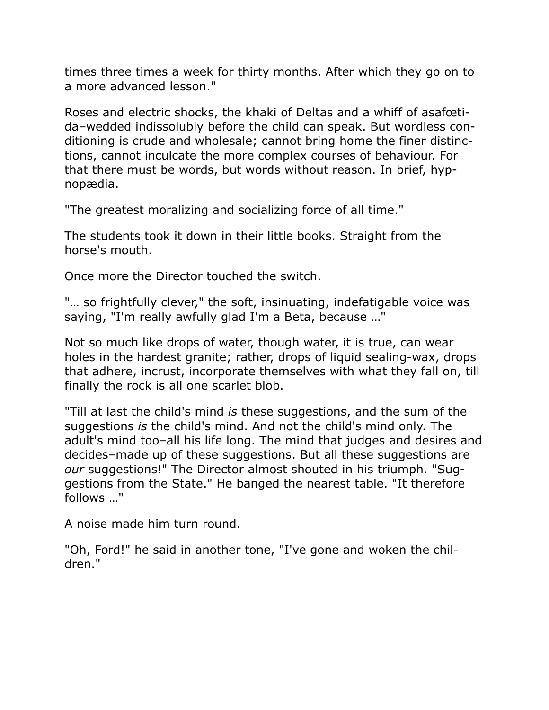times three times a week for thirty months. After which they go on to a more advanced lesson."

Roses and electric shocks, the khaki of Deltas and a whiff of asafœtida–wedded indissolubly before the child can speak. But wordless conditioning is crude and wholesale; cannot bring home the finer distinctions, cannot inculcate the more complex courses of behaviour. For that there must be words, but words without reason. In brief, hypnopædia.

"The greatest moralizing and socializing force of all time."

The students took it down in their little books. Straight from the horse's mouth.

Once more the Director touched the switch.

"… so frightfully clever," the soft, insinuating, indefatigable voice was saying, "I'm really awfully glad I'm a Beta, because …"

Not so much like drops of water, though water, it is true, can wear holes in the hardest granite; rather, drops of liquid sealing-wax, drops that adhere, incrust, incorporate themselves with what they fall on, till finally the rock is all one scarlet blob.

"Till at last the child's mind *is* these suggestions, and the sum of the suggestions *is* the child's mind. And not the child's mind only. The adult's mind too–all his life long. The mind that judges and desires and decides–made up of these suggestions. But all these suggestions are *our* suggestions!" The Director almost shouted in his triumph. "Suggestions from the State." He banged the nearest table. "It therefore follows …"

A noise made him turn round.

"Oh, Ford!" he said in another tone, "I've gone and woken the children."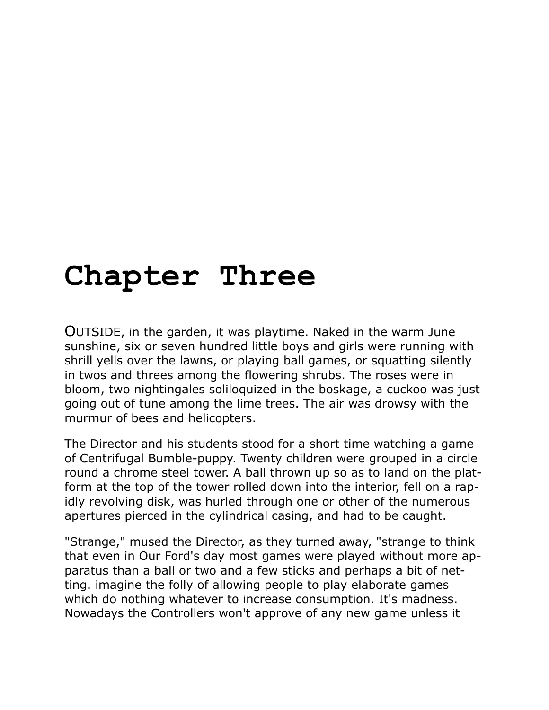# **Chapter Three**

OUTSIDE, in the garden, it was playtime. Naked in the warm June sunshine, six or seven hundred little boys and girls were running with shrill yells over the lawns, or playing ball games, or squatting silently in twos and threes among the flowering shrubs. The roses were in bloom, two nightingales soliloquized in the boskage, a cuckoo was just going out of tune among the lime trees. The air was drowsy with the murmur of bees and helicopters.

The Director and his students stood for a short time watching a game of Centrifugal Bumble-puppy. Twenty children were grouped in a circle round a chrome steel tower. A ball thrown up so as to land on the platform at the top of the tower rolled down into the interior, fell on a rapidly revolving disk, was hurled through one or other of the numerous apertures pierced in the cylindrical casing, and had to be caught.

"Strange," mused the Director, as they turned away, "strange to think that even in Our Ford's day most games were played without more apparatus than a ball or two and a few sticks and perhaps a bit of netting. imagine the folly of allowing people to play elaborate games which do nothing whatever to increase consumption. It's madness. Nowadays the Controllers won't approve of any new game unless it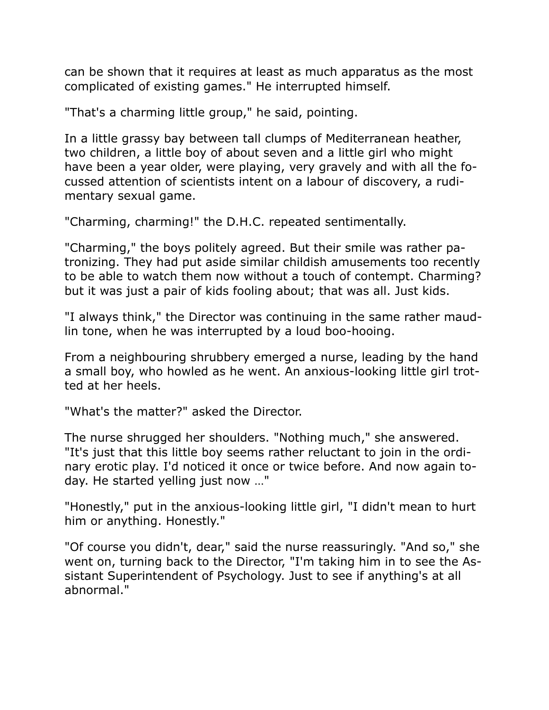can be shown that it requires at least as much apparatus as the most complicated of existing games." He interrupted himself.

"That's a charming little group," he said, pointing.

In a little grassy bay between tall clumps of Mediterranean heather, two children, a little boy of about seven and a little girl who might have been a year older, were playing, very gravely and with all the focussed attention of scientists intent on a labour of discovery, a rudimentary sexual game.

"Charming, charming!" the D.H.C. repeated sentimentally.

"Charming," the boys politely agreed. But their smile was rather patronizing. They had put aside similar childish amusements too recently to be able to watch them now without a touch of contempt. Charming? but it was just a pair of kids fooling about; that was all. Just kids.

"I always think," the Director was continuing in the same rather maudlin tone, when he was interrupted by a loud boo-hooing.

From a neighbouring shrubbery emerged a nurse, leading by the hand a small boy, who howled as he went. An anxious-looking little girl trotted at her heels.

"What's the matter?" asked the Director.

The nurse shrugged her shoulders. "Nothing much," she answered. "It's just that this little boy seems rather reluctant to join in the ordinary erotic play. I'd noticed it once or twice before. And now again today. He started yelling just now …"

"Honestly," put in the anxious-looking little girl, "I didn't mean to hurt him or anything. Honestly."

"Of course you didn't, dear," said the nurse reassuringly. "And so," she went on, turning back to the Director, "I'm taking him in to see the Assistant Superintendent of Psychology. Just to see if anything's at all abnormal."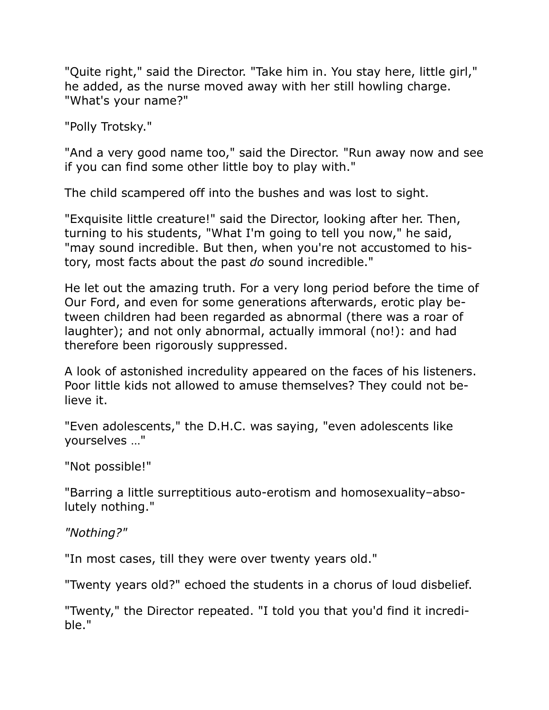"Quite right," said the Director. "Take him in. You stay here, little girl," he added, as the nurse moved away with her still howling charge. "What's your name?"

"Polly Trotsky."

"And a very good name too," said the Director. "Run away now and see if you can find some other little boy to play with."

The child scampered off into the bushes and was lost to sight.

"Exquisite little creature!" said the Director, looking after her. Then, turning to his students, "What I'm going to tell you now," he said, "may sound incredible. But then, when you're not accustomed to history, most facts about the past *do* sound incredible."

He let out the amazing truth. For a very long period before the time of Our Ford, and even for some generations afterwards, erotic play between children had been regarded as abnormal (there was a roar of laughter); and not only abnormal, actually immoral (no!): and had therefore been rigorously suppressed.

A look of astonished incredulity appeared on the faces of his listeners. Poor little kids not allowed to amuse themselves? They could not believe it.

"Even adolescents," the D.H.C. was saying, "even adolescents like yourselves …"

"Not possible!"

"Barring a little surreptitious auto-erotism and homosexuality–absolutely nothing."

*"Nothing?"*

"In most cases, till they were over twenty years old."

"Twenty years old?" echoed the students in a chorus of loud disbelief.

"Twenty," the Director repeated. "I told you that you'd find it incredible."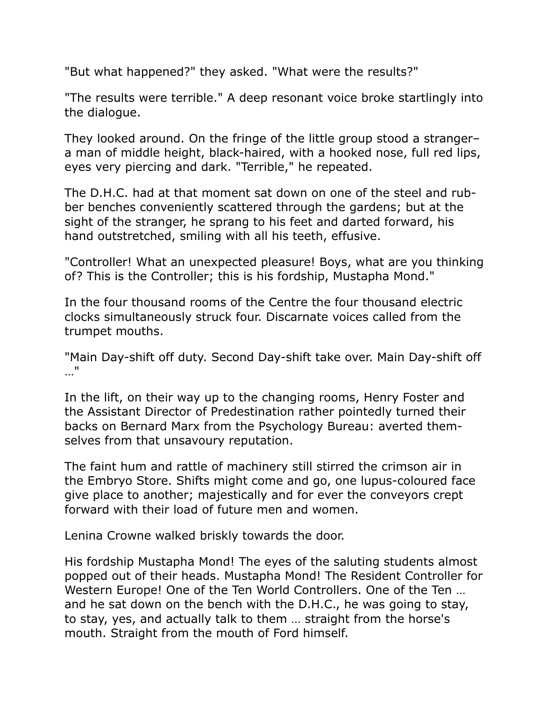"But what happened?" they asked. "What were the results?"

"The results were terrible." A deep resonant voice broke startlingly into the dialogue.

They looked around. On the fringe of the little group stood a stranger– a man of middle height, black-haired, with a hooked nose, full red lips, eyes very piercing and dark. "Terrible," he repeated.

The D.H.C. had at that moment sat down on one of the steel and rubber benches conveniently scattered through the gardens; but at the sight of the stranger, he sprang to his feet and darted forward, his hand outstretched, smiling with all his teeth, effusive.

"Controller! What an unexpected pleasure! Boys, what are you thinking of? This is the Controller; this is his fordship, Mustapha Mond."

In the four thousand rooms of the Centre the four thousand electric clocks simultaneously struck four. Discarnate voices called from the trumpet mouths.

"Main Day-shift off duty. Second Day-shift take over. Main Day-shift off …"

In the lift, on their way up to the changing rooms, Henry Foster and the Assistant Director of Predestination rather pointedly turned their backs on Bernard Marx from the Psychology Bureau: averted themselves from that unsavoury reputation.

The faint hum and rattle of machinery still stirred the crimson air in the Embryo Store. Shifts might come and go, one lupus-coloured face give place to another; majestically and for ever the conveyors crept forward with their load of future men and women.

Lenina Crowne walked briskly towards the door.

His fordship Mustapha Mond! The eyes of the saluting students almost popped out of their heads. Mustapha Mond! The Resident Controller for Western Europe! One of the Ten World Controllers. One of the Ten … and he sat down on the bench with the D.H.C., he was going to stay, to stay, yes, and actually talk to them … straight from the horse's mouth. Straight from the mouth of Ford himself.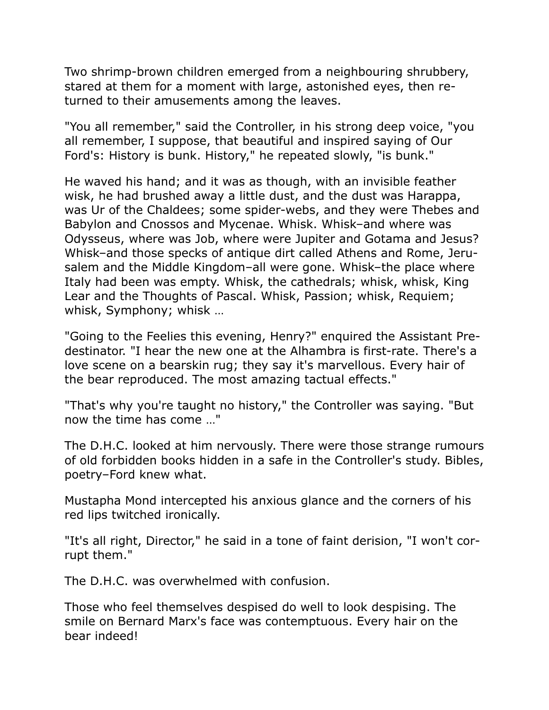Two shrimp-brown children emerged from a neighbouring shrubbery, stared at them for a moment with large, astonished eyes, then returned to their amusements among the leaves.

"You all remember," said the Controller, in his strong deep voice, "you all remember, I suppose, that beautiful and inspired saying of Our Ford's: History is bunk. History," he repeated slowly, "is bunk."

He waved his hand; and it was as though, with an invisible feather wisk, he had brushed away a little dust, and the dust was Harappa, was Ur of the Chaldees; some spider-webs, and they were Thebes and Babylon and Cnossos and Mycenae. Whisk. Whisk–and where was Odysseus, where was Job, where were Jupiter and Gotama and Jesus? Whisk–and those specks of antique dirt called Athens and Rome, Jerusalem and the Middle Kingdom–all were gone. Whisk–the place where Italy had been was empty. Whisk, the cathedrals; whisk, whisk, King Lear and the Thoughts of Pascal. Whisk, Passion; whisk, Requiem; whisk, Symphony; whisk …

"Going to the Feelies this evening, Henry?" enquired the Assistant Predestinator. "I hear the new one at the Alhambra is first-rate. There's a love scene on a bearskin rug; they say it's marvellous. Every hair of the bear reproduced. The most amazing tactual effects."

"That's why you're taught no history," the Controller was saying. "But now the time has come …"

The D.H.C. looked at him nervously. There were those strange rumours of old forbidden books hidden in a safe in the Controller's study. Bibles, poetry–Ford knew what.

Mustapha Mond intercepted his anxious glance and the corners of his red lips twitched ironically.

"It's all right, Director," he said in a tone of faint derision, "I won't corrupt them."

The D.H.C. was overwhelmed with confusion.

Those who feel themselves despised do well to look despising. The smile on Bernard Marx's face was contemptuous. Every hair on the bear indeed!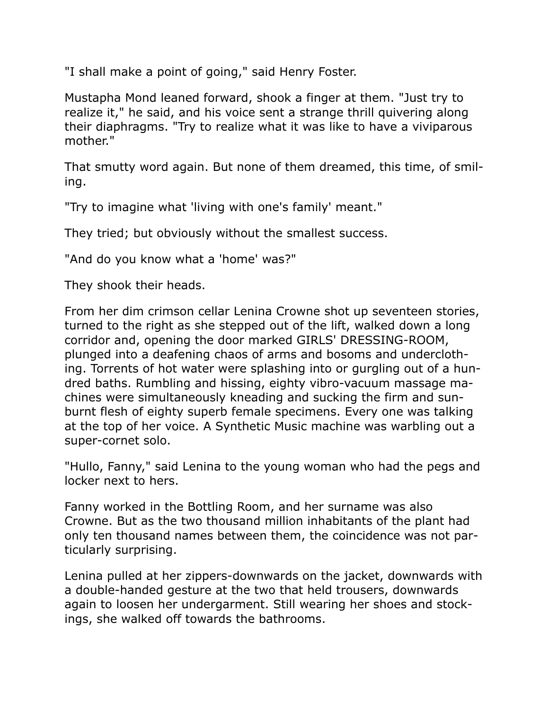"I shall make a point of going," said Henry Foster.

Mustapha Mond leaned forward, shook a finger at them. "Just try to realize it," he said, and his voice sent a strange thrill quivering along their diaphragms. "Try to realize what it was like to have a viviparous mother."

That smutty word again. But none of them dreamed, this time, of smiling.

"Try to imagine what 'living with one's family' meant."

They tried; but obviously without the smallest success.

"And do you know what a 'home' was?"

They shook their heads.

From her dim crimson cellar Lenina Crowne shot up seventeen stories, turned to the right as she stepped out of the lift, walked down a long corridor and, opening the door marked GIRLS' DRESSING-ROOM, plunged into a deafening chaos of arms and bosoms and underclothing. Torrents of hot water were splashing into or gurgling out of a hundred baths. Rumbling and hissing, eighty vibro-vacuum massage machines were simultaneously kneading and sucking the firm and sunburnt flesh of eighty superb female specimens. Every one was talking at the top of her voice. A Synthetic Music machine was warbling out a super-cornet solo.

"Hullo, Fanny," said Lenina to the young woman who had the pegs and locker next to hers.

Fanny worked in the Bottling Room, and her surname was also Crowne. But as the two thousand million inhabitants of the plant had only ten thousand names between them, the coincidence was not particularly surprising.

Lenina pulled at her zippers-downwards on the jacket, downwards with a double-handed gesture at the two that held trousers, downwards again to loosen her undergarment. Still wearing her shoes and stockings, she walked off towards the bathrooms.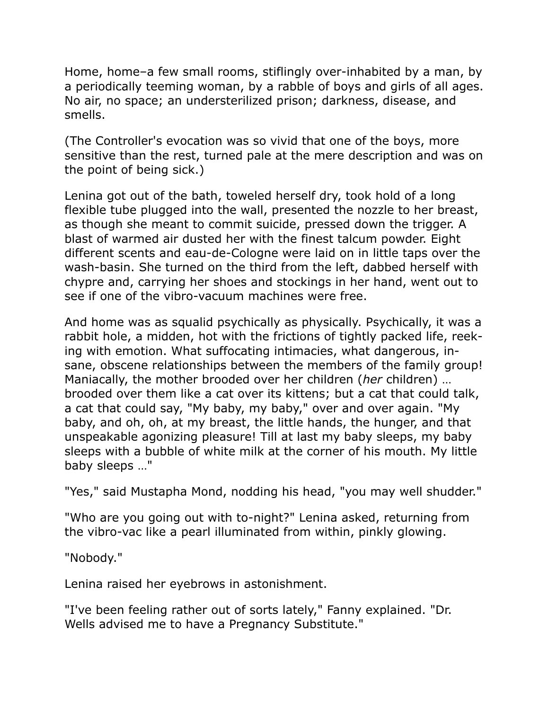Home, home–a few small rooms, stiflingly over-inhabited by a man, by a periodically teeming woman, by a rabble of boys and girls of all ages. No air, no space; an understerilized prison; darkness, disease, and smells.

(The Controller's evocation was so vivid that one of the boys, more sensitive than the rest, turned pale at the mere description and was on the point of being sick.)

Lenina got out of the bath, toweled herself dry, took hold of a long flexible tube plugged into the wall, presented the nozzle to her breast, as though she meant to commit suicide, pressed down the trigger. A blast of warmed air dusted her with the finest talcum powder. Eight different scents and eau-de-Cologne were laid on in little taps over the wash-basin. She turned on the third from the left, dabbed herself with chypre and, carrying her shoes and stockings in her hand, went out to see if one of the vibro-vacuum machines were free.

And home was as squalid psychically as physically. Psychically, it was a rabbit hole, a midden, hot with the frictions of tightly packed life, reeking with emotion. What suffocating intimacies, what dangerous, insane, obscene relationships between the members of the family group! Maniacally, the mother brooded over her children (*her* children) … brooded over them like a cat over its kittens; but a cat that could talk, a cat that could say, "My baby, my baby," over and over again. "My baby, and oh, oh, at my breast, the little hands, the hunger, and that unspeakable agonizing pleasure! Till at last my baby sleeps, my baby sleeps with a bubble of white milk at the corner of his mouth. My little baby sleeps …"

"Yes," said Mustapha Mond, nodding his head, "you may well shudder."

"Who are you going out with to-night?" Lenina asked, returning from the vibro-vac like a pearl illuminated from within, pinkly glowing.

"Nobody."

Lenina raised her eyebrows in astonishment.

"I've been feeling rather out of sorts lately," Fanny explained. "Dr. Wells advised me to have a Pregnancy Substitute."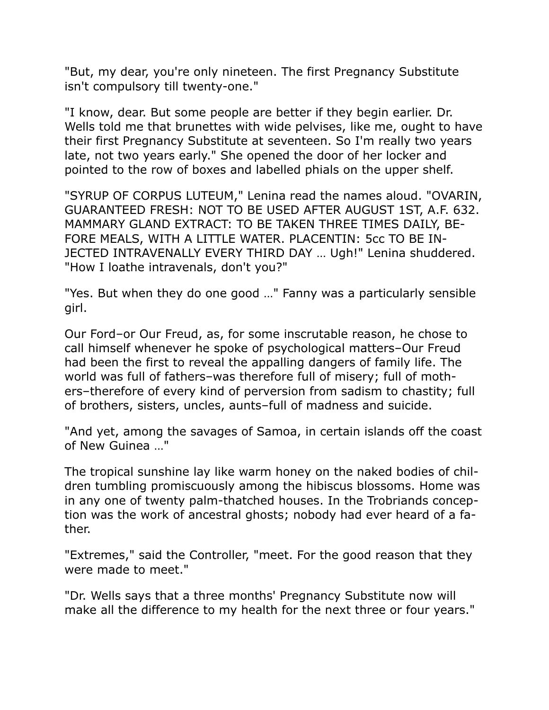"But, my dear, you're only nineteen. The first Pregnancy Substitute isn't compulsory till twenty-one."

"I know, dear. But some people are better if they begin earlier. Dr. Wells told me that brunettes with wide pelvises, like me, ought to have their first Pregnancy Substitute at seventeen. So I'm really two years late, not two years early." She opened the door of her locker and pointed to the row of boxes and labelled phials on the upper shelf.

"SYRUP OF CORPUS LUTEUM," Lenina read the names aloud. "OVARIN, GUARANTEED FRESH: NOT TO BE USED AFTER AUGUST 1ST, A.F. 632. MAMMARY GLAND EXTRACT: TO BE TAKEN THREE TIMES DAILY, BE-FORE MEALS, WITH A LITTLE WATER. PLACENTIN: 5cc TO BE IN-JECTED INTRAVENALLY EVERY THIRD DAY … Ugh!" Lenina shuddered. "How I loathe intravenals, don't you?"

"Yes. But when they do one good …" Fanny was a particularly sensible girl.

Our Ford–or Our Freud, as, for some inscrutable reason, he chose to call himself whenever he spoke of psychological matters–Our Freud had been the first to reveal the appalling dangers of family life. The world was full of fathers–was therefore full of misery; full of mothers–therefore of every kind of perversion from sadism to chastity; full of brothers, sisters, uncles, aunts–full of madness and suicide.

"And yet, among the savages of Samoa, in certain islands off the coast of New Guinea …"

The tropical sunshine lay like warm honey on the naked bodies of children tumbling promiscuously among the hibiscus blossoms. Home was in any one of twenty palm-thatched houses. In the Trobriands conception was the work of ancestral ghosts; nobody had ever heard of a father.

"Extremes," said the Controller, "meet. For the good reason that they were made to meet."

"Dr. Wells says that a three months' Pregnancy Substitute now will make all the difference to my health for the next three or four years."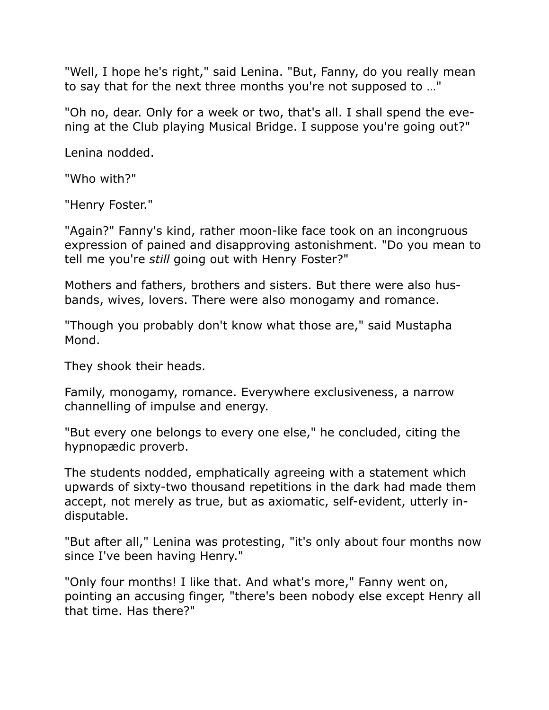"Well, I hope he's right," said Lenina. "But, Fanny, do you really mean to say that for the next three months you're not supposed to …"

"Oh no, dear. Only for a week or two, that's all. I shall spend the evening at the Club playing Musical Bridge. I suppose you're going out?"

Lenina nodded.

"Who with?"

"Henry Foster."

"Again?" Fanny's kind, rather moon-like face took on an incongruous expression of pained and disapproving astonishment. "Do you mean to tell me you're *still* going out with Henry Foster?"

Mothers and fathers, brothers and sisters. But there were also husbands, wives, lovers. There were also monogamy and romance.

"Though you probably don't know what those are," said Mustapha Mond.

They shook their heads.

Family, monogamy, romance. Everywhere exclusiveness, a narrow channelling of impulse and energy.

"But every one belongs to every one else," he concluded, citing the hypnopædic proverb.

The students nodded, emphatically agreeing with a statement which upwards of sixty-two thousand repetitions in the dark had made them accept, not merely as true, but as axiomatic, self-evident, utterly indisputable.

"But after all," Lenina was protesting, "it's only about four months now since I've been having Henry."

"Only four months! I like that. And what's more," Fanny went on, pointing an accusing finger, "there's been nobody else except Henry all that time. Has there?"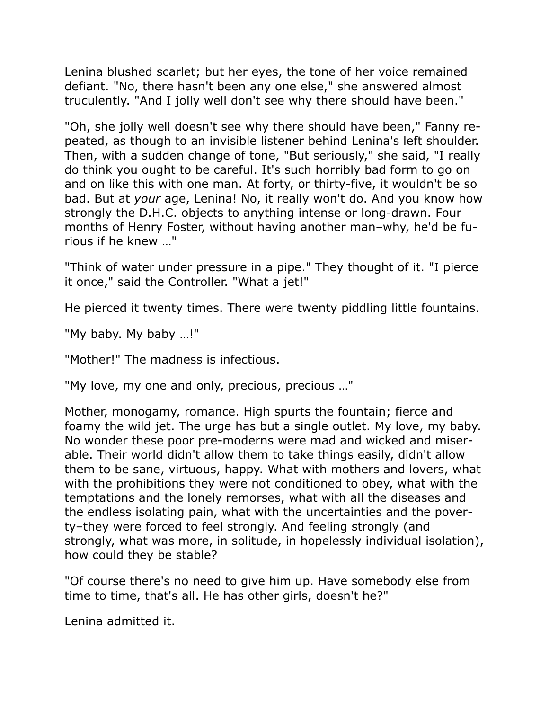Lenina blushed scarlet; but her eyes, the tone of her voice remained defiant. "No, there hasn't been any one else," she answered almost truculently. "And I jolly well don't see why there should have been."

"Oh, she jolly well doesn't see why there should have been," Fanny repeated, as though to an invisible listener behind Lenina's left shoulder. Then, with a sudden change of tone, "But seriously," she said, "I really do think you ought to be careful. It's such horribly bad form to go on and on like this with one man. At forty, or thirty-five, it wouldn't be so bad. But at *your* age, Lenina! No, it really won't do. And you know how strongly the D.H.C. objects to anything intense or long-drawn. Four months of Henry Foster, without having another man–why, he'd be furious if he knew …"

"Think of water under pressure in a pipe." They thought of it. "I pierce it once," said the Controller. "What a jet!"

He pierced it twenty times. There were twenty piddling little fountains.

"My baby. My baby …!"

"Mother!" The madness is infectious.

"My love, my one and only, precious, precious …"

Mother, monogamy, romance. High spurts the fountain; fierce and foamy the wild jet. The urge has but a single outlet. My love, my baby. No wonder these poor pre-moderns were mad and wicked and miserable. Their world didn't allow them to take things easily, didn't allow them to be sane, virtuous, happy. What with mothers and lovers, what with the prohibitions they were not conditioned to obey, what with the temptations and the lonely remorses, what with all the diseases and the endless isolating pain, what with the uncertainties and the poverty–they were forced to feel strongly. And feeling strongly (and strongly, what was more, in solitude, in hopelessly individual isolation), how could they be stable?

"Of course there's no need to give him up. Have somebody else from time to time, that's all. He has other girls, doesn't he?"

Lenina admitted it.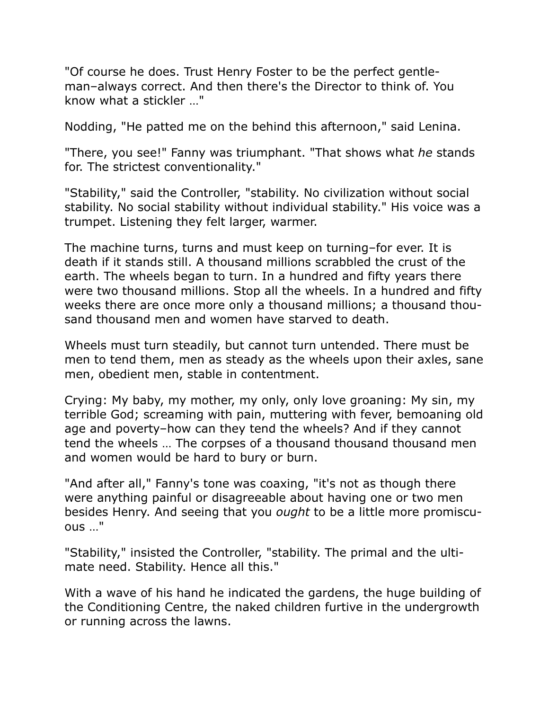"Of course he does. Trust Henry Foster to be the perfect gentleman–always correct. And then there's the Director to think of. You know what a stickler …"

Nodding, "He patted me on the behind this afternoon," said Lenina.

"There, you see!" Fanny was triumphant. "That shows what *he* stands for. The strictest conventionality."

"Stability," said the Controller, "stability. No civilization without social stability. No social stability without individual stability." His voice was a trumpet. Listening they felt larger, warmer.

The machine turns, turns and must keep on turning–for ever. It is death if it stands still. A thousand millions scrabbled the crust of the earth. The wheels began to turn. In a hundred and fifty years there were two thousand millions. Stop all the wheels. In a hundred and fifty weeks there are once more only a thousand millions; a thousand thousand thousand men and women have starved to death.

Wheels must turn steadily, but cannot turn untended. There must be men to tend them, men as steady as the wheels upon their axles, sane men, obedient men, stable in contentment.

Crying: My baby, my mother, my only, only love groaning: My sin, my terrible God; screaming with pain, muttering with fever, bemoaning old age and poverty–how can they tend the wheels? And if they cannot tend the wheels … The corpses of a thousand thousand thousand men and women would be hard to bury or burn.

"And after all," Fanny's tone was coaxing, "it's not as though there were anything painful or disagreeable about having one or two men besides Henry. And seeing that you *ought* to be a little more promiscuous …"

"Stability," insisted the Controller, "stability. The primal and the ultimate need. Stability. Hence all this."

With a wave of his hand he indicated the gardens, the huge building of the Conditioning Centre, the naked children furtive in the undergrowth or running across the lawns.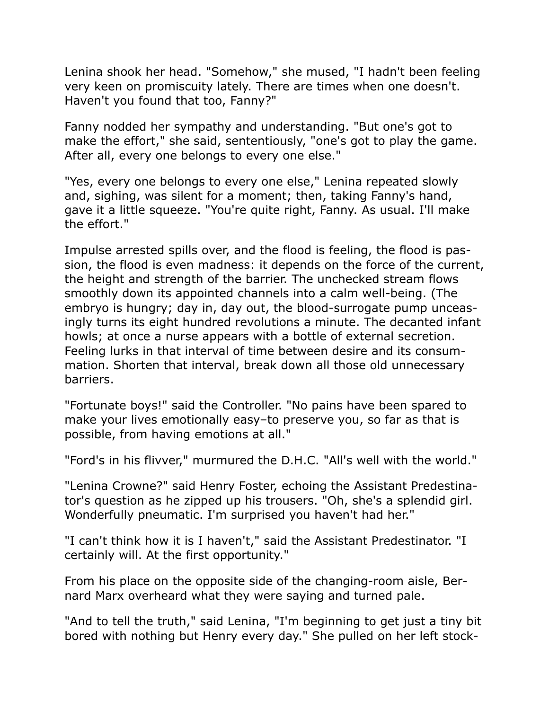Lenina shook her head. "Somehow," she mused, "I hadn't been feeling very keen on promiscuity lately. There are times when one doesn't. Haven't you found that too, Fanny?"

Fanny nodded her sympathy and understanding. "But one's got to make the effort," she said, sententiously, "one's got to play the game. After all, every one belongs to every one else."

"Yes, every one belongs to every one else," Lenina repeated slowly and, sighing, was silent for a moment; then, taking Fanny's hand, gave it a little squeeze. "You're quite right, Fanny. As usual. I'll make the effort."

Impulse arrested spills over, and the flood is feeling, the flood is passion, the flood is even madness: it depends on the force of the current, the height and strength of the barrier. The unchecked stream flows smoothly down its appointed channels into a calm well-being. (The embryo is hungry; day in, day out, the blood-surrogate pump unceasingly turns its eight hundred revolutions a minute. The decanted infant howls; at once a nurse appears with a bottle of external secretion. Feeling lurks in that interval of time between desire and its consummation. Shorten that interval, break down all those old unnecessary barriers.

"Fortunate boys!" said the Controller. "No pains have been spared to make your lives emotionally easy–to preserve you, so far as that is possible, from having emotions at all."

"Ford's in his flivver," murmured the D.H.C. "All's well with the world."

"Lenina Crowne?" said Henry Foster, echoing the Assistant Predestinator's question as he zipped up his trousers. "Oh, she's a splendid girl. Wonderfully pneumatic. I'm surprised you haven't had her."

"I can't think how it is I haven't," said the Assistant Predestinator. "I certainly will. At the first opportunity."

From his place on the opposite side of the changing-room aisle, Bernard Marx overheard what they were saying and turned pale.

"And to tell the truth," said Lenina, "I'm beginning to get just a tiny bit bored with nothing but Henry every day." She pulled on her left stock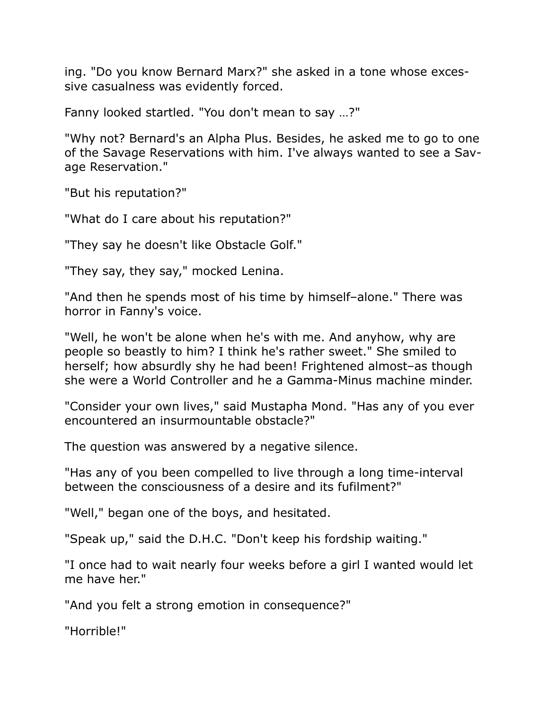ing. "Do you know Bernard Marx?" she asked in a tone whose excessive casualness was evidently forced.

Fanny looked startled. "You don't mean to say …?"

"Why not? Bernard's an Alpha Plus. Besides, he asked me to go to one of the Savage Reservations with him. I've always wanted to see a Savage Reservation."

"But his reputation?"

"What do I care about his reputation?"

"They say he doesn't like Obstacle Golf."

"They say, they say," mocked Lenina.

"And then he spends most of his time by himself–alone." There was horror in Fanny's voice.

"Well, he won't be alone when he's with me. And anyhow, why are people so beastly to him? I think he's rather sweet." She smiled to herself; how absurdly shy he had been! Frightened almost–as though she were a World Controller and he a Gamma-Minus machine minder.

"Consider your own lives," said Mustapha Mond. "Has any of you ever encountered an insurmountable obstacle?"

The question was answered by a negative silence.

"Has any of you been compelled to live through a long time-interval between the consciousness of a desire and its fufilment?"

"Well," began one of the boys, and hesitated.

"Speak up," said the D.H.C. "Don't keep his fordship waiting."

"I once had to wait nearly four weeks before a girl I wanted would let me have her."

"And you felt a strong emotion in consequence?"

"Horrible!"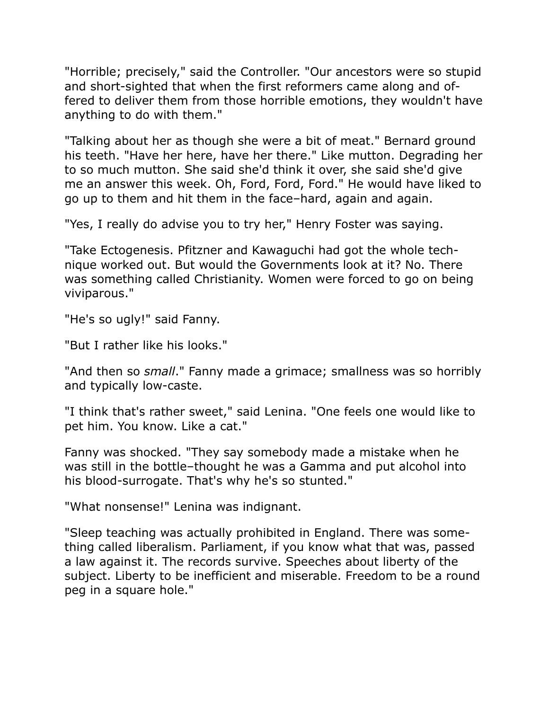"Horrible; precisely," said the Controller. "Our ancestors were so stupid and short-sighted that when the first reformers came along and offered to deliver them from those horrible emotions, they wouldn't have anything to do with them."

"Talking about her as though she were a bit of meat." Bernard ground his teeth. "Have her here, have her there." Like mutton. Degrading her to so much mutton. She said she'd think it over, she said she'd give me an answer this week. Oh, Ford, Ford, Ford." He would have liked to go up to them and hit them in the face–hard, again and again.

"Yes, I really do advise you to try her," Henry Foster was saying.

"Take Ectogenesis. Pfitzner and Kawaguchi had got the whole technique worked out. But would the Governments look at it? No. There was something called Christianity. Women were forced to go on being viviparous."

"He's so ugly!" said Fanny.

"But I rather like his looks."

"And then so *small*." Fanny made a grimace; smallness was so horribly and typically low-caste.

"I think that's rather sweet," said Lenina. "One feels one would like to pet him. You know. Like a cat."

Fanny was shocked. "They say somebody made a mistake when he was still in the bottle–thought he was a Gamma and put alcohol into his blood-surrogate. That's why he's so stunted."

"What nonsense!" Lenina was indignant.

"Sleep teaching was actually prohibited in England. There was something called liberalism. Parliament, if you know what that was, passed a law against it. The records survive. Speeches about liberty of the subject. Liberty to be inefficient and miserable. Freedom to be a round peg in a square hole."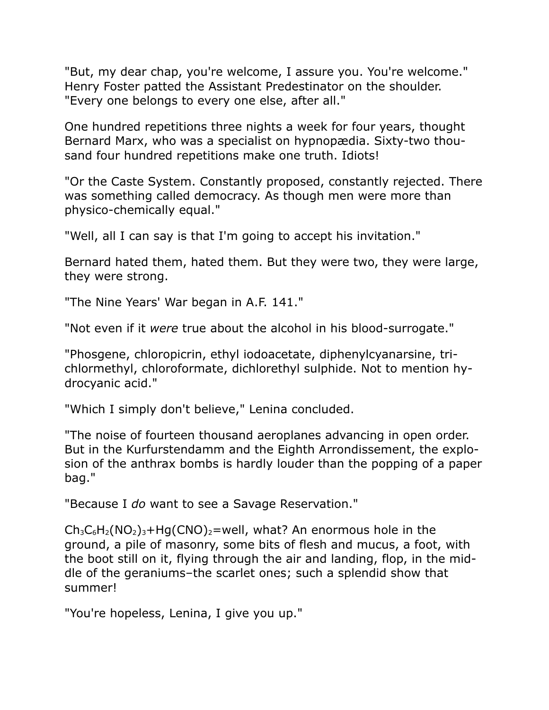"But, my dear chap, you're welcome, I assure you. You're welcome." Henry Foster patted the Assistant Predestinator on the shoulder. "Every one belongs to every one else, after all."

One hundred repetitions three nights a week for four years, thought Bernard Marx, who was a specialist on hypnopædia. Sixty-two thousand four hundred repetitions make one truth. Idiots!

"Or the Caste System. Constantly proposed, constantly rejected. There was something called democracy. As though men were more than physico-chemically equal."

"Well, all I can say is that I'm going to accept his invitation."

Bernard hated them, hated them. But they were two, they were large, they were strong.

"The Nine Years' War began in A.F. 141."

"Not even if it *were* true about the alcohol in his blood-surrogate."

"Phosgene, chloropicrin, ethyl iodoacetate, diphenylcyanarsine, trichlormethyl, chloroformate, dichlorethyl sulphide. Not to mention hydrocyanic acid."

"Which I simply don't believe," Lenina concluded.

"The noise of fourteen thousand aeroplanes advancing in open order. But in the Kurfurstendamm and the Eighth Arrondissement, the explosion of the anthrax bombs is hardly louder than the popping of a paper bag."

"Because I *do* want to see a Savage Reservation."

 $Ch_3C_6H_2(NO_2)_3+Hg(CNO)_2=$  well, what? An enormous hole in the ground, a pile of masonry, some bits of flesh and mucus, a foot, with the boot still on it, flying through the air and landing, flop, in the middle of the geraniums–the scarlet ones; such a splendid show that summer!

"You're hopeless, Lenina, I give you up."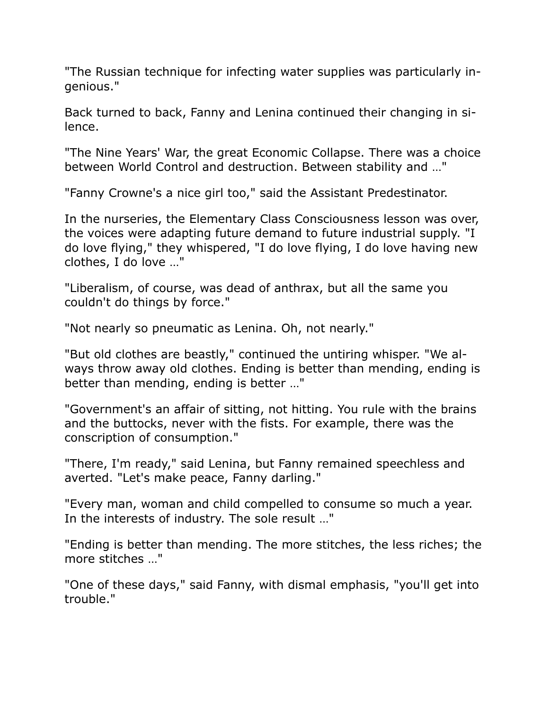"The Russian technique for infecting water supplies was particularly ingenious."

Back turned to back, Fanny and Lenina continued their changing in silence.

"The Nine Years' War, the great Economic Collapse. There was a choice between World Control and destruction. Between stability and …"

"Fanny Crowne's a nice girl too," said the Assistant Predestinator.

In the nurseries, the Elementary Class Consciousness lesson was over, the voices were adapting future demand to future industrial supply. "I do love flying," they whispered, "I do love flying, I do love having new clothes, I do love …"

"Liberalism, of course, was dead of anthrax, but all the same you couldn't do things by force."

"Not nearly so pneumatic as Lenina. Oh, not nearly."

"But old clothes are beastly," continued the untiring whisper. "We always throw away old clothes. Ending is better than mending, ending is better than mending, ending is better …"

"Government's an affair of sitting, not hitting. You rule with the brains and the buttocks, never with the fists. For example, there was the conscription of consumption."

"There, I'm ready," said Lenina, but Fanny remained speechless and averted. "Let's make peace, Fanny darling."

"Every man, woman and child compelled to consume so much a year. In the interests of industry. The sole result …"

"Ending is better than mending. The more stitches, the less riches; the more stitches …"

"One of these days," said Fanny, with dismal emphasis, "you'll get into trouble."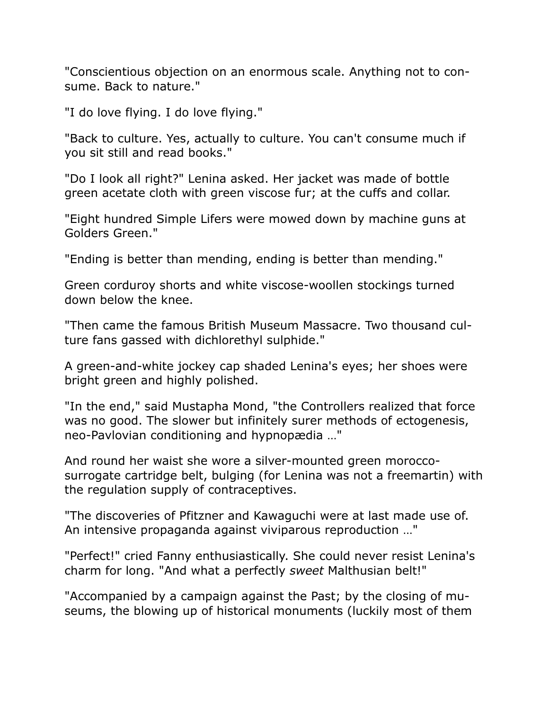"Conscientious objection on an enormous scale. Anything not to consume. Back to nature."

"I do love flying. I do love flying."

"Back to culture. Yes, actually to culture. You can't consume much if you sit still and read books."

"Do I look all right?" Lenina asked. Her jacket was made of bottle green acetate cloth with green viscose fur; at the cuffs and collar.

"Eight hundred Simple Lifers were mowed down by machine guns at Golders Green."

"Ending is better than mending, ending is better than mending."

Green corduroy shorts and white viscose-woollen stockings turned down below the knee.

"Then came the famous British Museum Massacre. Two thousand culture fans gassed with dichlorethyl sulphide."

A green-and-white jockey cap shaded Lenina's eyes; her shoes were bright green and highly polished.

"In the end," said Mustapha Mond, "the Controllers realized that force was no good. The slower but infinitely surer methods of ectogenesis, neo-Pavlovian conditioning and hypnopædia …"

And round her waist she wore a silver-mounted green moroccosurrogate cartridge belt, bulging (for Lenina was not a freemartin) with the regulation supply of contraceptives.

"The discoveries of Pfitzner and Kawaguchi were at last made use of. An intensive propaganda against viviparous reproduction …"

"Perfect!" cried Fanny enthusiastically. She could never resist Lenina's charm for long. "And what a perfectly *sweet* Malthusian belt!"

"Accompanied by a campaign against the Past; by the closing of museums, the blowing up of historical monuments (luckily most of them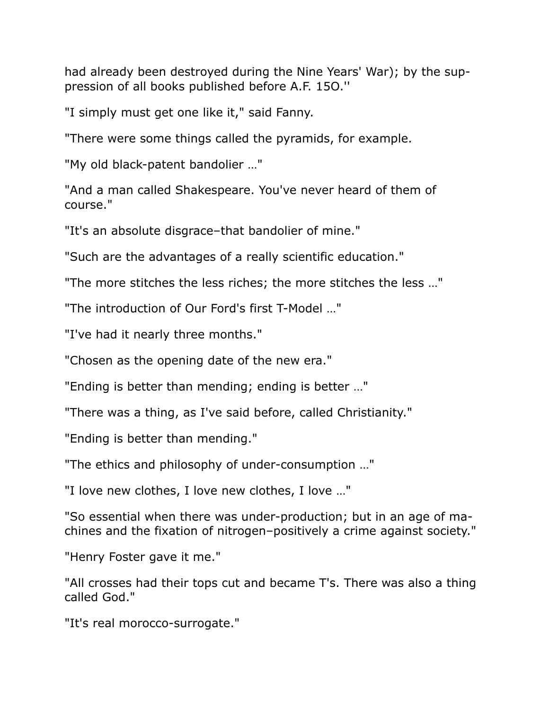had already been destroyed during the Nine Years' War); by the suppression of all books published before A.F. 15O.''

"I simply must get one like it," said Fanny.

"There were some things called the pyramids, for example.

"My old black-patent bandolier …"

"And a man called Shakespeare. You've never heard of them of course."

"It's an absolute disgrace–that bandolier of mine."

"Such are the advantages of a really scientific education."

"The more stitches the less riches; the more stitches the less …"

"The introduction of Our Ford's first T-Model …"

"I've had it nearly three months."

"Chosen as the opening date of the new era."

"Ending is better than mending; ending is better …"

"There was a thing, as I've said before, called Christianity."

"Ending is better than mending."

"The ethics and philosophy of under-consumption …"

"I love new clothes, I love new clothes, I love …"

"So essential when there was under-production; but in an age of machines and the fixation of nitrogen–positively a crime against society."

"Henry Foster gave it me."

"All crosses had their tops cut and became T's. There was also a thing called God."

"It's real morocco-surrogate."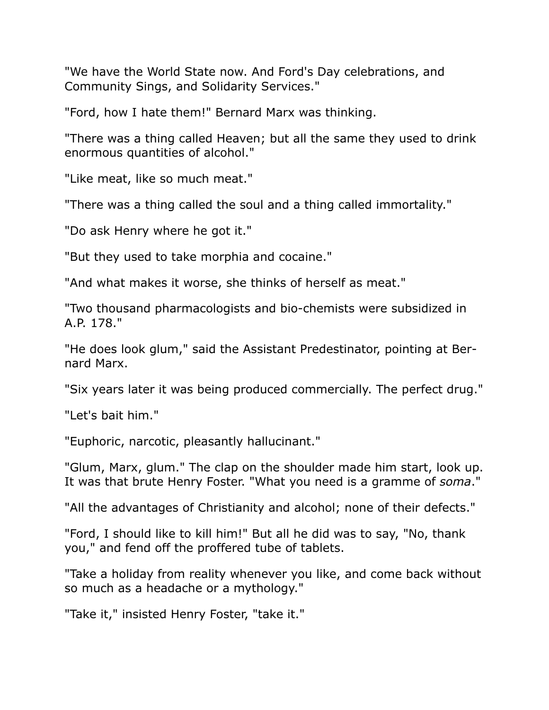"We have the World State now. And Ford's Day celebrations, and Community Sings, and Solidarity Services."

"Ford, how I hate them!" Bernard Marx was thinking.

"There was a thing called Heaven; but all the same they used to drink enormous quantities of alcohol."

"Like meat, like so much meat."

"There was a thing called the soul and a thing called immortality."

"Do ask Henry where he got it."

"But they used to take morphia and cocaine."

"And what makes it worse, she thinks of herself as meat."

"Two thousand pharmacologists and bio-chemists were subsidized in A.P. 178."

"He does look glum," said the Assistant Predestinator, pointing at Bernard Marx.

"Six years later it was being produced commercially. The perfect drug."

"Let's bait him."

"Euphoric, narcotic, pleasantly hallucinant."

"Glum, Marx, glum." The clap on the shoulder made him start, look up. It was that brute Henry Foster. "What you need is a gramme of *soma*."

"All the advantages of Christianity and alcohol; none of their defects."

"Ford, I should like to kill him!" But all he did was to say, "No, thank you," and fend off the proffered tube of tablets.

"Take a holiday from reality whenever you like, and come back without so much as a headache or a mythology."

"Take it," insisted Henry Foster, "take it."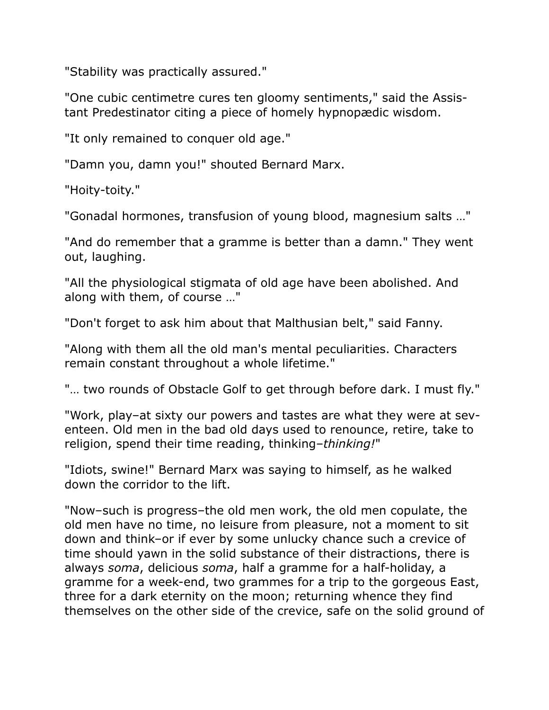"Stability was practically assured."

"One cubic centimetre cures ten gloomy sentiments," said the Assistant Predestinator citing a piece of homely hypnopædic wisdom.

"It only remained to conquer old age."

"Damn you, damn you!" shouted Bernard Marx.

"Hoity-toity."

"Gonadal hormones, transfusion of young blood, magnesium salts …"

"And do remember that a gramme is better than a damn." They went out, laughing.

"All the physiological stigmata of old age have been abolished. And along with them, of course …"

"Don't forget to ask him about that Malthusian belt," said Fanny.

"Along with them all the old man's mental peculiarities. Characters remain constant throughout a whole lifetime."

"… two rounds of Obstacle Golf to get through before dark. I must fly."

"Work, play–at sixty our powers and tastes are what they were at seventeen. Old men in the bad old days used to renounce, retire, take to religion, spend their time reading, thinking–*thinking!*"

"Idiots, swine!" Bernard Marx was saying to himself, as he walked down the corridor to the lift.

"Now–such is progress–the old men work, the old men copulate, the old men have no time, no leisure from pleasure, not a moment to sit down and think–or if ever by some unlucky chance such a crevice of time should yawn in the solid substance of their distractions, there is always *soma*, delicious *soma*, half a gramme for a half-holiday, a gramme for a week-end, two grammes for a trip to the gorgeous East, three for a dark eternity on the moon; returning whence they find themselves on the other side of the crevice, safe on the solid ground of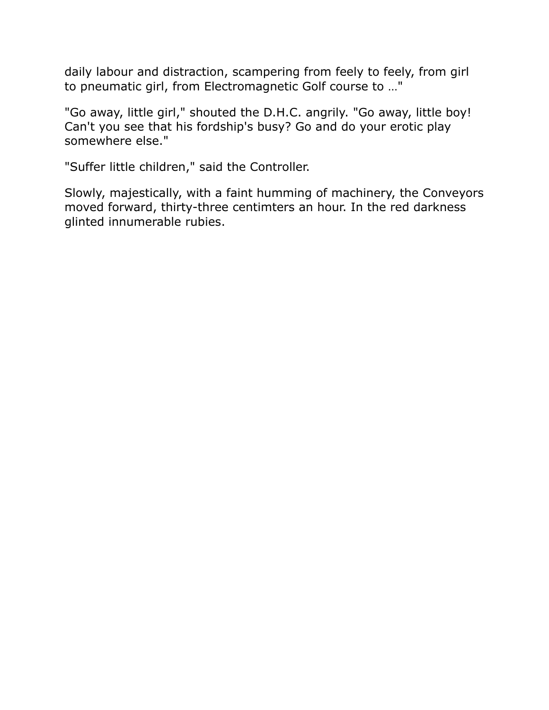daily labour and distraction, scampering from feely to feely, from girl to pneumatic girl, from Electromagnetic Golf course to …"

"Go away, little girl," shouted the D.H.C. angrily. "Go away, little boy! Can't you see that his fordship's busy? Go and do your erotic play somewhere else."

"Suffer little children," said the Controller.

Slowly, majestically, with a faint humming of machinery, the Conveyors moved forward, thirty-three centimters an hour. In the red darkness glinted innumerable rubies.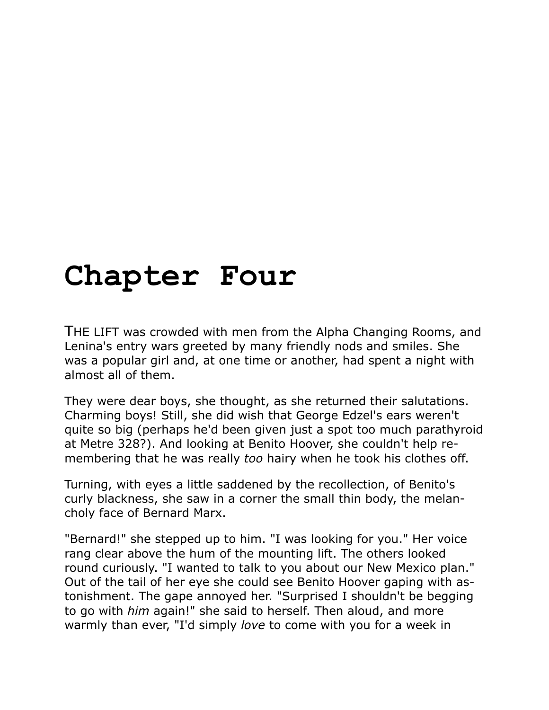# **Chapter Four**

THE LIFT was crowded with men from the Alpha Changing Rooms, and Lenina's entry wars greeted by many friendly nods and smiles. She was a popular girl and, at one time or another, had spent a night with almost all of them.

They were dear boys, she thought, as she returned their salutations. Charming boys! Still, she did wish that George Edzel's ears weren't quite so big (perhaps he'd been given just a spot too much parathyroid at Metre 328?). And looking at Benito Hoover, she couldn't help remembering that he was really *too* hairy when he took his clothes off.

Turning, with eyes a little saddened by the recollection, of Benito's curly blackness, she saw in a corner the small thin body, the melancholy face of Bernard Marx.

"Bernard!" she stepped up to him. "I was looking for you." Her voice rang clear above the hum of the mounting lift. The others looked round curiously. "I wanted to talk to you about our New Mexico plan." Out of the tail of her eye she could see Benito Hoover gaping with astonishment. The gape annoyed her. "Surprised I shouldn't be begging to go with *him* again!" she said to herself. Then aloud, and more warmly than ever, "I'd simply *love* to come with you for a week in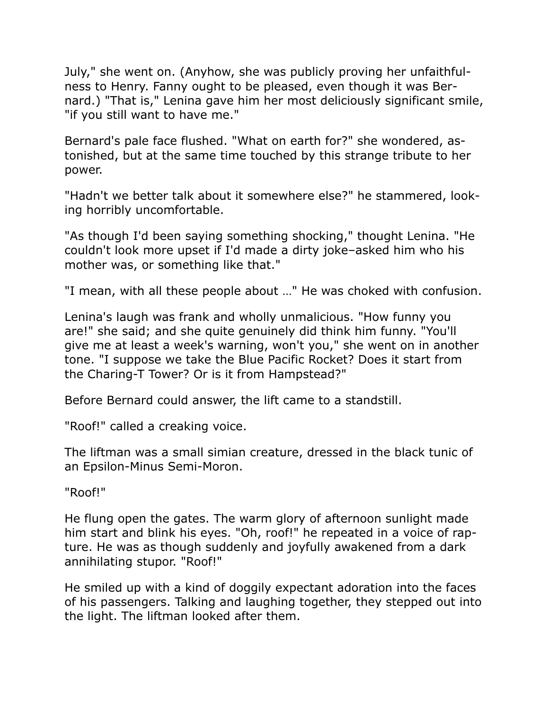July," she went on. (Anyhow, she was publicly proving her unfaithfulness to Henry. Fanny ought to be pleased, even though it was Bernard.) "That is," Lenina gave him her most deliciously significant smile, "if you still want to have me."

Bernard's pale face flushed. "What on earth for?" she wondered, astonished, but at the same time touched by this strange tribute to her power.

"Hadn't we better talk about it somewhere else?" he stammered, looking horribly uncomfortable.

"As though I'd been saying something shocking," thought Lenina. "He couldn't look more upset if I'd made a dirty joke–asked him who his mother was, or something like that."

"I mean, with all these people about …" He was choked with confusion.

Lenina's laugh was frank and wholly unmalicious. "How funny you are!" she said; and she quite genuinely did think him funny. "You'll give me at least a week's warning, won't you," she went on in another tone. "I suppose we take the Blue Pacific Rocket? Does it start from the Charing-T Tower? Or is it from Hampstead?"

Before Bernard could answer, the lift came to a standstill.

"Roof!" called a creaking voice.

The liftman was a small simian creature, dressed in the black tunic of an Epsilon-Minus Semi-Moron.

"Roof!"

He flung open the gates. The warm glory of afternoon sunlight made him start and blink his eyes. "Oh, roof!" he repeated in a voice of rapture. He was as though suddenly and joyfully awakened from a dark annihilating stupor. "Roof!"

He smiled up with a kind of doggily expectant adoration into the faces of his passengers. Talking and laughing together, they stepped out into the light. The liftman looked after them.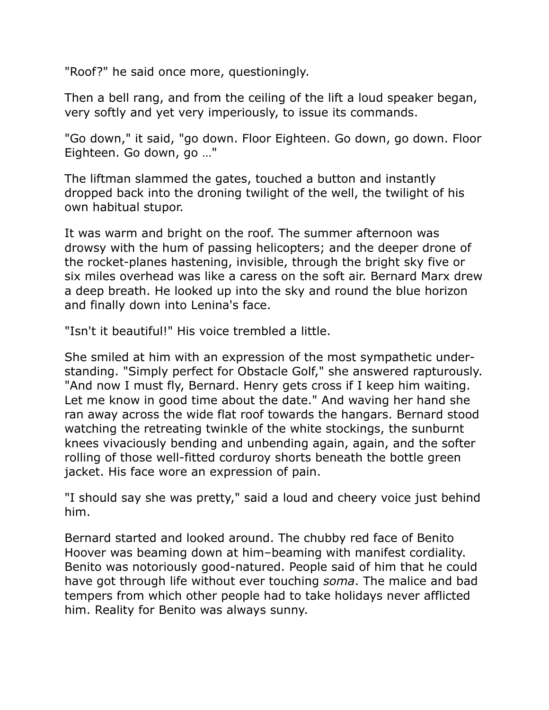"Roof?" he said once more, questioningly.

Then a bell rang, and from the ceiling of the lift a loud speaker began, very softly and yet very imperiously, to issue its commands.

"Go down," it said, "go down. Floor Eighteen. Go down, go down. Floor Eighteen. Go down, go …"

The liftman slammed the gates, touched a button and instantly dropped back into the droning twilight of the well, the twilight of his own habitual stupor.

It was warm and bright on the roof. The summer afternoon was drowsy with the hum of passing helicopters; and the deeper drone of the rocket-planes hastening, invisible, through the bright sky five or six miles overhead was like a caress on the soft air. Bernard Marx drew a deep breath. He looked up into the sky and round the blue horizon and finally down into Lenina's face.

"Isn't it beautiful!" His voice trembled a little.

She smiled at him with an expression of the most sympathetic understanding. "Simply perfect for Obstacle Golf," she answered rapturously. "And now I must fly, Bernard. Henry gets cross if I keep him waiting. Let me know in good time about the date." And waving her hand she ran away across the wide flat roof towards the hangars. Bernard stood watching the retreating twinkle of the white stockings, the sunburnt knees vivaciously bending and unbending again, again, and the softer rolling of those well-fitted corduroy shorts beneath the bottle green jacket. His face wore an expression of pain.

"I should say she was pretty," said a loud and cheery voice just behind him.

Bernard started and looked around. The chubby red face of Benito Hoover was beaming down at him–beaming with manifest cordiality. Benito was notoriously good-natured. People said of him that he could have got through life without ever touching *soma*. The malice and bad tempers from which other people had to take holidays never afflicted him. Reality for Benito was always sunny.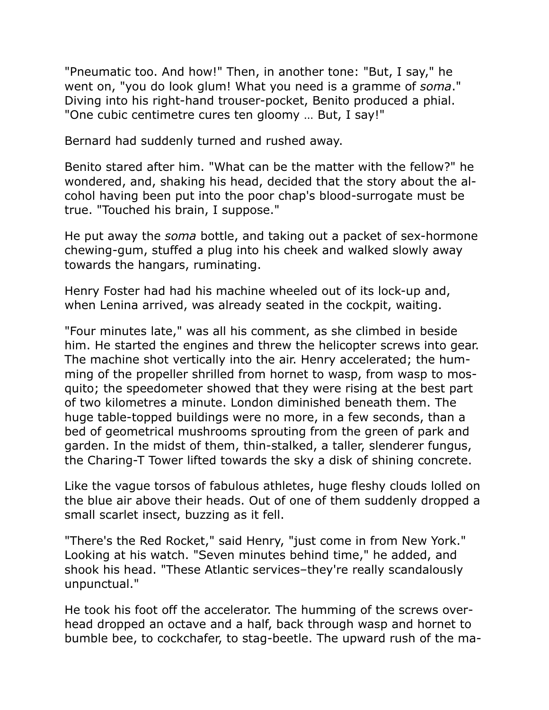"Pneumatic too. And how!" Then, in another tone: "But, I say," he went on, "you do look glum! What you need is a gramme of *soma*." Diving into his right-hand trouser-pocket, Benito produced a phial. "One cubic centimetre cures ten gloomy … But, I say!"

Bernard had suddenly turned and rushed away.

Benito stared after him. "What can be the matter with the fellow?" he wondered, and, shaking his head, decided that the story about the alcohol having been put into the poor chap's blood-surrogate must be true. "Touched his brain, I suppose."

He put away the *soma* bottle, and taking out a packet of sex-hormone chewing-gum, stuffed a plug into his cheek and walked slowly away towards the hangars, ruminating.

Henry Foster had had his machine wheeled out of its lock-up and, when Lenina arrived, was already seated in the cockpit, waiting.

"Four minutes late," was all his comment, as she climbed in beside him. He started the engines and threw the helicopter screws into gear. The machine shot vertically into the air. Henry accelerated; the humming of the propeller shrilled from hornet to wasp, from wasp to mosquito; the speedometer showed that they were rising at the best part of two kilometres a minute. London diminished beneath them. The huge table-topped buildings were no more, in a few seconds, than a bed of geometrical mushrooms sprouting from the green of park and garden. In the midst of them, thin-stalked, a taller, slenderer fungus, the Charing-T Tower lifted towards the sky a disk of shining concrete.

Like the vague torsos of fabulous athletes, huge fleshy clouds lolled on the blue air above their heads. Out of one of them suddenly dropped a small scarlet insect, buzzing as it fell.

"There's the Red Rocket," said Henry, "just come in from New York." Looking at his watch. "Seven minutes behind time," he added, and shook his head. "These Atlantic services–they're really scandalously unpunctual."

He took his foot off the accelerator. The humming of the screws overhead dropped an octave and a half, back through wasp and hornet to bumble bee, to cockchafer, to stag-beetle. The upward rush of the ma-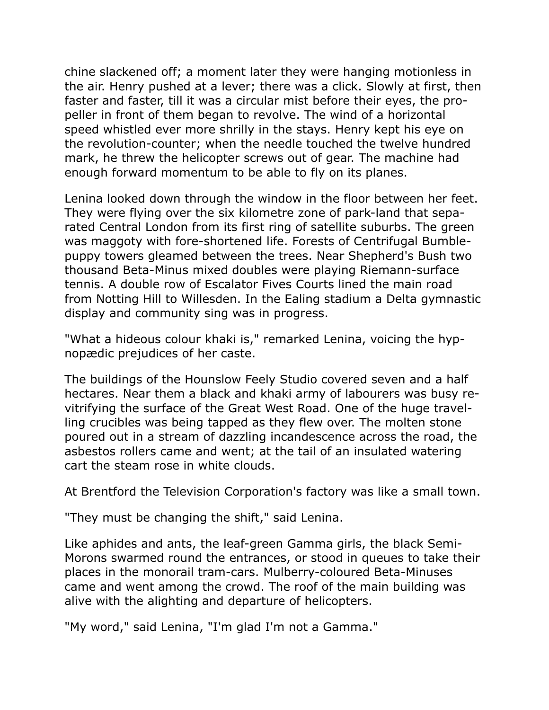chine slackened off; a moment later they were hanging motionless in the air. Henry pushed at a lever; there was a click. Slowly at first, then faster and faster, till it was a circular mist before their eyes, the propeller in front of them began to revolve. The wind of a horizontal speed whistled ever more shrilly in the stays. Henry kept his eye on the revolution-counter; when the needle touched the twelve hundred mark, he threw the helicopter screws out of gear. The machine had enough forward momentum to be able to fly on its planes.

Lenina looked down through the window in the floor between her feet. They were flying over the six kilometre zone of park-land that separated Central London from its first ring of satellite suburbs. The green was maggoty with fore-shortened life. Forests of Centrifugal Bumblepuppy towers gleamed between the trees. Near Shepherd's Bush two thousand Beta-Minus mixed doubles were playing Riemann-surface tennis. A double row of Escalator Fives Courts lined the main road from Notting Hill to Willesden. In the Ealing stadium a Delta gymnastic display and community sing was in progress.

"What a hideous colour khaki is," remarked Lenina, voicing the hypnopædic prejudices of her caste.

The buildings of the Hounslow Feely Studio covered seven and a half hectares. Near them a black and khaki army of labourers was busy revitrifying the surface of the Great West Road. One of the huge travelling crucibles was being tapped as they flew over. The molten stone poured out in a stream of dazzling incandescence across the road, the asbestos rollers came and went; at the tail of an insulated watering cart the steam rose in white clouds.

At Brentford the Television Corporation's factory was like a small town.

"They must be changing the shift," said Lenina.

Like aphides and ants, the leaf-green Gamma girls, the black Semi-Morons swarmed round the entrances, or stood in queues to take their places in the monorail tram-cars. Mulberry-coloured Beta-Minuses came and went among the crowd. The roof of the main building was alive with the alighting and departure of helicopters.

"My word," said Lenina, "I'm glad I'm not a Gamma."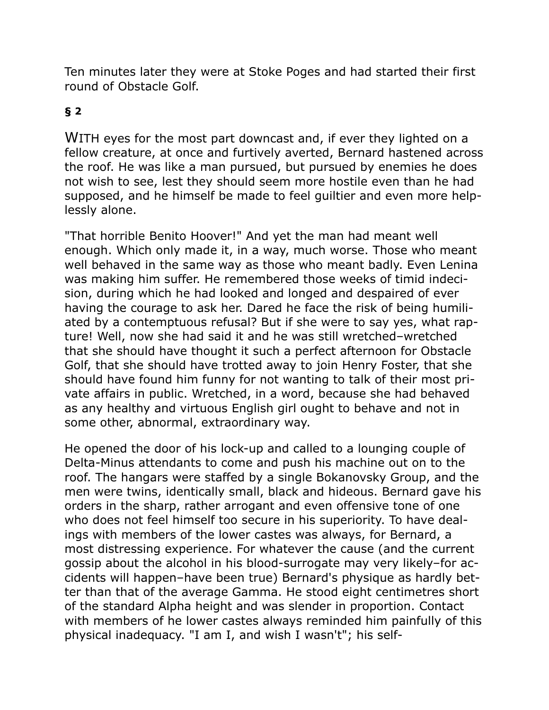Ten minutes later they were at Stoke Poges and had started their first round of Obstacle Golf.

#### **§ 2**

WITH eyes for the most part downcast and, if ever they lighted on a fellow creature, at once and furtively averted, Bernard hastened across the roof. He was like a man pursued, but pursued by enemies he does not wish to see, lest they should seem more hostile even than he had supposed, and he himself be made to feel guiltier and even more helplessly alone.

"That horrible Benito Hoover!" And yet the man had meant well enough. Which only made it, in a way, much worse. Those who meant well behaved in the same way as those who meant badly. Even Lenina was making him suffer. He remembered those weeks of timid indecision, during which he had looked and longed and despaired of ever having the courage to ask her. Dared he face the risk of being humiliated by a contemptuous refusal? But if she were to say yes, what rapture! Well, now she had said it and he was still wretched–wretched that she should have thought it such a perfect afternoon for Obstacle Golf, that she should have trotted away to join Henry Foster, that she should have found him funny for not wanting to talk of their most private affairs in public. Wretched, in a word, because she had behaved as any healthy and virtuous English girl ought to behave and not in some other, abnormal, extraordinary way.

He opened the door of his lock-up and called to a lounging couple of Delta-Minus attendants to come and push his machine out on to the roof. The hangars were staffed by a single Bokanovsky Group, and the men were twins, identically small, black and hideous. Bernard gave his orders in the sharp, rather arrogant and even offensive tone of one who does not feel himself too secure in his superiority. To have dealings with members of the lower castes was always, for Bernard, a most distressing experience. For whatever the cause (and the current gossip about the alcohol in his blood-surrogate may very likely–for accidents will happen–have been true) Bernard's physique as hardly better than that of the average Gamma. He stood eight centimetres short of the standard Alpha height and was slender in proportion. Contact with members of he lower castes always reminded him painfully of this physical inadequacy. "I am I, and wish I wasn't"; his self-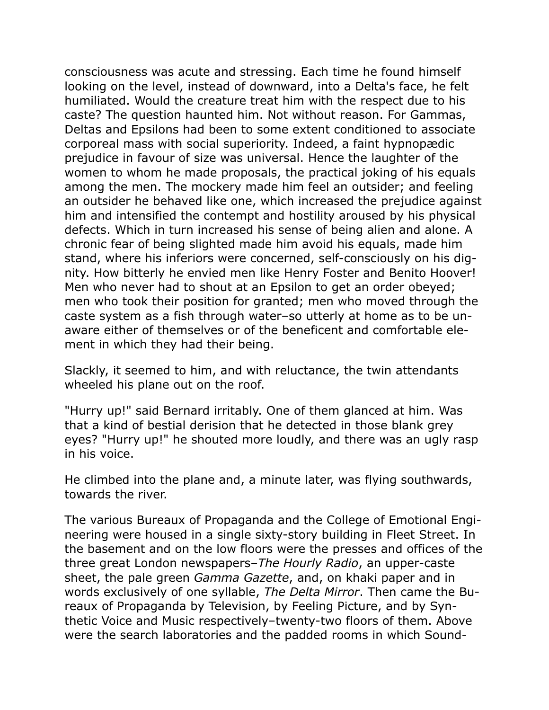consciousness was acute and stressing. Each time he found himself looking on the level, instead of downward, into a Delta's face, he felt humiliated. Would the creature treat him with the respect due to his caste? The question haunted him. Not without reason. For Gammas, Deltas and Epsilons had been to some extent conditioned to associate corporeal mass with social superiority. Indeed, a faint hypnopædic prejudice in favour of size was universal. Hence the laughter of the women to whom he made proposals, the practical joking of his equals among the men. The mockery made him feel an outsider; and feeling an outsider he behaved like one, which increased the prejudice against him and intensified the contempt and hostility aroused by his physical defects. Which in turn increased his sense of being alien and alone. A chronic fear of being slighted made him avoid his equals, made him stand, where his inferiors were concerned, self-consciously on his dignity. How bitterly he envied men like Henry Foster and Benito Hoover! Men who never had to shout at an Epsilon to get an order obeyed; men who took their position for granted; men who moved through the caste system as a fish through water–so utterly at home as to be unaware either of themselves or of the beneficent and comfortable element in which they had their being.

Slackly, it seemed to him, and with reluctance, the twin attendants wheeled his plane out on the roof.

"Hurry up!" said Bernard irritably. One of them glanced at him. Was that a kind of bestial derision that he detected in those blank grey eyes? "Hurry up!" he shouted more loudly, and there was an ugly rasp in his voice.

He climbed into the plane and, a minute later, was flying southwards, towards the river.

The various Bureaux of Propaganda and the College of Emotional Engineering were housed in a single sixty-story building in Fleet Street. In the basement and on the low floors were the presses and offices of the three great London newspapers–*The Hourly Radio*, an upper-caste sheet, the pale green *Gamma Gazette*, and, on khaki paper and in words exclusively of one syllable, *The Delta Mirror*. Then came the Bureaux of Propaganda by Television, by Feeling Picture, and by Synthetic Voice and Music respectively–twenty-two floors of them. Above were the search laboratories and the padded rooms in which Sound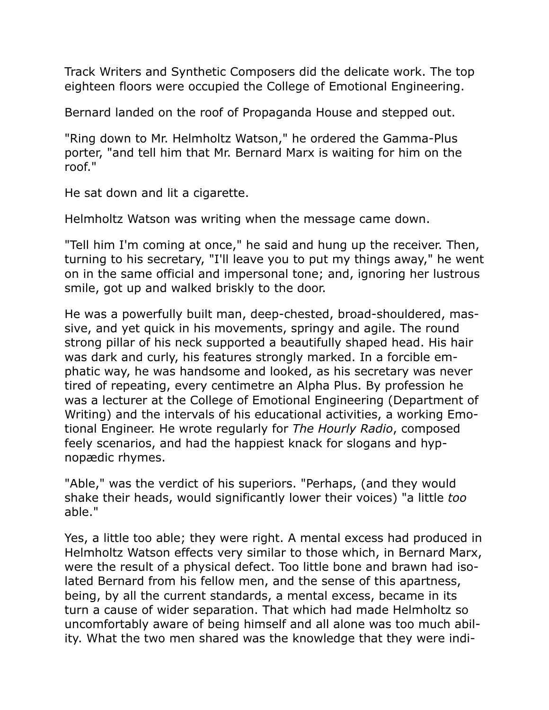Track Writers and Synthetic Composers did the delicate work. The top eighteen floors were occupied the College of Emotional Engineering.

Bernard landed on the roof of Propaganda House and stepped out.

"Ring down to Mr. Helmholtz Watson," he ordered the Gamma-Plus porter, "and tell him that Mr. Bernard Marx is waiting for him on the roof."

He sat down and lit a cigarette.

Helmholtz Watson was writing when the message came down.

"Tell him I'm coming at once," he said and hung up the receiver. Then, turning to his secretary, "I'll leave you to put my things away," he went on in the same official and impersonal tone; and, ignoring her lustrous smile, got up and walked briskly to the door.

He was a powerfully built man, deep-chested, broad-shouldered, massive, and yet quick in his movements, springy and agile. The round strong pillar of his neck supported a beautifully shaped head. His hair was dark and curly, his features strongly marked. In a forcible emphatic way, he was handsome and looked, as his secretary was never tired of repeating, every centimetre an Alpha Plus. By profession he was a lecturer at the College of Emotional Engineering (Department of Writing) and the intervals of his educational activities, a working Emotional Engineer. He wrote regularly for *The Hourly Radio*, composed feely scenarios, and had the happiest knack for slogans and hypnopædic rhymes.

"Able," was the verdict of his superiors. "Perhaps, (and they would shake their heads, would significantly lower their voices) "a little *too* able."

Yes, a little too able; they were right. A mental excess had produced in Helmholtz Watson effects very similar to those which, in Bernard Marx, were the result of a physical defect. Too little bone and brawn had isolated Bernard from his fellow men, and the sense of this apartness, being, by all the current standards, a mental excess, became in its turn a cause of wider separation. That which had made Helmholtz so uncomfortably aware of being himself and all alone was too much ability. What the two men shared was the knowledge that they were indi-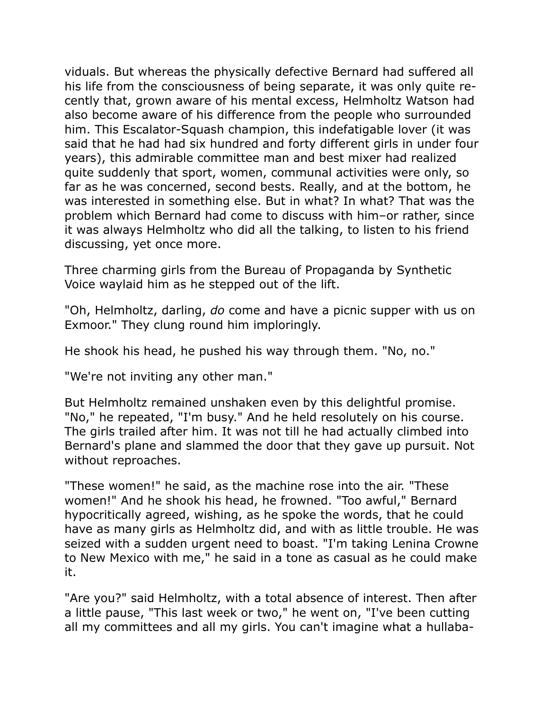viduals. But whereas the physically defective Bernard had suffered all his life from the consciousness of being separate, it was only quite recently that, grown aware of his mental excess, Helmholtz Watson had also become aware of his difference from the people who surrounded him. This Escalator-Squash champion, this indefatigable lover (it was said that he had had six hundred and forty different girls in under four years), this admirable committee man and best mixer had realized quite suddenly that sport, women, communal activities were only, so far as he was concerned, second bests. Really, and at the bottom, he was interested in something else. But in what? In what? That was the problem which Bernard had come to discuss with him–or rather, since it was always Helmholtz who did all the talking, to listen to his friend discussing, yet once more.

Three charming girls from the Bureau of Propaganda by Synthetic Voice waylaid him as he stepped out of the lift.

"Oh, Helmholtz, darling, *do* come and have a picnic supper with us on Exmoor." They clung round him imploringly.

He shook his head, he pushed his way through them. "No, no."

"We're not inviting any other man."

But Helmholtz remained unshaken even by this delightful promise. "No," he repeated, "I'm busy." And he held resolutely on his course. The girls trailed after him. It was not till he had actually climbed into Bernard's plane and slammed the door that they gave up pursuit. Not without reproaches.

"These women!" he said, as the machine rose into the air. "These women!" And he shook his head, he frowned. "Too awful," Bernard hypocritically agreed, wishing, as he spoke the words, that he could have as many girls as Helmholtz did, and with as little trouble. He was seized with a sudden urgent need to boast. "I'm taking Lenina Crowne to New Mexico with me," he said in a tone as casual as he could make it.

"Are you?" said Helmholtz, with a total absence of interest. Then after a little pause, "This last week or two," he went on, "I've been cutting all my committees and all my girls. You can't imagine what a hullaba-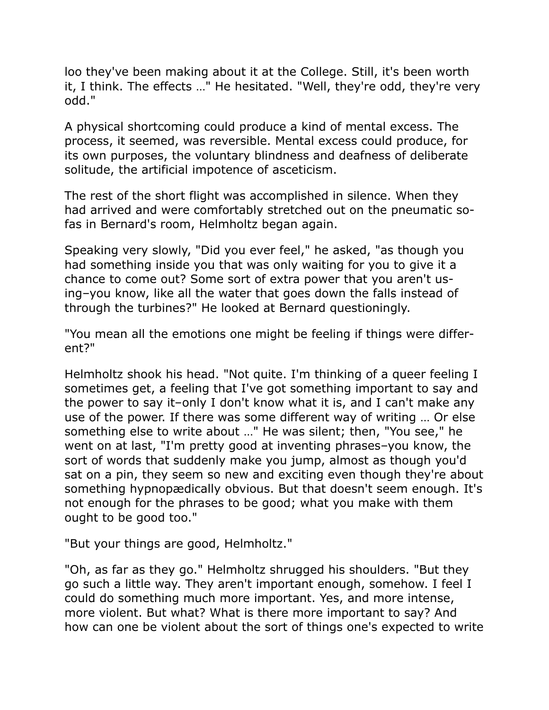loo they've been making about it at the College. Still, it's been worth it, I think. The effects …" He hesitated. "Well, they're odd, they're very odd."

A physical shortcoming could produce a kind of mental excess. The process, it seemed, was reversible. Mental excess could produce, for its own purposes, the voluntary blindness and deafness of deliberate solitude, the artificial impotence of asceticism.

The rest of the short flight was accomplished in silence. When they had arrived and were comfortably stretched out on the pneumatic sofas in Bernard's room, Helmholtz began again.

Speaking very slowly, "Did you ever feel," he asked, "as though you had something inside you that was only waiting for you to give it a chance to come out? Some sort of extra power that you aren't using–you know, like all the water that goes down the falls instead of through the turbines?" He looked at Bernard questioningly.

"You mean all the emotions one might be feeling if things were different?"

Helmholtz shook his head. "Not quite. I'm thinking of a queer feeling I sometimes get, a feeling that I've got something important to say and the power to say it–only I don't know what it is, and I can't make any use of the power. If there was some different way of writing … Or else something else to write about …" He was silent; then, "You see," he went on at last, "I'm pretty good at inventing phrases–you know, the sort of words that suddenly make you jump, almost as though you'd sat on a pin, they seem so new and exciting even though they're about something hypnopædically obvious. But that doesn't seem enough. It's not enough for the phrases to be good; what you make with them ought to be good too."

"But your things are good, Helmholtz."

"Oh, as far as they go." Helmholtz shrugged his shoulders. "But they go such a little way. They aren't important enough, somehow. I feel I could do something much more important. Yes, and more intense, more violent. But what? What is there more important to say? And how can one be violent about the sort of things one's expected to write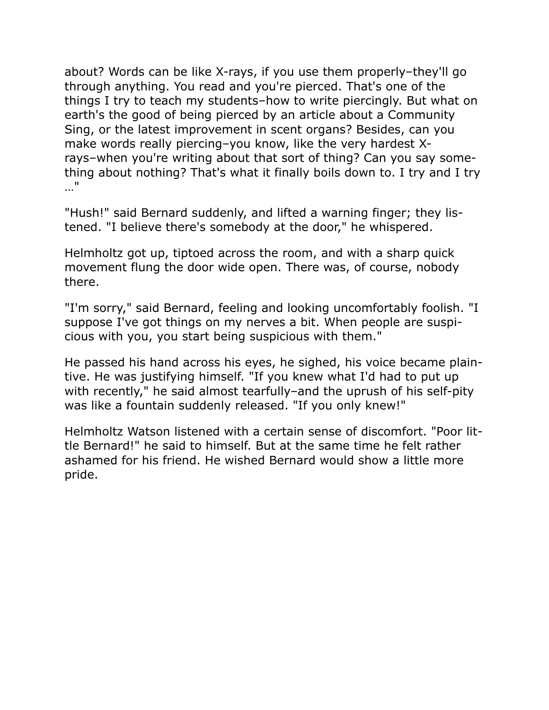about? Words can be like X-rays, if you use them properly–they'll go through anything. You read and you're pierced. That's one of the things I try to teach my students–how to write piercingly. But what on earth's the good of being pierced by an article about a Community Sing, or the latest improvement in scent organs? Besides, can you make words really piercing–you know, like the very hardest Xrays–when you're writing about that sort of thing? Can you say something about nothing? That's what it finally boils down to. I try and I try …"

"Hush!" said Bernard suddenly, and lifted a warning finger; they listened. "I believe there's somebody at the door," he whispered.

Helmholtz got up, tiptoed across the room, and with a sharp quick movement flung the door wide open. There was, of course, nobody there.

"I'm sorry," said Bernard, feeling and looking uncomfortably foolish. "I suppose I've got things on my nerves a bit. When people are suspicious with you, you start being suspicious with them."

He passed his hand across his eyes, he sighed, his voice became plaintive. He was justifying himself. "If you knew what I'd had to put up with recently," he said almost tearfully–and the uprush of his self-pity was like a fountain suddenly released. "If you only knew!"

Helmholtz Watson listened with a certain sense of discomfort. "Poor little Bernard!" he said to himself. But at the same time he felt rather ashamed for his friend. He wished Bernard would show a little more pride.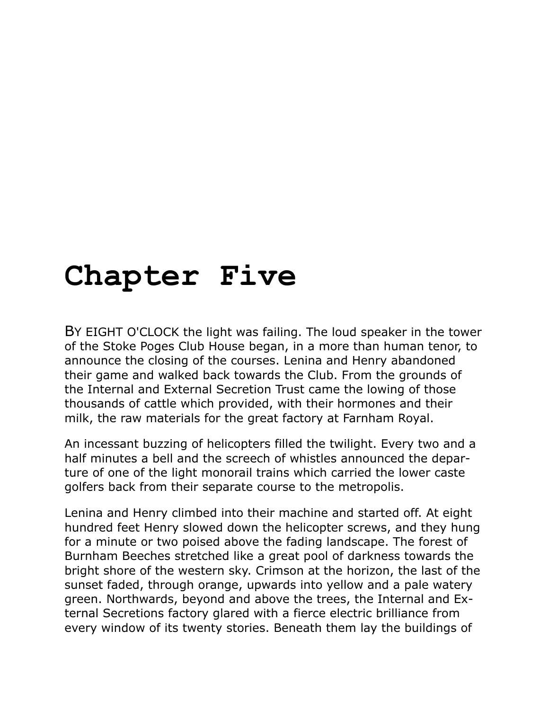## **Chapter Five**

BY EIGHT O'CLOCK the light was failing. The loud speaker in the tower of the Stoke Poges Club House began, in a more than human tenor, to announce the closing of the courses. Lenina and Henry abandoned their game and walked back towards the Club. From the grounds of the Internal and External Secretion Trust came the lowing of those thousands of cattle which provided, with their hormones and their milk, the raw materials for the great factory at Farnham Royal.

An incessant buzzing of helicopters filled the twilight. Every two and a half minutes a bell and the screech of whistles announced the departure of one of the light monorail trains which carried the lower caste golfers back from their separate course to the metropolis.

Lenina and Henry climbed into their machine and started off. At eight hundred feet Henry slowed down the helicopter screws, and they hung for a minute or two poised above the fading landscape. The forest of Burnham Beeches stretched like a great pool of darkness towards the bright shore of the western sky. Crimson at the horizon, the last of the sunset faded, through orange, upwards into yellow and a pale watery green. Northwards, beyond and above the trees, the Internal and External Secretions factory glared with a fierce electric brilliance from every window of its twenty stories. Beneath them lay the buildings of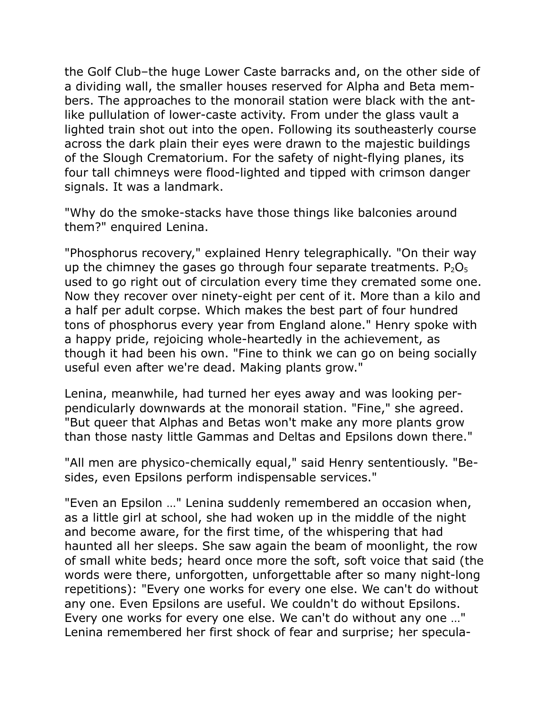the Golf Club–the huge Lower Caste barracks and, on the other side of a dividing wall, the smaller houses reserved for Alpha and Beta members. The approaches to the monorail station were black with the antlike pullulation of lower-caste activity. From under the glass vault a lighted train shot out into the open. Following its southeasterly course across the dark plain their eyes were drawn to the majestic buildings of the Slough Crematorium. For the safety of night-flying planes, its four tall chimneys were flood-lighted and tipped with crimson danger signals. It was a landmark.

"Why do the smoke-stacks have those things like balconies around them?" enquired Lenina.

"Phosphorus recovery," explained Henry telegraphically. "On their way up the chimney the gases go through four separate treatments.  $P_2O_5$ used to go right out of circulation every time they cremated some one. Now they recover over ninety-eight per cent of it. More than a kilo and a half per adult corpse. Which makes the best part of four hundred tons of phosphorus every year from England alone." Henry spoke with a happy pride, rejoicing whole-heartedly in the achievement, as though it had been his own. "Fine to think we can go on being socially useful even after we're dead. Making plants grow."

Lenina, meanwhile, had turned her eyes away and was looking perpendicularly downwards at the monorail station. "Fine," she agreed. "But queer that Alphas and Betas won't make any more plants grow than those nasty little Gammas and Deltas and Epsilons down there."

"All men are physico-chemically equal," said Henry sententiously. "Besides, even Epsilons perform indispensable services."

"Even an Epsilon …" Lenina suddenly remembered an occasion when, as a little girl at school, she had woken up in the middle of the night and become aware, for the first time, of the whispering that had haunted all her sleeps. She saw again the beam of moonlight, the row of small white beds; heard once more the soft, soft voice that said (the words were there, unforgotten, unforgettable after so many night-long repetitions): "Every one works for every one else. We can't do without any one. Even Epsilons are useful. We couldn't do without Epsilons. Every one works for every one else. We can't do without any one …" Lenina remembered her first shock of fear and surprise; her specula-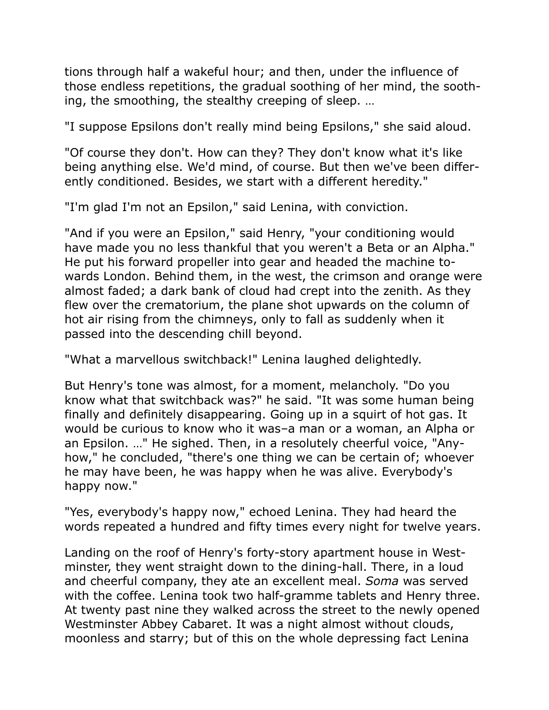tions through half a wakeful hour; and then, under the influence of those endless repetitions, the gradual soothing of her mind, the soothing, the smoothing, the stealthy creeping of sleep. …

"I suppose Epsilons don't really mind being Epsilons," she said aloud.

"Of course they don't. How can they? They don't know what it's like being anything else. We'd mind, of course. But then we've been differently conditioned. Besides, we start with a different heredity."

"I'm glad I'm not an Epsilon," said Lenina, with conviction.

"And if you were an Epsilon," said Henry, "your conditioning would have made you no less thankful that you weren't a Beta or an Alpha." He put his forward propeller into gear and headed the machine towards London. Behind them, in the west, the crimson and orange were almost faded; a dark bank of cloud had crept into the zenith. As they flew over the crematorium, the plane shot upwards on the column of hot air rising from the chimneys, only to fall as suddenly when it passed into the descending chill beyond.

"What a marvellous switchback!" Lenina laughed delightedly.

But Henry's tone was almost, for a moment, melancholy. "Do you know what that switchback was?" he said. "It was some human being finally and definitely disappearing. Going up in a squirt of hot gas. It would be curious to know who it was–a man or a woman, an Alpha or an Epsilon. …" He sighed. Then, in a resolutely cheerful voice, "Anyhow," he concluded, "there's one thing we can be certain of; whoever he may have been, he was happy when he was alive. Everybody's happy now."

"Yes, everybody's happy now," echoed Lenina. They had heard the words repeated a hundred and fifty times every night for twelve years.

Landing on the roof of Henry's forty-story apartment house in Westminster, they went straight down to the dining-hall. There, in a loud and cheerful company, they ate an excellent meal. *Soma* was served with the coffee. Lenina took two half-gramme tablets and Henry three. At twenty past nine they walked across the street to the newly opened Westminster Abbey Cabaret. It was a night almost without clouds, moonless and starry; but of this on the whole depressing fact Lenina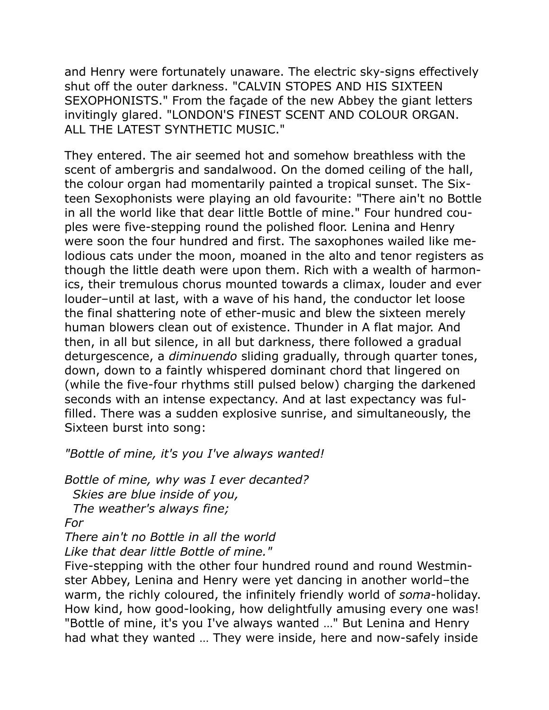and Henry were fortunately unaware. The electric sky-signs effectively shut off the outer darkness. "CALVIN STOPES AND HIS SIXTEEN SEXOPHONISTS." From the façade of the new Abbey the giant letters invitingly glared. "LONDON'S FINEST SCENT AND COLOUR ORGAN. ALL THE LATEST SYNTHETIC MUSIC."

They entered. The air seemed hot and somehow breathless with the scent of ambergris and sandalwood. On the domed ceiling of the hall, the colour organ had momentarily painted a tropical sunset. The Sixteen Sexophonists were playing an old favourite: "There ain't no Bottle in all the world like that dear little Bottle of mine." Four hundred couples were five-stepping round the polished floor. Lenina and Henry were soon the four hundred and first. The saxophones wailed like melodious cats under the moon, moaned in the alto and tenor registers as though the little death were upon them. Rich with a wealth of harmonics, their tremulous chorus mounted towards a climax, louder and ever louder–until at last, with a wave of his hand, the conductor let loose the final shattering note of ether-music and blew the sixteen merely human blowers clean out of existence. Thunder in A flat major. And then, in all but silence, in all but darkness, there followed a gradual deturgescence, a *diminuendo* sliding gradually, through quarter tones, down, down to a faintly whispered dominant chord that lingered on (while the five-four rhythms still pulsed below) charging the darkened seconds with an intense expectancy. And at last expectancy was fulfilled. There was a sudden explosive sunrise, and simultaneously, the Sixteen burst into song:

*"Bottle of mine, it's you I've always wanted!*

*Bottle of mine, why was I ever decanted?*

 *Skies are blue inside of you, The weather's always fine;*

*For*

*There ain't no Bottle in all the world Like that dear little Bottle of mine."*

Five-stepping with the other four hundred round and round Westminster Abbey, Lenina and Henry were yet dancing in another world–the warm, the richly coloured, the infinitely friendly world of *soma*-holiday. How kind, how good-looking, how delightfully amusing every one was! "Bottle of mine, it's you I've always wanted …" But Lenina and Henry had what they wanted … They were inside, here and now-safely inside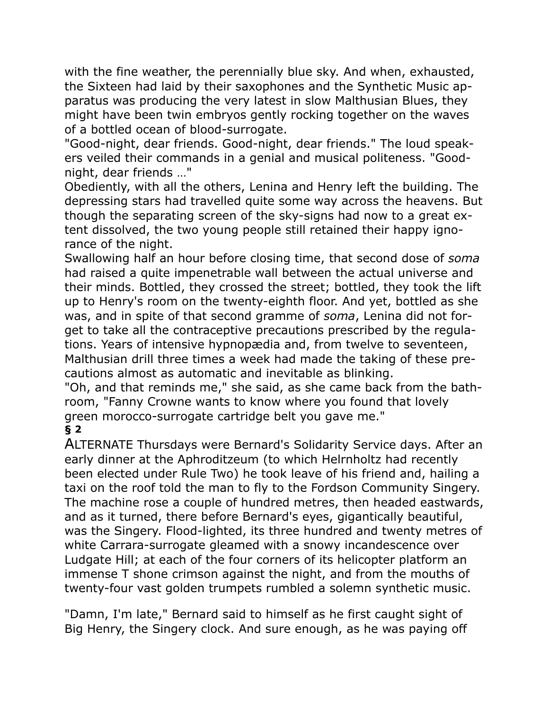with the fine weather, the perennially blue sky. And when, exhausted, the Sixteen had laid by their saxophones and the Synthetic Music apparatus was producing the very latest in slow Malthusian Blues, they might have been twin embryos gently rocking together on the waves of a bottled ocean of blood-surrogate.

"Good-night, dear friends. Good-night, dear friends." The loud speakers veiled their commands in a genial and musical politeness. "Goodnight, dear friends …"

Obediently, with all the others, Lenina and Henry left the building. The depressing stars had travelled quite some way across the heavens. But though the separating screen of the sky-signs had now to a great extent dissolved, the two young people still retained their happy ignorance of the night.

Swallowing half an hour before closing time, that second dose of *soma* had raised a quite impenetrable wall between the actual universe and their minds. Bottled, they crossed the street; bottled, they took the lift up to Henry's room on the twenty-eighth floor. And yet, bottled as she was, and in spite of that second gramme of *soma*, Lenina did not forget to take all the contraceptive precautions prescribed by the regulations. Years of intensive hypnopædia and, from twelve to seventeen, Malthusian drill three times a week had made the taking of these precautions almost as automatic and inevitable as blinking.

"Oh, and that reminds me," she said, as she came back from the bathroom, "Fanny Crowne wants to know where you found that lovely green morocco-surrogate cartridge belt you gave me."

#### **§ 2**

ALTERNATE Thursdays were Bernard's Solidarity Service days. After an early dinner at the Aphroditzeum (to which Helrnholtz had recently been elected under Rule Two) he took leave of his friend and, hailing a taxi on the roof told the man to fly to the Fordson Community Singery. The machine rose a couple of hundred metres, then headed eastwards, and as it turned, there before Bernard's eyes, gigantically beautiful, was the Singery. Flood-lighted, its three hundred and twenty metres of white Carrara-surrogate gleamed with a snowy incandescence over Ludgate Hill; at each of the four corners of its helicopter platform an immense T shone crimson against the night, and from the mouths of twenty-four vast golden trumpets rumbled a solemn synthetic music.

"Damn, I'm late," Bernard said to himself as he first caught sight of Big Henry, the Singery clock. And sure enough, as he was paying off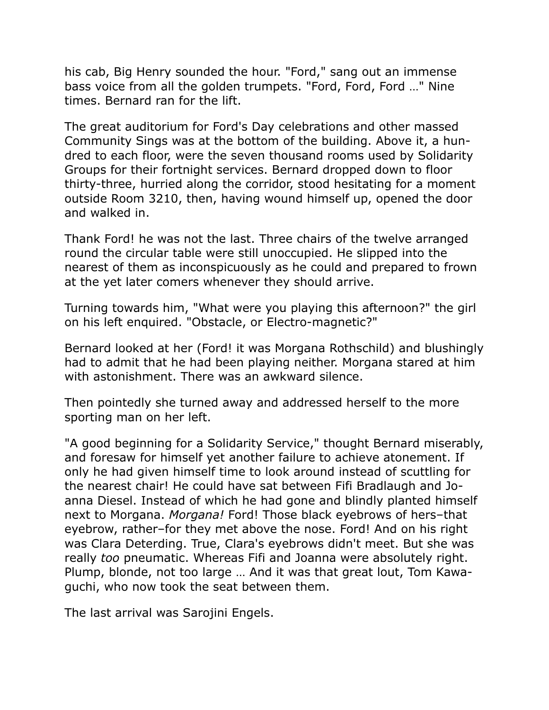his cab, Big Henry sounded the hour. "Ford," sang out an immense bass voice from all the golden trumpets. "Ford, Ford, Ford …" Nine times. Bernard ran for the lift.

The great auditorium for Ford's Day celebrations and other massed Community Sings was at the bottom of the building. Above it, a hundred to each floor, were the seven thousand rooms used by Solidarity Groups for their fortnight services. Bernard dropped down to floor thirty-three, hurried along the corridor, stood hesitating for a moment outside Room 3210, then, having wound himself up, opened the door and walked in.

Thank Ford! he was not the last. Three chairs of the twelve arranged round the circular table were still unoccupied. He slipped into the nearest of them as inconspicuously as he could and prepared to frown at the yet later comers whenever they should arrive.

Turning towards him, "What were you playing this afternoon?" the girl on his left enquired. "Obstacle, or Electro-magnetic?"

Bernard looked at her (Ford! it was Morgana Rothschild) and blushingly had to admit that he had been playing neither. Morgana stared at him with astonishment. There was an awkward silence.

Then pointedly she turned away and addressed herself to the more sporting man on her left.

"A good beginning for a Solidarity Service," thought Bernard miserably, and foresaw for himself yet another failure to achieve atonement. If only he had given himself time to look around instead of scuttling for the nearest chair! He could have sat between Fifi Bradlaugh and Joanna Diesel. Instead of which he had gone and blindly planted himself next to Morgana. *Morgana!* Ford! Those black eyebrows of hers–that eyebrow, rather–for they met above the nose. Ford! And on his right was Clara Deterding. True, Clara's eyebrows didn't meet. But she was really *too* pneumatic. Whereas Fifi and Joanna were absolutely right. Plump, blonde, not too large … And it was that great lout, Tom Kawaguchi, who now took the seat between them.

The last arrival was Sarojini Engels.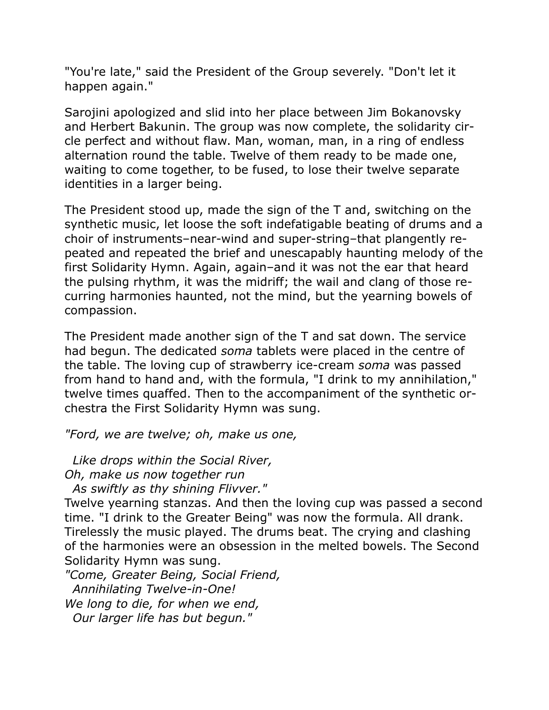"You're late," said the President of the Group severely. "Don't let it happen again."

Sarojini apologized and slid into her place between Jim Bokanovsky and Herbert Bakunin. The group was now complete, the solidarity circle perfect and without flaw. Man, woman, man, in a ring of endless alternation round the table. Twelve of them ready to be made one, waiting to come together, to be fused, to lose their twelve separate identities in a larger being.

The President stood up, made the sign of the T and, switching on the synthetic music, let loose the soft indefatigable beating of drums and a choir of instruments–near-wind and super-string–that plangently repeated and repeated the brief and unescapably haunting melody of the first Solidarity Hymn. Again, again–and it was not the ear that heard the pulsing rhythm, it was the midriff; the wail and clang of those recurring harmonies haunted, not the mind, but the yearning bowels of compassion.

The President made another sign of the T and sat down. The service had begun. The dedicated *soma* tablets were placed in the centre of the table. The loving cup of strawberry ice-cream *soma* was passed from hand to hand and, with the formula, "I drink to my annihilation," twelve times quaffed. Then to the accompaniment of the synthetic orchestra the First Solidarity Hymn was sung.

*"Ford, we are twelve; oh, make us one,*

 *Like drops within the Social River, Oh, make us now together run*

 *As swiftly as thy shining Flivver."*

Twelve yearning stanzas. And then the loving cup was passed a second time. "I drink to the Greater Being" was now the formula. All drank. Tirelessly the music played. The drums beat. The crying and clashing of the harmonies were an obsession in the melted bowels. The Second Solidarity Hymn was sung.

*"Come, Greater Being, Social Friend, Annihilating Twelve-in-One! We long to die, for when we end, Our larger life has but begun."*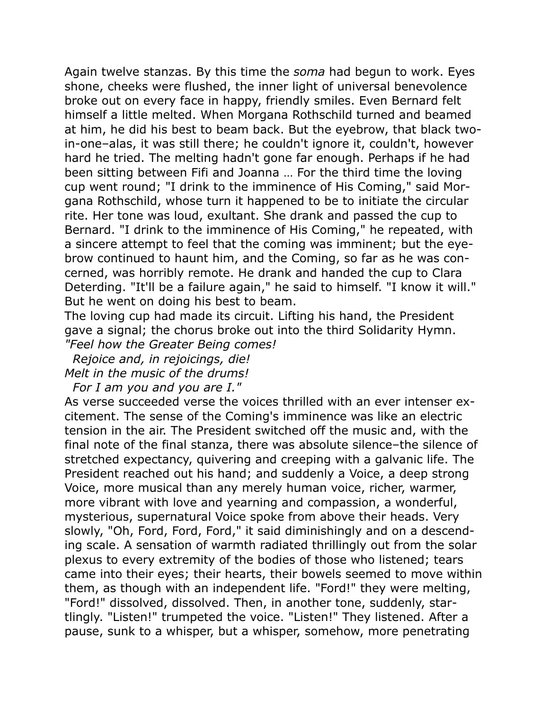Again twelve stanzas. By this time the *soma* had begun to work. Eyes shone, cheeks were flushed, the inner light of universal benevolence broke out on every face in happy, friendly smiles. Even Bernard felt himself a little melted. When Morgana Rothschild turned and beamed at him, he did his best to beam back. But the eyebrow, that black twoin-one–alas, it was still there; he couldn't ignore it, couldn't, however hard he tried. The melting hadn't gone far enough. Perhaps if he had been sitting between Fifi and Joanna … For the third time the loving cup went round; "I drink to the imminence of His Coming," said Morgana Rothschild, whose turn it happened to be to initiate the circular rite. Her tone was loud, exultant. She drank and passed the cup to Bernard. "I drink to the imminence of His Coming," he repeated, with a sincere attempt to feel that the coming was imminent; but the eyebrow continued to haunt him, and the Coming, so far as he was concerned, was horribly remote. He drank and handed the cup to Clara Deterding. "It'll be a failure again," he said to himself. "I know it will." But he went on doing his best to beam.

The loving cup had made its circuit. Lifting his hand, the President gave a signal; the chorus broke out into the third Solidarity Hymn. *"Feel how the Greater Being comes!*

 *Rejoice and, in rejoicings, die! Melt in the music of the drums!*

 *For I am you and you are I."*

As verse succeeded verse the voices thrilled with an ever intenser excitement. The sense of the Coming's imminence was like an electric tension in the air. The President switched off the music and, with the final note of the final stanza, there was absolute silence–the silence of stretched expectancy, quivering and creeping with a galvanic life. The President reached out his hand; and suddenly a Voice, a deep strong Voice, more musical than any merely human voice, richer, warmer, more vibrant with love and yearning and compassion, a wonderful, mysterious, supernatural Voice spoke from above their heads. Very slowly, "Oh, Ford, Ford, Ford," it said diminishingly and on a descending scale. A sensation of warmth radiated thrillingly out from the solar plexus to every extremity of the bodies of those who listened; tears came into their eyes; their hearts, their bowels seemed to move within them, as though with an independent life. "Ford!" they were melting, "Ford!" dissolved, dissolved. Then, in another tone, suddenly, startlingly. "Listen!" trumpeted the voice. "Listen!" They listened. After a pause, sunk to a whisper, but a whisper, somehow, more penetrating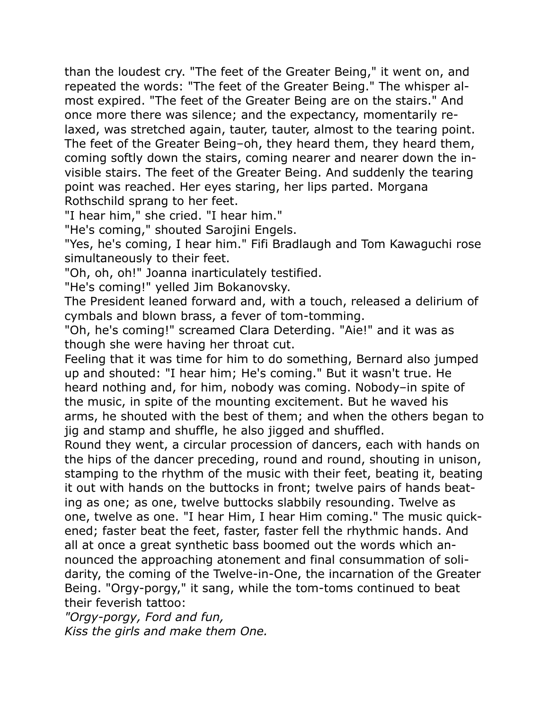than the loudest cry. "The feet of the Greater Being," it went on, and repeated the words: "The feet of the Greater Being." The whisper almost expired. "The feet of the Greater Being are on the stairs." And once more there was silence; and the expectancy, momentarily relaxed, was stretched again, tauter, tauter, almost to the tearing point. The feet of the Greater Being–oh, they heard them, they heard them, coming softly down the stairs, coming nearer and nearer down the invisible stairs. The feet of the Greater Being. And suddenly the tearing point was reached. Her eyes staring, her lips parted. Morgana Rothschild sprang to her feet.

"I hear him," she cried. "I hear him."

"He's coming," shouted Sarojini Engels.

"Yes, he's coming, I hear him." Fifi Bradlaugh and Tom Kawaguchi rose simultaneously to their feet.

"Oh, oh, oh!" Joanna inarticulately testified.

"He's coming!" yelled Jim Bokanovsky.

The President leaned forward and, with a touch, released a delirium of cymbals and blown brass, a fever of tom-tomming.

"Oh, he's coming!" screamed Clara Deterding. "Aie!" and it was as though she were having her throat cut.

Feeling that it was time for him to do something, Bernard also jumped up and shouted: "I hear him; He's coming." But it wasn't true. He heard nothing and, for him, nobody was coming. Nobody–in spite of the music, in spite of the mounting excitement. But he waved his arms, he shouted with the best of them; and when the others began to jig and stamp and shuffle, he also jigged and shuffled.

Round they went, a circular procession of dancers, each with hands on the hips of the dancer preceding, round and round, shouting in unison, stamping to the rhythm of the music with their feet, beating it, beating it out with hands on the buttocks in front; twelve pairs of hands beating as one; as one, twelve buttocks slabbily resounding. Twelve as one, twelve as one. "I hear Him, I hear Him coming." The music quickened; faster beat the feet, faster, faster fell the rhythmic hands. And all at once a great synthetic bass boomed out the words which announced the approaching atonement and final consummation of solidarity, the coming of the Twelve-in-One, the incarnation of the Greater Being. "Orgy-porgy," it sang, while the tom-toms continued to beat their feverish tattoo:

*"Orgy-porgy, Ford and fun, Kiss the girls and make them One.*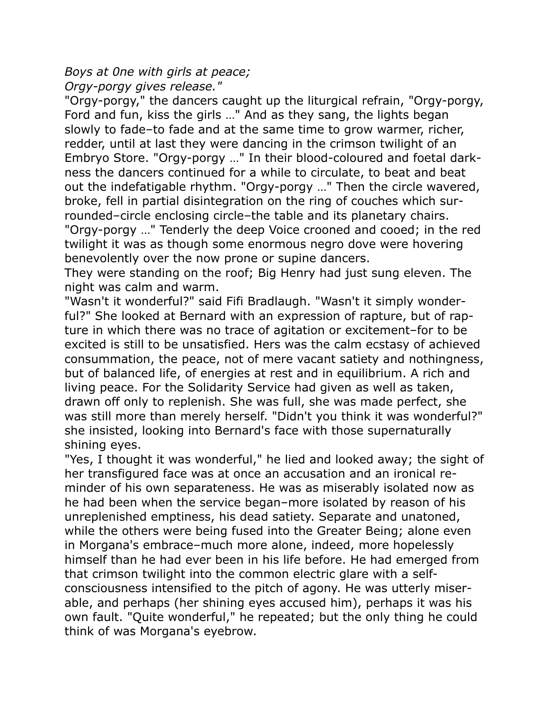*Boys at 0ne with girls at peace; Orgy-porgy gives release."*

"Orgy-porgy," the dancers caught up the liturgical refrain, "Orgy-porgy, Ford and fun, kiss the girls …" And as they sang, the lights began slowly to fade–to fade and at the same time to grow warmer, richer, redder, until at last they were dancing in the crimson twilight of an Embryo Store. "Orgy-porgy …" In their blood-coloured and foetal darkness the dancers continued for a while to circulate, to beat and beat out the indefatigable rhythm. "Orgy-porgy …" Then the circle wavered, broke, fell in partial disintegration on the ring of couches which surrounded–circle enclosing circle–the table and its planetary chairs. "Orgy-porgy …" Tenderly the deep Voice crooned and cooed; in the red twilight it was as though some enormous negro dove were hovering benevolently over the now prone or supine dancers.

They were standing on the roof; Big Henry had just sung eleven. The night was calm and warm.

"Wasn't it wonderful?" said Fifi Bradlaugh. "Wasn't it simply wonderful?" She looked at Bernard with an expression of rapture, but of rapture in which there was no trace of agitation or excitement–for to be excited is still to be unsatisfied. Hers was the calm ecstasy of achieved consummation, the peace, not of mere vacant satiety and nothingness, but of balanced life, of energies at rest and in equilibrium. A rich and living peace. For the Solidarity Service had given as well as taken, drawn off only to replenish. She was full, she was made perfect, she was still more than merely herself. "Didn't you think it was wonderful?" she insisted, looking into Bernard's face with those supernaturally shining eyes.

"Yes, I thought it was wonderful," he lied and looked away; the sight of her transfigured face was at once an accusation and an ironical reminder of his own separateness. He was as miserably isolated now as he had been when the service began–more isolated by reason of his unreplenished emptiness, his dead satiety. Separate and unatoned, while the others were being fused into the Greater Being; alone even in Morgana's embrace–much more alone, indeed, more hopelessly himself than he had ever been in his life before. He had emerged from that crimson twilight into the common electric glare with a selfconsciousness intensified to the pitch of agony. He was utterly miserable, and perhaps (her shining eyes accused him), perhaps it was his own fault. "Quite wonderful," he repeated; but the only thing he could think of was Morgana's eyebrow.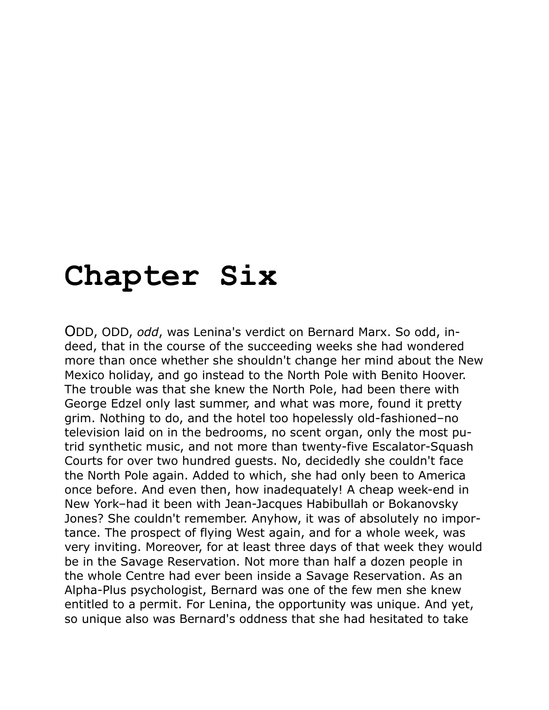### **Chapter Six**

ODD, ODD, *odd*, was Lenina's verdict on Bernard Marx. So odd, indeed, that in the course of the succeeding weeks she had wondered more than once whether she shouldn't change her mind about the New Mexico holiday, and go instead to the North Pole with Benito Hoover. The trouble was that she knew the North Pole, had been there with George Edzel only last summer, and what was more, found it pretty grim. Nothing to do, and the hotel too hopelessly old-fashioned–no television laid on in the bedrooms, no scent organ, only the most putrid synthetic music, and not more than twenty-five Escalator-Squash Courts for over two hundred guests. No, decidedly she couldn't face the North Pole again. Added to which, she had only been to America once before. And even then, how inadequately! A cheap week-end in New York–had it been with Jean-Jacques Habibullah or Bokanovsky Jones? She couldn't remember. Anyhow, it was of absolutely no importance. The prospect of flying West again, and for a whole week, was very inviting. Moreover, for at least three days of that week they would be in the Savage Reservation. Not more than half a dozen people in the whole Centre had ever been inside a Savage Reservation. As an Alpha-Plus psychologist, Bernard was one of the few men she knew entitled to a permit. For Lenina, the opportunity was unique. And yet, so unique also was Bernard's oddness that she had hesitated to take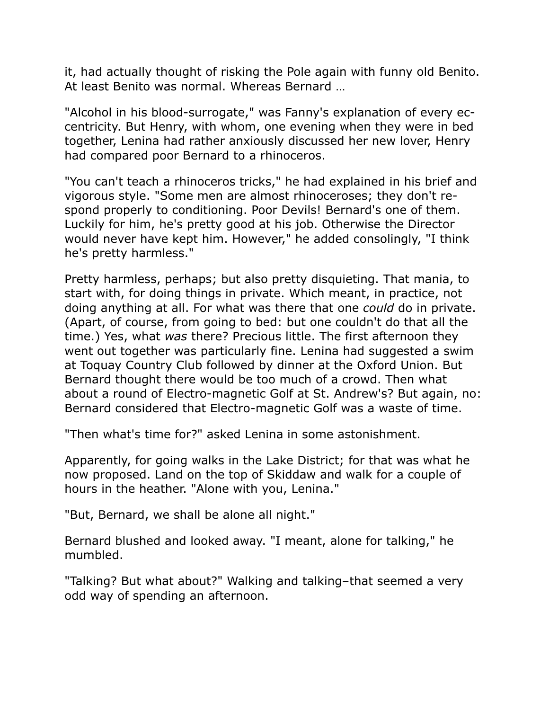it, had actually thought of risking the Pole again with funny old Benito. At least Benito was normal. Whereas Bernard …

"Alcohol in his blood-surrogate," was Fanny's explanation of every eccentricity. But Henry, with whom, one evening when they were in bed together, Lenina had rather anxiously discussed her new lover, Henry had compared poor Bernard to a rhinoceros.

"You can't teach a rhinoceros tricks," he had explained in his brief and vigorous style. "Some men are almost rhinoceroses; they don't respond properly to conditioning. Poor Devils! Bernard's one of them. Luckily for him, he's pretty good at his job. Otherwise the Director would never have kept him. However," he added consolingly, "I think he's pretty harmless."

Pretty harmless, perhaps; but also pretty disquieting. That mania, to start with, for doing things in private. Which meant, in practice, not doing anything at all. For what was there that one *could* do in private. (Apart, of course, from going to bed: but one couldn't do that all the time.) Yes, what *was* there? Precious little. The first afternoon they went out together was particularly fine. Lenina had suggested a swim at Toquay Country Club followed by dinner at the Oxford Union. But Bernard thought there would be too much of a crowd. Then what about a round of Electro-magnetic Golf at St. Andrew's? But again, no: Bernard considered that Electro-magnetic Golf was a waste of time.

"Then what's time for?" asked Lenina in some astonishment.

Apparently, for going walks in the Lake District; for that was what he now proposed. Land on the top of Skiddaw and walk for a couple of hours in the heather. "Alone with you, Lenina."

"But, Bernard, we shall be alone all night."

Bernard blushed and looked away. "I meant, alone for talking," he mumbled.

"Talking? But what about?" Walking and talking–that seemed a very odd way of spending an afternoon.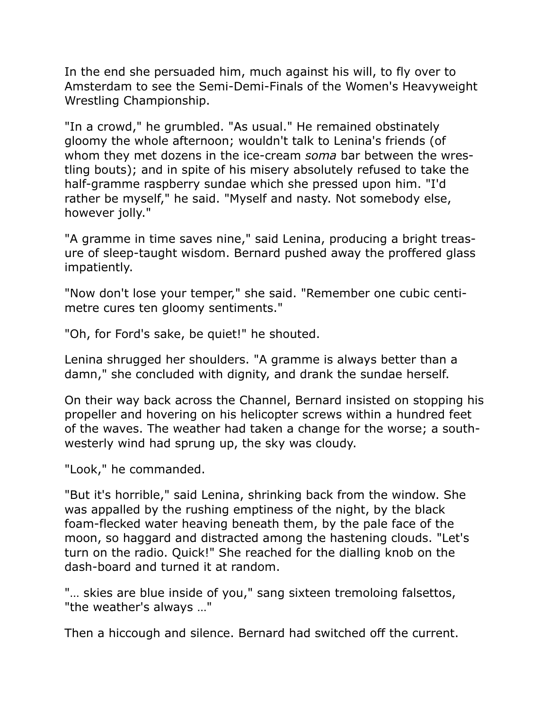In the end she persuaded him, much against his will, to fly over to Amsterdam to see the Semi-Demi-Finals of the Women's Heavyweight Wrestling Championship.

"In a crowd," he grumbled. "As usual." He remained obstinately gloomy the whole afternoon; wouldn't talk to Lenina's friends (of whom they met dozens in the ice-cream *soma* bar between the wrestling bouts); and in spite of his misery absolutely refused to take the half-gramme raspberry sundae which she pressed upon him. "I'd rather be myself," he said. "Myself and nasty. Not somebody else, however jolly."

"A gramme in time saves nine," said Lenina, producing a bright treasure of sleep-taught wisdom. Bernard pushed away the proffered glass impatiently.

"Now don't lose your temper," she said. "Remember one cubic centimetre cures ten gloomy sentiments."

"Oh, for Ford's sake, be quiet!" he shouted.

Lenina shrugged her shoulders. "A gramme is always better than a damn," she concluded with dignity, and drank the sundae herself.

On their way back across the Channel, Bernard insisted on stopping his propeller and hovering on his helicopter screws within a hundred feet of the waves. The weather had taken a change for the worse; a southwesterly wind had sprung up, the sky was cloudy.

"Look," he commanded.

"But it's horrible," said Lenina, shrinking back from the window. She was appalled by the rushing emptiness of the night, by the black foam-flecked water heaving beneath them, by the pale face of the moon, so haggard and distracted among the hastening clouds. "Let's turn on the radio. Quick!" She reached for the dialling knob on the dash-board and turned it at random.

"... skies are blue inside of you," sang sixteen tremoloing falsettos, "the weather's always …"

Then a hiccough and silence. Bernard had switched off the current.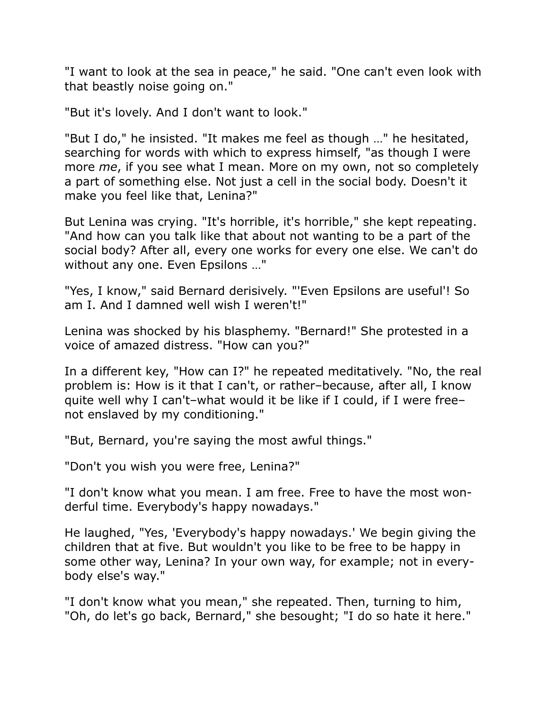"I want to look at the sea in peace," he said. "One can't even look with that beastly noise going on."

"But it's lovely. And I don't want to look."

"But I do," he insisted. "It makes me feel as though …" he hesitated, searching for words with which to express himself, "as though I were more *me*, if you see what I mean. More on my own, not so completely a part of something else. Not just a cell in the social body. Doesn't it make you feel like that, Lenina?"

But Lenina was crying. "It's horrible, it's horrible," she kept repeating. "And how can you talk like that about not wanting to be a part of the social body? After all, every one works for every one else. We can't do without any one. Even Epsilons …"

"Yes, I know," said Bernard derisively. "'Even Epsilons are useful'! So am I. And I damned well wish I weren't!"

Lenina was shocked by his blasphemy. "Bernard!" She protested in a voice of amazed distress. "How can you?"

In a different key, "How can I?" he repeated meditatively. "No, the real problem is: How is it that I can't, or rather–because, after all, I know quite well why I can't–what would it be like if I could, if I were free– not enslaved by my conditioning."

"But, Bernard, you're saying the most awful things."

"Don't you wish you were free, Lenina?"

"I don't know what you mean. I am free. Free to have the most wonderful time. Everybody's happy nowadays."

He laughed, "Yes, 'Everybody's happy nowadays.' We begin giving the children that at five. But wouldn't you like to be free to be happy in some other way, Lenina? In your own way, for example; not in everybody else's way."

"I don't know what you mean," she repeated. Then, turning to him, "Oh, do let's go back, Bernard," she besought; "I do so hate it here."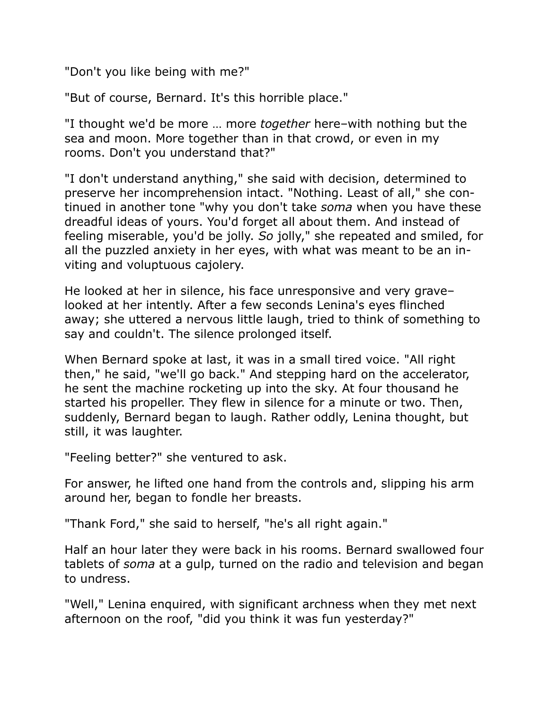"Don't you like being with me?"

"But of course, Bernard. It's this horrible place."

"I thought we'd be more … more *together* here–with nothing but the sea and moon. More together than in that crowd, or even in my rooms. Don't you understand that?"

"I don't understand anything," she said with decision, determined to preserve her incomprehension intact. "Nothing. Least of all," she continued in another tone "why you don't take *soma* when you have these dreadful ideas of yours. You'd forget all about them. And instead of feeling miserable, you'd be jolly. *So* jolly," she repeated and smiled, for all the puzzled anxiety in her eyes, with what was meant to be an inviting and voluptuous cajolery.

He looked at her in silence, his face unresponsive and very grave– looked at her intently. After a few seconds Lenina's eyes flinched away; she uttered a nervous little laugh, tried to think of something to say and couldn't. The silence prolonged itself.

When Bernard spoke at last, it was in a small tired voice. "All right then," he said, "we'll go back." And stepping hard on the accelerator, he sent the machine rocketing up into the sky. At four thousand he started his propeller. They flew in silence for a minute or two. Then, suddenly, Bernard began to laugh. Rather oddly, Lenina thought, but still, it was laughter.

"Feeling better?" she ventured to ask.

For answer, he lifted one hand from the controls and, slipping his arm around her, began to fondle her breasts.

"Thank Ford," she said to herself, "he's all right again."

Half an hour later they were back in his rooms. Bernard swallowed four tablets of *soma* at a gulp, turned on the radio and television and began to undress.

"Well," Lenina enquired, with significant archness when they met next afternoon on the roof, "did you think it was fun yesterday?"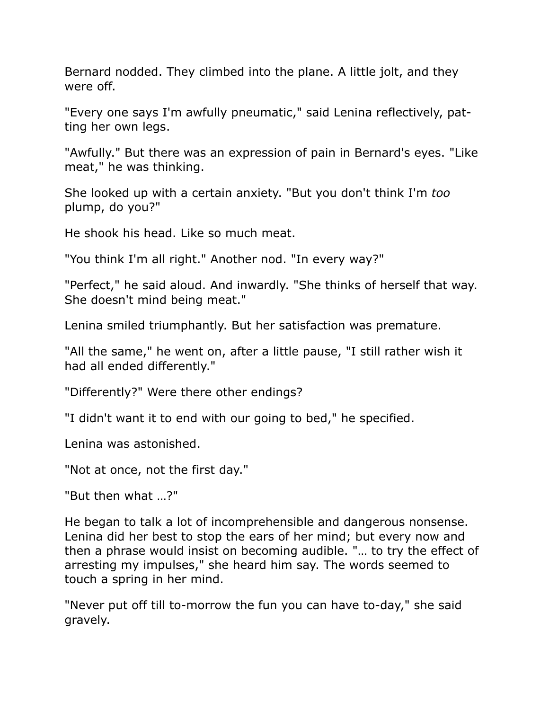Bernard nodded. They climbed into the plane. A little jolt, and they were off.

"Every one says I'm awfully pneumatic," said Lenina reflectively, patting her own legs.

"Awfully." But there was an expression of pain in Bernard's eyes. "Like meat," he was thinking.

She looked up with a certain anxiety. "But you don't think I'm *too* plump, do you?"

He shook his head. Like so much meat.

"You think I'm all right." Another nod. "In every way?"

"Perfect," he said aloud. And inwardly. "She thinks of herself that way. She doesn't mind being meat."

Lenina smiled triumphantly. But her satisfaction was premature.

"All the same," he went on, after a little pause, "I still rather wish it had all ended differently."

"Differently?" Were there other endings?

"I didn't want it to end with our going to bed," he specified.

Lenina was astonished.

"Not at once, not the first day."

"But then what …?"

He began to talk a lot of incomprehensible and dangerous nonsense. Lenina did her best to stop the ears of her mind; but every now and then a phrase would insist on becoming audible. "… to try the effect of arresting my impulses," she heard him say. The words seemed to touch a spring in her mind.

"Never put off till to-morrow the fun you can have to-day," she said gravely.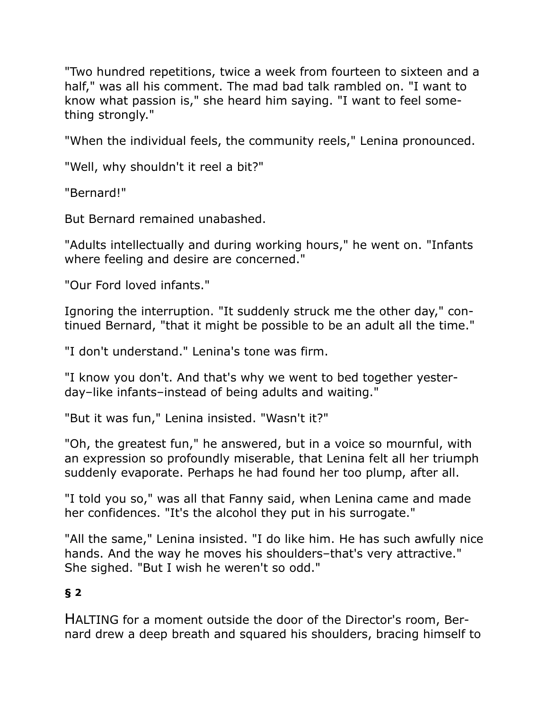"Two hundred repetitions, twice a week from fourteen to sixteen and a half," was all his comment. The mad bad talk rambled on. "I want to know what passion is," she heard him saying. "I want to feel something strongly."

"When the individual feels, the community reels," Lenina pronounced.

"Well, why shouldn't it reel a bit?"

"Bernard!"

But Bernard remained unabashed.

"Adults intellectually and during working hours," he went on. "Infants where feeling and desire are concerned."

"Our Ford loved infants."

Ignoring the interruption. "It suddenly struck me the other day," continued Bernard, "that it might be possible to be an adult all the time."

"I don't understand." Lenina's tone was firm.

"I know you don't. And that's why we went to bed together yesterday–like infants–instead of being adults and waiting."

"But it was fun," Lenina insisted. "Wasn't it?"

"Oh, the greatest fun," he answered, but in a voice so mournful, with an expression so profoundly miserable, that Lenina felt all her triumph suddenly evaporate. Perhaps he had found her too plump, after all.

"I told you so," was all that Fanny said, when Lenina came and made her confidences. "It's the alcohol they put in his surrogate."

"All the same," Lenina insisted. "I do like him. He has such awfully nice hands. And the way he moves his shoulders–that's very attractive." She sighed. "But I wish he weren't so odd."

### **§ 2**

HALTING for a moment outside the door of the Director's room, Bernard drew a deep breath and squared his shoulders, bracing himself to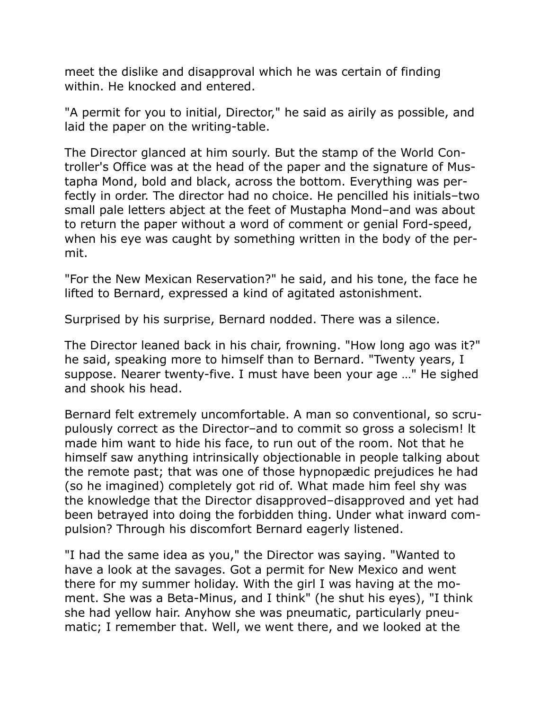meet the dislike and disapproval which he was certain of finding within. He knocked and entered.

"A permit for you to initial, Director," he said as airily as possible, and laid the paper on the writing-table.

The Director glanced at him sourly. But the stamp of the World Controller's Office was at the head of the paper and the signature of Mustapha Mond, bold and black, across the bottom. Everything was perfectly in order. The director had no choice. He pencilled his initials–two small pale letters abject at the feet of Mustapha Mond–and was about to return the paper without a word of comment or genial Ford-speed, when his eye was caught by something written in the body of the permit.

"For the New Mexican Reservation?" he said, and his tone, the face he lifted to Bernard, expressed a kind of agitated astonishment.

Surprised by his surprise, Bernard nodded. There was a silence.

The Director leaned back in his chair, frowning. "How long ago was it?" he said, speaking more to himself than to Bernard. "Twenty years, I suppose. Nearer twenty-five. I must have been your age …" He sighed and shook his head.

Bernard felt extremely uncomfortable. A man so conventional, so scrupulously correct as the Director–and to commit so gross a solecism! lt made him want to hide his face, to run out of the room. Not that he himself saw anything intrinsically objectionable in people talking about the remote past; that was one of those hypnopædic prejudices he had (so he imagined) completely got rid of. What made him feel shy was the knowledge that the Director disapproved–disapproved and yet had been betrayed into doing the forbidden thing. Under what inward compulsion? Through his discomfort Bernard eagerly listened.

"I had the same idea as you," the Director was saying. "Wanted to have a look at the savages. Got a permit for New Mexico and went there for my summer holiday. With the girl I was having at the moment. She was a Beta-Minus, and I think" (he shut his eyes), "I think she had yellow hair. Anyhow she was pneumatic, particularly pneumatic; I remember that. Well, we went there, and we looked at the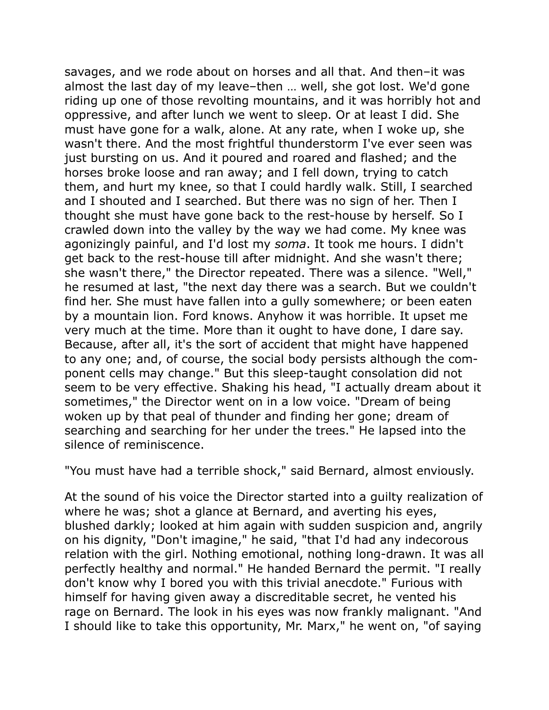savages, and we rode about on horses and all that. And then–it was almost the last day of my leave–then … well, she got lost. We'd gone riding up one of those revolting mountains, and it was horribly hot and oppressive, and after lunch we went to sleep. Or at least I did. She must have gone for a walk, alone. At any rate, when I woke up, she wasn't there. And the most frightful thunderstorm I've ever seen was just bursting on us. And it poured and roared and flashed; and the horses broke loose and ran away; and I fell down, trying to catch them, and hurt my knee, so that I could hardly walk. Still, I searched and I shouted and I searched. But there was no sign of her. Then I thought she must have gone back to the rest-house by herself. So I crawled down into the valley by the way we had come. My knee was agonizingly painful, and I'd lost my *soma*. It took me hours. I didn't get back to the rest-house till after midnight. And she wasn't there; she wasn't there," the Director repeated. There was a silence. "Well," he resumed at last, "the next day there was a search. But we couldn't find her. She must have fallen into a gully somewhere; or been eaten by a mountain lion. Ford knows. Anyhow it was horrible. It upset me very much at the time. More than it ought to have done, I dare say. Because, after all, it's the sort of accident that might have happened to any one; and, of course, the social body persists although the component cells may change." But this sleep-taught consolation did not seem to be very effective. Shaking his head, "I actually dream about it sometimes," the Director went on in a low voice. "Dream of being woken up by that peal of thunder and finding her gone; dream of searching and searching for her under the trees." He lapsed into the silence of reminiscence.

"You must have had a terrible shock," said Bernard, almost enviously.

At the sound of his voice the Director started into a guilty realization of where he was; shot a glance at Bernard, and averting his eyes, blushed darkly; looked at him again with sudden suspicion and, angrily on his dignity, "Don't imagine," he said, "that I'd had any indecorous relation with the girl. Nothing emotional, nothing long-drawn. It was all perfectly healthy and normal." He handed Bernard the permit. "I really don't know why I bored you with this trivial anecdote." Furious with himself for having given away a discreditable secret, he vented his rage on Bernard. The look in his eyes was now frankly malignant. "And I should like to take this opportunity, Mr. Marx," he went on, "of saying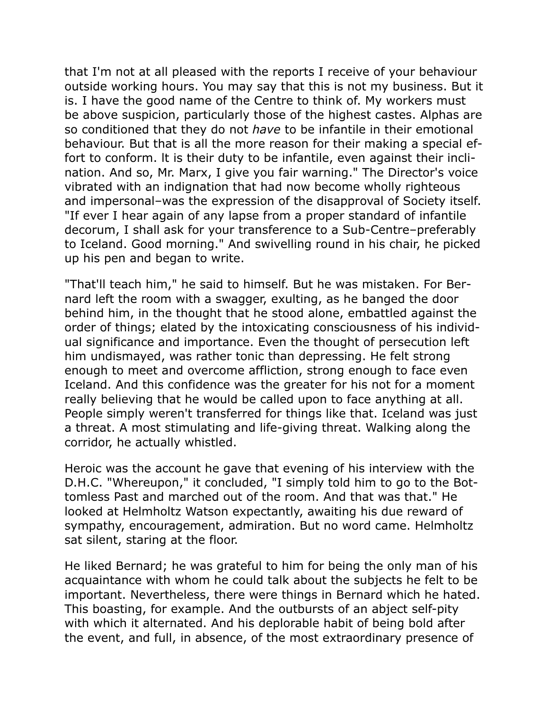that I'm not at all pleased with the reports I receive of your behaviour outside working hours. You may say that this is not my business. But it is. I have the good name of the Centre to think of. My workers must be above suspicion, particularly those of the highest castes. Alphas are so conditioned that they do not *have* to be infantile in their emotional behaviour. But that is all the more reason for their making a special effort to conform. lt is their duty to be infantile, even against their inclination. And so, Mr. Marx, I give you fair warning." The Director's voice vibrated with an indignation that had now become wholly righteous and impersonal–was the expression of the disapproval of Society itself. "If ever I hear again of any lapse from a proper standard of infantile decorum, I shall ask for your transference to a Sub-Centre–preferably to Iceland. Good morning." And swivelling round in his chair, he picked up his pen and began to write.

"That'll teach him," he said to himself. But he was mistaken. For Bernard left the room with a swagger, exulting, as he banged the door behind him, in the thought that he stood alone, embattled against the order of things; elated by the intoxicating consciousness of his individual significance and importance. Even the thought of persecution left him undismayed, was rather tonic than depressing. He felt strong enough to meet and overcome affliction, strong enough to face even Iceland. And this confidence was the greater for his not for a moment really believing that he would be called upon to face anything at all. People simply weren't transferred for things like that. Iceland was just a threat. A most stimulating and life-giving threat. Walking along the corridor, he actually whistled.

Heroic was the account he gave that evening of his interview with the D.H.C. "Whereupon," it concluded, "I simply told him to go to the Bottomless Past and marched out of the room. And that was that." He looked at Helmholtz Watson expectantly, awaiting his due reward of sympathy, encouragement, admiration. But no word came. Helmholtz sat silent, staring at the floor.

He liked Bernard; he was grateful to him for being the only man of his acquaintance with whom he could talk about the subjects he felt to be important. Nevertheless, there were things in Bernard which he hated. This boasting, for example. And the outbursts of an abject self-pity with which it alternated. And his deplorable habit of being bold after the event, and full, in absence, of the most extraordinary presence of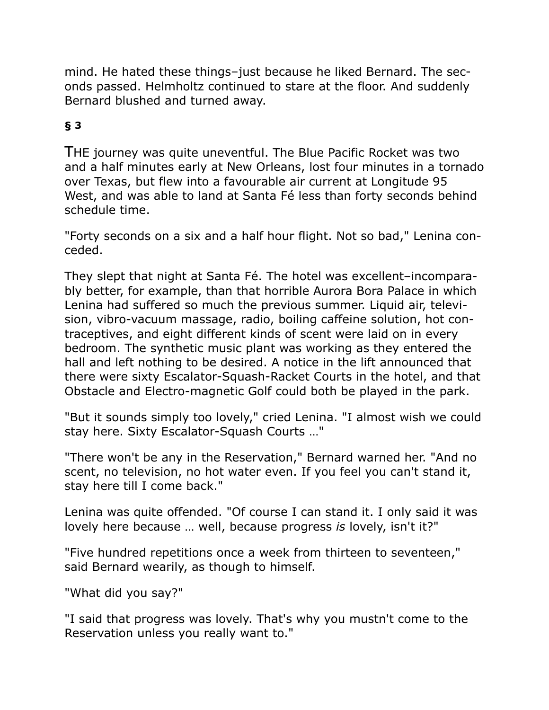mind. He hated these things–just because he liked Bernard. The seconds passed. Helmholtz continued to stare at the floor. And suddenly Bernard blushed and turned away.

## **§ 3**

THE journey was quite uneventful. The Blue Pacific Rocket was two and a half minutes early at New Orleans, lost four minutes in a tornado over Texas, but flew into a favourable air current at Longitude 95 West, and was able to land at Santa Fé less than forty seconds behind schedule time.

"Forty seconds on a six and a half hour flight. Not so bad," Lenina conceded.

They slept that night at Santa Fé. The hotel was excellent–incomparably better, for example, than that horrible Aurora Bora Palace in which Lenina had suffered so much the previous summer. Liquid air, television, vibro-vacuum massage, radio, boiling caffeine solution, hot contraceptives, and eight different kinds of scent were laid on in every bedroom. The synthetic music plant was working as they entered the hall and left nothing to be desired. A notice in the lift announced that there were sixty Escalator-Squash-Racket Courts in the hotel, and that Obstacle and Electro-magnetic Golf could both be played in the park.

"But it sounds simply too lovely," cried Lenina. "I almost wish we could stay here. Sixty Escalator-Squash Courts …"

"There won't be any in the Reservation," Bernard warned her. "And no scent, no television, no hot water even. If you feel you can't stand it, stay here till I come back."

Lenina was quite offended. "Of course I can stand it. I only said it was lovely here because … well, because progress *is* lovely, isn't it?"

"Five hundred repetitions once a week from thirteen to seventeen," said Bernard wearily, as though to himself.

"What did you say?"

"I said that progress was lovely. That's why you mustn't come to the Reservation unless you really want to."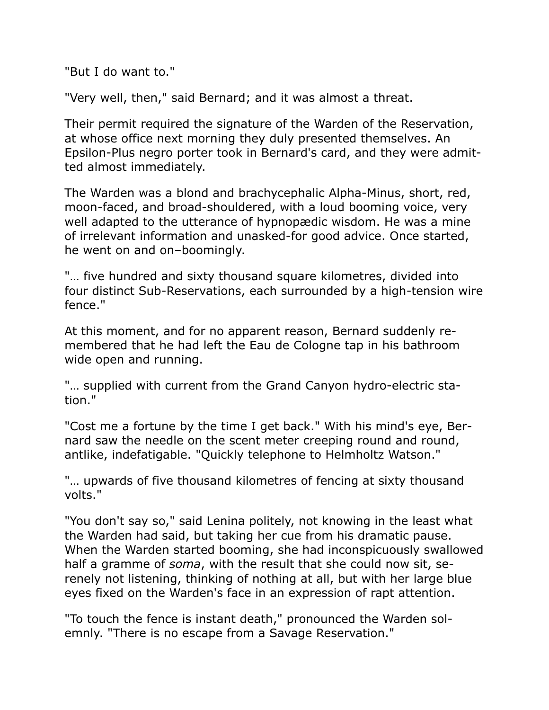"But I do want to."

"Very well, then," said Bernard; and it was almost a threat.

Their permit required the signature of the Warden of the Reservation, at whose office next morning they duly presented themselves. An Epsilon-Plus negro porter took in Bernard's card, and they were admitted almost immediately.

The Warden was a blond and brachycephalic Alpha-Minus, short, red, moon-faced, and broad-shouldered, with a loud booming voice, very well adapted to the utterance of hypnopædic wisdom. He was a mine of irrelevant information and unasked-for good advice. Once started, he went on and on–boomingly.

"… five hundred and sixty thousand square kilometres, divided into four distinct Sub-Reservations, each surrounded by a high-tension wire fence."

At this moment, and for no apparent reason, Bernard suddenly remembered that he had left the Eau de Cologne tap in his bathroom wide open and running.

"… supplied with current from the Grand Canyon hydro-electric station."

"Cost me a fortune by the time I get back." With his mind's eye, Bernard saw the needle on the scent meter creeping round and round, antlike, indefatigable. "Quickly telephone to Helmholtz Watson."

"… upwards of five thousand kilometres of fencing at sixty thousand volts."

"You don't say so," said Lenina politely, not knowing in the least what the Warden had said, but taking her cue from his dramatic pause. When the Warden started booming, she had inconspicuously swallowed half a gramme of *soma*, with the result that she could now sit, serenely not listening, thinking of nothing at all, but with her large blue eyes fixed on the Warden's face in an expression of rapt attention.

"To touch the fence is instant death," pronounced the Warden solemnly. "There is no escape from a Savage Reservation."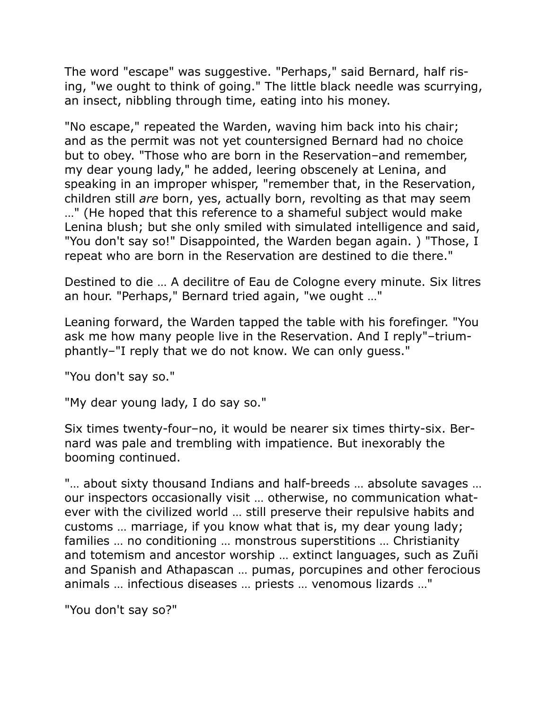The word "escape" was suggestive. "Perhaps," said Bernard, half rising, "we ought to think of going." The little black needle was scurrying, an insect, nibbling through time, eating into his money.

"No escape," repeated the Warden, waving him back into his chair; and as the permit was not yet countersigned Bernard had no choice but to obey. "Those who are born in the Reservation–and remember, my dear young lady," he added, leering obscenely at Lenina, and speaking in an improper whisper, "remember that, in the Reservation, children still *are* born, yes, actually born, revolting as that may seem …" (He hoped that this reference to a shameful subject would make Lenina blush; but she only smiled with simulated intelligence and said, "You don't say so!" Disappointed, the Warden began again. ) "Those, I repeat who are born in the Reservation are destined to die there."

Destined to die … A decilitre of Eau de Cologne every minute. Six litres an hour. "Perhaps," Bernard tried again, "we ought …"

Leaning forward, the Warden tapped the table with his forefinger. "You ask me how many people live in the Reservation. And I reply"–triumphantly–"I reply that we do not know. We can only guess."

"You don't say so."

"My dear young lady, I do say so."

Six times twenty-four–no, it would be nearer six times thirty-six. Bernard was pale and trembling with impatience. But inexorably the booming continued.

"… about sixty thousand Indians and half-breeds … absolute savages … our inspectors occasionally visit … otherwise, no communication whatever with the civilized world … still preserve their repulsive habits and customs … marriage, if you know what that is, my dear young lady; families … no conditioning … monstrous superstitions … Christianity and totemism and ancestor worship … extinct languages, such as Zuñi and Spanish and Athapascan … pumas, porcupines and other ferocious animals … infectious diseases … priests … venomous lizards …"

"You don't say so?"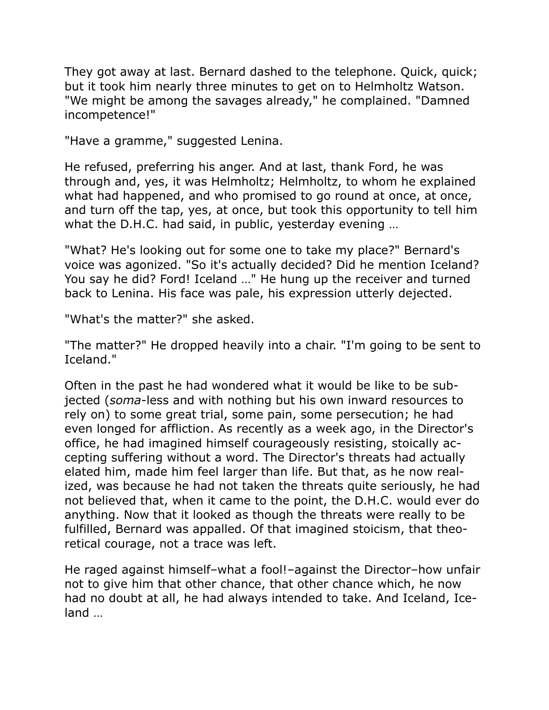They got away at last. Bernard dashed to the telephone. Quick, quick; but it took him nearly three minutes to get on to Helmholtz Watson. "We might be among the savages already," he complained. "Damned incompetence!"

"Have a gramme," suggested Lenina.

He refused, preferring his anger. And at last, thank Ford, he was through and, yes, it was Helmholtz; Helmholtz, to whom he explained what had happened, and who promised to go round at once, at once, and turn off the tap, yes, at once, but took this opportunity to tell him what the D.H.C. had said, in public, yesterday evening …

"What? He's looking out for some one to take my place?" Bernard's voice was agonized. "So it's actually decided? Did he mention Iceland? You say he did? Ford! Iceland …" He hung up the receiver and turned back to Lenina. His face was pale, his expression utterly dejected.

"What's the matter?" she asked.

"The matter?" He dropped heavily into a chair. "I'm going to be sent to Iceland."

Often in the past he had wondered what it would be like to be subjected (*soma*-less and with nothing but his own inward resources to rely on) to some great trial, some pain, some persecution; he had even longed for affliction. As recently as a week ago, in the Director's office, he had imagined himself courageously resisting, stoically accepting suffering without a word. The Director's threats had actually elated him, made him feel larger than life. But that, as he now realized, was because he had not taken the threats quite seriously, he had not believed that, when it came to the point, the D.H.C. would ever do anything. Now that it looked as though the threats were really to be fulfilled, Bernard was appalled. Of that imagined stoicism, that theoretical courage, not a trace was left.

He raged against himself–what a fool!–against the Director–how unfair not to give him that other chance, that other chance which, he now had no doubt at all, he had always intended to take. And Iceland, Iceland …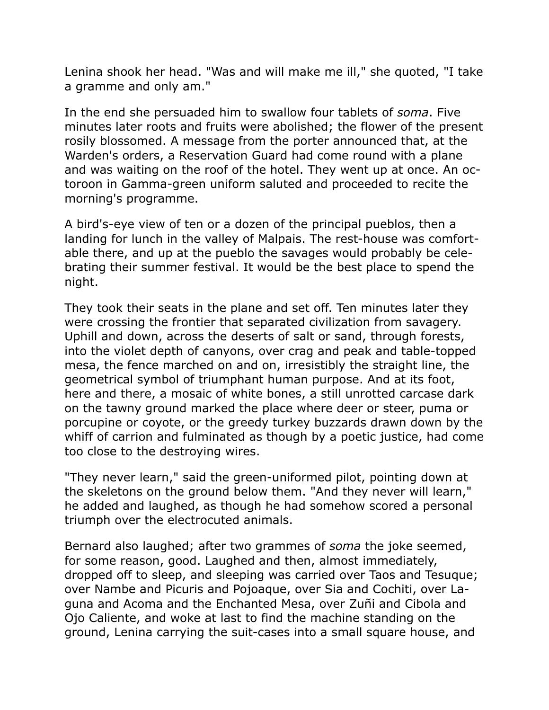Lenina shook her head. "Was and will make me ill," she quoted, "I take a gramme and only am."

In the end she persuaded him to swallow four tablets of *soma*. Five minutes later roots and fruits were abolished; the flower of the present rosily blossomed. A message from the porter announced that, at the Warden's orders, a Reservation Guard had come round with a plane and was waiting on the roof of the hotel. They went up at once. An octoroon in Gamma-green uniform saluted and proceeded to recite the morning's programme.

A bird's-eye view of ten or a dozen of the principal pueblos, then a landing for lunch in the valley of Malpais. The rest-house was comfortable there, and up at the pueblo the savages would probably be celebrating their summer festival. It would be the best place to spend the night.

They took their seats in the plane and set off. Ten minutes later they were crossing the frontier that separated civilization from savagery. Uphill and down, across the deserts of salt or sand, through forests, into the violet depth of canyons, over crag and peak and table-topped mesa, the fence marched on and on, irresistibly the straight line, the geometrical symbol of triumphant human purpose. And at its foot, here and there, a mosaic of white bones, a still unrotted carcase dark on the tawny ground marked the place where deer or steer, puma or porcupine or coyote, or the greedy turkey buzzards drawn down by the whiff of carrion and fulminated as though by a poetic justice, had come too close to the destroying wires.

"They never learn," said the green-uniformed pilot, pointing down at the skeletons on the ground below them. "And they never will learn," he added and laughed, as though he had somehow scored a personal triumph over the electrocuted animals.

Bernard also laughed; after two grammes of *soma* the joke seemed, for some reason, good. Laughed and then, almost immediately, dropped off to sleep, and sleeping was carried over Taos and Tesuque; over Nambe and Picuris and Pojoaque, over Sia and Cochiti, over Laguna and Acoma and the Enchanted Mesa, over Zuñi and Cibola and Ojo Caliente, and woke at last to find the machine standing on the ground, Lenina carrying the suit-cases into a small square house, and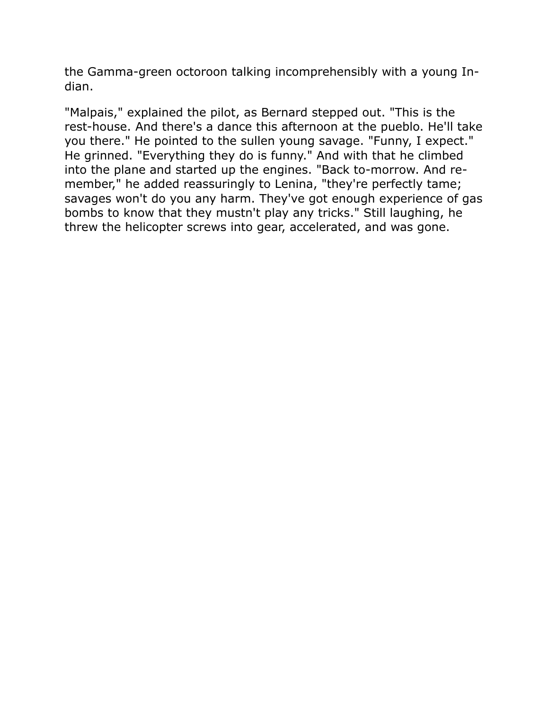the Gamma-green octoroon talking incomprehensibly with a young Indian.

"Malpais," explained the pilot, as Bernard stepped out. "This is the rest-house. And there's a dance this afternoon at the pueblo. He'll take you there." He pointed to the sullen young savage. "Funny, I expect." He grinned. "Everything they do is funny." And with that he climbed into the plane and started up the engines. "Back to-morrow. And remember," he added reassuringly to Lenina, "they're perfectly tame; savages won't do you any harm. They've got enough experience of gas bombs to know that they mustn't play any tricks." Still laughing, he threw the helicopter screws into gear, accelerated, and was gone.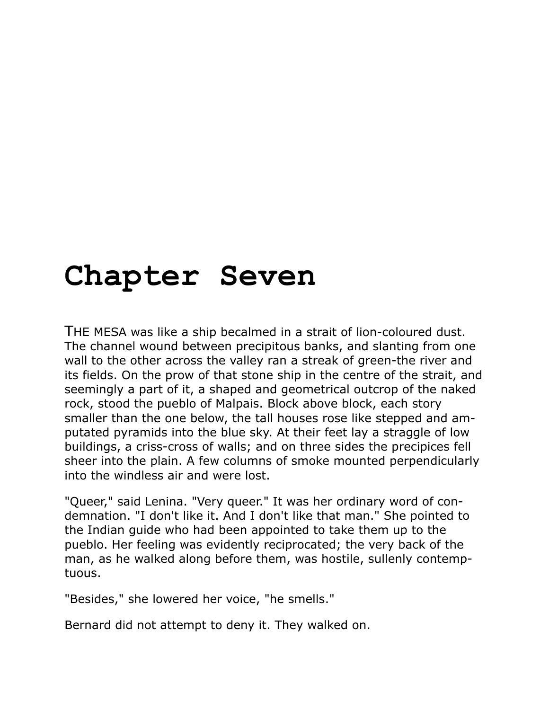## **Chapter Seven**

THE MESA was like a ship becalmed in a strait of lion-coloured dust. The channel wound between precipitous banks, and slanting from one wall to the other across the valley ran a streak of green-the river and its fields. On the prow of that stone ship in the centre of the strait, and seemingly a part of it, a shaped and geometrical outcrop of the naked rock, stood the pueblo of Malpais. Block above block, each story smaller than the one below, the tall houses rose like stepped and amputated pyramids into the blue sky. At their feet lay a straggle of low buildings, a criss-cross of walls; and on three sides the precipices fell sheer into the plain. A few columns of smoke mounted perpendicularly into the windless air and were lost.

"Queer," said Lenina. "Very queer." It was her ordinary word of condemnation. "I don't like it. And I don't like that man." She pointed to the Indian guide who had been appointed to take them up to the pueblo. Her feeling was evidently reciprocated; the very back of the man, as he walked along before them, was hostile, sullenly contemptuous.

"Besides," she lowered her voice, "he smells."

Bernard did not attempt to deny it. They walked on.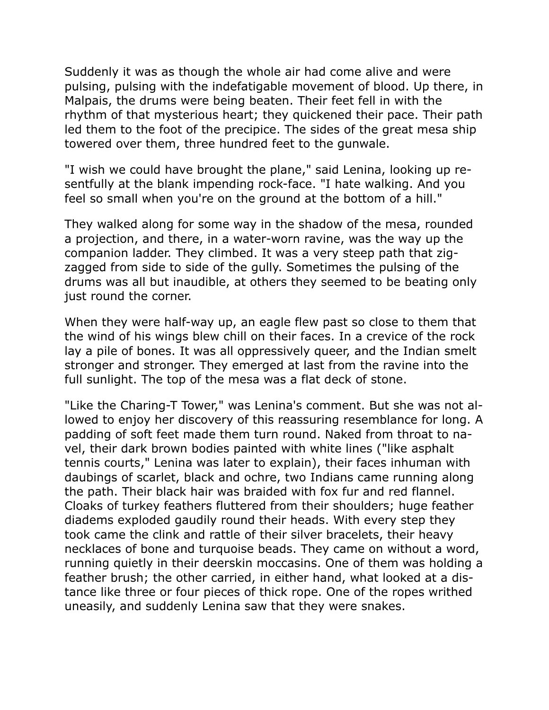Suddenly it was as though the whole air had come alive and were pulsing, pulsing with the indefatigable movement of blood. Up there, in Malpais, the drums were being beaten. Their feet fell in with the rhythm of that mysterious heart; they quickened their pace. Their path led them to the foot of the precipice. The sides of the great mesa ship towered over them, three hundred feet to the gunwale.

"I wish we could have brought the plane," said Lenina, looking up resentfully at the blank impending rock-face. "I hate walking. And you feel so small when you're on the ground at the bottom of a hill."

They walked along for some way in the shadow of the mesa, rounded a projection, and there, in a water-worn ravine, was the way up the companion ladder. They climbed. It was a very steep path that zigzagged from side to side of the gully. Sometimes the pulsing of the drums was all but inaudible, at others they seemed to be beating only just round the corner.

When they were half-way up, an eagle flew past so close to them that the wind of his wings blew chill on their faces. In a crevice of the rock lay a pile of bones. It was all oppressively queer, and the Indian smelt stronger and stronger. They emerged at last from the ravine into the full sunlight. The top of the mesa was a flat deck of stone.

"Like the Charing-T Tower," was Lenina's comment. But she was not allowed to enjoy her discovery of this reassuring resemblance for long. A padding of soft feet made them turn round. Naked from throat to navel, their dark brown bodies painted with white lines ("like asphalt tennis courts," Lenina was later to explain), their faces inhuman with daubings of scarlet, black and ochre, two Indians came running along the path. Their black hair was braided with fox fur and red flannel. Cloaks of turkey feathers fluttered from their shoulders; huge feather diadems exploded gaudily round their heads. With every step they took came the clink and rattle of their silver bracelets, their heavy necklaces of bone and turquoise beads. They came on without a word, running quietly in their deerskin moccasins. One of them was holding a feather brush; the other carried, in either hand, what looked at a distance like three or four pieces of thick rope. One of the ropes writhed uneasily, and suddenly Lenina saw that they were snakes.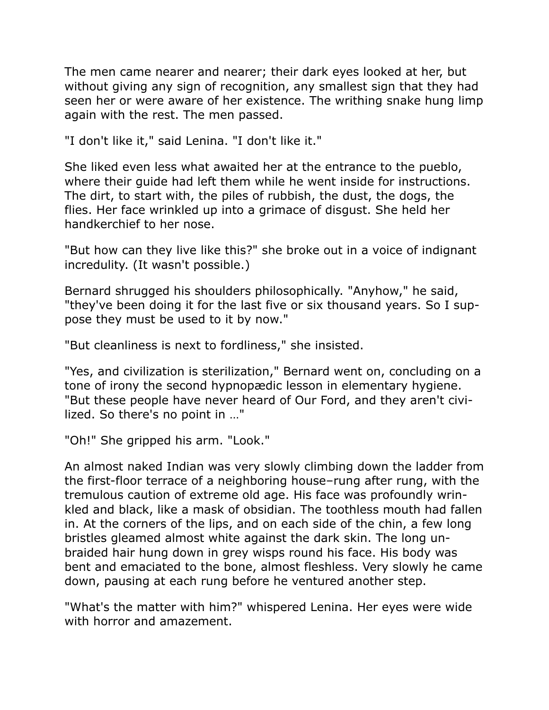The men came nearer and nearer; their dark eyes looked at her, but without giving any sign of recognition, any smallest sign that they had seen her or were aware of her existence. The writhing snake hung limp again with the rest. The men passed.

"I don't like it," said Lenina. "I don't like it."

She liked even less what awaited her at the entrance to the pueblo, where their guide had left them while he went inside for instructions. The dirt, to start with, the piles of rubbish, the dust, the dogs, the flies. Her face wrinkled up into a grimace of disgust. She held her handkerchief to her nose.

"But how can they live like this?" she broke out in a voice of indignant incredulity. (It wasn't possible.)

Bernard shrugged his shoulders philosophically. "Anyhow," he said, "they've been doing it for the last five or six thousand years. So I suppose they must be used to it by now."

"But cleanliness is next to fordliness," she insisted.

"Yes, and civilization is sterilization," Bernard went on, concluding on a tone of irony the second hypnopædic lesson in elementary hygiene. "But these people have never heard of Our Ford, and they aren't civilized. So there's no point in …"

"Oh!" She gripped his arm. "Look."

An almost naked Indian was very slowly climbing down the ladder from the first-floor terrace of a neighboring house–rung after rung, with the tremulous caution of extreme old age. His face was profoundly wrinkled and black, like a mask of obsidian. The toothless mouth had fallen in. At the corners of the lips, and on each side of the chin, a few long bristles gleamed almost white against the dark skin. The long unbraided hair hung down in grey wisps round his face. His body was bent and emaciated to the bone, almost fleshless. Very slowly he came down, pausing at each rung before he ventured another step.

"What's the matter with him?" whispered Lenina. Her eyes were wide with horror and amazement.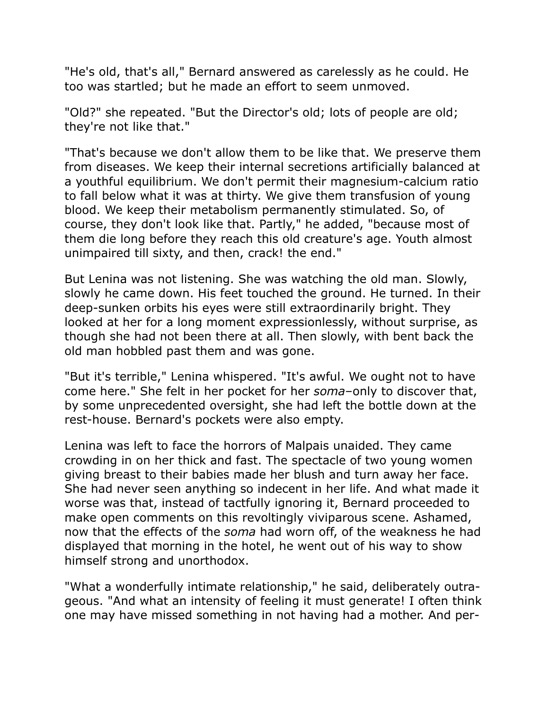"He's old, that's all," Bernard answered as carelessly as he could. He too was startled; but he made an effort to seem unmoved.

"Old?" she repeated. "But the Director's old; lots of people are old; they're not like that."

"That's because we don't allow them to be like that. We preserve them from diseases. We keep their internal secretions artificially balanced at a youthful equilibrium. We don't permit their magnesium-calcium ratio to fall below what it was at thirty. We give them transfusion of young blood. We keep their metabolism permanently stimulated. So, of course, they don't look like that. Partly," he added, "because most of them die long before they reach this old creature's age. Youth almost unimpaired till sixty, and then, crack! the end."

But Lenina was not listening. She was watching the old man. Slowly, slowly he came down. His feet touched the ground. He turned. In their deep-sunken orbits his eyes were still extraordinarily bright. They looked at her for a long moment expressionlessly, without surprise, as though she had not been there at all. Then slowly, with bent back the old man hobbled past them and was gone.

"But it's terrible," Lenina whispered. "It's awful. We ought not to have come here." She felt in her pocket for her *soma*–only to discover that, by some unprecedented oversight, she had left the bottle down at the rest-house. Bernard's pockets were also empty.

Lenina was left to face the horrors of Malpais unaided. They came crowding in on her thick and fast. The spectacle of two young women giving breast to their babies made her blush and turn away her face. She had never seen anything so indecent in her life. And what made it worse was that, instead of tactfully ignoring it, Bernard proceeded to make open comments on this revoltingly viviparous scene. Ashamed, now that the effects of the *soma* had worn off, of the weakness he had displayed that morning in the hotel, he went out of his way to show himself strong and unorthodox.

"What a wonderfully intimate relationship," he said, deliberately outrageous. "And what an intensity of feeling it must generate! I often think one may have missed something in not having had a mother. And per-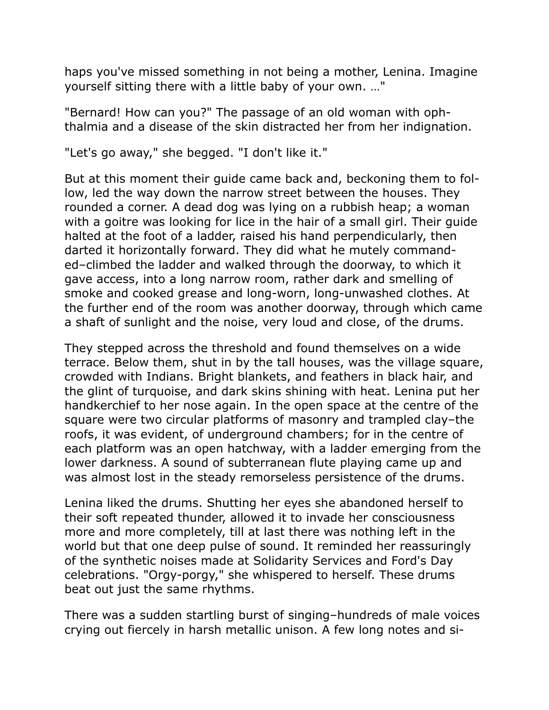haps you've missed something in not being a mother, Lenina. Imagine yourself sitting there with a little baby of your own. …"

"Bernard! How can you?" The passage of an old woman with ophthalmia and a disease of the skin distracted her from her indignation.

"Let's go away," she begged. "I don't like it."

But at this moment their guide came back and, beckoning them to follow, led the way down the narrow street between the houses. They rounded a corner. A dead dog was lying on a rubbish heap; a woman with a goitre was looking for lice in the hair of a small girl. Their guide halted at the foot of a ladder, raised his hand perpendicularly, then darted it horizontally forward. They did what he mutely commanded–climbed the ladder and walked through the doorway, to which it gave access, into a long narrow room, rather dark and smelling of smoke and cooked grease and long-worn, long-unwashed clothes. At the further end of the room was another doorway, through which came a shaft of sunlight and the noise, very loud and close, of the drums.

They stepped across the threshold and found themselves on a wide terrace. Below them, shut in by the tall houses, was the village square, crowded with Indians. Bright blankets, and feathers in black hair, and the glint of turquoise, and dark skins shining with heat. Lenina put her handkerchief to her nose again. In the open space at the centre of the square were two circular platforms of masonry and trampled clay–the roofs, it was evident, of underground chambers; for in the centre of each platform was an open hatchway, with a ladder emerging from the lower darkness. A sound of subterranean flute playing came up and was almost lost in the steady remorseless persistence of the drums.

Lenina liked the drums. Shutting her eyes she abandoned herself to their soft repeated thunder, allowed it to invade her consciousness more and more completely, till at last there was nothing left in the world but that one deep pulse of sound. It reminded her reassuringly of the synthetic noises made at Solidarity Services and Ford's Day celebrations. "Orgy-porgy," she whispered to herself. These drums beat out just the same rhythms.

There was a sudden startling burst of singing–hundreds of male voices crying out fiercely in harsh metallic unison. A few long notes and si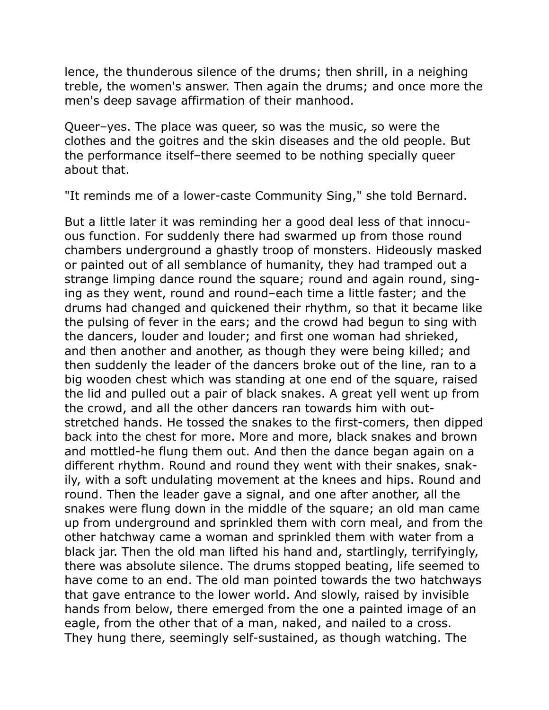lence, the thunderous silence of the drums; then shrill, in a neighing treble, the women's answer. Then again the drums; and once more the men's deep savage affirmation of their manhood.

Queer–yes. The place was queer, so was the music, so were the clothes and the goitres and the skin diseases and the old people. But the performance itself–there seemed to be nothing specially queer about that.

"It reminds me of a lower-caste Community Sing," she told Bernard.

But a little later it was reminding her a good deal less of that innocuous function. For suddenly there had swarmed up from those round chambers underground a ghastly troop of monsters. Hideously masked or painted out of all semblance of humanity, they had tramped out a strange limping dance round the square; round and again round, singing as they went, round and round–each time a little faster; and the drums had changed and quickened their rhythm, so that it became like the pulsing of fever in the ears; and the crowd had begun to sing with the dancers, louder and louder; and first one woman had shrieked, and then another and another, as though they were being killed; and then suddenly the leader of the dancers broke out of the line, ran to a big wooden chest which was standing at one end of the square, raised the lid and pulled out a pair of black snakes. A great yell went up from the crowd, and all the other dancers ran towards him with outstretched hands. He tossed the snakes to the first-comers, then dipped back into the chest for more. More and more, black snakes and brown and mottled-he flung them out. And then the dance began again on a different rhythm. Round and round they went with their snakes, snakily, with a soft undulating movement at the knees and hips. Round and round. Then the leader gave a signal, and one after another, all the snakes were flung down in the middle of the square; an old man came up from underground and sprinkled them with corn meal, and from the other hatchway came a woman and sprinkled them with water from a black jar. Then the old man lifted his hand and, startlingly, terrifyingly, there was absolute silence. The drums stopped beating, life seemed to have come to an end. The old man pointed towards the two hatchways that gave entrance to the lower world. And slowly, raised by invisible hands from below, there emerged from the one a painted image of an eagle, from the other that of a man, naked, and nailed to a cross. They hung there, seemingly self-sustained, as though watching. The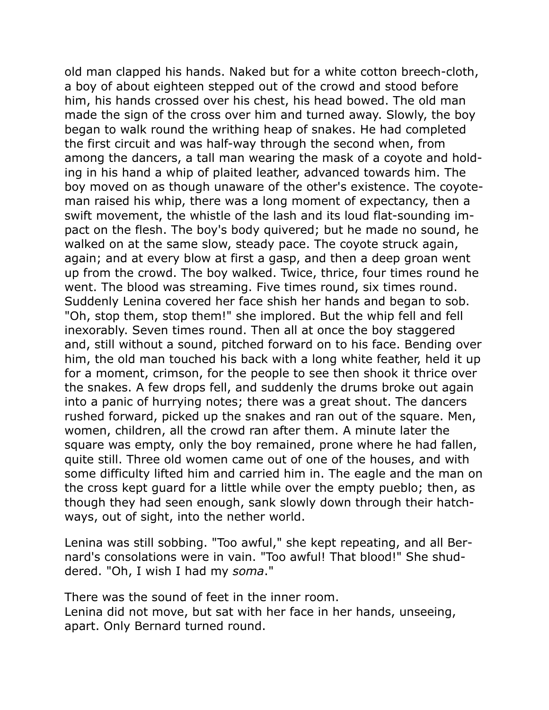old man clapped his hands. Naked but for a white cotton breech-cloth, a boy of about eighteen stepped out of the crowd and stood before him, his hands crossed over his chest, his head bowed. The old man made the sign of the cross over him and turned away. Slowly, the boy began to walk round the writhing heap of snakes. He had completed the first circuit and was half-way through the second when, from among the dancers, a tall man wearing the mask of a coyote and holding in his hand a whip of plaited leather, advanced towards him. The boy moved on as though unaware of the other's existence. The coyoteman raised his whip, there was a long moment of expectancy, then a swift movement, the whistle of the lash and its loud flat-sounding impact on the flesh. The boy's body quivered; but he made no sound, he walked on at the same slow, steady pace. The coyote struck again, again; and at every blow at first a gasp, and then a deep groan went up from the crowd. The boy walked. Twice, thrice, four times round he went. The blood was streaming. Five times round, six times round. Suddenly Lenina covered her face shish her hands and began to sob. "Oh, stop them, stop them!" she implored. But the whip fell and fell inexorably. Seven times round. Then all at once the boy staggered and, still without a sound, pitched forward on to his face. Bending over him, the old man touched his back with a long white feather, held it up for a moment, crimson, for the people to see then shook it thrice over the snakes. A few drops fell, and suddenly the drums broke out again into a panic of hurrying notes; there was a great shout. The dancers rushed forward, picked up the snakes and ran out of the square. Men, women, children, all the crowd ran after them. A minute later the square was empty, only the boy remained, prone where he had fallen, quite still. Three old women came out of one of the houses, and with some difficulty lifted him and carried him in. The eagle and the man on the cross kept guard for a little while over the empty pueblo; then, as though they had seen enough, sank slowly down through their hatchways, out of sight, into the nether world.

Lenina was still sobbing. "Too awful," she kept repeating, and all Bernard's consolations were in vain. "Too awful! That blood!" She shuddered. "Oh, I wish I had my *soma*."

There was the sound of feet in the inner room. Lenina did not move, but sat with her face in her hands, unseeing, apart. Only Bernard turned round.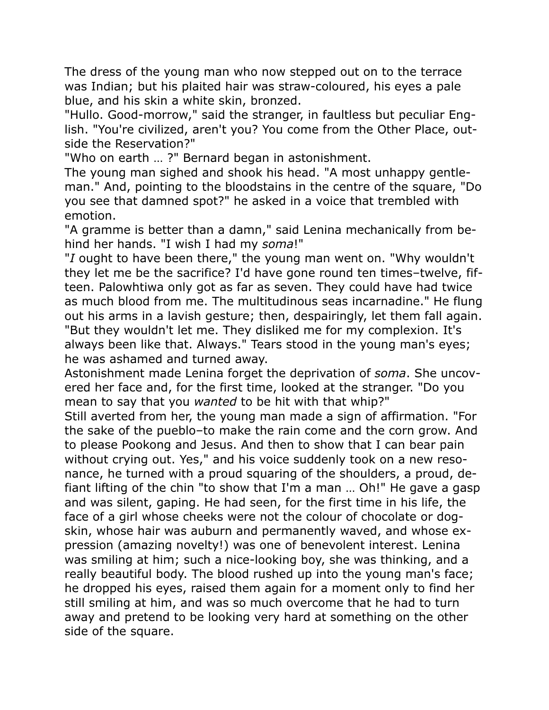The dress of the young man who now stepped out on to the terrace was Indian; but his plaited hair was straw-coloured, his eyes a pale blue, and his skin a white skin, bronzed.

"Hullo. Good-morrow," said the stranger, in faultless but peculiar English. "You're civilized, aren't you? You come from the Other Place, outside the Reservation?"

"Who on earth … ?" Bernard began in astonishment.

The young man sighed and shook his head. "A most unhappy gentleman." And, pointing to the bloodstains in the centre of the square, "Do you see that damned spot?" he asked in a voice that trembled with emotion.

"A gramme is better than a damn," said Lenina mechanically from behind her hands. "I wish I had my *soma*!"

"*I* ought to have been there," the young man went on. "Why wouldn't they let me be the sacrifice? I'd have gone round ten times–twelve, fifteen. Palowhtiwa only got as far as seven. They could have had twice as much blood from me. The multitudinous seas incarnadine." He flung out his arms in a lavish gesture; then, despairingly, let them fall again. "But they wouldn't let me. They disliked me for my complexion. It's always been like that. Always." Tears stood in the young man's eyes; he was ashamed and turned away.

Astonishment made Lenina forget the deprivation of *soma*. She uncovered her face and, for the first time, looked at the stranger. "Do you mean to say that you *wanted* to be hit with that whip?"

Still averted from her, the young man made a sign of affirmation. "For the sake of the pueblo–to make the rain come and the corn grow. And to please Pookong and Jesus. And then to show that I can bear pain without crying out. Yes," and his voice suddenly took on a new resonance, he turned with a proud squaring of the shoulders, a proud, defiant lifting of the chin "to show that I'm a man … Oh!" He gave a gasp and was silent, gaping. He had seen, for the first time in his life, the face of a girl whose cheeks were not the colour of chocolate or dogskin, whose hair was auburn and permanently waved, and whose expression (amazing novelty!) was one of benevolent interest. Lenina was smiling at him; such a nice-looking boy, she was thinking, and a really beautiful body. The blood rushed up into the young man's face; he dropped his eyes, raised them again for a moment only to find her still smiling at him, and was so much overcome that he had to turn away and pretend to be looking very hard at something on the other side of the square.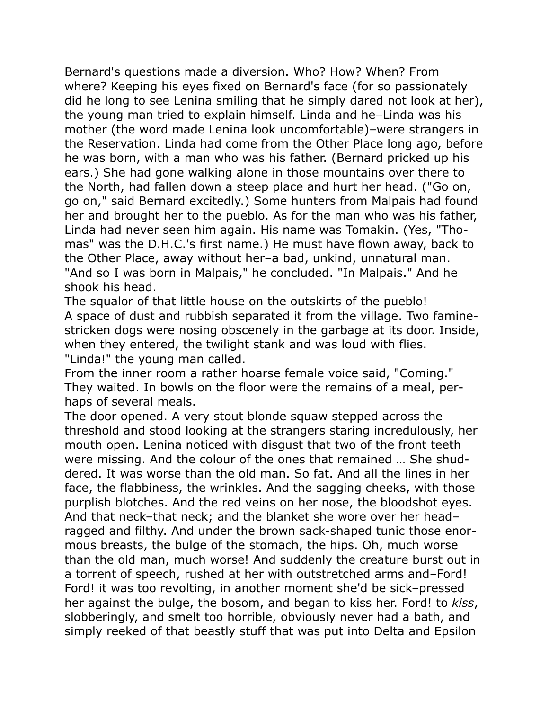Bernard's questions made a diversion. Who? How? When? From where? Keeping his eyes fixed on Bernard's face (for so passionately did he long to see Lenina smiling that he simply dared not look at her), the young man tried to explain himself. Linda and he–Linda was his mother (the word made Lenina look uncomfortable)–were strangers in the Reservation. Linda had come from the Other Place long ago, before he was born, with a man who was his father. (Bernard pricked up his ears.) She had gone walking alone in those mountains over there to the North, had fallen down a steep place and hurt her head. ("Go on, go on," said Bernard excitedly.) Some hunters from Malpais had found her and brought her to the pueblo. As for the man who was his father, Linda had never seen him again. His name was Tomakin. (Yes, "Thomas" was the D.H.C.'s first name.) He must have flown away, back to the Other Place, away without her–a bad, unkind, unnatural man. "And so I was born in Malpais," he concluded. "In Malpais." And he shook his head.

The squalor of that little house on the outskirts of the pueblo! A space of dust and rubbish separated it from the village. Two faminestricken dogs were nosing obscenely in the garbage at its door. Inside, when they entered, the twilight stank and was loud with flies. "Linda!" the young man called.

From the inner room a rather hoarse female voice said, "Coming." They waited. In bowls on the floor were the remains of a meal, perhaps of several meals.

The door opened. A very stout blonde squaw stepped across the threshold and stood looking at the strangers staring incredulously, her mouth open. Lenina noticed with disgust that two of the front teeth were missing. And the colour of the ones that remained … She shuddered. It was worse than the old man. So fat. And all the lines in her face, the flabbiness, the wrinkles. And the sagging cheeks, with those purplish blotches. And the red veins on her nose, the bloodshot eyes. And that neck–that neck; and the blanket she wore over her head– ragged and filthy. And under the brown sack-shaped tunic those enormous breasts, the bulge of the stomach, the hips. Oh, much worse than the old man, much worse! And suddenly the creature burst out in a torrent of speech, rushed at her with outstretched arms and–Ford! Ford! it was too revolting, in another moment she'd be sick–pressed her against the bulge, the bosom, and began to kiss her. Ford! to *kiss*, slobberingly, and smelt too horrible, obviously never had a bath, and simply reeked of that beastly stuff that was put into Delta and Epsilon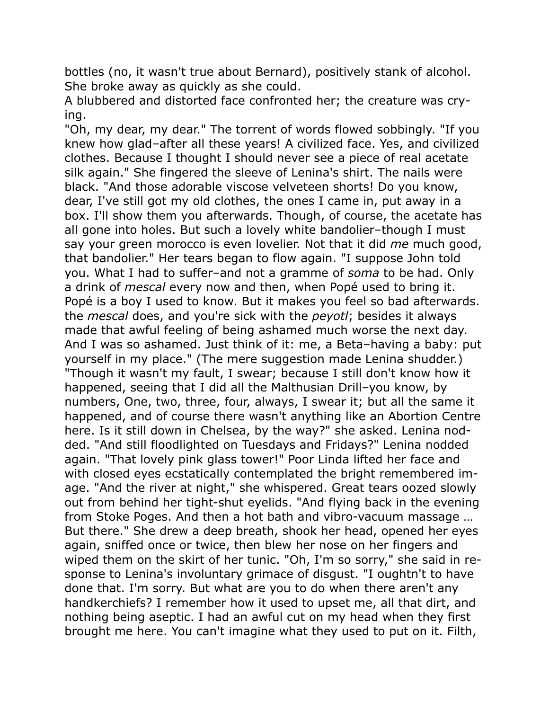bottles (no, it wasn't true about Bernard), positively stank of alcohol. She broke away as quickly as she could.

A blubbered and distorted face confronted her; the creature was crying.

"Oh, my dear, my dear." The torrent of words flowed sobbingly. "If you knew how glad–after all these years! A civilized face. Yes, and civilized clothes. Because I thought I should never see a piece of real acetate silk again." She fingered the sleeve of Lenina's shirt. The nails were black. "And those adorable viscose velveteen shorts! Do you know, dear, I've still got my old clothes, the ones I came in, put away in a box. I'll show them you afterwards. Though, of course, the acetate has all gone into holes. But such a lovely white bandolier–though I must say your green morocco is even lovelier. Not that it did *me* much good, that bandolier." Her tears began to flow again. "I suppose John told you. What I had to suffer–and not a gramme of *soma* to be had. Only a drink of *mescal* every now and then, when Popé used to bring it. Popé is a boy I used to know. But it makes you feel so bad afterwards. the *mescal* does, and you're sick with the *peyotl*; besides it always made that awful feeling of being ashamed much worse the next day. And I was so ashamed. Just think of it: me, a Beta–having a baby: put yourself in my place." (The mere suggestion made Lenina shudder.) "Though it wasn't my fault, I swear; because I still don't know how it happened, seeing that I did all the Malthusian Drill–you know, by numbers, One, two, three, four, always, I swear it; but all the same it happened, and of course there wasn't anything like an Abortion Centre here. Is it still down in Chelsea, by the way?" she asked. Lenina nodded. "And still floodlighted on Tuesdays and Fridays?" Lenina nodded again. "That lovely pink glass tower!" Poor Linda lifted her face and with closed eyes ecstatically contemplated the bright remembered image. "And the river at night," she whispered. Great tears oozed slowly out from behind her tight-shut eyelids. "And flying back in the evening from Stoke Poges. And then a hot bath and vibro-vacuum massage … But there." She drew a deep breath, shook her head, opened her eyes again, sniffed once or twice, then blew her nose on her fingers and wiped them on the skirt of her tunic. "Oh, I'm so sorry," she said in response to Lenina's involuntary grimace of disgust. "I oughtn't to have done that. I'm sorry. But what are you to do when there aren't any handkerchiefs? I remember how it used to upset me, all that dirt, and nothing being aseptic. I had an awful cut on my head when they first brought me here. You can't imagine what they used to put on it. Filth,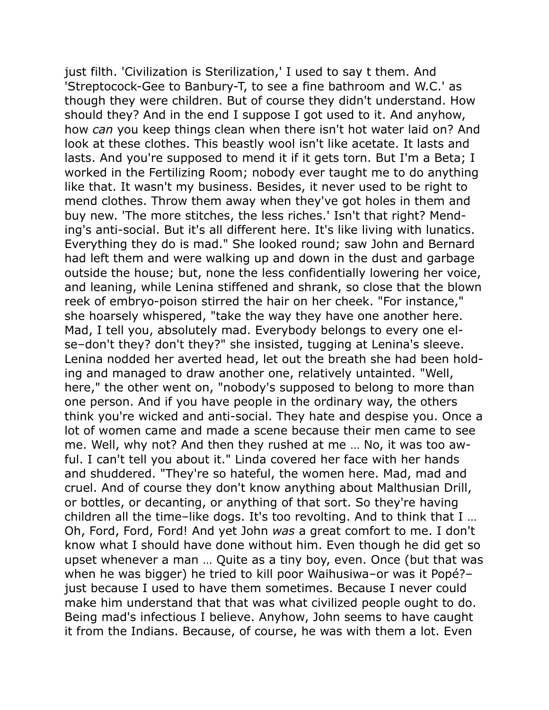just filth. 'Civilization is Sterilization,' I used to say t them. And 'Streptocock-Gee to Banbury-T, to see a fine bathroom and W.C.' as though they were children. But of course they didn't understand. How should they? And in the end I suppose I got used to it. And anyhow, how *can* you keep things clean when there isn't hot water laid on? And look at these clothes. This beastly wool isn't like acetate. It lasts and lasts. And you're supposed to mend it if it gets torn. But I'm a Beta; I worked in the Fertilizing Room; nobody ever taught me to do anything like that. It wasn't my business. Besides, it never used to be right to mend clothes. Throw them away when they've got holes in them and buy new. 'The more stitches, the less riches.' Isn't that right? Mending's anti-social. But it's all different here. It's like living with lunatics. Everything they do is mad." She looked round; saw John and Bernard had left them and were walking up and down in the dust and garbage outside the house; but, none the less confidentially lowering her voice, and leaning, while Lenina stiffened and shrank, so close that the blown reek of embryo-poison stirred the hair on her cheek. "For instance," she hoarsely whispered, "take the way they have one another here. Mad, I tell you, absolutely mad. Everybody belongs to every one else–don't they? don't they?" she insisted, tugging at Lenina's sleeve. Lenina nodded her averted head, let out the breath she had been holding and managed to draw another one, relatively untainted. "Well, here," the other went on, "nobody's supposed to belong to more than one person. And if you have people in the ordinary way, the others think you're wicked and anti-social. They hate and despise you. Once a lot of women came and made a scene because their men came to see me. Well, why not? And then they rushed at me … No, it was too awful. I can't tell you about it." Linda covered her face with her hands and shuddered. "They're so hateful, the women here. Mad, mad and cruel. And of course they don't know anything about Malthusian Drill, or bottles, or decanting, or anything of that sort. So they're having children all the time–like dogs. It's too revolting. And to think that I … Oh, Ford, Ford, Ford! And yet John *was* a great comfort to me. I don't know what I should have done without him. Even though he did get so upset whenever a man … Quite as a tiny boy, even. Once (but that was when he was bigger) he tried to kill poor Waihusiwa–or was it Popé?– just because I used to have them sometimes. Because I never could make him understand that that was what civilized people ought to do. Being mad's infectious I believe. Anyhow, John seems to have caught it from the Indians. Because, of course, he was with them a lot. Even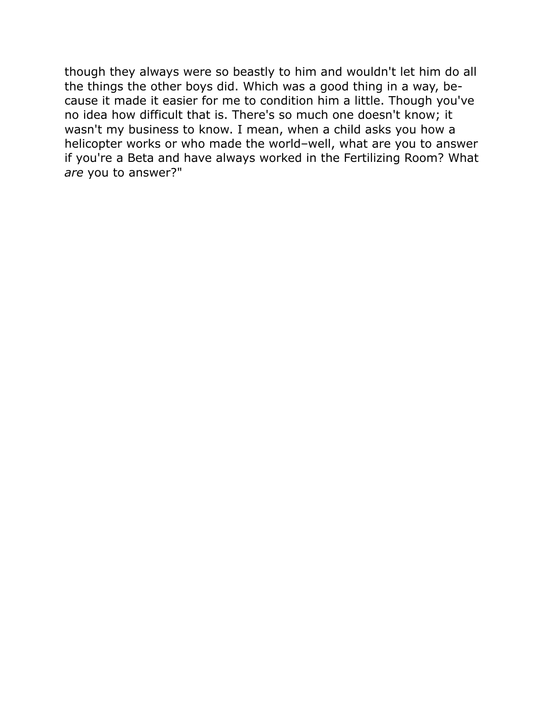though they always were so beastly to him and wouldn't let him do all the things the other boys did. Which was a good thing in a way, because it made it easier for me to condition him a little. Though you've no idea how difficult that is. There's so much one doesn't know; it wasn't my business to know. I mean, when a child asks you how a helicopter works or who made the world–well, what are you to answer if you're a Beta and have always worked in the Fertilizing Room? What *are* you to answer?"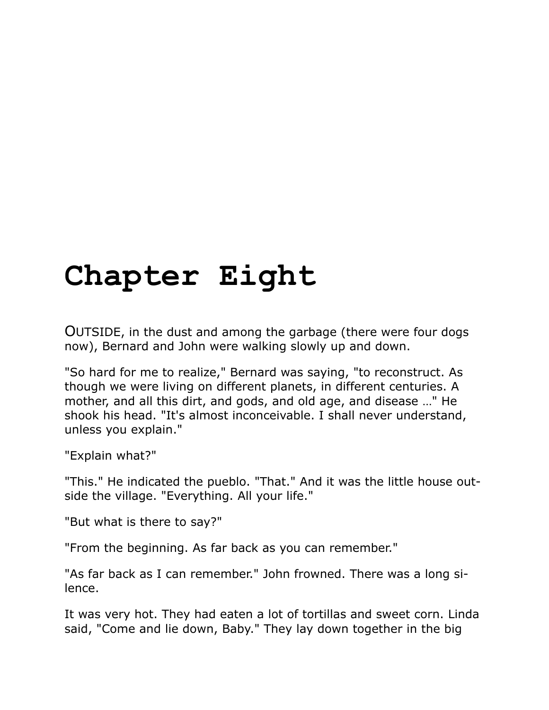## **Chapter Eight**

OUTSIDE, in the dust and among the garbage (there were four dogs now), Bernard and John were walking slowly up and down.

"So hard for me to realize," Bernard was saying, "to reconstruct. As though we were living on different planets, in different centuries. A mother, and all this dirt, and gods, and old age, and disease …" He shook his head. "It's almost inconceivable. I shall never understand, unless you explain."

"Explain what?"

"This." He indicated the pueblo. "That." And it was the little house outside the village. "Everything. All your life."

"But what is there to say?"

"From the beginning. As far back as you can remember."

"As far back as I can remember." John frowned. There was a long silence.

It was very hot. They had eaten a lot of tortillas and sweet corn. Linda said, "Come and lie down, Baby." They lay down together in the big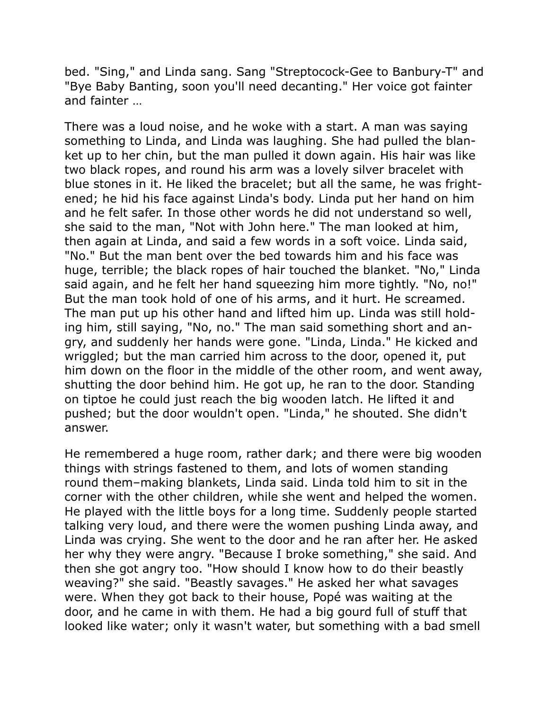bed. "Sing," and Linda sang. Sang "Streptocock-Gee to Banbury-T" and "Bye Baby Banting, soon you'll need decanting." Her voice got fainter and fainter …

There was a loud noise, and he woke with a start. A man was saying something to Linda, and Linda was laughing. She had pulled the blanket up to her chin, but the man pulled it down again. His hair was like two black ropes, and round his arm was a lovely silver bracelet with blue stones in it. He liked the bracelet; but all the same, he was frightened; he hid his face against Linda's body. Linda put her hand on him and he felt safer. In those other words he did not understand so well, she said to the man, "Not with John here." The man looked at him, then again at Linda, and said a few words in a soft voice. Linda said, "No." But the man bent over the bed towards him and his face was huge, terrible; the black ropes of hair touched the blanket. "No," Linda said again, and he felt her hand squeezing him more tightly. "No, no!" But the man took hold of one of his arms, and it hurt. He screamed. The man put up his other hand and lifted him up. Linda was still holding him, still saying, "No, no." The man said something short and angry, and suddenly her hands were gone. "Linda, Linda." He kicked and wriggled; but the man carried him across to the door, opened it, put him down on the floor in the middle of the other room, and went away, shutting the door behind him. He got up, he ran to the door. Standing on tiptoe he could just reach the big wooden latch. He lifted it and pushed; but the door wouldn't open. "Linda," he shouted. She didn't answer.

He remembered a huge room, rather dark; and there were big wooden things with strings fastened to them, and lots of women standing round them–making blankets, Linda said. Linda told him to sit in the corner with the other children, while she went and helped the women. He played with the little boys for a long time. Suddenly people started talking very loud, and there were the women pushing Linda away, and Linda was crying. She went to the door and he ran after her. He asked her why they were angry. "Because I broke something," she said. And then she got angry too. "How should I know how to do their beastly weaving?" she said. "Beastly savages." He asked her what savages were. When they got back to their house, Popé was waiting at the door, and he came in with them. He had a big gourd full of stuff that looked like water; only it wasn't water, but something with a bad smell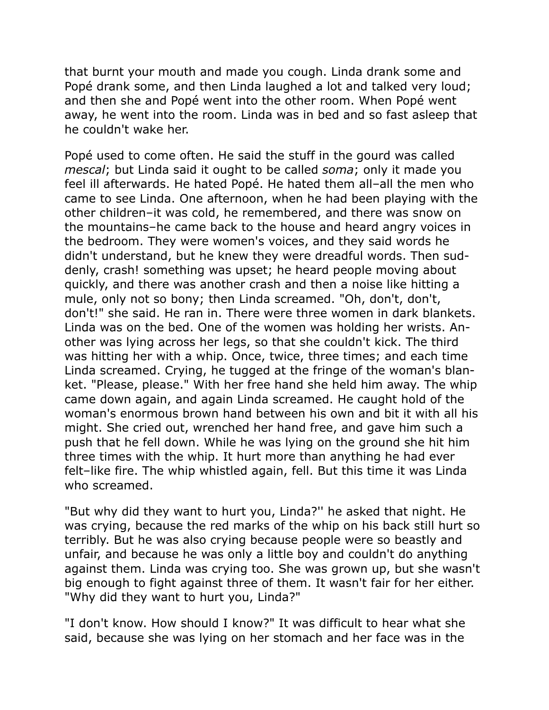that burnt your mouth and made you cough. Linda drank some and Popé drank some, and then Linda laughed a lot and talked very loud; and then she and Popé went into the other room. When Popé went away, he went into the room. Linda was in bed and so fast asleep that he couldn't wake her.

Popé used to come often. He said the stuff in the gourd was called *mescal*; but Linda said it ought to be called *soma*; only it made you feel ill afterwards. He hated Popé. He hated them all–all the men who came to see Linda. One afternoon, when he had been playing with the other children–it was cold, he remembered, and there was snow on the mountains–he came back to the house and heard angry voices in the bedroom. They were women's voices, and they said words he didn't understand, but he knew they were dreadful words. Then suddenly, crash! something was upset; he heard people moving about quickly, and there was another crash and then a noise like hitting a mule, only not so bony; then Linda screamed. "Oh, don't, don't, don't!" she said. He ran in. There were three women in dark blankets. Linda was on the bed. One of the women was holding her wrists. Another was lying across her legs, so that she couldn't kick. The third was hitting her with a whip. Once, twice, three times; and each time Linda screamed. Crying, he tugged at the fringe of the woman's blanket. "Please, please." With her free hand she held him away. The whip came down again, and again Linda screamed. He caught hold of the woman's enormous brown hand between his own and bit it with all his might. She cried out, wrenched her hand free, and gave him such a push that he fell down. While he was lying on the ground she hit him three times with the whip. It hurt more than anything he had ever felt–like fire. The whip whistled again, fell. But this time it was Linda who screamed.

"But why did they want to hurt you, Linda?'' he asked that night. He was crying, because the red marks of the whip on his back still hurt so terribly. But he was also crying because people were so beastly and unfair, and because he was only a little boy and couldn't do anything against them. Linda was crying too. She was grown up, but she wasn't big enough to fight against three of them. It wasn't fair for her either. "Why did they want to hurt you, Linda?"

"I don't know. How should I know?" It was difficult to hear what she said, because she was lying on her stomach and her face was in the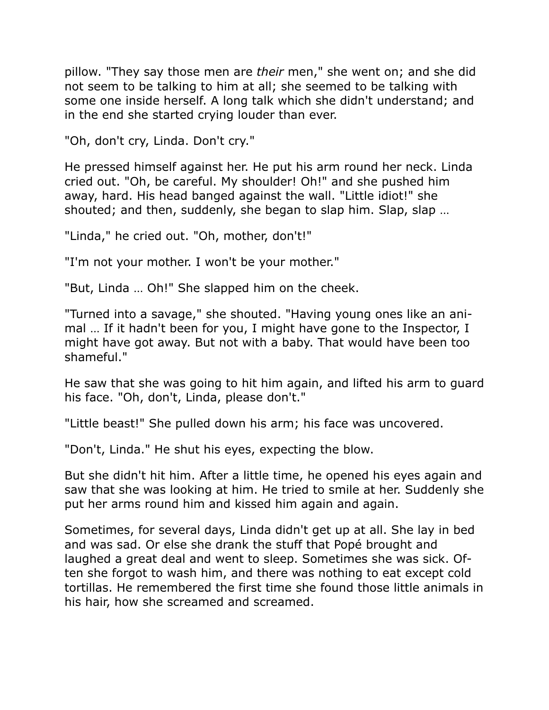pillow. "They say those men are *their* men," she went on; and she did not seem to be talking to him at all; she seemed to be talking with some one inside herself. A long talk which she didn't understand; and in the end she started crying louder than ever.

"Oh, don't cry, Linda. Don't cry."

He pressed himself against her. He put his arm round her neck. Linda cried out. "Oh, be careful. My shoulder! Oh!" and she pushed him away, hard. His head banged against the wall. "Little idiot!" she shouted; and then, suddenly, she began to slap him. Slap, slap …

"Linda," he cried out. "Oh, mother, don't!"

"I'm not your mother. I won't be your mother."

"But, Linda … Oh!" She slapped him on the cheek.

"Turned into a savage," she shouted. "Having young ones like an animal … If it hadn't been for you, I might have gone to the Inspector, I might have got away. But not with a baby. That would have been too shameful."

He saw that she was going to hit him again, and lifted his arm to guard his face. "Oh, don't, Linda, please don't."

"Little beast!" She pulled down his arm; his face was uncovered.

"Don't, Linda." He shut his eyes, expecting the blow.

But she didn't hit him. After a little time, he opened his eyes again and saw that she was looking at him. He tried to smile at her. Suddenly she put her arms round him and kissed him again and again.

Sometimes, for several days, Linda didn't get up at all. She lay in bed and was sad. Or else she drank the stuff that Popé brought and laughed a great deal and went to sleep. Sometimes she was sick. Often she forgot to wash him, and there was nothing to eat except cold tortillas. He remembered the first time she found those little animals in his hair, how she screamed and screamed.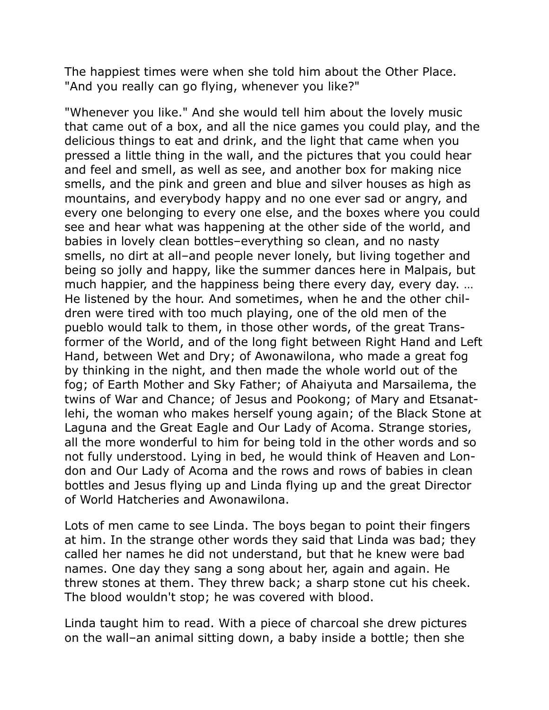The happiest times were when she told him about the Other Place. "And you really can go flying, whenever you like?"

"Whenever you like." And she would tell him about the lovely music that came out of a box, and all the nice games you could play, and the delicious things to eat and drink, and the light that came when you pressed a little thing in the wall, and the pictures that you could hear and feel and smell, as well as see, and another box for making nice smells, and the pink and green and blue and silver houses as high as mountains, and everybody happy and no one ever sad or angry, and every one belonging to every one else, and the boxes where you could see and hear what was happening at the other side of the world, and babies in lovely clean bottles–everything so clean, and no nasty smells, no dirt at all–and people never lonely, but living together and being so jolly and happy, like the summer dances here in Malpais, but much happier, and the happiness being there every day, every day. … He listened by the hour. And sometimes, when he and the other children were tired with too much playing, one of the old men of the pueblo would talk to them, in those other words, of the great Transformer of the World, and of the long fight between Right Hand and Left Hand, between Wet and Dry; of Awonawilona, who made a great fog by thinking in the night, and then made the whole world out of the fog; of Earth Mother and Sky Father; of Ahaiyuta and Marsailema, the twins of War and Chance; of Jesus and Pookong; of Mary and Etsanatlehi, the woman who makes herself young again; of the Black Stone at Laguna and the Great Eagle and Our Lady of Acoma. Strange stories, all the more wonderful to him for being told in the other words and so not fully understood. Lying in bed, he would think of Heaven and London and Our Lady of Acoma and the rows and rows of babies in clean bottles and Jesus flying up and Linda flying up and the great Director of World Hatcheries and Awonawilona.

Lots of men came to see Linda. The boys began to point their fingers at him. In the strange other words they said that Linda was bad; they called her names he did not understand, but that he knew were bad names. One day they sang a song about her, again and again. He threw stones at them. They threw back; a sharp stone cut his cheek. The blood wouldn't stop; he was covered with blood.

Linda taught him to read. With a piece of charcoal she drew pictures on the wall–an animal sitting down, a baby inside a bottle; then she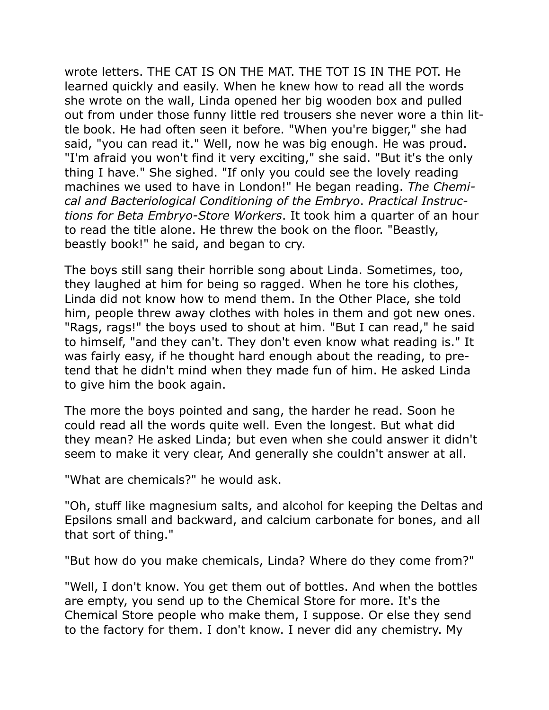wrote letters. THE CAT IS ON THE MAT. THE TOT IS IN THE POT. He learned quickly and easily. When he knew how to read all the words she wrote on the wall, Linda opened her big wooden box and pulled out from under those funny little red trousers she never wore a thin little book. He had often seen it before. "When you're bigger," she had said, "you can read it." Well, now he was big enough. He was proud. "I'm afraid you won't find it very exciting," she said. "But it's the only thing I have." She sighed. "If only you could see the lovely reading machines we used to have in London!" He began reading. *The Chemical and Bacteriological Conditioning of the Embryo*. *Practical Instructions for Beta Embryo-Store Workers*. It took him a quarter of an hour to read the title alone. He threw the book on the floor. "Beastly, beastly book!" he said, and began to cry.

The boys still sang their horrible song about Linda. Sometimes, too, they laughed at him for being so ragged. When he tore his clothes, Linda did not know how to mend them. In the Other Place, she told him, people threw away clothes with holes in them and got new ones. "Rags, rags!" the boys used to shout at him. "But I can read," he said to himself, "and they can't. They don't even know what reading is." It was fairly easy, if he thought hard enough about the reading, to pretend that he didn't mind when they made fun of him. He asked Linda to give him the book again.

The more the boys pointed and sang, the harder he read. Soon he could read all the words quite well. Even the longest. But what did they mean? He asked Linda; but even when she could answer it didn't seem to make it very clear, And generally she couldn't answer at all.

"What are chemicals?" he would ask.

"Oh, stuff like magnesium salts, and alcohol for keeping the Deltas and Epsilons small and backward, and calcium carbonate for bones, and all that sort of thing."

"But how do you make chemicals, Linda? Where do they come from?"

"Well, I don't know. You get them out of bottles. And when the bottles are empty, you send up to the Chemical Store for more. It's the Chemical Store people who make them, I suppose. Or else they send to the factory for them. I don't know. I never did any chemistry. My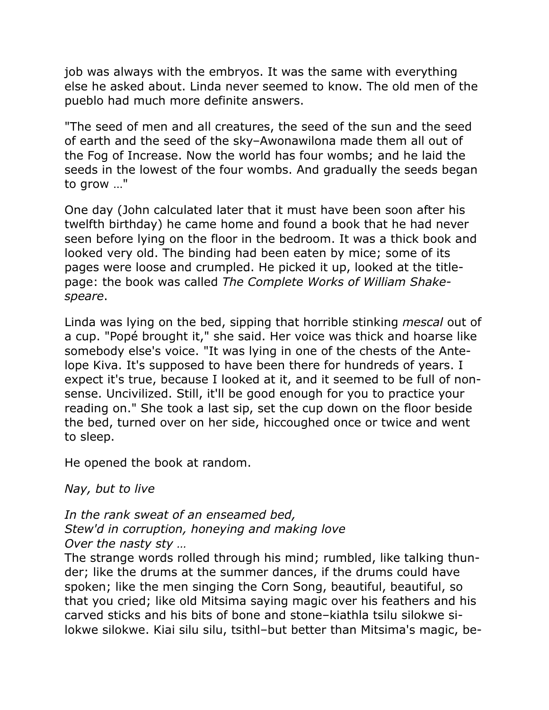job was always with the embryos. It was the same with everything else he asked about. Linda never seemed to know. The old men of the pueblo had much more definite answers.

"The seed of men and all creatures, the seed of the sun and the seed of earth and the seed of the sky–Awonawilona made them all out of the Fog of Increase. Now the world has four wombs; and he laid the seeds in the lowest of the four wombs. And gradually the seeds began to grow …"

One day (John calculated later that it must have been soon after his twelfth birthday) he came home and found a book that he had never seen before lying on the floor in the bedroom. It was a thick book and looked very old. The binding had been eaten by mice; some of its pages were loose and crumpled. He picked it up, looked at the titlepage: the book was called *The Complete Works of William Shakespeare*.

Linda was lying on the bed, sipping that horrible stinking *mescal* out of a cup. "Popé brought it," she said. Her voice was thick and hoarse like somebody else's voice. "It was lying in one of the chests of the Antelope Kiva. It's supposed to have been there for hundreds of years. I expect it's true, because I looked at it, and it seemed to be full of nonsense. Uncivilized. Still, it'll be good enough for you to practice your reading on." She took a last sip, set the cup down on the floor beside the bed, turned over on her side, hiccoughed once or twice and went to sleep.

He opened the book at random.

*Nay, but to live*

*In the rank sweat of an enseamed bed, Stew'd in corruption, honeying and making love Over the nasty sty …*

The strange words rolled through his mind; rumbled, like talking thunder; like the drums at the summer dances, if the drums could have spoken; like the men singing the Corn Song, beautiful, beautiful, so that you cried; like old Mitsima saying magic over his feathers and his carved sticks and his bits of bone and stone–kiathla tsilu silokwe silokwe silokwe. Kiai silu silu, tsithl–but better than Mitsima's magic, be-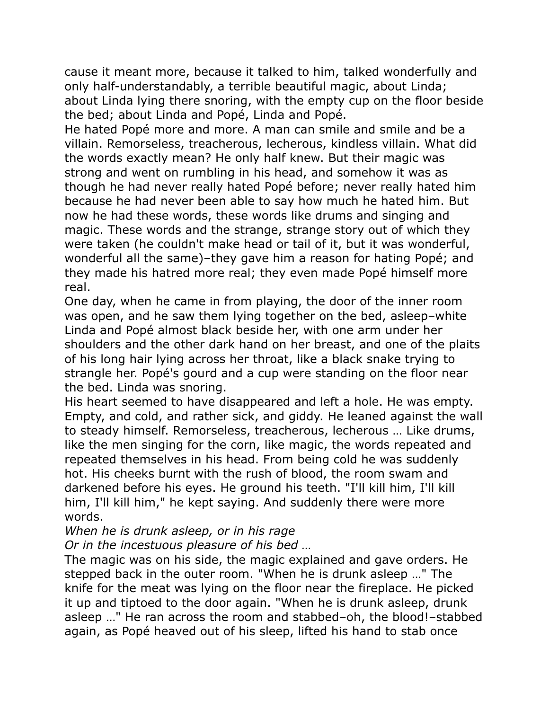cause it meant more, because it talked to him, talked wonderfully and only half-understandably, a terrible beautiful magic, about Linda; about Linda lying there snoring, with the empty cup on the floor beside the bed; about Linda and Popé, Linda and Popé.

He hated Popé more and more. A man can smile and smile and be a villain. Remorseless, treacherous, lecherous, kindless villain. What did the words exactly mean? He only half knew. But their magic was strong and went on rumbling in his head, and somehow it was as though he had never really hated Popé before; never really hated him because he had never been able to say how much he hated him. But now he had these words, these words like drums and singing and magic. These words and the strange, strange story out of which they were taken (he couldn't make head or tail of it, but it was wonderful, wonderful all the same)–they gave him a reason for hating Popé; and they made his hatred more real; they even made Popé himself more real.

One day, when he came in from playing, the door of the inner room was open, and he saw them lying together on the bed, asleep–white Linda and Popé almost black beside her, with one arm under her shoulders and the other dark hand on her breast, and one of the plaits of his long hair lying across her throat, like a black snake trying to strangle her. Popé's gourd and a cup were standing on the floor near the bed. Linda was snoring.

His heart seemed to have disappeared and left a hole. He was empty. Empty, and cold, and rather sick, and giddy. He leaned against the wall to steady himself. Remorseless, treacherous, lecherous … Like drums, like the men singing for the corn, like magic, the words repeated and repeated themselves in his head. From being cold he was suddenly hot. His cheeks burnt with the rush of blood, the room swam and darkened before his eyes. He ground his teeth. "I'll kill him, I'll kill him, I'll kill him," he kept saying. And suddenly there were more words.

*When he is drunk asleep, or in his rage*

*Or in the incestuous pleasure of his bed …*

The magic was on his side, the magic explained and gave orders. He stepped back in the outer room. "When he is drunk asleep …" The knife for the meat was lying on the floor near the fireplace. He picked it up and tiptoed to the door again. "When he is drunk asleep, drunk asleep …" He ran across the room and stabbed–oh, the blood!–stabbed again, as Popé heaved out of his sleep, lifted his hand to stab once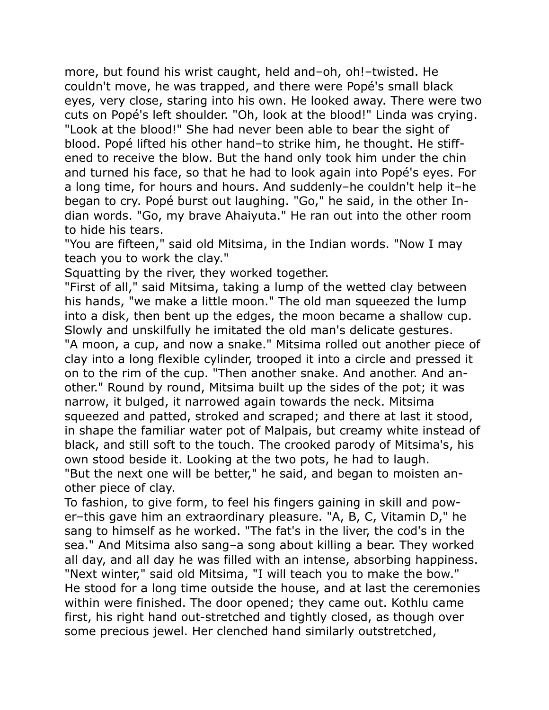more, but found his wrist caught, held and–oh, oh!–twisted. He couldn't move, he was trapped, and there were Popé's small black eyes, very close, staring into his own. He looked away. There were two cuts on Popé's left shoulder. "Oh, look at the blood!" Linda was crying. "Look at the blood!" She had never been able to bear the sight of blood. Popé lifted his other hand–to strike him, he thought. He stiffened to receive the blow. But the hand only took him under the chin and turned his face, so that he had to look again into Popé's eyes. For a long time, for hours and hours. And suddenly–he couldn't help it–he began to cry. Popé burst out laughing. "Go," he said, in the other Indian words. "Go, my brave Ahaiyuta." He ran out into the other room to hide his tears.

"You are fifteen," said old Mitsima, in the Indian words. "Now I may teach you to work the clay."

Squatting by the river, they worked together.

"First of all," said Mitsima, taking a lump of the wetted clay between his hands, "we make a little moon." The old man squeezed the lump into a disk, then bent up the edges, the moon became a shallow cup. Slowly and unskilfully he imitated the old man's delicate gestures. "A moon, a cup, and now a snake." Mitsima rolled out another piece of clay into a long flexible cylinder, trooped it into a circle and pressed it on to the rim of the cup. "Then another snake. And another. And another." Round by round, Mitsima built up the sides of the pot; it was narrow, it bulged, it narrowed again towards the neck. Mitsima squeezed and patted, stroked and scraped; and there at last it stood, in shape the familiar water pot of Malpais, but creamy white instead of black, and still soft to the touch. The crooked parody of Mitsima's, his own stood beside it. Looking at the two pots, he had to laugh. "But the next one will be better," he said, and began to moisten another piece of clay.

To fashion, to give form, to feel his fingers gaining in skill and power–this gave him an extraordinary pleasure. "A, B, C, Vitamin D," he sang to himself as he worked. "The fat's in the liver, the cod's in the sea." And Mitsima also sang–a song about killing a bear. They worked all day, and all day he was filled with an intense, absorbing happiness. "Next winter," said old Mitsima, "I will teach you to make the bow." He stood for a long time outside the house, and at last the ceremonies within were finished. The door opened; they came out. Kothlu came first, his right hand out-stretched and tightly closed, as though over some precious jewel. Her clenched hand similarly outstretched,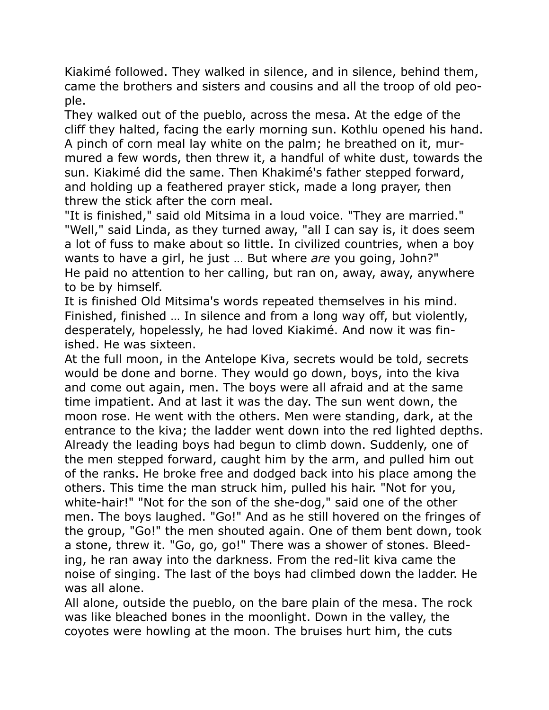Kiakimé followed. They walked in silence, and in silence, behind them, came the brothers and sisters and cousins and all the troop of old people.

They walked out of the pueblo, across the mesa. At the edge of the cliff they halted, facing the early morning sun. Kothlu opened his hand. A pinch of corn meal lay white on the palm; he breathed on it, murmured a few words, then threw it, a handful of white dust, towards the sun. Kiakimé did the same. Then Khakimé's father stepped forward, and holding up a feathered prayer stick, made a long prayer, then threw the stick after the corn meal.

"It is finished," said old Mitsima in a loud voice. "They are married." "Well," said Linda, as they turned away, "all I can say is, it does seem a lot of fuss to make about so little. In civilized countries, when a boy wants to have a girl, he just … But where *are* you going, John?" He paid no attention to her calling, but ran on, away, away, anywhere to be by himself.

It is finished Old Mitsima's words repeated themselves in his mind. Finished, finished … In silence and from a long way off, but violently, desperately, hopelessly, he had loved Kiakimé. And now it was finished. He was sixteen.

At the full moon, in the Antelope Kiva, secrets would be told, secrets would be done and borne. They would go down, boys, into the kiva and come out again, men. The boys were all afraid and at the same time impatient. And at last it was the day. The sun went down, the moon rose. He went with the others. Men were standing, dark, at the entrance to the kiva; the ladder went down into the red lighted depths. Already the leading boys had begun to climb down. Suddenly, one of the men stepped forward, caught him by the arm, and pulled him out of the ranks. He broke free and dodged back into his place among the others. This time the man struck him, pulled his hair. "Not for you, white-hair!" "Not for the son of the she-dog," said one of the other men. The boys laughed. "Go!" And as he still hovered on the fringes of the group, "Go!" the men shouted again. One of them bent down, took a stone, threw it. "Go, go, go!" There was a shower of stones. Bleeding, he ran away into the darkness. From the red-lit kiva came the noise of singing. The last of the boys had climbed down the ladder. He was all alone.

All alone, outside the pueblo, on the bare plain of the mesa. The rock was like bleached bones in the moonlight. Down in the valley, the coyotes were howling at the moon. The bruises hurt him, the cuts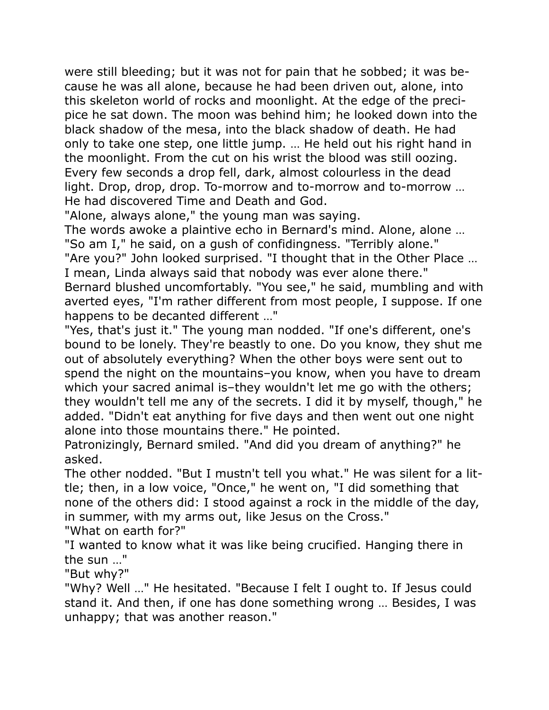were still bleeding; but it was not for pain that he sobbed; it was because he was all alone, because he had been driven out, alone, into this skeleton world of rocks and moonlight. At the edge of the precipice he sat down. The moon was behind him; he looked down into the black shadow of the mesa, into the black shadow of death. He had only to take one step, one little jump. … He held out his right hand in the moonlight. From the cut on his wrist the blood was still oozing. Every few seconds a drop fell, dark, almost colourless in the dead light. Drop, drop, drop. To-morrow and to-morrow and to-morrow … He had discovered Time and Death and God.

"Alone, always alone," the young man was saying.

The words awoke a plaintive echo in Bernard's mind. Alone, alone … "So am I," he said, on a gush of confidingness. "Terribly alone."

"Are you?" John looked surprised. "I thought that in the Other Place … I mean, Linda always said that nobody was ever alone there."

Bernard blushed uncomfortably. "You see," he said, mumbling and with averted eyes, "I'm rather different from most people, I suppose. If one happens to be decanted different …"

"Yes, that's just it." The young man nodded. "If one's different, one's bound to be lonely. They're beastly to one. Do you know, they shut me out of absolutely everything? When the other boys were sent out to spend the night on the mountains–you know, when you have to dream which your sacred animal is–they wouldn't let me go with the others; they wouldn't tell me any of the secrets. I did it by myself, though," he added. "Didn't eat anything for five days and then went out one night alone into those mountains there." He pointed.

Patronizingly, Bernard smiled. "And did you dream of anything?" he asked.

The other nodded. "But I mustn't tell you what." He was silent for a little; then, in a low voice, "Once," he went on, "I did something that none of the others did: I stood against a rock in the middle of the day, in summer, with my arms out, like Jesus on the Cross." "What on earth for?"

"I wanted to know what it was like being crucified. Hanging there in the sun …"

"But why?"

"Why? Well …" He hesitated. "Because I felt I ought to. If Jesus could stand it. And then, if one has done something wrong … Besides, I was unhappy; that was another reason."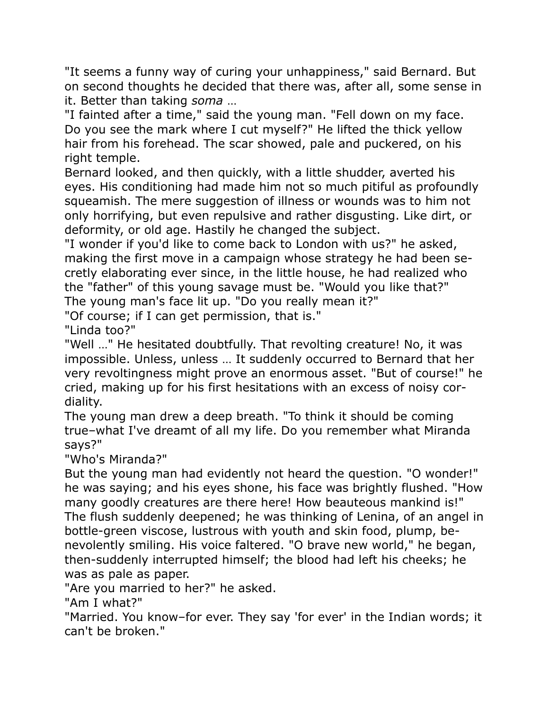"It seems a funny way of curing your unhappiness," said Bernard. But on second thoughts he decided that there was, after all, some sense in it. Better than taking *soma* …

"I fainted after a time," said the young man. "Fell down on my face. Do you see the mark where I cut myself?" He lifted the thick yellow hair from his forehead. The scar showed, pale and puckered, on his right temple.

Bernard looked, and then quickly, with a little shudder, averted his eyes. His conditioning had made him not so much pitiful as profoundly squeamish. The mere suggestion of illness or wounds was to him not only horrifying, but even repulsive and rather disgusting. Like dirt, or deformity, or old age. Hastily he changed the subject.

"I wonder if you'd like to come back to London with us?" he asked, making the first move in a campaign whose strategy he had been secretly elaborating ever since, in the little house, he had realized who the "father" of this young savage must be. "Would you like that?"

The young man's face lit up. "Do you really mean it?"

"Of course; if I can get permission, that is."

"Linda too?"

"Well …" He hesitated doubtfully. That revolting creature! No, it was impossible. Unless, unless … It suddenly occurred to Bernard that her very revoltingness might prove an enormous asset. "But of course!" he cried, making up for his first hesitations with an excess of noisy cordiality.

The young man drew a deep breath. "To think it should be coming true–what I've dreamt of all my life. Do you remember what Miranda says?"

"Who's Miranda?"

But the young man had evidently not heard the question. "O wonder!" he was saying; and his eyes shone, his face was brightly flushed. "How many goodly creatures are there here! How beauteous mankind is!" The flush suddenly deepened; he was thinking of Lenina, of an angel in bottle-green viscose, lustrous with youth and skin food, plump, benevolently smiling. His voice faltered. "O brave new world," he began, then-suddenly interrupted himself; the blood had left his cheeks; he was as pale as paper.

"Are you married to her?" he asked.

"Am I what?"

"Married. You know–for ever. They say 'for ever' in the Indian words; it can't be broken."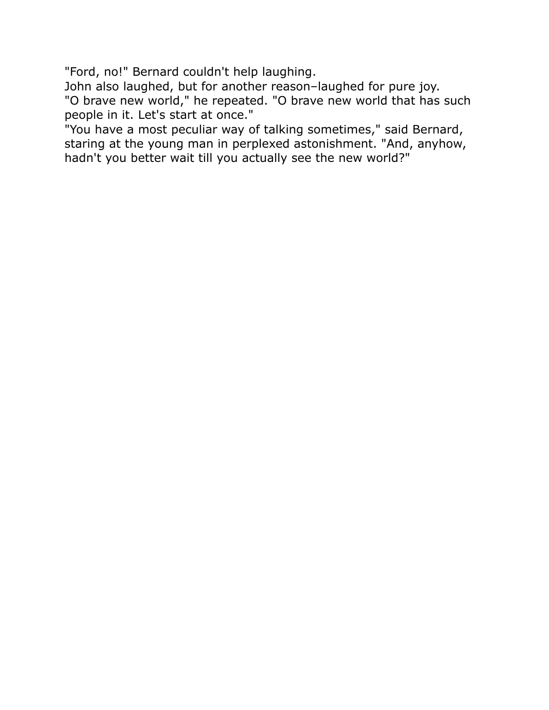"Ford, no!" Bernard couldn't help laughing.

John also laughed, but for another reason–laughed for pure joy. "O brave new world," he repeated. "O brave new world that has such people in it. Let's start at once."

"You have a most peculiar way of talking sometimes," said Bernard, staring at the young man in perplexed astonishment. "And, anyhow, hadn't you better wait till you actually see the new world?"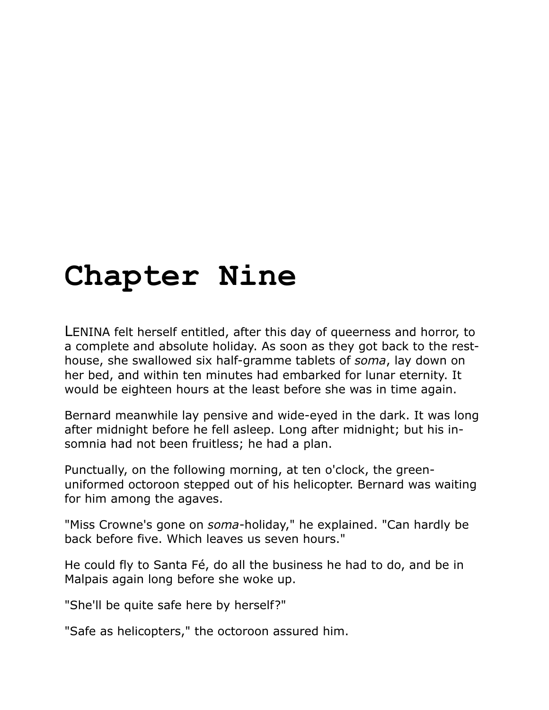## **Chapter Nine**

LENINA felt herself entitled, after this day of queerness and horror, to a complete and absolute holiday. As soon as they got back to the resthouse, she swallowed six half-gramme tablets of *soma*, lay down on her bed, and within ten minutes had embarked for lunar eternity. It would be eighteen hours at the least before she was in time again.

Bernard meanwhile lay pensive and wide-eyed in the dark. It was long after midnight before he fell asleep. Long after midnight; but his insomnia had not been fruitless; he had a plan.

Punctually, on the following morning, at ten o'clock, the greenuniformed octoroon stepped out of his helicopter. Bernard was waiting for him among the agaves.

"Miss Crowne's gone on *soma*-holiday," he explained. "Can hardly be back before five. Which leaves us seven hours."

He could fly to Santa Fé, do all the business he had to do, and be in Malpais again long before she woke up.

"She'll be quite safe here by herself?"

"Safe as helicopters," the octoroon assured him.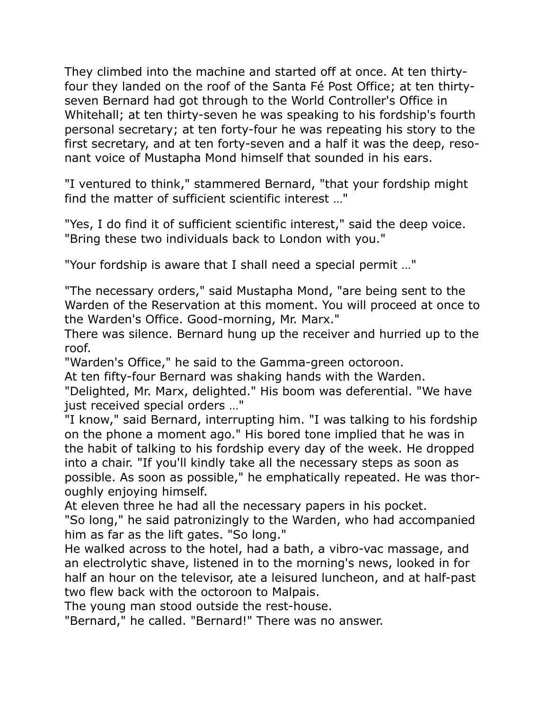They climbed into the machine and started off at once. At ten thirtyfour they landed on the roof of the Santa Fé Post Office; at ten thirtyseven Bernard had got through to the World Controller's Office in Whitehall; at ten thirty-seven he was speaking to his fordship's fourth personal secretary; at ten forty-four he was repeating his story to the first secretary, and at ten forty-seven and a half it was the deep, resonant voice of Mustapha Mond himself that sounded in his ears.

"I ventured to think," stammered Bernard, "that your fordship might find the matter of sufficient scientific interest …"

"Yes, I do find it of sufficient scientific interest," said the deep voice. "Bring these two individuals back to London with you."

"Your fordship is aware that I shall need a special permit …"

"The necessary orders," said Mustapha Mond, "are being sent to the Warden of the Reservation at this moment. You will proceed at once to the Warden's Office. Good-morning, Mr. Marx."

There was silence. Bernard hung up the receiver and hurried up to the roof.

"Warden's Office," he said to the Gamma-green octoroon.

At ten fifty-four Bernard was shaking hands with the Warden.

"Delighted, Mr. Marx, delighted." His boom was deferential. "We have just received special orders …"

"I know," said Bernard, interrupting him. "I was talking to his fordship on the phone a moment ago." His bored tone implied that he was in the habit of talking to his fordship every day of the week. He dropped into a chair. "If you'll kindly take all the necessary steps as soon as possible. As soon as possible," he emphatically repeated. He was thoroughly enjoying himself.

At eleven three he had all the necessary papers in his pocket.

"So long," he said patronizingly to the Warden, who had accompanied him as far as the lift gates. "So long."

He walked across to the hotel, had a bath, a vibro-vac massage, and an electrolytic shave, listened in to the morning's news, looked in for half an hour on the televisor, ate a leisured luncheon, and at half-past two flew back with the octoroon to Malpais.

The young man stood outside the rest-house.

"Bernard," he called. "Bernard!" There was no answer.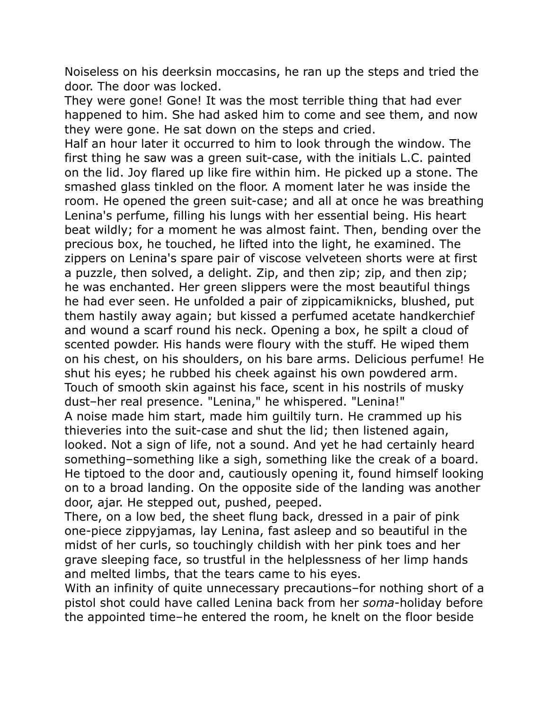Noiseless on his deerksin moccasins, he ran up the steps and tried the door. The door was locked.

They were gone! Gone! It was the most terrible thing that had ever happened to him. She had asked him to come and see them, and now they were gone. He sat down on the steps and cried.

Half an hour later it occurred to him to look through the window. The first thing he saw was a green suit-case, with the initials L.C. painted on the lid. Joy flared up like fire within him. He picked up a stone. The smashed glass tinkled on the floor. A moment later he was inside the room. He opened the green suit-case; and all at once he was breathing Lenina's perfume, filling his lungs with her essential being. His heart beat wildly; for a moment he was almost faint. Then, bending over the precious box, he touched, he lifted into the light, he examined. The zippers on Lenina's spare pair of viscose velveteen shorts were at first a puzzle, then solved, a delight. Zip, and then zip; zip, and then zip; he was enchanted. Her green slippers were the most beautiful things he had ever seen. He unfolded a pair of zippicamiknicks, blushed, put them hastily away again; but kissed a perfumed acetate handkerchief and wound a scarf round his neck. Opening a box, he spilt a cloud of scented powder. His hands were floury with the stuff. He wiped them on his chest, on his shoulders, on his bare arms. Delicious perfume! He shut his eyes; he rubbed his cheek against his own powdered arm. Touch of smooth skin against his face, scent in his nostrils of musky dust–her real presence. "Lenina," he whispered. "Lenina!" A noise made him start, made him guiltily turn. He crammed up his thieveries into the suit-case and shut the lid; then listened again, looked. Not a sign of life, not a sound. And yet he had certainly heard something–something like a sigh, something like the creak of a board. He tiptoed to the door and, cautiously opening it, found himself looking on to a broad landing. On the opposite side of the landing was another door, ajar. He stepped out, pushed, peeped.

There, on a low bed, the sheet flung back, dressed in a pair of pink one-piece zippyjamas, lay Lenina, fast asleep and so beautiful in the midst of her curls, so touchingly childish with her pink toes and her grave sleeping face, so trustful in the helplessness of her limp hands and melted limbs, that the tears came to his eyes.

With an infinity of quite unnecessary precautions–for nothing short of a pistol shot could have called Lenina back from her *soma*-holiday before the appointed time–he entered the room, he knelt on the floor beside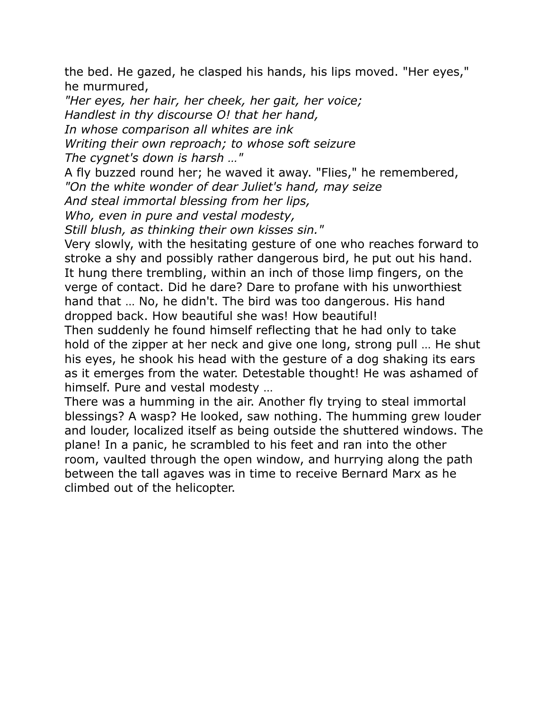the bed. He gazed, he clasped his hands, his lips moved. "Her eyes," he murmured,

*"Her eyes, her hair, her cheek, her gait, her voice; Handlest in thy discourse O! that her hand, In whose comparison all whites are ink Writing their own reproach; to whose soft seizure*

*The cygnet's down is harsh …"*

A fly buzzed round her; he waved it away. "Flies," he remembered, *"On the white wonder of dear Juliet's hand, may seize And steal immortal blessing from her lips,*

*Who, even in pure and vestal modesty,*

*Still blush, as thinking their own kisses sin."*

Very slowly, with the hesitating gesture of one who reaches forward to stroke a shy and possibly rather dangerous bird, he put out his hand. It hung there trembling, within an inch of those limp fingers, on the verge of contact. Did he dare? Dare to profane with his unworthiest hand that … No, he didn't. The bird was too dangerous. His hand dropped back. How beautiful she was! How beautiful!

Then suddenly he found himself reflecting that he had only to take hold of the zipper at her neck and give one long, strong pull … He shut his eyes, he shook his head with the gesture of a dog shaking its ears as it emerges from the water. Detestable thought! He was ashamed of himself. Pure and vestal modesty …

There was a humming in the air. Another fly trying to steal immortal blessings? A wasp? He looked, saw nothing. The humming grew louder and louder, localized itself as being outside the shuttered windows. The plane! In a panic, he scrambled to his feet and ran into the other room, vaulted through the open window, and hurrying along the path between the tall agaves was in time to receive Bernard Marx as he climbed out of the helicopter.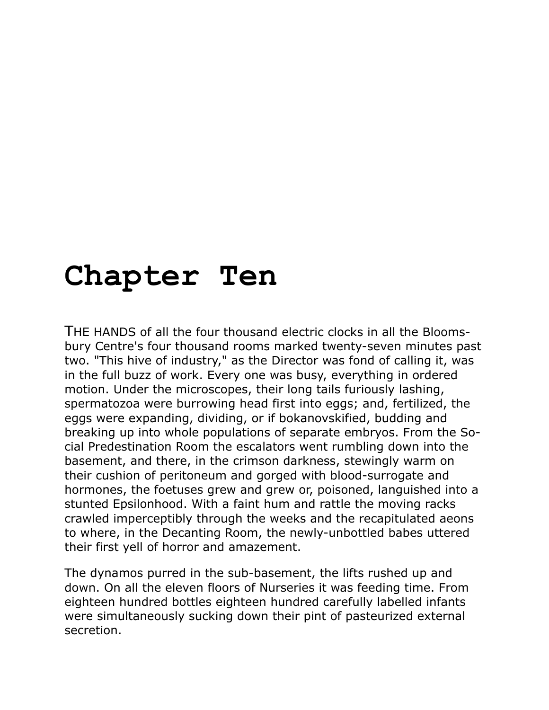## **Chapter Ten**

THE HANDS of all the four thousand electric clocks in all the Bloomsbury Centre's four thousand rooms marked twenty-seven minutes past two. "This hive of industry," as the Director was fond of calling it, was in the full buzz of work. Every one was busy, everything in ordered motion. Under the microscopes, their long tails furiously lashing, spermatozoa were burrowing head first into eggs; and, fertilized, the eggs were expanding, dividing, or if bokanovskified, budding and breaking up into whole populations of separate embryos. From the Social Predestination Room the escalators went rumbling down into the basement, and there, in the crimson darkness, stewingly warm on their cushion of peritoneum and gorged with blood-surrogate and hormones, the foetuses grew and grew or, poisoned, languished into a stunted Epsilonhood. With a faint hum and rattle the moving racks crawled imperceptibly through the weeks and the recapitulated aeons to where, in the Decanting Room, the newly-unbottled babes uttered their first yell of horror and amazement.

The dynamos purred in the sub-basement, the lifts rushed up and down. On all the eleven floors of Nurseries it was feeding time. From eighteen hundred bottles eighteen hundred carefully labelled infants were simultaneously sucking down their pint of pasteurized external secretion.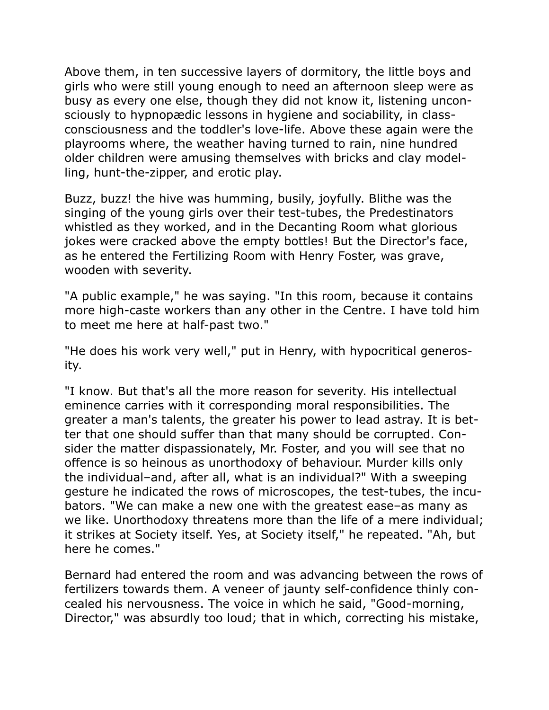Above them, in ten successive layers of dormitory, the little boys and girls who were still young enough to need an afternoon sleep were as busy as every one else, though they did not know it, listening unconsciously to hypnopædic lessons in hygiene and sociability, in classconsciousness and the toddler's love-life. Above these again were the playrooms where, the weather having turned to rain, nine hundred older children were amusing themselves with bricks and clay modelling, hunt-the-zipper, and erotic play.

Buzz, buzz! the hive was humming, busily, joyfully. Blithe was the singing of the young girls over their test-tubes, the Predestinators whistled as they worked, and in the Decanting Room what glorious jokes were cracked above the empty bottles! But the Director's face, as he entered the Fertilizing Room with Henry Foster, was grave, wooden with severity.

"A public example," he was saying. "In this room, because it contains more high-caste workers than any other in the Centre. I have told him to meet me here at half-past two."

"He does his work very well," put in Henry, with hypocritical generosity.

"I know. But that's all the more reason for severity. His intellectual eminence carries with it corresponding moral responsibilities. The greater a man's talents, the greater his power to lead astray. It is better that one should suffer than that many should be corrupted. Consider the matter dispassionately, Mr. Foster, and you will see that no offence is so heinous as unorthodoxy of behaviour. Murder kills only the individual–and, after all, what is an individual?" With a sweeping gesture he indicated the rows of microscopes, the test-tubes, the incubators. "We can make a new one with the greatest ease–as many as we like. Unorthodoxy threatens more than the life of a mere individual; it strikes at Society itself. Yes, at Society itself," he repeated. "Ah, but here he comes."

Bernard had entered the room and was advancing between the rows of fertilizers towards them. A veneer of jaunty self-confidence thinly concealed his nervousness. The voice in which he said, "Good-morning, Director," was absurdly too loud; that in which, correcting his mistake,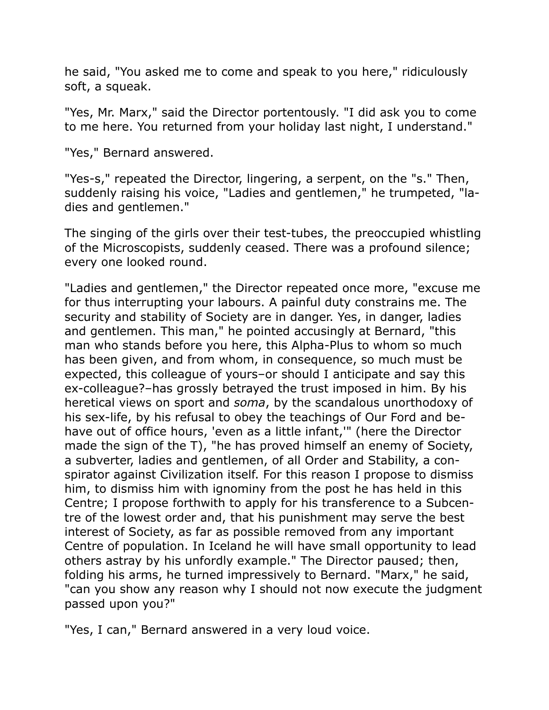he said, "You asked me to come and speak to you here," ridiculously soft, a squeak.

"Yes, Mr. Marx," said the Director portentously. "I did ask you to come to me here. You returned from your holiday last night, I understand."

"Yes," Bernard answered.

"Yes-s," repeated the Director, lingering, a serpent, on the "s." Then, suddenly raising his voice, "Ladies and gentlemen," he trumpeted, "ladies and gentlemen."

The singing of the girls over their test-tubes, the preoccupied whistling of the Microscopists, suddenly ceased. There was a profound silence; every one looked round.

"Ladies and gentlemen," the Director repeated once more, "excuse me for thus interrupting your labours. A painful duty constrains me. The security and stability of Society are in danger. Yes, in danger, ladies and gentlemen. This man," he pointed accusingly at Bernard, "this man who stands before you here, this Alpha-Plus to whom so much has been given, and from whom, in consequence, so much must be expected, this colleague of yours–or should I anticipate and say this ex-colleague?–has grossly betrayed the trust imposed in him. By his heretical views on sport and *soma*, by the scandalous unorthodoxy of his sex-life, by his refusal to obey the teachings of Our Ford and behave out of office hours, 'even as a little infant,'" (here the Director made the sign of the T), "he has proved himself an enemy of Society, a subverter, ladies and gentlemen, of all Order and Stability, a conspirator against Civilization itself. For this reason I propose to dismiss him, to dismiss him with ignominy from the post he has held in this Centre; I propose forthwith to apply for his transference to a Subcentre of the lowest order and, that his punishment may serve the best interest of Society, as far as possible removed from any important Centre of population. In Iceland he will have small opportunity to lead others astray by his unfordly example." The Director paused; then, folding his arms, he turned impressively to Bernard. "Marx," he said, "can you show any reason why I should not now execute the judgment passed upon you?"

"Yes, I can," Bernard answered in a very loud voice.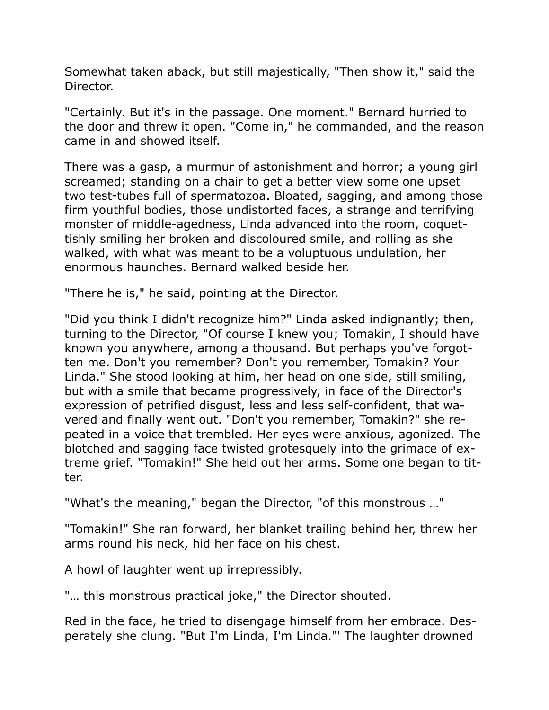Somewhat taken aback, but still majestically, "Then show it," said the Director.

"Certainly. But it's in the passage. One moment." Bernard hurried to the door and threw it open. "Come in," he commanded, and the reason came in and showed itself.

There was a gasp, a murmur of astonishment and horror; a young girl screamed; standing on a chair to get a better view some one upset two test-tubes full of spermatozoa. Bloated, sagging, and among those firm youthful bodies, those undistorted faces, a strange and terrifying monster of middle-agedness, Linda advanced into the room, coquettishly smiling her broken and discoloured smile, and rolling as she walked, with what was meant to be a voluptuous undulation, her enormous haunches. Bernard walked beside her.

"There he is," he said, pointing at the Director.

"Did you think I didn't recognize him?" Linda asked indignantly; then, turning to the Director, "Of course I knew you; Tomakin, I should have known you anywhere, among a thousand. But perhaps you've forgotten me. Don't you remember? Don't you remember, Tomakin? Your Linda." She stood looking at him, her head on one side, still smiling, but with a smile that became progressively, in face of the Director's expression of petrified disgust, less and less self-confident, that wavered and finally went out. "Don't you remember, Tomakin?" she repeated in a voice that trembled. Her eyes were anxious, agonized. The blotched and sagging face twisted grotesquely into the grimace of extreme grief. "Tomakin!" She held out her arms. Some one began to titter.

"What's the meaning," began the Director, "of this monstrous …"

"Tomakin!" She ran forward, her blanket trailing behind her, threw her arms round his neck, hid her face on his chest.

A howl of laughter went up irrepressibly.

"… this monstrous practical joke," the Director shouted.

Red in the face, he tried to disengage himself from her embrace. Desperately she clung. "But I'm Linda, I'm Linda."' The laughter drowned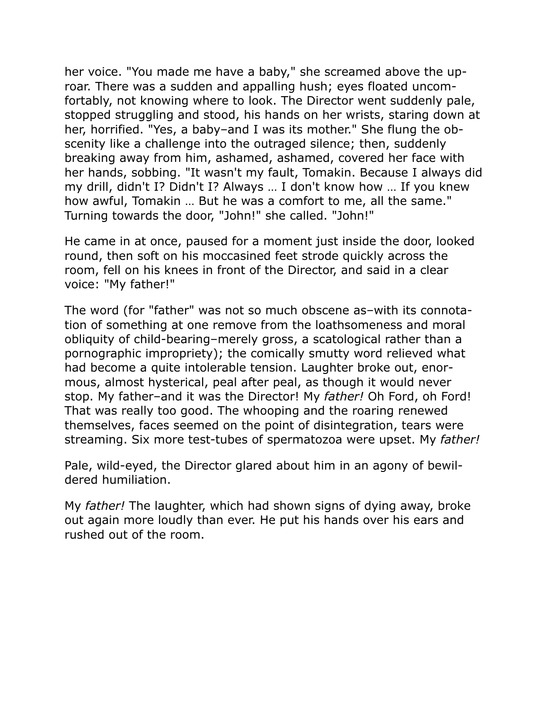her voice. "You made me have a baby," she screamed above the uproar. There was a sudden and appalling hush; eyes floated uncomfortably, not knowing where to look. The Director went suddenly pale, stopped struggling and stood, his hands on her wrists, staring down at her, horrified. "Yes, a baby–and I was its mother." She flung the obscenity like a challenge into the outraged silence; then, suddenly breaking away from him, ashamed, ashamed, covered her face with her hands, sobbing. "It wasn't my fault, Tomakin. Because I always did my drill, didn't I? Didn't I? Always … I don't know how … If you knew how awful, Tomakin … But he was a comfort to me, all the same." Turning towards the door, "John!" she called. "John!"

He came in at once, paused for a moment just inside the door, looked round, then soft on his moccasined feet strode quickly across the room, fell on his knees in front of the Director, and said in a clear voice: "My father!"

The word (for "father" was not so much obscene as–with its connotation of something at one remove from the loathsomeness and moral obliquity of child-bearing–merely gross, a scatological rather than a pornographic impropriety); the comically smutty word relieved what had become a quite intolerable tension. Laughter broke out, enormous, almost hysterical, peal after peal, as though it would never stop. My father–and it was the Director! My *father!* Oh Ford, oh Ford! That was really too good. The whooping and the roaring renewed themselves, faces seemed on the point of disintegration, tears were streaming. Six more test-tubes of spermatozoa were upset. My *father!*

Pale, wild-eyed, the Director glared about him in an agony of bewildered humiliation.

My *father!* The laughter, which had shown signs of dying away, broke out again more loudly than ever. He put his hands over his ears and rushed out of the room.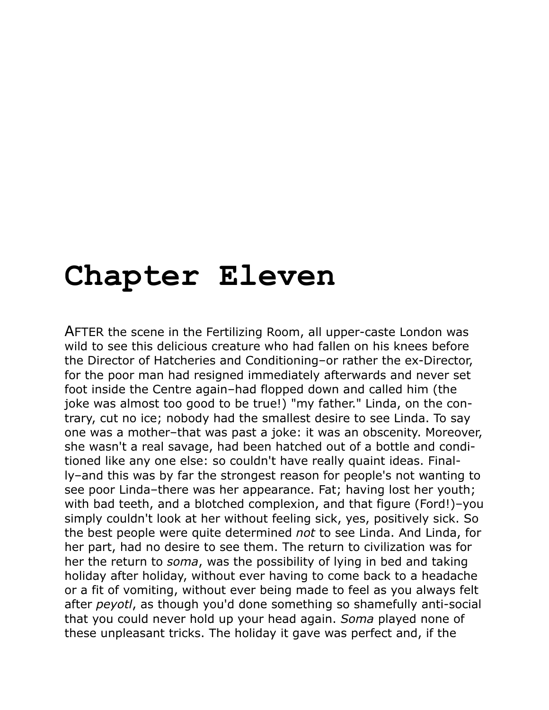### **Chapter Eleven**

AFTER the scene in the Fertilizing Room, all upper-caste London was wild to see this delicious creature who had fallen on his knees before the Director of Hatcheries and Conditioning–or rather the ex-Director, for the poor man had resigned immediately afterwards and never set foot inside the Centre again–had flopped down and called him (the joke was almost too good to be true!) "my father." Linda, on the contrary, cut no ice; nobody had the smallest desire to see Linda. To say one was a mother–that was past a joke: it was an obscenity. Moreover, she wasn't a real savage, had been hatched out of a bottle and conditioned like any one else: so couldn't have really quaint ideas. Finally–and this was by far the strongest reason for people's not wanting to see poor Linda–there was her appearance. Fat; having lost her youth; with bad teeth, and a blotched complexion, and that figure (Ford!)–you simply couldn't look at her without feeling sick, yes, positively sick. So the best people were quite determined *not* to see Linda. And Linda, for her part, had no desire to see them. The return to civilization was for her the return to *soma*, was the possibility of lying in bed and taking holiday after holiday, without ever having to come back to a headache or a fit of vomiting, without ever being made to feel as you always felt after *peyotl*, as though you'd done something so shamefully anti-social that you could never hold up your head again. *Soma* played none of these unpleasant tricks. The holiday it gave was perfect and, if the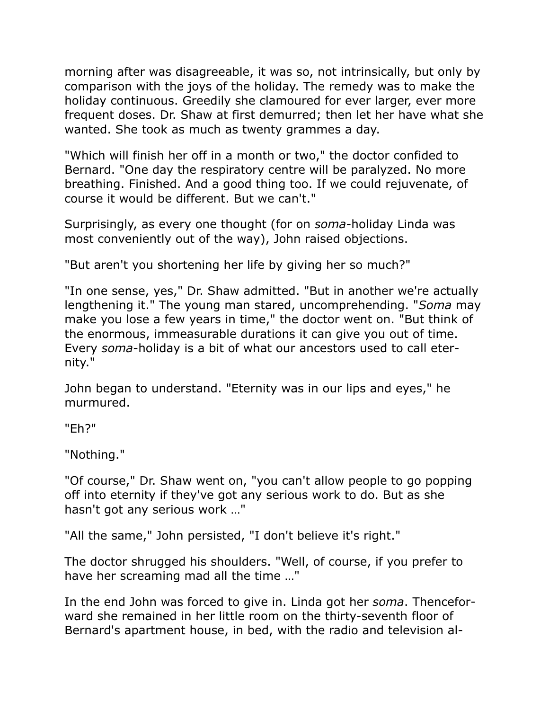morning after was disagreeable, it was so, not intrinsically, but only by comparison with the joys of the holiday. The remedy was to make the holiday continuous. Greedily she clamoured for ever larger, ever more frequent doses. Dr. Shaw at first demurred; then let her have what she wanted. She took as much as twenty grammes a day.

"Which will finish her off in a month or two," the doctor confided to Bernard. "One day the respiratory centre will be paralyzed. No more breathing. Finished. And a good thing too. If we could rejuvenate, of course it would be different. But we can't."

Surprisingly, as every one thought (for on *soma*-holiday Linda was most conveniently out of the way), John raised objections.

"But aren't you shortening her life by giving her so much?"

"In one sense, yes," Dr. Shaw admitted. "But in another we're actually lengthening it." The young man stared, uncomprehending. "*Soma* may make you lose a few years in time," the doctor went on. "But think of the enormous, immeasurable durations it can give you out of time. Every *soma*-holiday is a bit of what our ancestors used to call eternity."

John began to understand. "Eternity was in our lips and eyes," he murmured.

"Eh?"

"Nothing."

"Of course," Dr. Shaw went on, "you can't allow people to go popping off into eternity if they've got any serious work to do. But as she hasn't got any serious work …"

"All the same," John persisted, "I don't believe it's right."

The doctor shrugged his shoulders. "Well, of course, if you prefer to have her screaming mad all the time …"

In the end John was forced to give in. Linda got her *soma*. Thenceforward she remained in her little room on the thirty-seventh floor of Bernard's apartment house, in bed, with the radio and television al-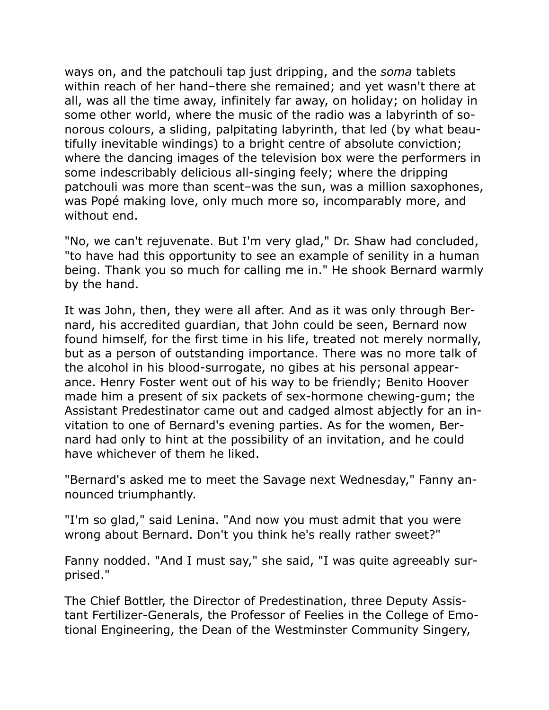ways on, and the patchouli tap just dripping, and the *soma* tablets within reach of her hand–there she remained; and yet wasn't there at all, was all the time away, infinitely far away, on holiday; on holiday in some other world, where the music of the radio was a labyrinth of sonorous colours, a sliding, palpitating labyrinth, that led (by what beautifully inevitable windings) to a bright centre of absolute conviction; where the dancing images of the television box were the performers in some indescribably delicious all-singing feely; where the dripping patchouli was more than scent–was the sun, was a million saxophones, was Popé making love, only much more so, incomparably more, and without end.

"No, we can't rejuvenate. But I'm very glad," Dr. Shaw had concluded, "to have had this opportunity to see an example of senility in a human being. Thank you so much for calling me in." He shook Bernard warmly by the hand.

It was John, then, they were all after. And as it was only through Bernard, his accredited guardian, that John could be seen, Bernard now found himself, for the first time in his life, treated not merely normally, but as a person of outstanding importance. There was no more talk of the alcohol in his blood-surrogate, no gibes at his personal appearance. Henry Foster went out of his way to be friendly; Benito Hoover made him a present of six packets of sex-hormone chewing-gum; the Assistant Predestinator came out and cadged almost abjectly for an invitation to one of Bernard's evening parties. As for the women, Bernard had only to hint at the possibility of an invitation, and he could have whichever of them he liked.

"Bernard's asked me to meet the Savage next Wednesday," Fanny announced triumphantly.

"I'm so glad," said Lenina. "And now you must admit that you were wrong about Bernard. Don't you think he's really rather sweet?"

Fanny nodded. "And I must say," she said, "I was quite agreeably surprised."

The Chief Bottler, the Director of Predestination, three Deputy Assistant Fertilizer-Generals, the Professor of Feelies in the College of Emotional Engineering, the Dean of the Westminster Community Singery,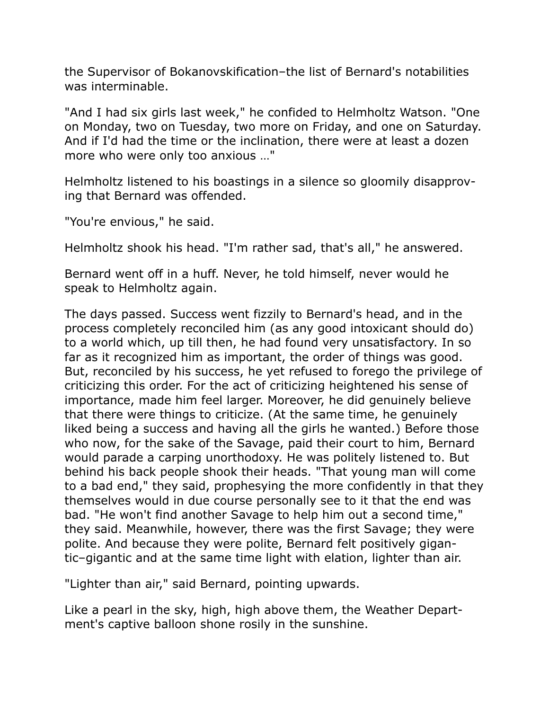the Supervisor of Bokanovskification–the list of Bernard's notabilities was interminable.

"And I had six girls last week," he confided to Helmholtz Watson. "One on Monday, two on Tuesday, two more on Friday, and one on Saturday. And if I'd had the time or the inclination, there were at least a dozen more who were only too anxious …"

Helmholtz listened to his boastings in a silence so gloomily disapproving that Bernard was offended.

"You're envious," he said.

Helmholtz shook his head. "I'm rather sad, that's all," he answered.

Bernard went off in a huff. Never, he told himself, never would he speak to Helmholtz again.

The days passed. Success went fizzily to Bernard's head, and in the process completely reconciled him (as any good intoxicant should do) to a world which, up till then, he had found very unsatisfactory. In so far as it recognized him as important, the order of things was good. But, reconciled by his success, he yet refused to forego the privilege of criticizing this order. For the act of criticizing heightened his sense of importance, made him feel larger. Moreover, he did genuinely believe that there were things to criticize. (At the same time, he genuinely liked being a success and having all the girls he wanted.) Before those who now, for the sake of the Savage, paid their court to him, Bernard would parade a carping unorthodoxy. He was politely listened to. But behind his back people shook their heads. "That young man will come to a bad end," they said, prophesying the more confidently in that they themselves would in due course personally see to it that the end was bad. "He won't find another Savage to help him out a second time," they said. Meanwhile, however, there was the first Savage; they were polite. And because they were polite, Bernard felt positively gigantic–gigantic and at the same time light with elation, lighter than air.

"Lighter than air," said Bernard, pointing upwards.

Like a pearl in the sky, high, high above them, the Weather Department's captive balloon shone rosily in the sunshine.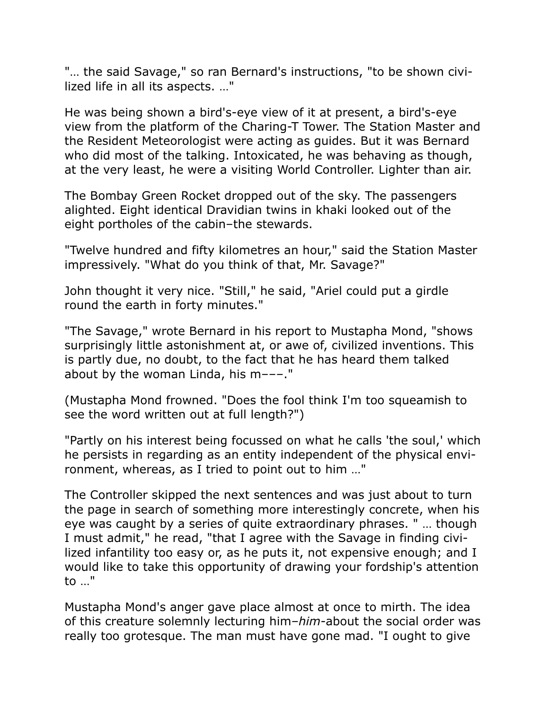"… the said Savage," so ran Bernard's instructions, "to be shown civilized life in all its aspects. …"

He was being shown a bird's-eye view of it at present, a bird's-eye view from the platform of the Charing-T Tower. The Station Master and the Resident Meteorologist were acting as guides. But it was Bernard who did most of the talking. Intoxicated, he was behaving as though, at the very least, he were a visiting World Controller. Lighter than air.

The Bombay Green Rocket dropped out of the sky. The passengers alighted. Eight identical Dravidian twins in khaki looked out of the eight portholes of the cabin–the stewards.

"Twelve hundred and fifty kilometres an hour," said the Station Master impressively. "What do you think of that, Mr. Savage?"

John thought it very nice. "Still," he said, "Ariel could put a girdle round the earth in forty minutes."

"The Savage," wrote Bernard in his report to Mustapha Mond, "shows surprisingly little astonishment at, or awe of, civilized inventions. This is partly due, no doubt, to the fact that he has heard them talked about by the woman Linda, his m–––."

(Mustapha Mond frowned. "Does the fool think I'm too squeamish to see the word written out at full length?")

"Partly on his interest being focussed on what he calls 'the soul,' which he persists in regarding as an entity independent of the physical environment, whereas, as I tried to point out to him …"

The Controller skipped the next sentences and was just about to turn the page in search of something more interestingly concrete, when his eye was caught by a series of quite extraordinary phrases. " … though I must admit," he read, "that I agree with the Savage in finding civilized infantility too easy or, as he puts it, not expensive enough; and I would like to take this opportunity of drawing your fordship's attention to …"

Mustapha Mond's anger gave place almost at once to mirth. The idea of this creature solemnly lecturing him–*him*-about the social order was really too grotesque. The man must have gone mad. "I ought to give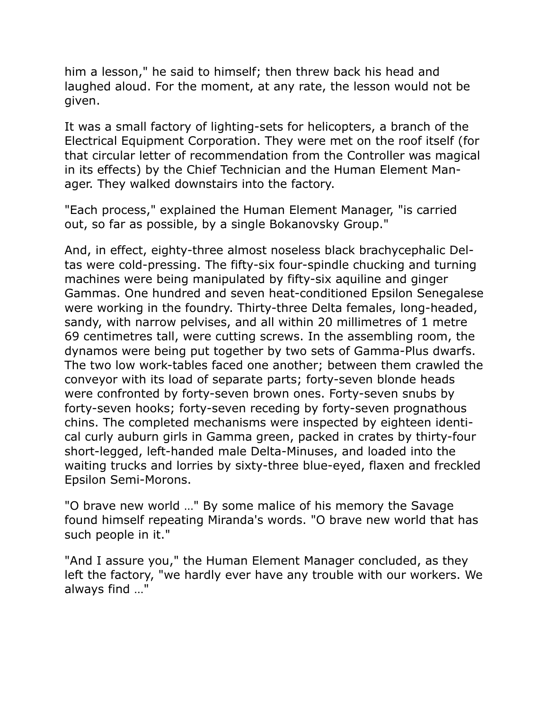him a lesson," he said to himself; then threw back his head and laughed aloud. For the moment, at any rate, the lesson would not be given.

It was a small factory of lighting-sets for helicopters, a branch of the Electrical Equipment Corporation. They were met on the roof itself (for that circular letter of recommendation from the Controller was magical in its effects) by the Chief Technician and the Human Element Manager. They walked downstairs into the factory.

"Each process," explained the Human Element Manager, "is carried out, so far as possible, by a single Bokanovsky Group."

And, in effect, eighty-three almost noseless black brachycephalic Deltas were cold-pressing. The fifty-six four-spindle chucking and turning machines were being manipulated by fifty-six aquiline and ginger Gammas. One hundred and seven heat-conditioned Epsilon Senegalese were working in the foundry. Thirty-three Delta females, long-headed, sandy, with narrow pelvises, and all within 20 millimetres of 1 metre 69 centimetres tall, were cutting screws. In the assembling room, the dynamos were being put together by two sets of Gamma-Plus dwarfs. The two low work-tables faced one another; between them crawled the conveyor with its load of separate parts; forty-seven blonde heads were confronted by forty-seven brown ones. Forty-seven snubs by forty-seven hooks; forty-seven receding by forty-seven prognathous chins. The completed mechanisms were inspected by eighteen identical curly auburn girls in Gamma green, packed in crates by thirty-four short-legged, left-handed male Delta-Minuses, and loaded into the waiting trucks and lorries by sixty-three blue-eyed, flaxen and freckled Epsilon Semi-Morons.

"O brave new world …" By some malice of his memory the Savage found himself repeating Miranda's words. "O brave new world that has such people in it."

"And I assure you," the Human Element Manager concluded, as they left the factory, "we hardly ever have any trouble with our workers. We always find …"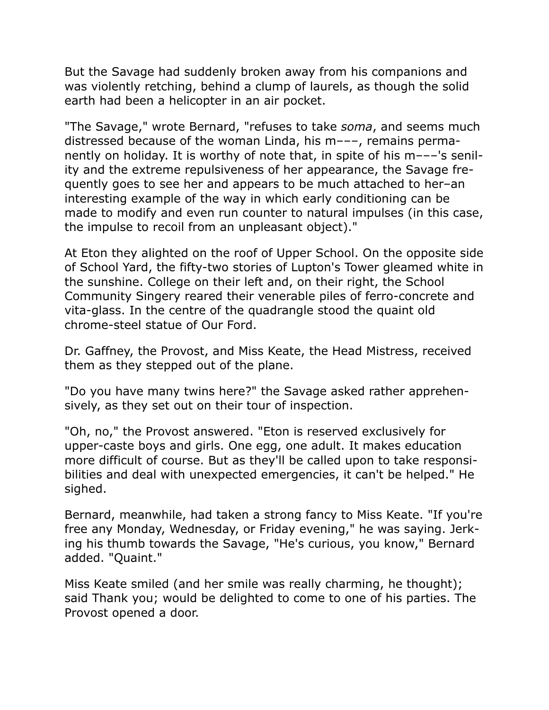But the Savage had suddenly broken away from his companions and was violently retching, behind a clump of laurels, as though the solid earth had been a helicopter in an air pocket.

"The Savage," wrote Bernard, "refuses to take *soma*, and seems much distressed because of the woman Linda, his m–––, remains permanently on holiday. It is worthy of note that, in spite of his m–––'s senility and the extreme repulsiveness of her appearance, the Savage frequently goes to see her and appears to be much attached to her–an interesting example of the way in which early conditioning can be made to modify and even run counter to natural impulses (in this case, the impulse to recoil from an unpleasant object)."

At Eton they alighted on the roof of Upper School. On the opposite side of School Yard, the fifty-two stories of Lupton's Tower gleamed white in the sunshine. College on their left and, on their right, the School Community Singery reared their venerable piles of ferro-concrete and vita-glass. In the centre of the quadrangle stood the quaint old chrome-steel statue of Our Ford.

Dr. Gaffney, the Provost, and Miss Keate, the Head Mistress, received them as they stepped out of the plane.

"Do you have many twins here?" the Savage asked rather apprehensively, as they set out on their tour of inspection.

"Oh, no," the Provost answered. "Eton is reserved exclusively for upper-caste boys and girls. One egg, one adult. It makes education more difficult of course. But as they'll be called upon to take responsibilities and deal with unexpected emergencies, it can't be helped." He sighed.

Bernard, meanwhile, had taken a strong fancy to Miss Keate. "If you're free any Monday, Wednesday, or Friday evening," he was saying. Jerking his thumb towards the Savage, "He's curious, you know," Bernard added. "Quaint."

Miss Keate smiled (and her smile was really charming, he thought); said Thank you; would be delighted to come to one of his parties. The Provost opened a door.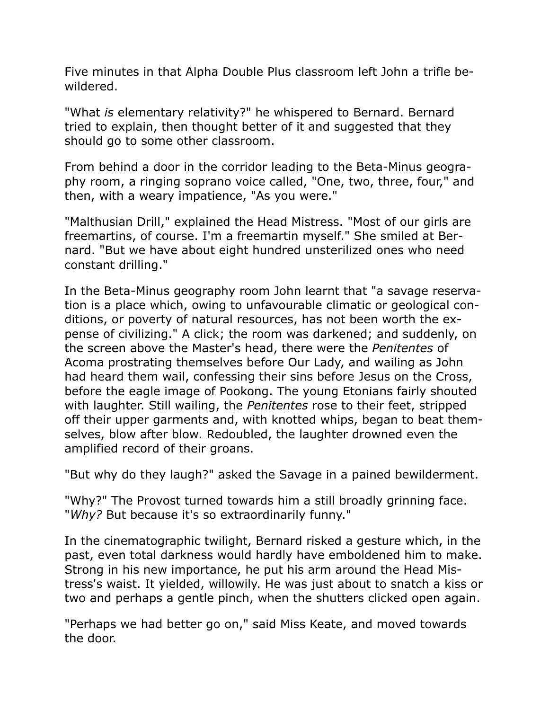Five minutes in that Alpha Double Plus classroom left John a trifle bewildered.

"What *is* elementary relativity?" he whispered to Bernard. Bernard tried to explain, then thought better of it and suggested that they should go to some other classroom.

From behind a door in the corridor leading to the Beta-Minus geography room, a ringing soprano voice called, "One, two, three, four," and then, with a weary impatience, "As you were."

"Malthusian Drill," explained the Head Mistress. "Most of our girls are freemartins, of course. I'm a freemartin myself." She smiled at Bernard. "But we have about eight hundred unsterilized ones who need constant drilling."

In the Beta-Minus geography room John learnt that "a savage reservation is a place which, owing to unfavourable climatic or geological conditions, or poverty of natural resources, has not been worth the expense of civilizing." A click; the room was darkened; and suddenly, on the screen above the Master's head, there were the *Penitentes* of Acoma prostrating themselves before Our Lady, and wailing as John had heard them wail, confessing their sins before Jesus on the Cross, before the eagle image of Pookong. The young Etonians fairly shouted with laughter. Still wailing, the *Penitentes* rose to their feet, stripped off their upper garments and, with knotted whips, began to beat themselves, blow after blow. Redoubled, the laughter drowned even the amplified record of their groans.

"But why do they laugh?" asked the Savage in a pained bewilderment.

"Why?" The Provost turned towards him a still broadly grinning face. "*Why?* But because it's so extraordinarily funny."

In the cinematographic twilight, Bernard risked a gesture which, in the past, even total darkness would hardly have emboldened him to make. Strong in his new importance, he put his arm around the Head Mistress's waist. It yielded, willowily. He was just about to snatch a kiss or two and perhaps a gentle pinch, when the shutters clicked open again.

"Perhaps we had better go on," said Miss Keate, and moved towards the door.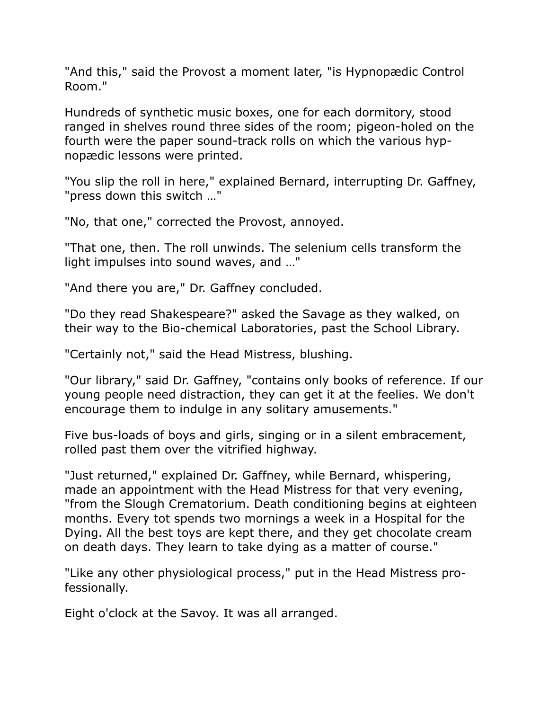"And this," said the Provost a moment later, "is Hypnopædic Control Room."

Hundreds of synthetic music boxes, one for each dormitory, stood ranged in shelves round three sides of the room; pigeon-holed on the fourth were the paper sound-track rolls on which the various hypnopædic lessons were printed.

"You slip the roll in here," explained Bernard, interrupting Dr. Gaffney, "press down this switch …"

"No, that one," corrected the Provost, annoyed.

"That one, then. The roll unwinds. The selenium cells transform the light impulses into sound waves, and …"

"And there you are," Dr. Gaffney concluded.

"Do they read Shakespeare?" asked the Savage as they walked, on their way to the Bio-chemical Laboratories, past the School Library.

"Certainly not," said the Head Mistress, blushing.

"Our library," said Dr. Gaffney, "contains only books of reference. If our young people need distraction, they can get it at the feelies. We don't encourage them to indulge in any solitary amusements."

Five bus-loads of boys and girls, singing or in a silent embracement, rolled past them over the vitrified highway.

"Just returned," explained Dr. Gaffney, while Bernard, whispering, made an appointment with the Head Mistress for that very evening, "from the Slough Crematorium. Death conditioning begins at eighteen months. Every tot spends two mornings a week in a Hospital for the Dying. All the best toys are kept there, and they get chocolate cream on death days. They learn to take dying as a matter of course."

"Like any other physiological process," put in the Head Mistress professionally.

Eight o'clock at the Savoy. It was all arranged.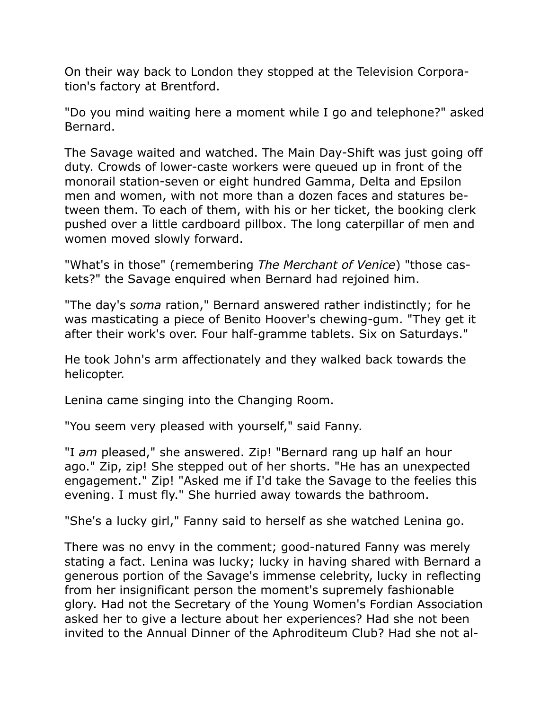On their way back to London they stopped at the Television Corporation's factory at Brentford.

"Do you mind waiting here a moment while I go and telephone?" asked Bernard.

The Savage waited and watched. The Main Day-Shift was just going off duty. Crowds of lower-caste workers were queued up in front of the monorail station-seven or eight hundred Gamma, Delta and Epsilon men and women, with not more than a dozen faces and statures between them. To each of them, with his or her ticket, the booking clerk pushed over a little cardboard pillbox. The long caterpillar of men and women moved slowly forward.

"What's in those" (remembering *The Merchant of Venice*) "those caskets?" the Savage enquired when Bernard had rejoined him.

"The day's *soma* ration," Bernard answered rather indistinctly; for he was masticating a piece of Benito Hoover's chewing-gum. "They get it after their work's over. Four half-gramme tablets. Six on Saturdays."

He took John's arm affectionately and they walked back towards the helicopter.

Lenina came singing into the Changing Room.

"You seem very pleased with yourself," said Fanny.

"I *am* pleased," she answered. Zip! "Bernard rang up half an hour ago." Zip, zip! She stepped out of her shorts. "He has an unexpected engagement." Zip! "Asked me if I'd take the Savage to the feelies this evening. I must fly." She hurried away towards the bathroom.

"She's a lucky girl," Fanny said to herself as she watched Lenina go.

There was no envy in the comment; good-natured Fanny was merely stating a fact. Lenina was lucky; lucky in having shared with Bernard a generous portion of the Savage's immense celebrity, lucky in reflecting from her insignificant person the moment's supremely fashionable glory. Had not the Secretary of the Young Women's Fordian Association asked her to give a lecture about her experiences? Had she not been invited to the Annual Dinner of the Aphroditeum Club? Had she not al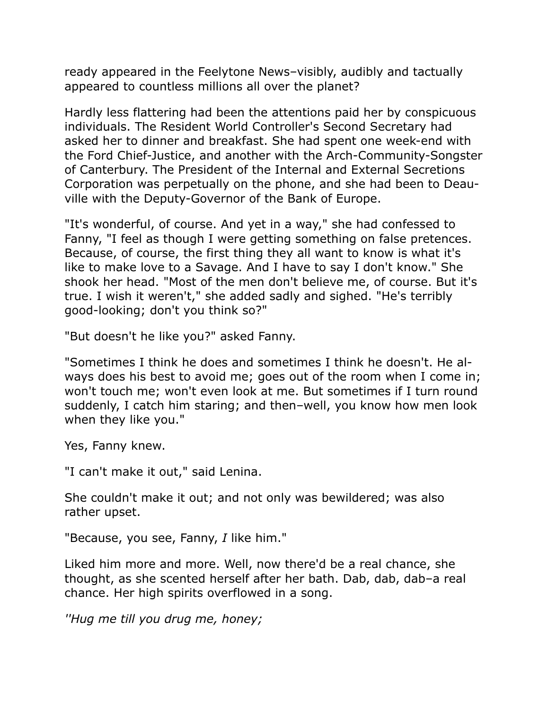ready appeared in the Feelytone News–visibly, audibly and tactually appeared to countless millions all over the planet?

Hardly less flattering had been the attentions paid her by conspicuous individuals. The Resident World Controller's Second Secretary had asked her to dinner and breakfast. She had spent one week-end with the Ford Chief-Justice, and another with the Arch-Community-Songster of Canterbury. The President of the Internal and External Secretions Corporation was perpetually on the phone, and she had been to Deauville with the Deputy-Governor of the Bank of Europe.

"It's wonderful, of course. And yet in a way," she had confessed to Fanny, "I feel as though I were getting something on false pretences. Because, of course, the first thing they all want to know is what it's like to make love to a Savage. And I have to say I don't know." She shook her head. "Most of the men don't believe me, of course. But it's true. I wish it weren't," she added sadly and sighed. "He's terribly good-looking; don't you think so?"

"But doesn't he like you?" asked Fanny.

"Sometimes I think he does and sometimes I think he doesn't. He always does his best to avoid me; goes out of the room when I come in; won't touch me; won't even look at me. But sometimes if I turn round suddenly, I catch him staring; and then–well, you know how men look when they like you."

Yes, Fanny knew.

"I can't make it out," said Lenina.

She couldn't make it out; and not only was bewildered; was also rather upset.

"Because, you see, Fanny, *I* like him."

Liked him more and more. Well, now there'd be a real chance, she thought, as she scented herself after her bath. Dab, dab, dab–a real chance. Her high spirits overflowed in a song.

*''Hug me till you drug me, honey;*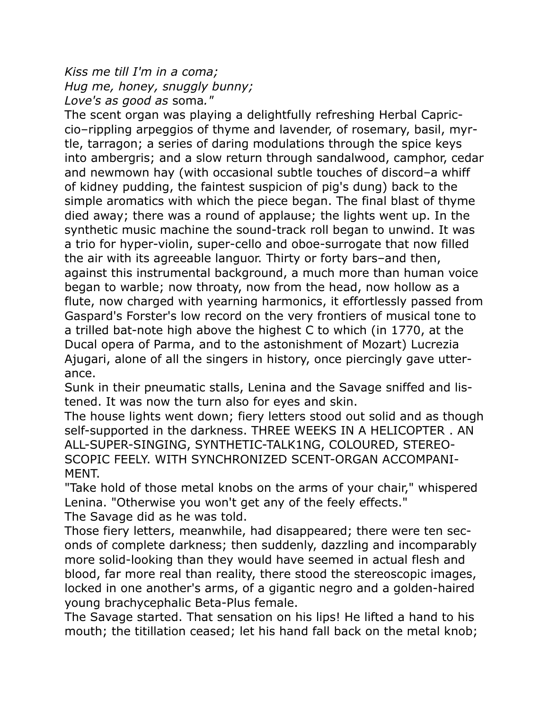*Kiss me till I'm in a coma; Hug me, honey, snuggly bunny; Love's as good as* soma*."*

The scent organ was playing a delightfully refreshing Herbal Capriccio–rippling arpeggios of thyme and lavender, of rosemary, basil, myrtle, tarragon; a series of daring modulations through the spice keys into ambergris; and a slow return through sandalwood, camphor, cedar and newmown hay (with occasional subtle touches of discord–a whiff of kidney pudding, the faintest suspicion of pig's dung) back to the simple aromatics with which the piece began. The final blast of thyme died away; there was a round of applause; the lights went up. In the synthetic music machine the sound-track roll began to unwind. It was a trio for hyper-violin, super-cello and oboe-surrogate that now filled the air with its agreeable languor. Thirty or forty bars–and then, against this instrumental background, a much more than human voice began to warble; now throaty, now from the head, now hollow as a flute, now charged with yearning harmonics, it effortlessly passed from Gaspard's Forster's low record on the very frontiers of musical tone to a trilled bat-note high above the highest C to which (in 1770, at the Ducal opera of Parma, and to the astonishment of Mozart) Lucrezia Ajugari, alone of all the singers in history, once piercingly gave utterance.

Sunk in their pneumatic stalls, Lenina and the Savage sniffed and listened. It was now the turn also for eyes and skin.

The house lights went down; fiery letters stood out solid and as though self-supported in the darkness. THREE WEEKS IN A HELICOPTER . AN ALL-SUPER-SINGING, SYNTHETIC-TALK1NG, COLOURED, STEREO-SCOPIC FEELY. WITH SYNCHRONIZED SCENT-ORGAN ACCOMPANI-MENT.

"Take hold of those metal knobs on the arms of your chair," whispered Lenina. "Otherwise you won't get any of the feely effects."

The Savage did as he was told.

Those fiery letters, meanwhile, had disappeared; there were ten seconds of complete darkness; then suddenly, dazzling and incomparably more solid-looking than they would have seemed in actual flesh and blood, far more real than reality, there stood the stereoscopic images, locked in one another's arms, of a gigantic negro and a golden-haired young brachycephalic Beta-Plus female.

The Savage started. That sensation on his lips! He lifted a hand to his mouth; the titillation ceased; let his hand fall back on the metal knob;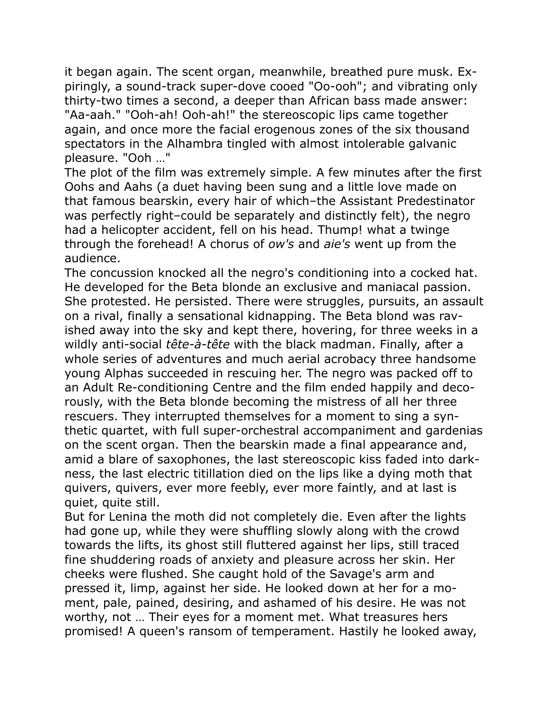it began again. The scent organ, meanwhile, breathed pure musk. Expiringly, a sound-track super-dove cooed "Oo-ooh"; and vibrating only thirty-two times a second, a deeper than African bass made answer: "Aa-aah." "Ooh-ah! Ooh-ah!" the stereoscopic lips came together again, and once more the facial erogenous zones of the six thousand spectators in the Alhambra tingled with almost intolerable galvanic pleasure. "Ooh …"

The plot of the film was extremely simple. A few minutes after the first Oohs and Aahs (a duet having been sung and a little love made on that famous bearskin, every hair of which–the Assistant Predestinator was perfectly right–could be separately and distinctly felt), the negro had a helicopter accident, fell on his head. Thump! what a twinge through the forehead! A chorus of *ow's* and *aie's* went up from the audience.

The concussion knocked all the negro's conditioning into a cocked hat. He developed for the Beta blonde an exclusive and maniacal passion. She protested. He persisted. There were struggles, pursuits, an assault on a rival, finally a sensational kidnapping. The Beta blond was ravished away into the sky and kept there, hovering, for three weeks in a wildly anti-social *tête-à-tête* with the black madman. Finally, after a whole series of adventures and much aerial acrobacy three handsome young Alphas succeeded in rescuing her. The negro was packed off to an Adult Re-conditioning Centre and the film ended happily and decorously, with the Beta blonde becoming the mistress of all her three rescuers. They interrupted themselves for a moment to sing a synthetic quartet, with full super-orchestral accompaniment and gardenias on the scent organ. Then the bearskin made a final appearance and, amid a blare of saxophones, the last stereoscopic kiss faded into darkness, the last electric titillation died on the lips like a dying moth that quivers, quivers, ever more feebly, ever more faintly, and at last is quiet, quite still.

But for Lenina the moth did not completely die. Even after the lights had gone up, while they were shuffling slowly along with the crowd towards the lifts, its ghost still fluttered against her lips, still traced fine shuddering roads of anxiety and pleasure across her skin. Her cheeks were flushed. She caught hold of the Savage's arm and pressed it, limp, against her side. He looked down at her for a moment, pale, pained, desiring, and ashamed of his desire. He was not worthy, not … Their eyes for a moment met. What treasures hers promised! A queen's ransom of temperament. Hastily he looked away,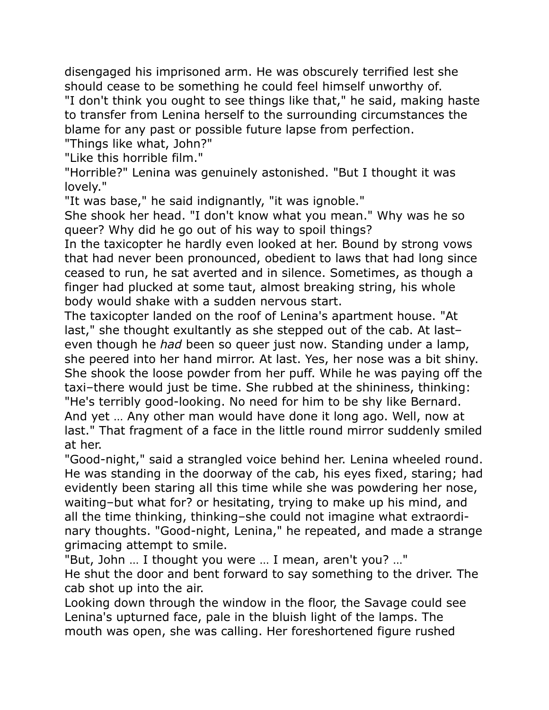disengaged his imprisoned arm. He was obscurely terrified lest she should cease to be something he could feel himself unworthy of. "I don't think you ought to see things like that," he said, making haste to transfer from Lenina herself to the surrounding circumstances the blame for any past or possible future lapse from perfection. "Things like what, John?"

"Like this horrible film."

"Horrible?" Lenina was genuinely astonished. "But I thought it was lovely."

"It was base," he said indignantly, "it was ignoble."

She shook her head. "I don't know what you mean." Why was he so queer? Why did he go out of his way to spoil things?

In the taxicopter he hardly even looked at her. Bound by strong vows that had never been pronounced, obedient to laws that had long since ceased to run, he sat averted and in silence. Sometimes, as though a finger had plucked at some taut, almost breaking string, his whole body would shake with a sudden nervous start.

The taxicopter landed on the roof of Lenina's apartment house. "At last," she thought exultantly as she stepped out of the cab. At last– even though he *had* been so queer just now. Standing under a lamp, she peered into her hand mirror. At last. Yes, her nose was a bit shiny. She shook the loose powder from her puff. While he was paying off the taxi–there would just be time. She rubbed at the shininess, thinking: "He's terribly good-looking. No need for him to be shy like Bernard. And yet … Any other man would have done it long ago. Well, now at last." That fragment of a face in the little round mirror suddenly smiled at her.

"Good-night," said a strangled voice behind her. Lenina wheeled round. He was standing in the doorway of the cab, his eyes fixed, staring; had evidently been staring all this time while she was powdering her nose, waiting–but what for? or hesitating, trying to make up his mind, and all the time thinking, thinking–she could not imagine what extraordinary thoughts. "Good-night, Lenina," he repeated, and made a strange grimacing attempt to smile.

"But, John … I thought you were … I mean, aren't you? …" He shut the door and bent forward to say something to the driver. The cab shot up into the air.

Looking down through the window in the floor, the Savage could see Lenina's upturned face, pale in the bluish light of the lamps. The mouth was open, she was calling. Her foreshortened figure rushed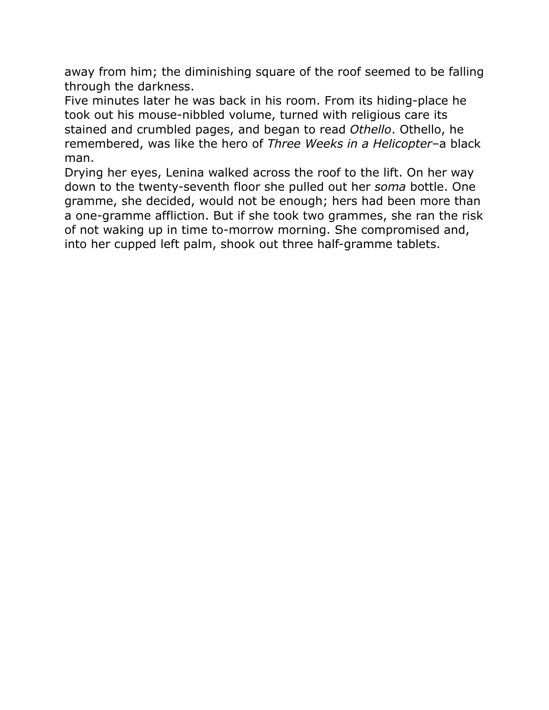away from him; the diminishing square of the roof seemed to be falling through the darkness.

Five minutes later he was back in his room. From its hiding-place he took out his mouse-nibbled volume, turned with religious care its stained and crumbled pages, and began to read *Othello*. Othello, he remembered, was like the hero of *Three Weeks in a Helicopter*–a black man.

Drying her eyes, Lenina walked across the roof to the lift. On her way down to the twenty-seventh floor she pulled out her *soma* bottle. One gramme, she decided, would not be enough; hers had been more than a one-gramme affliction. But if she took two grammes, she ran the risk of not waking up in time to-morrow morning. She compromised and, into her cupped left palm, shook out three half-gramme tablets.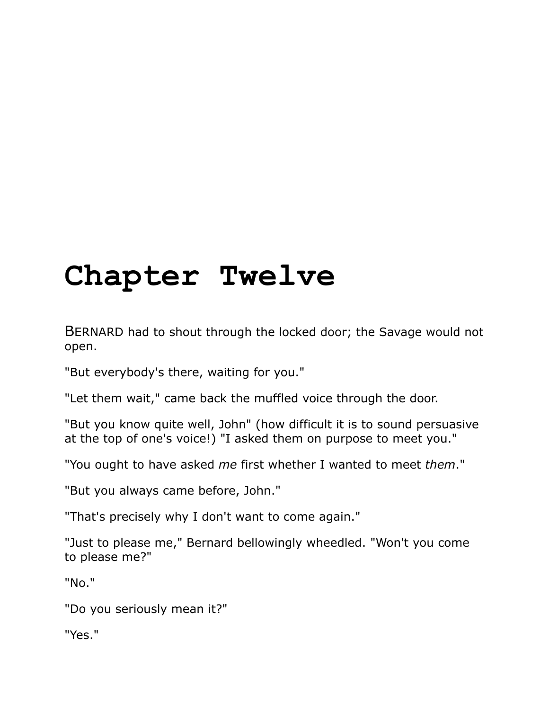## **Chapter Twelve**

BERNARD had to shout through the locked door; the Savage would not open.

"But everybody's there, waiting for you."

"Let them wait," came back the muffled voice through the door.

"But you know quite well, John" (how difficult it is to sound persuasive at the top of one's voice!) "I asked them on purpose to meet you."

"You ought to have asked *me* first whether I wanted to meet *them*."

"But you always came before, John."

"That's precisely why I don't want to come again."

"Just to please me," Bernard bellowingly wheedled. "Won't you come to please me?"

"No."

"Do you seriously mean it?"

"Yes."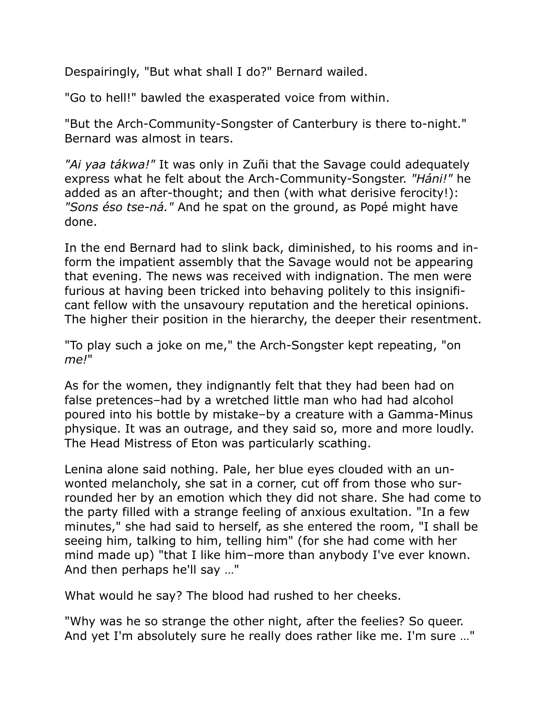Despairingly, "But what shall I do?" Bernard wailed.

"Go to hell!" bawled the exasperated voice from within.

"But the Arch-Community-Songster of Canterbury is there to-night." Bernard was almost in tears.

*"Ai yaa tákwa!"* It was only in Zuñi that the Savage could adequately express what he felt about the Arch-Community-Songster. *"Háni!"* he added as an after-thought; and then (with what derisive ferocity!): *"Sons éso tse-ná."* And he spat on the ground, as Popé might have done.

In the end Bernard had to slink back, diminished, to his rooms and inform the impatient assembly that the Savage would not be appearing that evening. The news was received with indignation. The men were furious at having been tricked into behaving politely to this insignificant fellow with the unsavoury reputation and the heretical opinions. The higher their position in the hierarchy, the deeper their resentment.

"To play such a joke on me," the Arch-Songster kept repeating, "on *me!*"

As for the women, they indignantly felt that they had been had on false pretences–had by a wretched little man who had had alcohol poured into his bottle by mistake–by a creature with a Gamma-Minus physique. It was an outrage, and they said so, more and more loudly. The Head Mistress of Eton was particularly scathing.

Lenina alone said nothing. Pale, her blue eyes clouded with an unwonted melancholy, she sat in a corner, cut off from those who surrounded her by an emotion which they did not share. She had come to the party filled with a strange feeling of anxious exultation. "In a few minutes," she had said to herself, as she entered the room, "I shall be seeing him, talking to him, telling him" (for she had come with her mind made up) "that I like him–more than anybody I've ever known. And then perhaps he'll say …"

What would he say? The blood had rushed to her cheeks.

"Why was he so strange the other night, after the feelies? So queer. And yet I'm absolutely sure he really does rather like me. I'm sure …"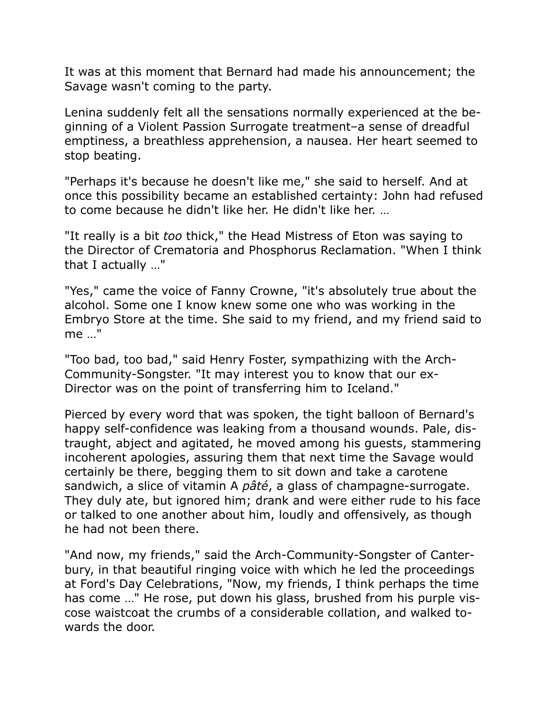It was at this moment that Bernard had made his announcement; the Savage wasn't coming to the party.

Lenina suddenly felt all the sensations normally experienced at the beginning of a Violent Passion Surrogate treatment–a sense of dreadful emptiness, a breathless apprehension, a nausea. Her heart seemed to stop beating.

"Perhaps it's because he doesn't like me," she said to herself. And at once this possibility became an established certainty: John had refused to come because he didn't like her. He didn't like her. …

"It really is a bit *too* thick," the Head Mistress of Eton was saying to the Director of Crematoria and Phosphorus Reclamation. "When I think that I actually …"

"Yes," came the voice of Fanny Crowne, "it's absolutely true about the alcohol. Some one I know knew some one who was working in the Embryo Store at the time. She said to my friend, and my friend said to me …"

"Too bad, too bad," said Henry Foster, sympathizing with the Arch-Community-Songster. "It may interest you to know that our ex-Director was on the point of transferring him to Iceland."

Pierced by every word that was spoken, the tight balloon of Bernard's happy self-confidence was leaking from a thousand wounds. Pale, distraught, abject and agitated, he moved among his guests, stammering incoherent apologies, assuring them that next time the Savage would certainly be there, begging them to sit down and take a carotene sandwich, a slice of vitamin A *pâté*, a glass of champagne-surrogate. They duly ate, but ignored him; drank and were either rude to his face or talked to one another about him, loudly and offensively, as though he had not been there.

"And now, my friends," said the Arch-Community-Songster of Canterbury, in that beautiful ringing voice with which he led the proceedings at Ford's Day Celebrations, "Now, my friends, I think perhaps the time has come …" He rose, put down his glass, brushed from his purple viscose waistcoat the crumbs of a considerable collation, and walked towards the door.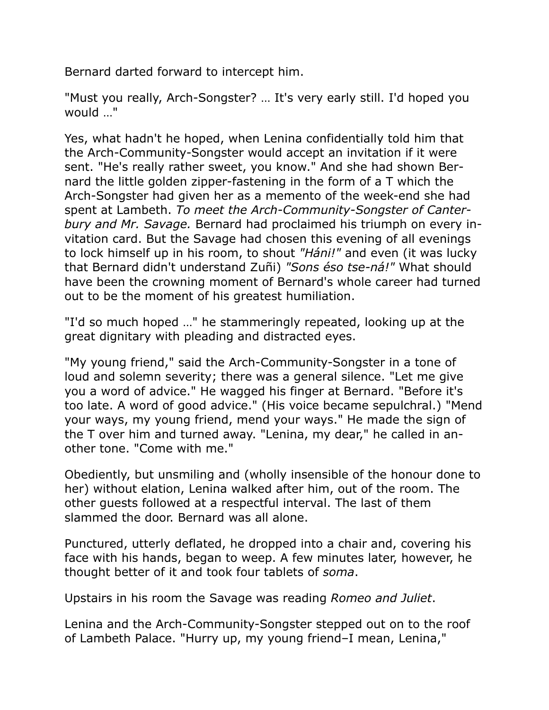Bernard darted forward to intercept him.

"Must you really, Arch-Songster? … It's very early still. I'd hoped you would …"

Yes, what hadn't he hoped, when Lenina confidentially told him that the Arch-Community-Songster would accept an invitation if it were sent. "He's really rather sweet, you know." And she had shown Bernard the little golden zipper-fastening in the form of a T which the Arch-Songster had given her as a memento of the week-end she had spent at Lambeth. *To meet the Arch-Community-Songster of Canterbury and Mr. Savage.* Bernard had proclaimed his triumph on every invitation card. But the Savage had chosen this evening of all evenings to lock himself up in his room, to shout *"Háni!"* and even (it was lucky that Bernard didn't understand Zuñi) *"Sons éso tse-ná!"* What should have been the crowning moment of Bernard's whole career had turned out to be the moment of his greatest humiliation.

"I'd so much hoped …" he stammeringly repeated, looking up at the great dignitary with pleading and distracted eyes.

"My young friend," said the Arch-Community-Songster in a tone of loud and solemn severity; there was a general silence. "Let me give you a word of advice." He wagged his finger at Bernard. "Before it's too late. A word of good advice." (His voice became sepulchral.) "Mend your ways, my young friend, mend your ways." He made the sign of the T over him and turned away. "Lenina, my dear," he called in another tone. "Come with me."

Obediently, but unsmiling and (wholly insensible of the honour done to her) without elation, Lenina walked after him, out of the room. The other guests followed at a respectful interval. The last of them slammed the door. Bernard was all alone.

Punctured, utterly deflated, he dropped into a chair and, covering his face with his hands, began to weep. A few minutes later, however, he thought better of it and took four tablets of *soma*.

Upstairs in his room the Savage was reading *Romeo and Juliet*.

Lenina and the Arch-Community-Songster stepped out on to the roof of Lambeth Palace. "Hurry up, my young friend–I mean, Lenina,"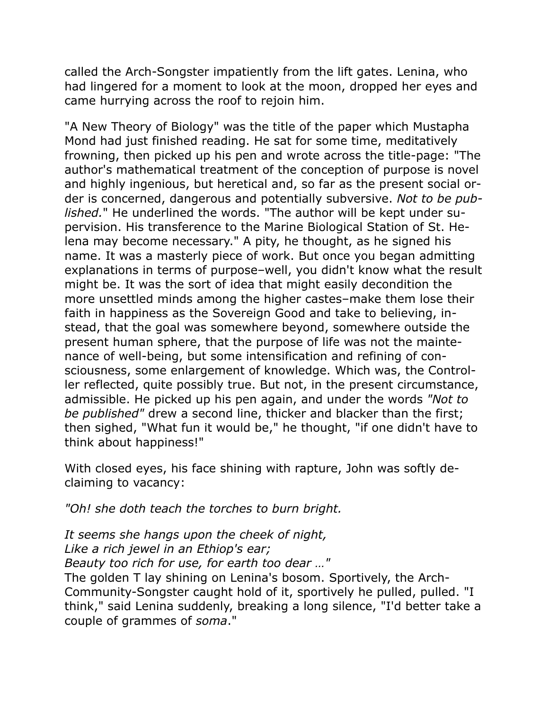called the Arch-Songster impatiently from the lift gates. Lenina, who had lingered for a moment to look at the moon, dropped her eyes and came hurrying across the roof to rejoin him.

"A New Theory of Biology" was the title of the paper which Mustapha Mond had just finished reading. He sat for some time, meditatively frowning, then picked up his pen and wrote across the title-page: "The author's mathematical treatment of the conception of purpose is novel and highly ingenious, but heretical and, so far as the present social order is concerned, dangerous and potentially subversive. *Not to be published.*" He underlined the words. "The author will be kept under supervision. His transference to the Marine Biological Station of St. Helena may become necessary." A pity, he thought, as he signed his name. It was a masterly piece of work. But once you began admitting explanations in terms of purpose–well, you didn't know what the result might be. It was the sort of idea that might easily decondition the more unsettled minds among the higher castes–make them lose their faith in happiness as the Sovereign Good and take to believing, instead, that the goal was somewhere beyond, somewhere outside the present human sphere, that the purpose of life was not the maintenance of well-being, but some intensification and refining of consciousness, some enlargement of knowledge. Which was, the Controller reflected, quite possibly true. But not, in the present circumstance, admissible. He picked up his pen again, and under the words *"Not to be published"* drew a second line, thicker and blacker than the first; then sighed, "What fun it would be," he thought, "if one didn't have to think about happiness!"

With closed eyes, his face shining with rapture, John was softly declaiming to vacancy:

*"Oh! she doth teach the torches to burn bright.*

*It seems she hangs upon the cheek of night, Like a rich jewel in an Ethiop's ear;*

*Beauty too rich for use, for earth too dear …"*

The golden T lay shining on Lenina's bosom. Sportively, the Arch-Community-Songster caught hold of it, sportively he pulled, pulled. "I think," said Lenina suddenly, breaking a long silence, "I'd better take a couple of grammes of *soma*."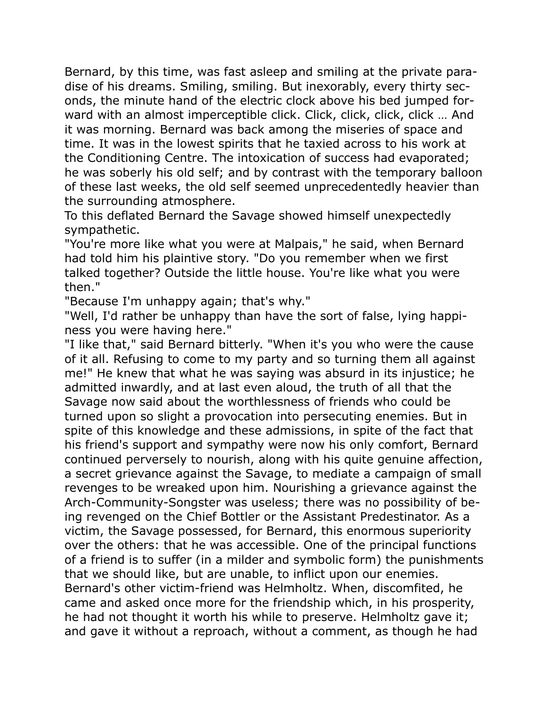Bernard, by this time, was fast asleep and smiling at the private paradise of his dreams. Smiling, smiling. But inexorably, every thirty seconds, the minute hand of the electric clock above his bed jumped forward with an almost imperceptible click. Click, click, click, click … And it was morning. Bernard was back among the miseries of space and time. It was in the lowest spirits that he taxied across to his work at the Conditioning Centre. The intoxication of success had evaporated; he was soberly his old self; and by contrast with the temporary balloon of these last weeks, the old self seemed unprecedentedly heavier than the surrounding atmosphere.

To this deflated Bernard the Savage showed himself unexpectedly sympathetic.

"You're more like what you were at Malpais," he said, when Bernard had told him his plaintive story. "Do you remember when we first talked together? Outside the little house. You're like what you were then."

"Because I'm unhappy again; that's why."

"Well, I'd rather be unhappy than have the sort of false, lying happiness you were having here."

"I like that," said Bernard bitterly. "When it's you who were the cause of it all. Refusing to come to my party and so turning them all against me!" He knew that what he was saying was absurd in its injustice; he admitted inwardly, and at last even aloud, the truth of all that the Savage now said about the worthlessness of friends who could be turned upon so slight a provocation into persecuting enemies. But in spite of this knowledge and these admissions, in spite of the fact that his friend's support and sympathy were now his only comfort, Bernard continued perversely to nourish, along with his quite genuine affection, a secret grievance against the Savage, to mediate a campaign of small revenges to be wreaked upon him. Nourishing a grievance against the Arch-Community-Songster was useless; there was no possibility of being revenged on the Chief Bottler or the Assistant Predestinator. As a victim, the Savage possessed, for Bernard, this enormous superiority over the others: that he was accessible. One of the principal functions of a friend is to suffer (in a milder and symbolic form) the punishments that we should like, but are unable, to inflict upon our enemies. Bernard's other victim-friend was Helmholtz. When, discomfited, he came and asked once more for the friendship which, in his prosperity, he had not thought it worth his while to preserve. Helmholtz gave it; and gave it without a reproach, without a comment, as though he had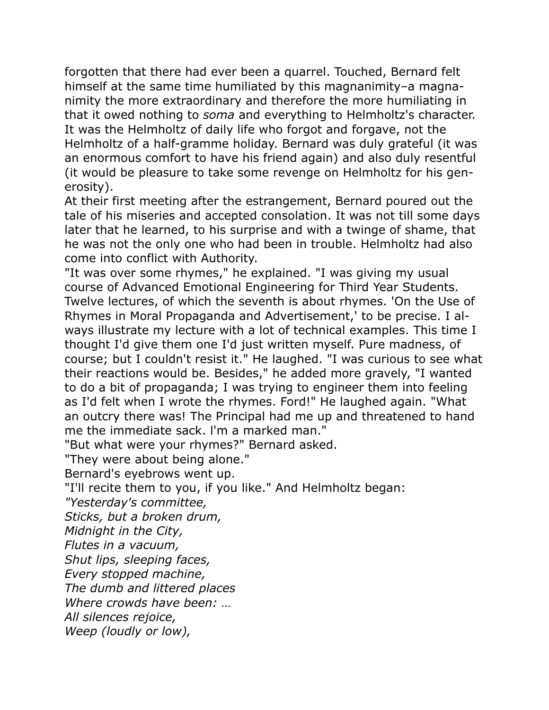forgotten that there had ever been a quarrel. Touched, Bernard felt himself at the same time humiliated by this magnanimity-a magnanimity the more extraordinary and therefore the more humiliating in that it owed nothing to *soma* and everything to Helmholtz's character. It was the Helmholtz of daily life who forgot and forgave, not the Helmholtz of a half-gramme holiday. Bernard was duly grateful (it was an enormous comfort to have his friend again) and also duly resentful (it would be pleasure to take some revenge on Helmholtz for his generosity).

At their first meeting after the estrangement, Bernard poured out the tale of his miseries and accepted consolation. It was not till some days later that he learned, to his surprise and with a twinge of shame, that he was not the only one who had been in trouble. Helmholtz had also come into conflict with Authority.

"It was over some rhymes," he explained. "I was giving my usual course of Advanced Emotional Engineering for Third Year Students. Twelve lectures, of which the seventh is about rhymes. 'On the Use of Rhymes in Moral Propaganda and Advertisement,' to be precise. I always illustrate my lecture with a lot of technical examples. This time I thought I'd give them one I'd just written myself. Pure madness, of course; but I couldn't resist it." He laughed. "I was curious to see what their reactions would be. Besides," he added more gravely, "I wanted to do a bit of propaganda; I was trying to engineer them into feeling as I'd felt when I wrote the rhymes. Ford!" He laughed again. "What an outcry there was! The Principal had me up and threatened to hand me the immediate sack. l'm a marked man."

"But what were your rhymes?" Bernard asked.

"They were about being alone."

Bernard's eyebrows went up.

"I'll recite them to you, if you like." And Helmholtz began:

*"Yesterday's committee,*

*Sticks, but a broken drum,*

*Midnight in the City,*

*Flutes in a vacuum,*

*Shut lips, sleeping faces,*

*Every stopped machine,*

*The dumb and littered places*

*Where crowds have been: …*

*All silences rejoice,*

*Weep (loudly or low),*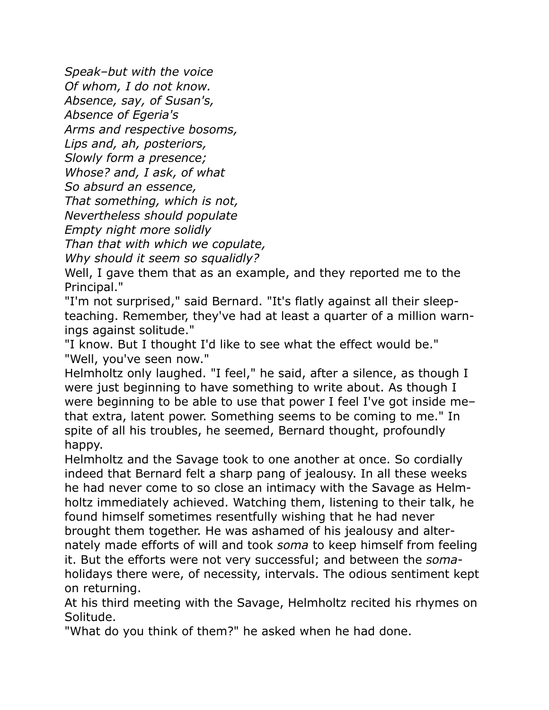*Speak–but with the voice Of whom, I do not know. Absence, say, of Susan's, Absence of Egeria's Arms and respective bosoms, Lips and, ah, posteriors, Slowly form a presence; Whose? and, I ask, of what So absurd an essence, That something, which is not, Nevertheless should populate Empty night more solidly Than that with which we copulate, Why should it seem so squalidly?*

Well, I gave them that as an example, and they reported me to the Principal."

"I'm not surprised," said Bernard. "It's flatly against all their sleepteaching. Remember, they've had at least a quarter of a million warnings against solitude."

"I know. But I thought I'd like to see what the effect would be." "Well, you've seen now."

Helmholtz only laughed. "I feel," he said, after a silence, as though I were just beginning to have something to write about. As though I were beginning to be able to use that power I feel I've got inside me– that extra, latent power. Something seems to be coming to me." In spite of all his troubles, he seemed, Bernard thought, profoundly happy.

Helmholtz and the Savage took to one another at once. So cordially indeed that Bernard felt a sharp pang of jealousy. In all these weeks he had never come to so close an intimacy with the Savage as Helmholtz immediately achieved. Watching them, listening to their talk, he found himself sometimes resentfully wishing that he had never brought them together. He was ashamed of his jealousy and alternately made efforts of will and took *soma* to keep himself from feeling it. But the efforts were not very successful; and between the *soma*holidays there were, of necessity, intervals. The odious sentiment kept on returning.

At his third meeting with the Savage, Helmholtz recited his rhymes on Solitude.

"What do you think of them?" he asked when he had done.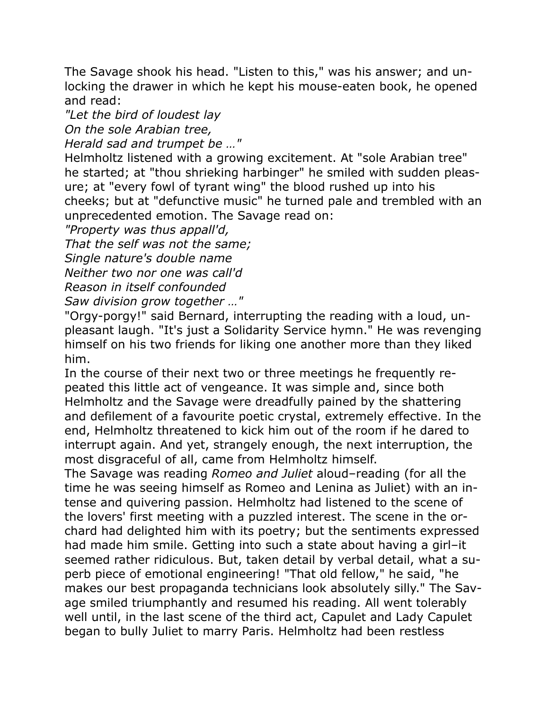The Savage shook his head. "Listen to this," was his answer; and unlocking the drawer in which he kept his mouse-eaten book, he opened and read:

*"Let the bird of loudest lay*

*On the sole Arabian tree,*

*Herald sad and trumpet be …"*

Helmholtz listened with a growing excitement. At "sole Arabian tree" he started; at "thou shrieking harbinger" he smiled with sudden pleasure; at "every fowl of tyrant wing" the blood rushed up into his cheeks; but at "defunctive music" he turned pale and trembled with an unprecedented emotion. The Savage read on:

*"Property was thus appall'd,*

*That the self was not the same;*

*Single nature's double name*

*Neither two nor one was call'd*

*Reason in itself confounded*

*Saw division grow together …"*

"Orgy-porgy!" said Bernard, interrupting the reading with a loud, unpleasant laugh. "It's just a Solidarity Service hymn." He was revenging himself on his two friends for liking one another more than they liked him.

In the course of their next two or three meetings he frequently repeated this little act of vengeance. It was simple and, since both Helmholtz and the Savage were dreadfully pained by the shattering and defilement of a favourite poetic crystal, extremely effective. In the end, Helmholtz threatened to kick him out of the room if he dared to interrupt again. And yet, strangely enough, the next interruption, the most disgraceful of all, came from Helmholtz himself.

The Savage was reading *Romeo and Juliet* aloud–reading (for all the time he was seeing himself as Romeo and Lenina as Juliet) with an intense and quivering passion. Helmholtz had listened to the scene of the lovers' first meeting with a puzzled interest. The scene in the orchard had delighted him with its poetry; but the sentiments expressed had made him smile. Getting into such a state about having a girl–it seemed rather ridiculous. But, taken detail by verbal detail, what a superb piece of emotional engineering! "That old fellow," he said, "he makes our best propaganda technicians look absolutely silly." The Savage smiled triumphantly and resumed his reading. All went tolerably well until, in the last scene of the third act, Capulet and Lady Capulet began to bully Juliet to marry Paris. Helmholtz had been restless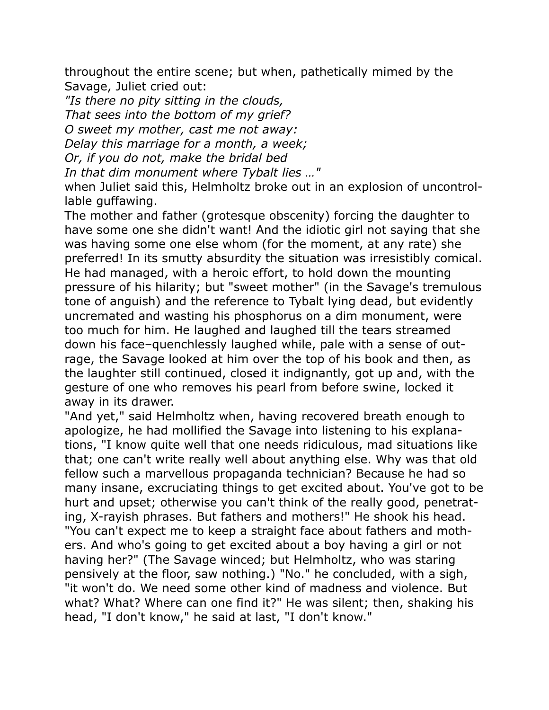throughout the entire scene; but when, pathetically mimed by the Savage, Juliet cried out:

*"Is there no pity sitting in the clouds, That sees into the bottom of my grief? O sweet my mother, cast me not away: Delay this marriage for a month, a week; Or, if you do not, make the bridal bed*

*In that dim monument where Tybalt lies …"*

when Juliet said this, Helmholtz broke out in an explosion of uncontrollable guffawing.

The mother and father (grotesque obscenity) forcing the daughter to have some one she didn't want! And the idiotic girl not saying that she was having some one else whom (for the moment, at any rate) she preferred! In its smutty absurdity the situation was irresistibly comical. He had managed, with a heroic effort, to hold down the mounting pressure of his hilarity; but "sweet mother" (in the Savage's tremulous tone of anguish) and the reference to Tybalt lying dead, but evidently uncremated and wasting his phosphorus on a dim monument, were too much for him. He laughed and laughed till the tears streamed down his face–quenchlessly laughed while, pale with a sense of outrage, the Savage looked at him over the top of his book and then, as the laughter still continued, closed it indignantly, got up and, with the gesture of one who removes his pearl from before swine, locked it away in its drawer.

"And yet," said Helmholtz when, having recovered breath enough to apologize, he had mollified the Savage into listening to his explanations, "I know quite well that one needs ridiculous, mad situations like that; one can't write really well about anything else. Why was that old fellow such a marvellous propaganda technician? Because he had so many insane, excruciating things to get excited about. You've got to be hurt and upset; otherwise you can't think of the really good, penetrating, X-rayish phrases. But fathers and mothers!" He shook his head. "You can't expect me to keep a straight face about fathers and mothers. And who's going to get excited about a boy having a girl or not having her?" (The Savage winced; but Helmholtz, who was staring pensively at the floor, saw nothing.) "No." he concluded, with a sigh, "it won't do. We need some other kind of madness and violence. But what? What? Where can one find it?" He was silent; then, shaking his head, "I don't know," he said at last, "I don't know."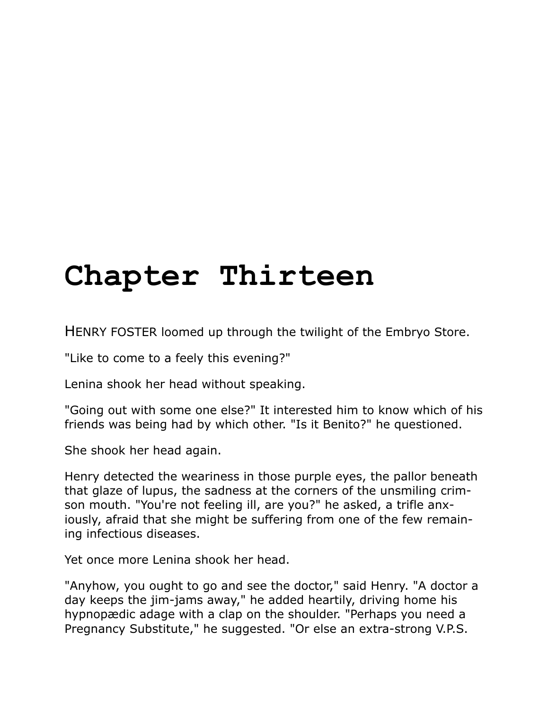# **Chapter Thirteen**

HENRY FOSTER loomed up through the twilight of the Embryo Store.

"Like to come to a feely this evening?"

Lenina shook her head without speaking.

"Going out with some one else?" It interested him to know which of his friends was being had by which other. "Is it Benito?" he questioned.

She shook her head again.

Henry detected the weariness in those purple eyes, the pallor beneath that glaze of lupus, the sadness at the corners of the unsmiling crimson mouth. "You're not feeling ill, are you?" he asked, a trifle anxiously, afraid that she might be suffering from one of the few remaining infectious diseases.

Yet once more Lenina shook her head.

"Anyhow, you ought to go and see the doctor," said Henry. "A doctor a day keeps the jim-jams away," he added heartily, driving home his hypnopædic adage with a clap on the shoulder. "Perhaps you need a Pregnancy Substitute," he suggested. "Or else an extra-strong V.P.S.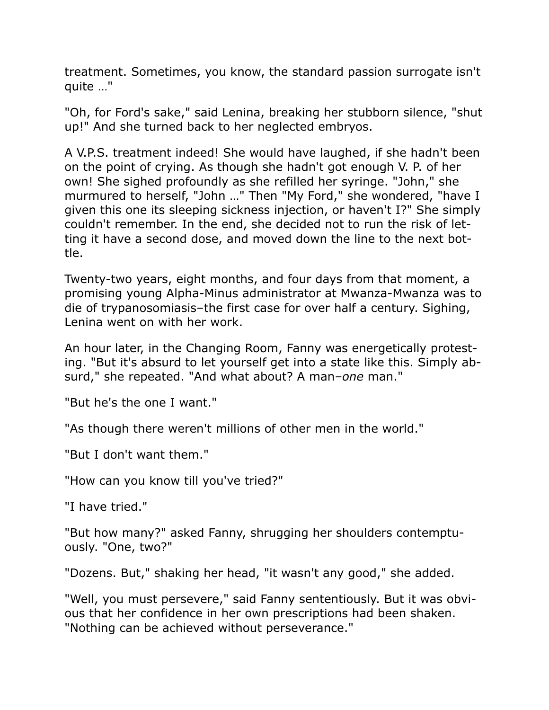treatment. Sometimes, you know, the standard passion surrogate isn't quite …"

"Oh, for Ford's sake," said Lenina, breaking her stubborn silence, "shut up!" And she turned back to her neglected embryos.

A V.P.S. treatment indeed! She would have laughed, if she hadn't been on the point of crying. As though she hadn't got enough V. P. of her own! She sighed profoundly as she refilled her syringe. "John," she murmured to herself, "John …" Then "My Ford," she wondered, "have I given this one its sleeping sickness injection, or haven't I?" She simply couldn't remember. In the end, she decided not to run the risk of letting it have a second dose, and moved down the line to the next bottle.

Twenty-two years, eight months, and four days from that moment, a promising young Alpha-Minus administrator at Mwanza-Mwanza was to die of trypanosomiasis–the first case for over half a century. Sighing, Lenina went on with her work.

An hour later, in the Changing Room, Fanny was energetically protesting. "But it's absurd to let yourself get into a state like this. Simply absurd," she repeated. "And what about? A man–*one* man."

"But he's the one I want."

"As though there weren't millions of other men in the world."

"But I don't want them."

"How can you know till you've tried?"

"I have tried."

"But how many?" asked Fanny, shrugging her shoulders contemptuously. "One, two?"

"Dozens. But," shaking her head, "it wasn't any good," she added.

"Well, you must persevere," said Fanny sententiously. But it was obvious that her confidence in her own prescriptions had been shaken. "Nothing can be achieved without perseverance."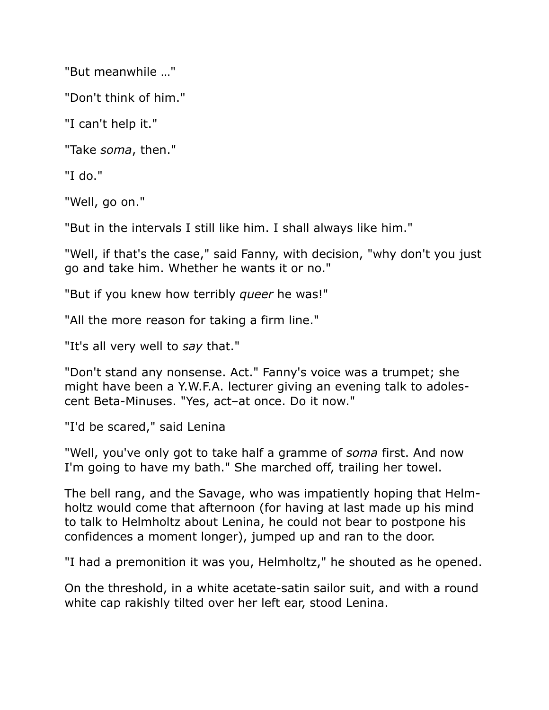"But meanwhile …"

"Don't think of him."

"I can't help it."

"Take *soma*, then."

"I do."

"Well, go on."

"But in the intervals I still like him. I shall always like him."

"Well, if that's the case," said Fanny, with decision, "why don't you just go and take him. Whether he wants it or no."

"But if you knew how terribly *queer* he was!"

"All the more reason for taking a firm line."

"It's all very well to *say* that."

"Don't stand any nonsense. Act." Fanny's voice was a trumpet; she might have been a Y.W.F.A. lecturer giving an evening talk to adolescent Beta-Minuses. "Yes, act–at once. Do it now."

"I'd be scared," said Lenina

"Well, you've only got to take half a gramme of *soma* first. And now I'm going to have my bath." She marched off, trailing her towel.

The bell rang, and the Savage, who was impatiently hoping that Helmholtz would come that afternoon (for having at last made up his mind to talk to Helmholtz about Lenina, he could not bear to postpone his confidences a moment longer), jumped up and ran to the door.

"I had a premonition it was you, Helmholtz," he shouted as he opened.

On the threshold, in a white acetate-satin sailor suit, and with a round white cap rakishly tilted over her left ear, stood Lenina.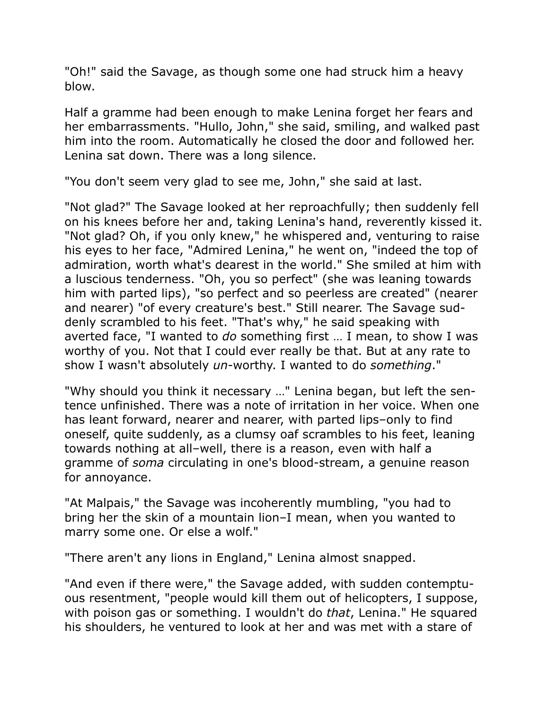"Oh!" said the Savage, as though some one had struck him a heavy blow.

Half a gramme had been enough to make Lenina forget her fears and her embarrassments. "Hullo, John," she said, smiling, and walked past him into the room. Automatically he closed the door and followed her. Lenina sat down. There was a long silence.

"You don't seem very glad to see me, John," she said at last.

"Not glad?" The Savage looked at her reproachfully; then suddenly fell on his knees before her and, taking Lenina's hand, reverently kissed it. "Not glad? Oh, if you only knew," he whispered and, venturing to raise his eyes to her face, "Admired Lenina," he went on, "indeed the top of admiration, worth what's dearest in the world." She smiled at him with a luscious tenderness. "Oh, you so perfect" (she was leaning towards him with parted lips), "so perfect and so peerless are created" (nearer and nearer) "of every creature's best." Still nearer. The Savage suddenly scrambled to his feet. "That's why," he said speaking with averted face, "I wanted to *do* something first … I mean, to show I was worthy of you. Not that I could ever really be that. But at any rate to show I wasn't absolutely *un*-worthy. I wanted to do *something*."

"Why should you think it necessary …" Lenina began, but left the sentence unfinished. There was a note of irritation in her voice. When one has leant forward, nearer and nearer, with parted lips–only to find oneself, quite suddenly, as a clumsy oaf scrambles to his feet, leaning towards nothing at all–well, there is a reason, even with half a gramme of *soma* circulating in one's blood-stream, a genuine reason for annoyance.

"At Malpais," the Savage was incoherently mumbling, "you had to bring her the skin of a mountain lion–I mean, when you wanted to marry some one. Or else a wolf."

"There aren't any lions in England," Lenina almost snapped.

"And even if there were," the Savage added, with sudden contemptuous resentment, "people would kill them out of helicopters, I suppose, with poison gas or something. I wouldn't do *that*, Lenina." He squared his shoulders, he ventured to look at her and was met with a stare of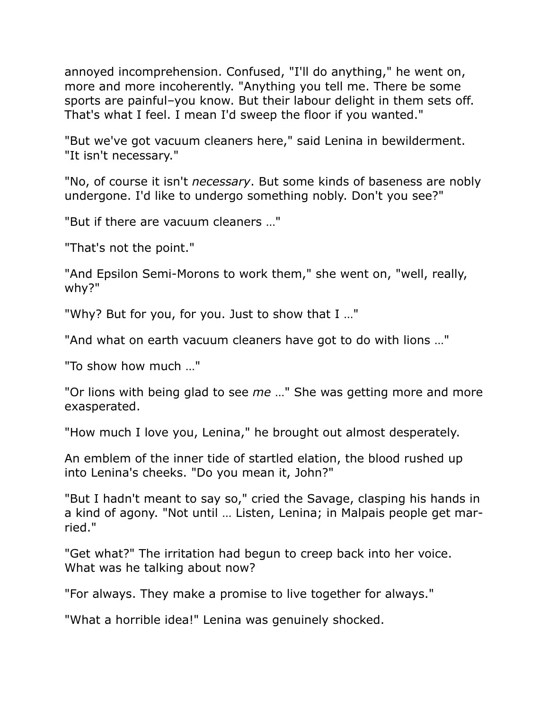annoyed incomprehension. Confused, "I'll do anything," he went on, more and more incoherently. "Anything you tell me. There be some sports are painful–you know. But their labour delight in them sets off. That's what I feel. I mean I'd sweep the floor if you wanted."

"But we've got vacuum cleaners here," said Lenina in bewilderment. "It isn't necessary."

"No, of course it isn't *necessary*. But some kinds of baseness are nobly undergone. I'd like to undergo something nobly. Don't you see?"

"But if there are vacuum cleaners …"

"That's not the point."

"And Epsilon Semi-Morons to work them," she went on, "well, really, why?"

"Why? But for you, for you. Just to show that I …"

"And what on earth vacuum cleaners have got to do with lions …"

"To show how much …"

"Or lions with being glad to see *me* …" She was getting more and more exasperated.

"How much I love you, Lenina," he brought out almost desperately.

An emblem of the inner tide of startled elation, the blood rushed up into Lenina's cheeks. "Do you mean it, John?"

"But I hadn't meant to say so," cried the Savage, clasping his hands in a kind of agony. "Not until … Listen, Lenina; in Malpais people get married."

"Get what?" The irritation had begun to creep back into her voice. What was he talking about now?

"For always. They make a promise to live together for always."

"What a horrible idea!" Lenina was genuinely shocked.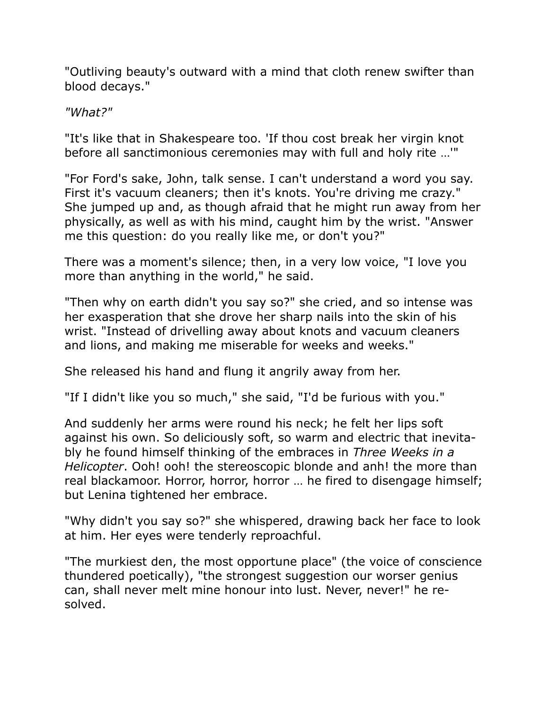"Outliving beauty's outward with a mind that cloth renew swifter than blood decays."

#### *"What?"*

"It's like that in Shakespeare too. 'If thou cost break her virgin knot before all sanctimonious ceremonies may with full and holy rite …'"

"For Ford's sake, John, talk sense. I can't understand a word you say. First it's vacuum cleaners; then it's knots. You're driving me crazy." She jumped up and, as though afraid that he might run away from her physically, as well as with his mind, caught him by the wrist. "Answer me this question: do you really like me, or don't you?"

There was a moment's silence; then, in a very low voice, "I love you more than anything in the world," he said.

"Then why on earth didn't you say so?" she cried, and so intense was her exasperation that she drove her sharp nails into the skin of his wrist. "Instead of drivelling away about knots and vacuum cleaners and lions, and making me miserable for weeks and weeks."

She released his hand and flung it angrily away from her.

"If I didn't like you so much," she said, "I'd be furious with you."

And suddenly her arms were round his neck; he felt her lips soft against his own. So deliciously soft, so warm and electric that inevitably he found himself thinking of the embraces in *Three Weeks in a Helicopter*. Ooh! ooh! the stereoscopic blonde and anh! the more than real blackamoor. Horror, horror, horror … he fired to disengage himself; but Lenina tightened her embrace.

"Why didn't you say so?" she whispered, drawing back her face to look at him. Her eyes were tenderly reproachful.

"The murkiest den, the most opportune place" (the voice of conscience thundered poetically), "the strongest suggestion our worser genius can, shall never melt mine honour into lust. Never, never!" he resolved.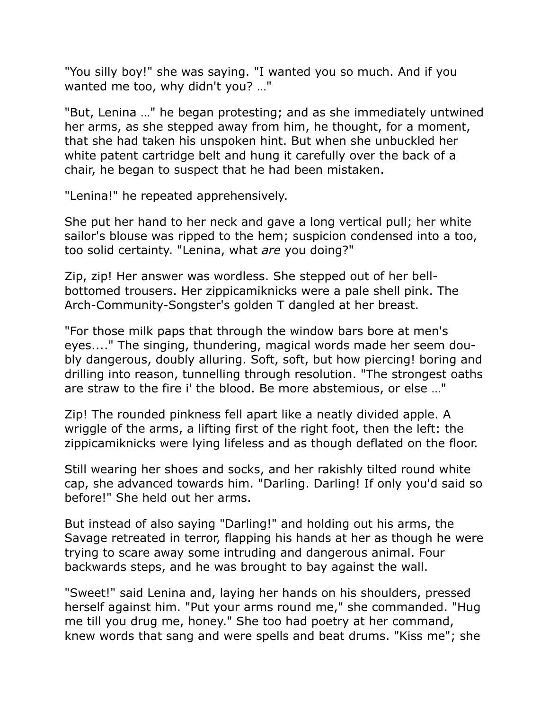"You silly boy!" she was saying. "I wanted you so much. And if you wanted me too, why didn't you? …"

"But, Lenina …" he began protesting; and as she immediately untwined her arms, as she stepped away from him, he thought, for a moment, that she had taken his unspoken hint. But when she unbuckled her white patent cartridge belt and hung it carefully over the back of a chair, he began to suspect that he had been mistaken.

"Lenina!" he repeated apprehensively.

She put her hand to her neck and gave a long vertical pull; her white sailor's blouse was ripped to the hem; suspicion condensed into a too, too solid certainty. "Lenina, what *are* you doing?"

Zip, zip! Her answer was wordless. She stepped out of her bellbottomed trousers. Her zippicamiknicks were a pale shell pink. The Arch-Community-Songster's golden T dangled at her breast.

"For those milk paps that through the window bars bore at men's eyes...." The singing, thundering, magical words made her seem doubly dangerous, doubly alluring. Soft, soft, but how piercing! boring and drilling into reason, tunnelling through resolution. "The strongest oaths are straw to the fire i' the blood. Be more abstemious, or else …"

Zip! The rounded pinkness fell apart like a neatly divided apple. A wriggle of the arms, a lifting first of the right foot, then the left: the zippicamiknicks were lying lifeless and as though deflated on the floor.

Still wearing her shoes and socks, and her rakishly tilted round white cap, she advanced towards him. "Darling. Darling! If only you'd said so before!" She held out her arms.

But instead of also saying "Darling!" and holding out his arms, the Savage retreated in terror, flapping his hands at her as though he were trying to scare away some intruding and dangerous animal. Four backwards steps, and he was brought to bay against the wall.

"Sweet!" said Lenina and, laying her hands on his shoulders, pressed herself against him. "Put your arms round me," she commanded. "Hug me till you drug me, honey." She too had poetry at her command, knew words that sang and were spells and beat drums. "Kiss me"; she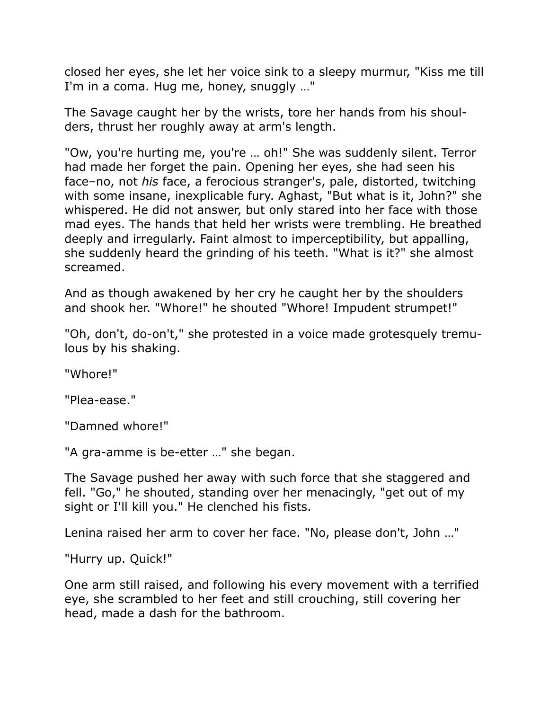closed her eyes, she let her voice sink to a sleepy murmur, "Kiss me till I'm in a coma. Hug me, honey, snuggly …"

The Savage caught her by the wrists, tore her hands from his shoulders, thrust her roughly away at arm's length.

"Ow, you're hurting me, you're … oh!" She was suddenly silent. Terror had made her forget the pain. Opening her eyes, she had seen his face–no, not *his* face, a ferocious stranger's, pale, distorted, twitching with some insane, inexplicable fury. Aghast, "But what is it, John?" she whispered. He did not answer, but only stared into her face with those mad eyes. The hands that held her wrists were trembling. He breathed deeply and irregularly. Faint almost to imperceptibility, but appalling, she suddenly heard the grinding of his teeth. "What is it?" she almost screamed.

And as though awakened by her cry he caught her by the shoulders and shook her. "Whore!" he shouted "Whore! Impudent strumpet!"

"Oh, don't, do-on't," she protested in a voice made grotesquely tremulous by his shaking.

"Whore!"

"Plea-ease."

"Damned whore!"

"A gra-amme is be-etter …" she began.

The Savage pushed her away with such force that she staggered and fell. "Go," he shouted, standing over her menacingly, "get out of my sight or I'll kill you." He clenched his fists.

Lenina raised her arm to cover her face. "No, please don't, John …"

"Hurry up. Quick!"

One arm still raised, and following his every movement with a terrified eye, she scrambled to her feet and still crouching, still covering her head, made a dash for the bathroom.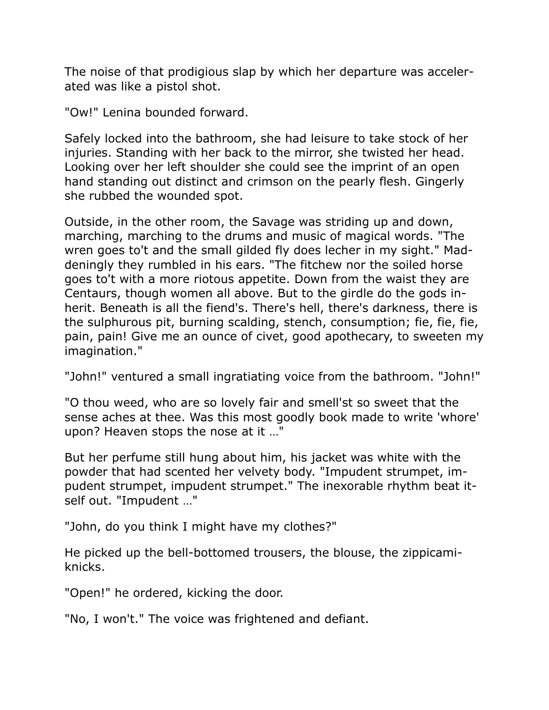The noise of that prodigious slap by which her departure was accelerated was like a pistol shot.

"Ow!" Lenina bounded forward.

Safely locked into the bathroom, she had leisure to take stock of her injuries. Standing with her back to the mirror, she twisted her head. Looking over her left shoulder she could see the imprint of an open hand standing out distinct and crimson on the pearly flesh. Gingerly she rubbed the wounded spot.

Outside, in the other room, the Savage was striding up and down, marching, marching to the drums and music of magical words. "The wren goes to't and the small gilded fly does lecher in my sight." Maddeningly they rumbled in his ears. "The fitchew nor the soiled horse goes to't with a more riotous appetite. Down from the waist they are Centaurs, though women all above. But to the girdle do the gods inherit. Beneath is all the fiend's. There's hell, there's darkness, there is the sulphurous pit, burning scalding, stench, consumption; fie, fie, fie, pain, pain! Give me an ounce of civet, good apothecary, to sweeten my imagination."

"John!" ventured a small ingratiating voice from the bathroom. "John!"

"O thou weed, who are so lovely fair and smell'st so sweet that the sense aches at thee. Was this most goodly book made to write 'whore' upon? Heaven stops the nose at it …"

But her perfume still hung about him, his jacket was white with the powder that had scented her velvety body. "Impudent strumpet, impudent strumpet, impudent strumpet." The inexorable rhythm beat itself out. "Impudent …"

"John, do you think I might have my clothes?"

He picked up the bell-bottomed trousers, the blouse, the zippicamiknicks.

"Open!" he ordered, kicking the door.

"No, I won't." The voice was frightened and defiant.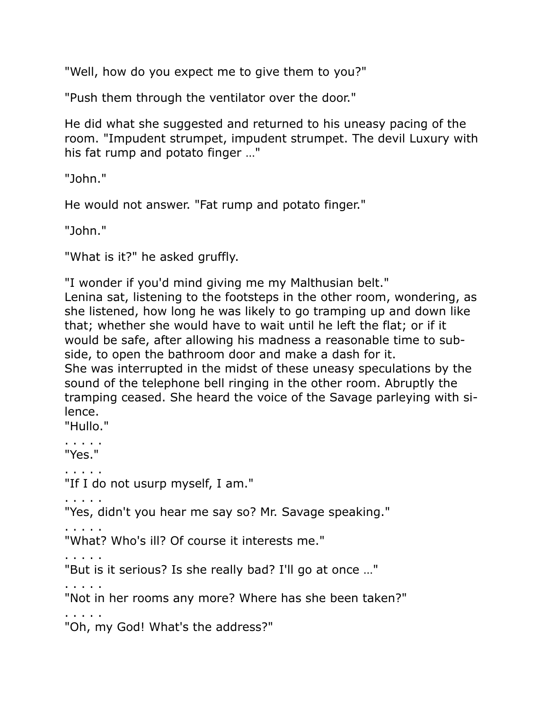"Well, how do you expect me to give them to you?"

"Push them through the ventilator over the door."

He did what she suggested and returned to his uneasy pacing of the room. "Impudent strumpet, impudent strumpet. The devil Luxury with his fat rump and potato finger …"

"John."

He would not answer. "Fat rump and potato finger."

"John."

"What is it?" he asked gruffly.

"I wonder if you'd mind giving me my Malthusian belt." Lenina sat, listening to the footsteps in the other room, wondering, as she listened, how long he was likely to go tramping up and down like that; whether she would have to wait until he left the flat; or if it would be safe, after allowing his madness a reasonable time to subside, to open the bathroom door and make a dash for it. She was interrupted in the midst of these uneasy speculations by the sound of the telephone bell ringing in the other room. Abruptly the tramping ceased. She heard the voice of the Savage parleying with silence.

"Hullo." . . . . . "Yes." . . . . . "If I do not usurp myself, I am." . . . . . "Yes, didn't you hear me say so? Mr. Savage speaking." . . . . . "What? Who's ill? Of course it interests me." . . . . . "But is it serious? Is she really bad? I'll go at once …" . . . . . "Not in her rooms any more? Where has she been taken?" . . . . . "Oh, my God! What's the address?"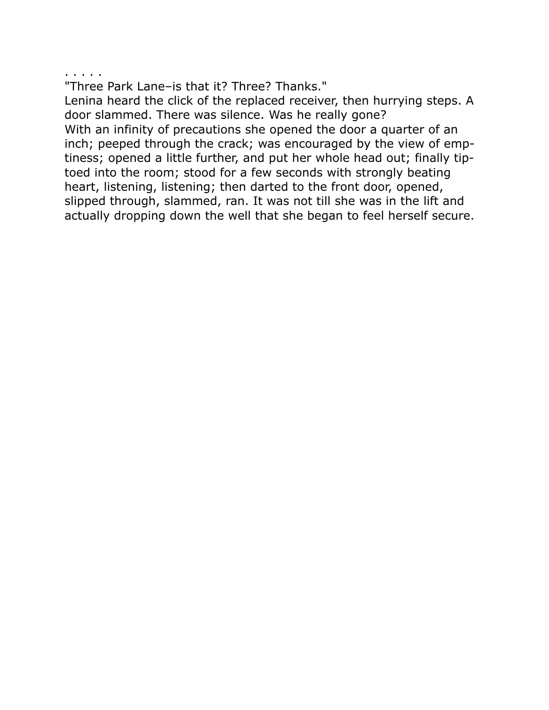. . . . .

"Three Park Lane–is that it? Three? Thanks."

Lenina heard the click of the replaced receiver, then hurrying steps. A door slammed. There was silence. Was he really gone?

With an infinity of precautions she opened the door a quarter of an inch; peeped through the crack; was encouraged by the view of emptiness; opened a little further, and put her whole head out; finally tiptoed into the room; stood for a few seconds with strongly beating heart, listening, listening; then darted to the front door, opened, slipped through, slammed, ran. It was not till she was in the lift and actually dropping down the well that she began to feel herself secure.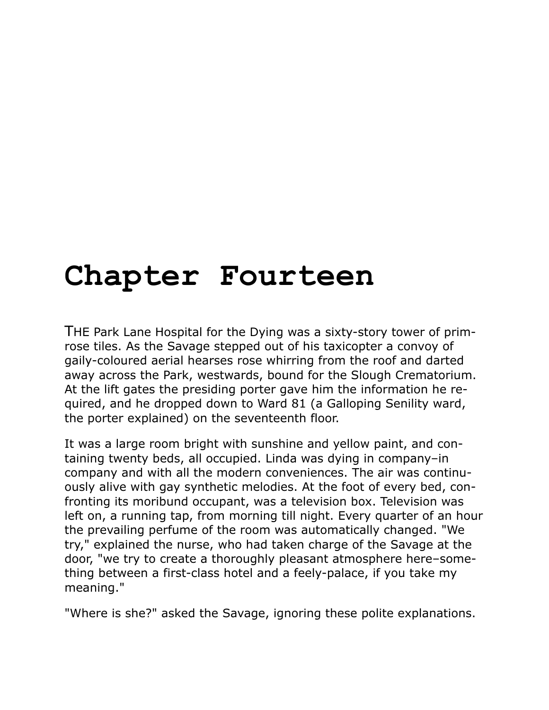#### **Chapter Fourteen**

THE Park Lane Hospital for the Dying was a sixty-story tower of primrose tiles. As the Savage stepped out of his taxicopter a convoy of gaily-coloured aerial hearses rose whirring from the roof and darted away across the Park, westwards, bound for the Slough Crematorium. At the lift gates the presiding porter gave him the information he required, and he dropped down to Ward 81 (a Galloping Senility ward, the porter explained) on the seventeenth floor.

It was a large room bright with sunshine and yellow paint, and containing twenty beds, all occupied. Linda was dying in company–in company and with all the modern conveniences. The air was continuously alive with gay synthetic melodies. At the foot of every bed, confronting its moribund occupant, was a television box. Television was left on, a running tap, from morning till night. Every quarter of an hour the prevailing perfume of the room was automatically changed. "We try," explained the nurse, who had taken charge of the Savage at the door, "we try to create a thoroughly pleasant atmosphere here–something between a first-class hotel and a feely-palace, if you take my meaning."

"Where is she?" asked the Savage, ignoring these polite explanations.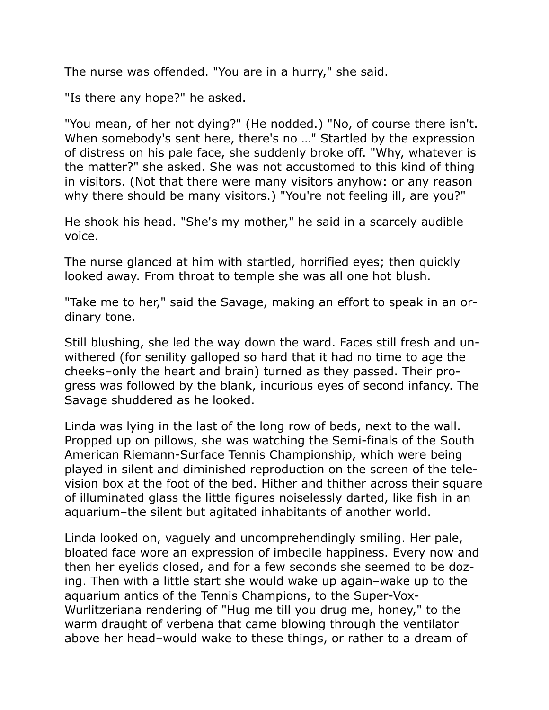The nurse was offended. "You are in a hurry," she said.

"Is there any hope?" he asked.

"You mean, of her not dying?" (He nodded.) "No, of course there isn't. When somebody's sent here, there's no …" Startled by the expression of distress on his pale face, she suddenly broke off. "Why, whatever is the matter?" she asked. She was not accustomed to this kind of thing in visitors. (Not that there were many visitors anyhow: or any reason why there should be many visitors.) "You're not feeling ill, are you?"

He shook his head. "She's my mother," he said in a scarcely audible voice.

The nurse glanced at him with startled, horrified eyes; then quickly looked away. From throat to temple she was all one hot blush.

"Take me to her," said the Savage, making an effort to speak in an ordinary tone.

Still blushing, she led the way down the ward. Faces still fresh and unwithered (for senility galloped so hard that it had no time to age the cheeks–only the heart and brain) turned as they passed. Their progress was followed by the blank, incurious eyes of second infancy. The Savage shuddered as he looked.

Linda was lying in the last of the long row of beds, next to the wall. Propped up on pillows, she was watching the Semi-finals of the South American Riemann-Surface Tennis Championship, which were being played in silent and diminished reproduction on the screen of the television box at the foot of the bed. Hither and thither across their square of illuminated glass the little figures noiselessly darted, like fish in an aquarium–the silent but agitated inhabitants of another world.

Linda looked on, vaguely and uncomprehendingly smiling. Her pale, bloated face wore an expression of imbecile happiness. Every now and then her eyelids closed, and for a few seconds she seemed to be dozing. Then with a little start she would wake up again–wake up to the aquarium antics of the Tennis Champions, to the Super-Vox-Wurlitzeriana rendering of "Hug me till you drug me, honey," to the warm draught of verbena that came blowing through the ventilator above her head–would wake to these things, or rather to a dream of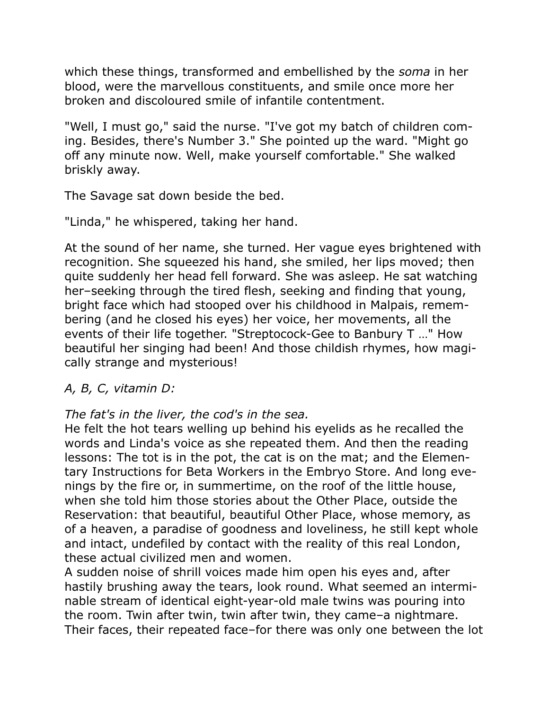which these things, transformed and embellished by the *soma* in her blood, were the marvellous constituents, and smile once more her broken and discoloured smile of infantile contentment.

"Well, I must go," said the nurse. "I've got my batch of children coming. Besides, there's Number 3." She pointed up the ward. "Might go off any minute now. Well, make yourself comfortable." She walked briskly away.

The Savage sat down beside the bed.

"Linda," he whispered, taking her hand.

At the sound of her name, she turned. Her vague eyes brightened with recognition. She squeezed his hand, she smiled, her lips moved; then quite suddenly her head fell forward. She was asleep. He sat watching her–seeking through the tired flesh, seeking and finding that young, bright face which had stooped over his childhood in Malpais, remembering (and he closed his eyes) her voice, her movements, all the events of their life together. "Streptocock-Gee to Banbury T …" How beautiful her singing had been! And those childish rhymes, how magically strange and mysterious!

#### *A, B, C, vitamin D:*

#### *The fat's in the liver, the cod's in the sea.*

He felt the hot tears welling up behind his eyelids as he recalled the words and Linda's voice as she repeated them. And then the reading lessons: The tot is in the pot, the cat is on the mat; and the Elementary Instructions for Beta Workers in the Embryo Store. And long evenings by the fire or, in summertime, on the roof of the little house, when she told him those stories about the Other Place, outside the Reservation: that beautiful, beautiful Other Place, whose memory, as of a heaven, a paradise of goodness and loveliness, he still kept whole and intact, undefiled by contact with the reality of this real London, these actual civilized men and women.

A sudden noise of shrill voices made him open his eyes and, after hastily brushing away the tears, look round. What seemed an interminable stream of identical eight-year-old male twins was pouring into the room. Twin after twin, twin after twin, they came–a nightmare. Their faces, their repeated face–for there was only one between the lot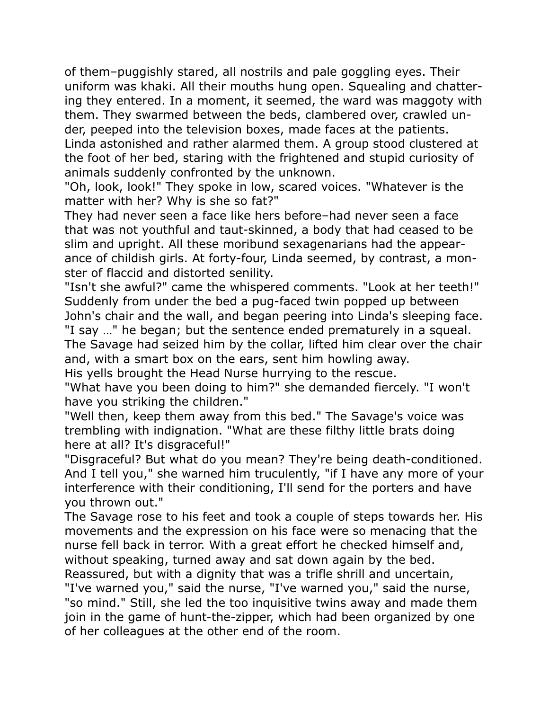of them–puggishly stared, all nostrils and pale goggling eyes. Their uniform was khaki. All their mouths hung open. Squealing and chattering they entered. In a moment, it seemed, the ward was maggoty with them. They swarmed between the beds, clambered over, crawled under, peeped into the television boxes, made faces at the patients. Linda astonished and rather alarmed them. A group stood clustered at the foot of her bed, staring with the frightened and stupid curiosity of animals suddenly confronted by the unknown.

"Oh, look, look!" They spoke in low, scared voices. "Whatever is the matter with her? Why is she so fat?"

They had never seen a face like hers before–had never seen a face that was not youthful and taut-skinned, a body that had ceased to be slim and upright. All these moribund sexagenarians had the appearance of childish girls. At forty-four, Linda seemed, by contrast, a monster of flaccid and distorted senility.

"Isn't she awful?" came the whispered comments. "Look at her teeth!" Suddenly from under the bed a pug-faced twin popped up between John's chair and the wall, and began peering into Linda's sleeping face. "I say …" he began; but the sentence ended prematurely in a squeal. The Savage had seized him by the collar, lifted him clear over the chair

and, with a smart box on the ears, sent him howling away.

His yells brought the Head Nurse hurrying to the rescue.

"What have you been doing to him?" she demanded fiercely. "I won't have you striking the children."

"Well then, keep them away from this bed." The Savage's voice was trembling with indignation. "What are these filthy little brats doing here at all? It's disgraceful!"

"Disgraceful? But what do you mean? They're being death-conditioned. And I tell you," she warned him truculently, "if I have any more of your interference with their conditioning, I'll send for the porters and have you thrown out."

The Savage rose to his feet and took a couple of steps towards her. His movements and the expression on his face were so menacing that the nurse fell back in terror. With a great effort he checked himself and, without speaking, turned away and sat down again by the bed.

Reassured, but with a dignity that was a trifle shrill and uncertain, "I've warned you," said the nurse, "I've warned you," said the nurse, "so mind." Still, she led the too inquisitive twins away and made them join in the game of hunt-the-zipper, which had been organized by one of her colleagues at the other end of the room.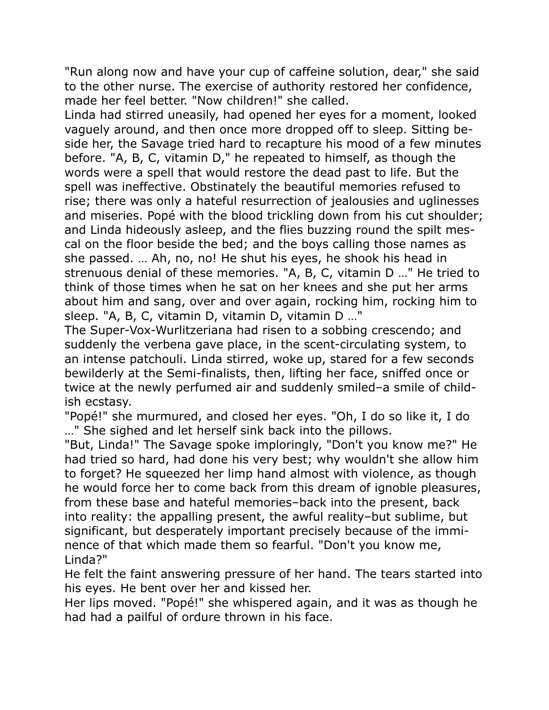"Run along now and have your cup of caffeine solution, dear," she said to the other nurse. The exercise of authority restored her confidence, made her feel better. "Now children!" she called.

Linda had stirred uneasily, had opened her eyes for a moment, looked vaguely around, and then once more dropped off to sleep. Sitting beside her, the Savage tried hard to recapture his mood of a few minutes before. "A, B, C, vitamin D," he repeated to himself, as though the words were a spell that would restore the dead past to life. But the spell was ineffective. Obstinately the beautiful memories refused to rise; there was only a hateful resurrection of jealousies and uglinesses and miseries. Popé with the blood trickling down from his cut shoulder; and Linda hideously asleep, and the flies buzzing round the spilt mescal on the floor beside the bed; and the boys calling those names as she passed. … Ah, no, no! He shut his eyes, he shook his head in strenuous denial of these memories. "A, B, C, vitamin D …" He tried to think of those times when he sat on her knees and she put her arms about him and sang, over and over again, rocking him, rocking him to sleep. "A, B, C, vitamin D, vitamin D, vitamin D …"

The Super-Vox-Wurlitzeriana had risen to a sobbing crescendo; and suddenly the verbena gave place, in the scent-circulating system, to an intense patchouli. Linda stirred, woke up, stared for a few seconds bewilderly at the Semi-finalists, then, lifting her face, sniffed once or twice at the newly perfumed air and suddenly smiled–a smile of childish ecstasy.

"Popé!" she murmured, and closed her eyes. "Oh, I do so like it, I do …" She sighed and let herself sink back into the pillows.

"But, Linda!" The Savage spoke imploringly, "Don't you know me?" He had tried so hard, had done his very best; why wouldn't she allow him to forget? He squeezed her limp hand almost with violence, as though he would force her to come back from this dream of ignoble pleasures, from these base and hateful memories–back into the present, back into reality: the appalling present, the awful reality–but sublime, but significant, but desperately important precisely because of the imminence of that which made them so fearful. "Don't you know me, Linda?"

He felt the faint answering pressure of her hand. The tears started into his eyes. He bent over her and kissed her.

Her lips moved. "Popé!" she whispered again, and it was as though he had had a pailful of ordure thrown in his face.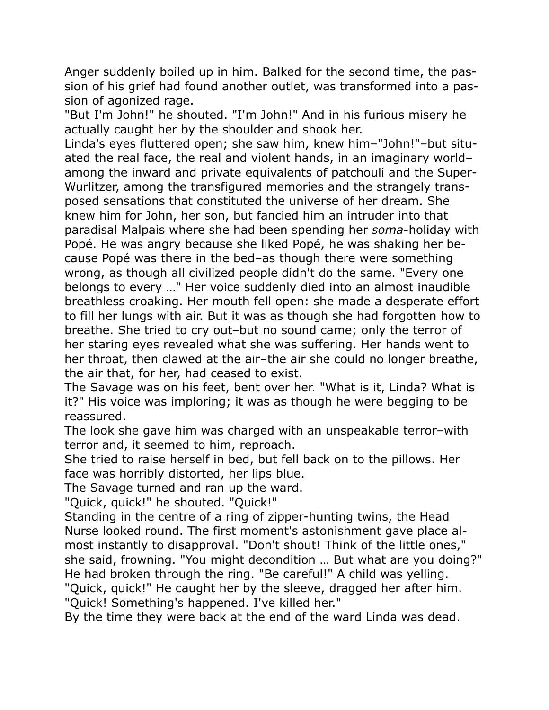Anger suddenly boiled up in him. Balked for the second time, the passion of his grief had found another outlet, was transformed into a passion of agonized rage.

"But I'm John!" he shouted. "I'm John!" And in his furious misery he actually caught her by the shoulder and shook her.

Linda's eyes fluttered open; she saw him, knew him–"John!"–but situated the real face, the real and violent hands, in an imaginary world– among the inward and private equivalents of patchouli and the Super-Wurlitzer, among the transfigured memories and the strangely transposed sensations that constituted the universe of her dream. She knew him for John, her son, but fancied him an intruder into that paradisal Malpais where she had been spending her *soma*-holiday with Popé. He was angry because she liked Popé, he was shaking her because Popé was there in the bed–as though there were something wrong, as though all civilized people didn't do the same. "Every one belongs to every …" Her voice suddenly died into an almost inaudible breathless croaking. Her mouth fell open: she made a desperate effort to fill her lungs with air. But it was as though she had forgotten how to breathe. She tried to cry out–but no sound came; only the terror of her staring eyes revealed what she was suffering. Her hands went to her throat, then clawed at the air–the air she could no longer breathe, the air that, for her, had ceased to exist.

The Savage was on his feet, bent over her. "What is it, Linda? What is it?" His voice was imploring; it was as though he were begging to be reassured.

The look she gave him was charged with an unspeakable terror–with terror and, it seemed to him, reproach.

She tried to raise herself in bed, but fell back on to the pillows. Her face was horribly distorted, her lips blue.

The Savage turned and ran up the ward.

"Quick, quick!" he shouted. "Quick!"

Standing in the centre of a ring of zipper-hunting twins, the Head Nurse looked round. The first moment's astonishment gave place almost instantly to disapproval. "Don't shout! Think of the little ones," she said, frowning. "You might decondition … But what are you doing?" He had broken through the ring. "Be careful!" A child was yelling. "Quick, quick!" He caught her by the sleeve, dragged her after him. "Quick! Something's happened. I've killed her."

By the time they were back at the end of the ward Linda was dead.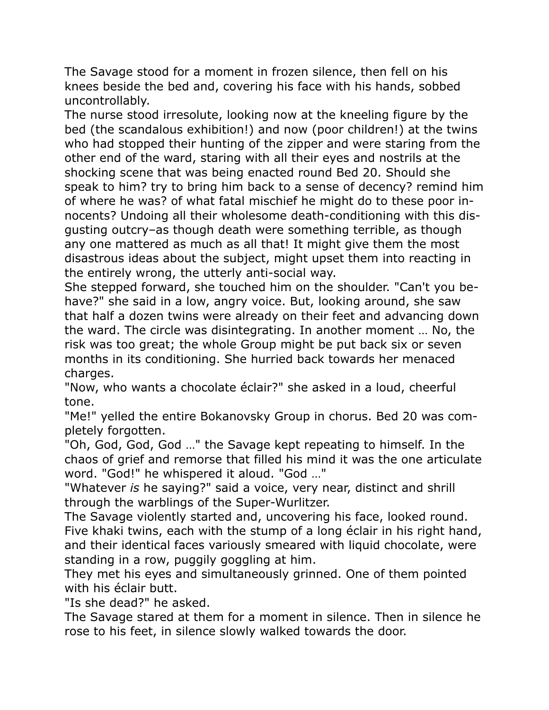The Savage stood for a moment in frozen silence, then fell on his knees beside the bed and, covering his face with his hands, sobbed uncontrollably.

The nurse stood irresolute, looking now at the kneeling figure by the bed (the scandalous exhibition!) and now (poor children!) at the twins who had stopped their hunting of the zipper and were staring from the other end of the ward, staring with all their eyes and nostrils at the shocking scene that was being enacted round Bed 20. Should she speak to him? try to bring him back to a sense of decency? remind him of where he was? of what fatal mischief he might do to these poor innocents? Undoing all their wholesome death-conditioning with this disgusting outcry–as though death were something terrible, as though any one mattered as much as all that! It might give them the most disastrous ideas about the subject, might upset them into reacting in the entirely wrong, the utterly anti-social way.

She stepped forward, she touched him on the shoulder. "Can't you behave?" she said in a low, angry voice. But, looking around, she saw that half a dozen twins were already on their feet and advancing down the ward. The circle was disintegrating. In another moment … No, the risk was too great; the whole Group might be put back six or seven months in its conditioning. She hurried back towards her menaced charges.

"Now, who wants a chocolate éclair?" she asked in a loud, cheerful tone.

"Me!" yelled the entire Bokanovsky Group in chorus. Bed 20 was completely forgotten.

"Oh, God, God, God …" the Savage kept repeating to himself. In the chaos of grief and remorse that filled his mind it was the one articulate word. "God!" he whispered it aloud. "God …"

"Whatever *is* he saying?" said a voice, very near, distinct and shrill through the warblings of the Super-Wurlitzer.

The Savage violently started and, uncovering his face, looked round. Five khaki twins, each with the stump of a long éclair in his right hand, and their identical faces variously smeared with liquid chocolate, were standing in a row, puggily goggling at him.

They met his eyes and simultaneously grinned. One of them pointed with his éclair butt.

"Is she dead?" he asked.

The Savage stared at them for a moment in silence. Then in silence he rose to his feet, in silence slowly walked towards the door.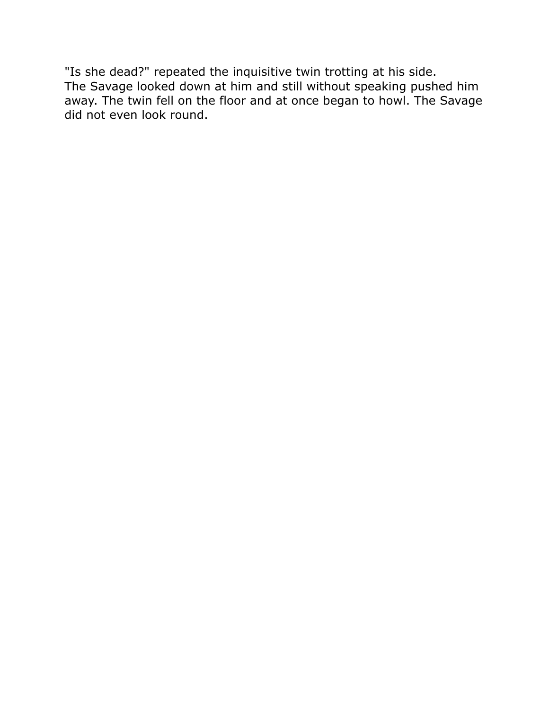"Is she dead?" repeated the inquisitive twin trotting at his side. The Savage looked down at him and still without speaking pushed him away. The twin fell on the floor and at once began to howl. The Savage did not even look round.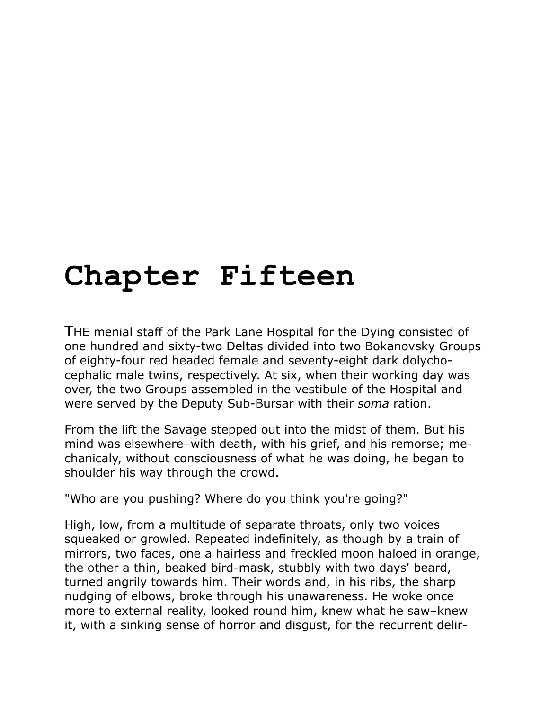# **Chapter Fifteen**

THE menial staff of the Park Lane Hospital for the Dying consisted of one hundred and sixty-two Deltas divided into two Bokanovsky Groups of eighty-four red headed female and seventy-eight dark dolychocephalic male twins, respectively. At six, when their working day was over, the two Groups assembled in the vestibule of the Hospital and were served by the Deputy Sub-Bursar with their *soma* ration.

From the lift the Savage stepped out into the midst of them. But his mind was elsewhere–with death, with his grief, and his remorse; mechanicaly, without consciousness of what he was doing, he began to shoulder his way through the crowd.

"Who are you pushing? Where do you think you're going?"

High, low, from a multitude of separate throats, only two voices squeaked or growled. Repeated indefinitely, as though by a train of mirrors, two faces, one a hairless and freckled moon haloed in orange, the other a thin, beaked bird-mask, stubbly with two days' beard, turned angrily towards him. Their words and, in his ribs, the sharp nudging of elbows, broke through his unawareness. He woke once more to external reality, looked round him, knew what he saw–knew it, with a sinking sense of horror and disgust, for the recurrent delir-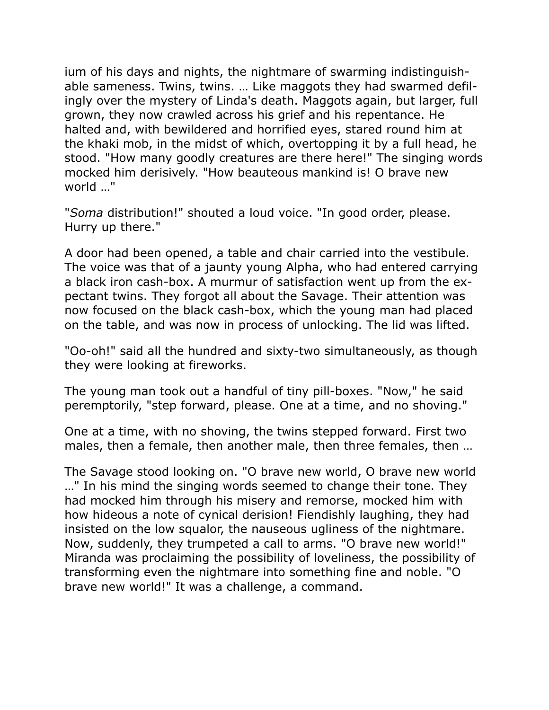ium of his days and nights, the nightmare of swarming indistinguishable sameness. Twins, twins. … Like maggots they had swarmed defilingly over the mystery of Linda's death. Maggots again, but larger, full grown, they now crawled across his grief and his repentance. He halted and, with bewildered and horrified eyes, stared round him at the khaki mob, in the midst of which, overtopping it by a full head, he stood. "How many goodly creatures are there here!" The singing words mocked him derisively. "How beauteous mankind is! O brave new world …"

"*Soma* distribution!" shouted a loud voice. "In good order, please. Hurry up there."

A door had been opened, a table and chair carried into the vestibule. The voice was that of a jaunty young Alpha, who had entered carrying a black iron cash-box. A murmur of satisfaction went up from the expectant twins. They forgot all about the Savage. Their attention was now focused on the black cash-box, which the young man had placed on the table, and was now in process of unlocking. The lid was lifted.

"Oo-oh!" said all the hundred and sixty-two simultaneously, as though they were looking at fireworks.

The young man took out a handful of tiny pill-boxes. "Now," he said peremptorily, "step forward, please. One at a time, and no shoving."

One at a time, with no shoving, the twins stepped forward. First two males, then a female, then another male, then three females, then …

The Savage stood looking on. "O brave new world, O brave new world …" In his mind the singing words seemed to change their tone. They had mocked him through his misery and remorse, mocked him with how hideous a note of cynical derision! Fiendishly laughing, they had insisted on the low squalor, the nauseous ugliness of the nightmare. Now, suddenly, they trumpeted a call to arms. "O brave new world!" Miranda was proclaiming the possibility of loveliness, the possibility of transforming even the nightmare into something fine and noble. "O brave new world!" It was a challenge, a command.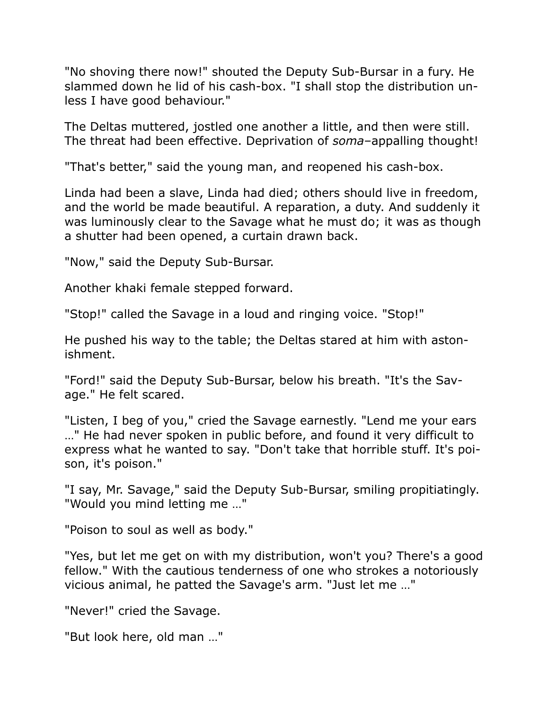"No shoving there now!" shouted the Deputy Sub-Bursar in a fury. He slammed down he lid of his cash-box. "I shall stop the distribution unless I have good behaviour."

The Deltas muttered, jostled one another a little, and then were still. The threat had been effective. Deprivation of *soma*–appalling thought!

"That's better," said the young man, and reopened his cash-box.

Linda had been a slave, Linda had died; others should live in freedom, and the world be made beautiful. A reparation, a duty. And suddenly it was luminously clear to the Savage what he must do; it was as though a shutter had been opened, a curtain drawn back.

"Now," said the Deputy Sub-Bursar.

Another khaki female stepped forward.

"Stop!" called the Savage in a loud and ringing voice. "Stop!"

He pushed his way to the table; the Deltas stared at him with astonishment.

"Ford!" said the Deputy Sub-Bursar, below his breath. "It's the Savage." He felt scared.

"Listen, I beg of you," cried the Savage earnestly. "Lend me your ears …" He had never spoken in public before, and found it very difficult to express what he wanted to say. "Don't take that horrible stuff. It's poison, it's poison."

"I say, Mr. Savage," said the Deputy Sub-Bursar, smiling propitiatingly. "Would you mind letting me …"

"Poison to soul as well as body."

"Yes, but let me get on with my distribution, won't you? There's a good fellow." With the cautious tenderness of one who strokes a notoriously vicious animal, he patted the Savage's arm. "Just let me …"

"Never!" cried the Savage.

"But look here, old man …"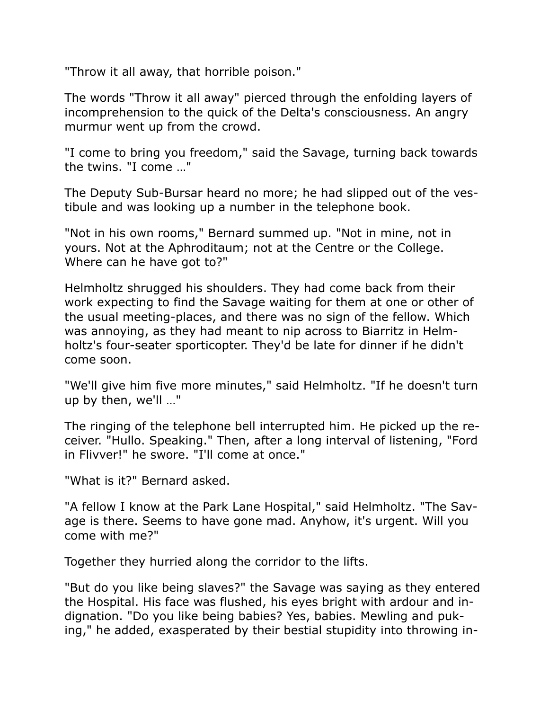"Throw it all away, that horrible poison."

The words "Throw it all away" pierced through the enfolding layers of incomprehension to the quick of the Delta's consciousness. An angry murmur went up from the crowd.

"I come to bring you freedom," said the Savage, turning back towards the twins. "I come …"

The Deputy Sub-Bursar heard no more; he had slipped out of the vestibule and was looking up a number in the telephone book.

"Not in his own rooms," Bernard summed up. "Not in mine, not in yours. Not at the Aphroditaum; not at the Centre or the College. Where can he have got to?"

Helmholtz shrugged his shoulders. They had come back from their work expecting to find the Savage waiting for them at one or other of the usual meeting-places, and there was no sign of the fellow. Which was annoying, as they had meant to nip across to Biarritz in Helmholtz's four-seater sporticopter. They'd be late for dinner if he didn't come soon.

"We'll give him five more minutes," said Helmholtz. "If he doesn't turn up by then, we'll …"

The ringing of the telephone bell interrupted him. He picked up the receiver. "Hullo. Speaking." Then, after a long interval of listening, "Ford in Flivver!" he swore. "I'll come at once."

"What is it?" Bernard asked.

"A fellow I know at the Park Lane Hospital," said Helmholtz. "The Savage is there. Seems to have gone mad. Anyhow, it's urgent. Will you come with me?"

Together they hurried along the corridor to the lifts.

"But do you like being slaves?" the Savage was saying as they entered the Hospital. His face was flushed, his eyes bright with ardour and indignation. "Do you like being babies? Yes, babies. Mewling and puking," he added, exasperated by their bestial stupidity into throwing in-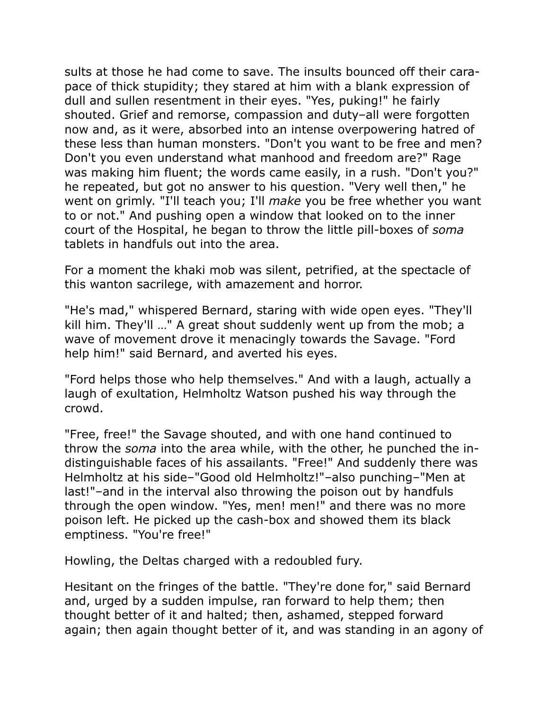sults at those he had come to save. The insults bounced off their carapace of thick stupidity; they stared at him with a blank expression of dull and sullen resentment in their eyes. "Yes, puking!" he fairly shouted. Grief and remorse, compassion and duty–all were forgotten now and, as it were, absorbed into an intense overpowering hatred of these less than human monsters. "Don't you want to be free and men? Don't you even understand what manhood and freedom are?" Rage was making him fluent; the words came easily, in a rush. "Don't you?" he repeated, but got no answer to his question. "Very well then," he went on grimly. "I'll teach you; I'll *make* you be free whether you want to or not." And pushing open a window that looked on to the inner court of the Hospital, he began to throw the little pill-boxes of *soma* tablets in handfuls out into the area.

For a moment the khaki mob was silent, petrified, at the spectacle of this wanton sacrilege, with amazement and horror.

"He's mad," whispered Bernard, staring with wide open eyes. "They'll kill him. They'll …" A great shout suddenly went up from the mob; a wave of movement drove it menacingly towards the Savage. "Ford help him!" said Bernard, and averted his eyes.

"Ford helps those who help themselves." And with a laugh, actually a laugh of exultation, Helmholtz Watson pushed his way through the crowd.

"Free, free!" the Savage shouted, and with one hand continued to throw the *soma* into the area while, with the other, he punched the indistinguishable faces of his assailants. "Free!" And suddenly there was Helmholtz at his side–"Good old Helmholtz!"–also punching–"Men at last!"–and in the interval also throwing the poison out by handfuls through the open window. "Yes, men! men!" and there was no more poison left. He picked up the cash-box and showed them its black emptiness. "You're free!"

Howling, the Deltas charged with a redoubled fury.

Hesitant on the fringes of the battle. "They're done for," said Bernard and, urged by a sudden impulse, ran forward to help them; then thought better of it and halted; then, ashamed, stepped forward again; then again thought better of it, and was standing in an agony of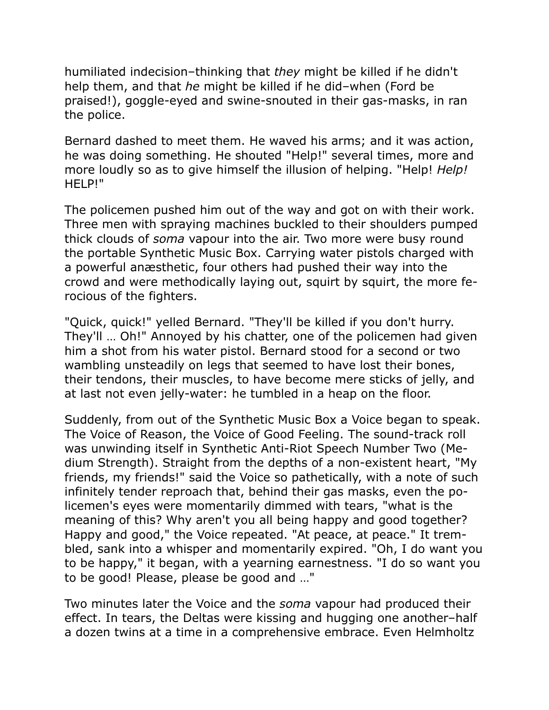humiliated indecision–thinking that *they* might be killed if he didn't help them, and that *he* might be killed if he did–when (Ford be praised!), goggle-eyed and swine-snouted in their gas-masks, in ran the police.

Bernard dashed to meet them. He waved his arms; and it was action, he was doing something. He shouted "Help!" several times, more and more loudly so as to give himself the illusion of helping. "Help! *Help!* HELP!"

The policemen pushed him out of the way and got on with their work. Three men with spraying machines buckled to their shoulders pumped thick clouds of *soma* vapour into the air. Two more were busy round the portable Synthetic Music Box. Carrying water pistols charged with a powerful anæsthetic, four others had pushed their way into the crowd and were methodically laying out, squirt by squirt, the more ferocious of the fighters.

"Quick, quick!" yelled Bernard. "They'll be killed if you don't hurry. They'll … Oh!" Annoyed by his chatter, one of the policemen had given him a shot from his water pistol. Bernard stood for a second or two wambling unsteadily on legs that seemed to have lost their bones, their tendons, their muscles, to have become mere sticks of jelly, and at last not even jelly-water: he tumbled in a heap on the floor.

Suddenly, from out of the Synthetic Music Box a Voice began to speak. The Voice of Reason, the Voice of Good Feeling. The sound-track roll was unwinding itself in Synthetic Anti-Riot Speech Number Two (Medium Strength). Straight from the depths of a non-existent heart, "My friends, my friends!" said the Voice so pathetically, with a note of such infinitely tender reproach that, behind their gas masks, even the policemen's eyes were momentarily dimmed with tears, "what is the meaning of this? Why aren't you all being happy and good together? Happy and good," the Voice repeated. "At peace, at peace." It trembled, sank into a whisper and momentarily expired. "Oh, I do want you to be happy," it began, with a yearning earnestness. "I do so want you to be good! Please, please be good and …"

Two minutes later the Voice and the *soma* vapour had produced their effect. In tears, the Deltas were kissing and hugging one another–half a dozen twins at a time in a comprehensive embrace. Even Helmholtz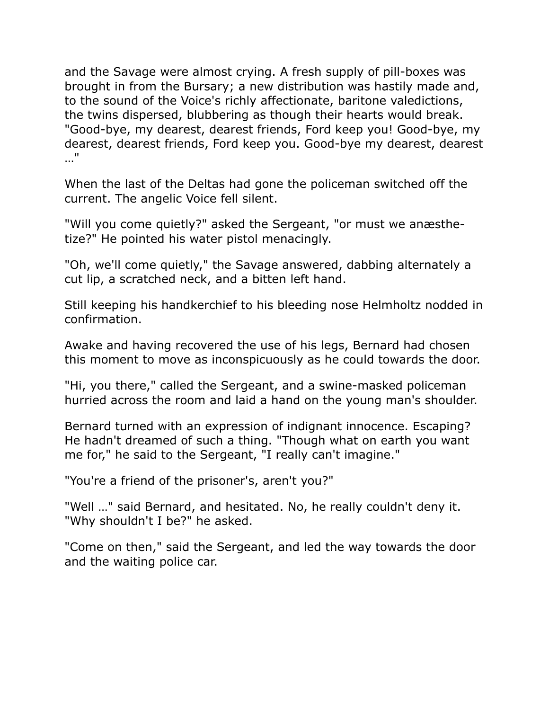and the Savage were almost crying. A fresh supply of pill-boxes was brought in from the Bursary; a new distribution was hastily made and, to the sound of the Voice's richly affectionate, baritone valedictions, the twins dispersed, blubbering as though their hearts would break. "Good-bye, my dearest, dearest friends, Ford keep you! Good-bye, my dearest, dearest friends, Ford keep you. Good-bye my dearest, dearest …"

When the last of the Deltas had gone the policeman switched off the current. The angelic Voice fell silent.

"Will you come quietly?" asked the Sergeant, "or must we anæsthetize?" He pointed his water pistol menacingly.

"Oh, we'll come quietly," the Savage answered, dabbing alternately a cut lip, a scratched neck, and a bitten left hand.

Still keeping his handkerchief to his bleeding nose Helmholtz nodded in confirmation.

Awake and having recovered the use of his legs, Bernard had chosen this moment to move as inconspicuously as he could towards the door.

"Hi, you there," called the Sergeant, and a swine-masked policeman hurried across the room and laid a hand on the young man's shoulder.

Bernard turned with an expression of indignant innocence. Escaping? He hadn't dreamed of such a thing. "Though what on earth you want me for," he said to the Sergeant, "I really can't imagine."

"You're a friend of the prisoner's, aren't you?"

"Well …" said Bernard, and hesitated. No, he really couldn't deny it. "Why shouldn't I be?" he asked.

"Come on then," said the Sergeant, and led the way towards the door and the waiting police car.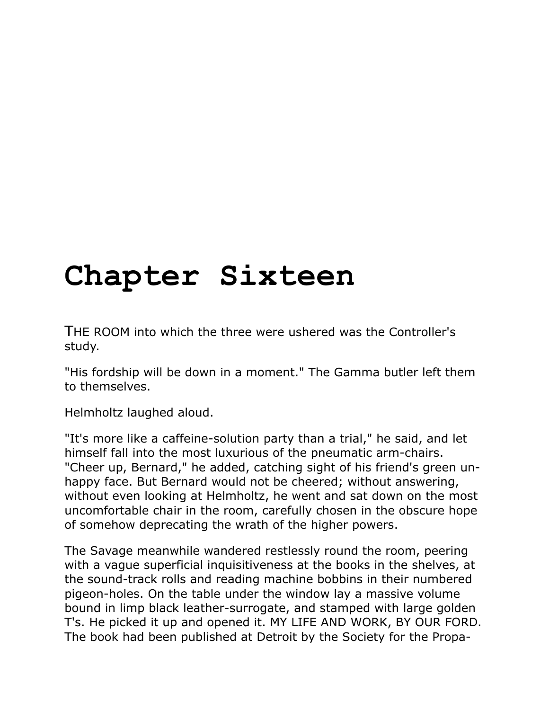# **Chapter Sixteen**

THE ROOM into which the three were ushered was the Controller's study.

"His fordship will be down in a moment." The Gamma butler left them to themselves.

Helmholtz laughed aloud.

"It's more like a caffeine-solution party than a trial," he said, and let himself fall into the most luxurious of the pneumatic arm-chairs. "Cheer up, Bernard," he added, catching sight of his friend's green unhappy face. But Bernard would not be cheered; without answering, without even looking at Helmholtz, he went and sat down on the most uncomfortable chair in the room, carefully chosen in the obscure hope of somehow deprecating the wrath of the higher powers.

The Savage meanwhile wandered restlessly round the room, peering with a vague superficial inquisitiveness at the books in the shelves, at the sound-track rolls and reading machine bobbins in their numbered pigeon-holes. On the table under the window lay a massive volume bound in limp black leather-surrogate, and stamped with large golden T's. He picked it up and opened it. MY LIFE AND WORK, BY OUR FORD. The book had been published at Detroit by the Society for the Propa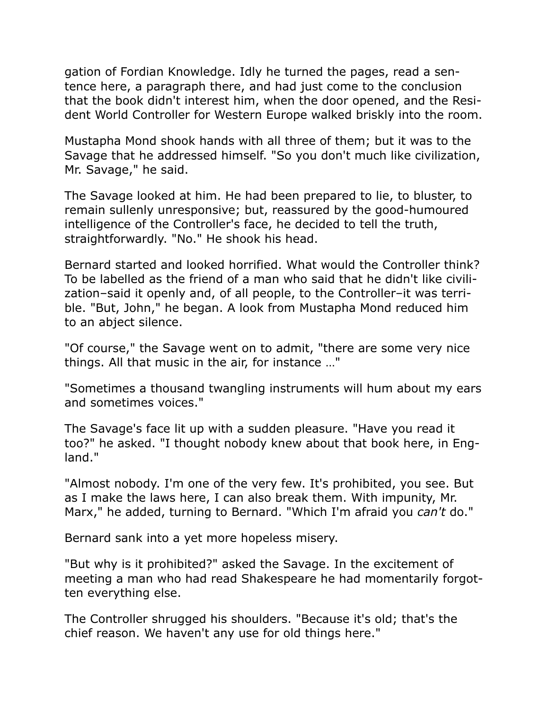gation of Fordian Knowledge. Idly he turned the pages, read a sentence here, a paragraph there, and had just come to the conclusion that the book didn't interest him, when the door opened, and the Resident World Controller for Western Europe walked briskly into the room.

Mustapha Mond shook hands with all three of them; but it was to the Savage that he addressed himself. "So you don't much like civilization, Mr. Savage," he said.

The Savage looked at him. He had been prepared to lie, to bluster, to remain sullenly unresponsive; but, reassured by the good-humoured intelligence of the Controller's face, he decided to tell the truth, straightforwardly. "No." He shook his head.

Bernard started and looked horrified. What would the Controller think? To be labelled as the friend of a man who said that he didn't like civilization–said it openly and, of all people, to the Controller–it was terrible. "But, John," he began. A look from Mustapha Mond reduced him to an abject silence.

"Of course," the Savage went on to admit, "there are some very nice things. All that music in the air, for instance …"

"Sometimes a thousand twangling instruments will hum about my ears and sometimes voices."

The Savage's face lit up with a sudden pleasure. "Have you read it too?" he asked. "I thought nobody knew about that book here, in England."

"Almost nobody. I'm one of the very few. It's prohibited, you see. But as I make the laws here, I can also break them. With impunity, Mr. Marx," he added, turning to Bernard. "Which I'm afraid you *can't* do."

Bernard sank into a yet more hopeless misery.

"But why is it prohibited?" asked the Savage. In the excitement of meeting a man who had read Shakespeare he had momentarily forgotten everything else.

The Controller shrugged his shoulders. "Because it's old; that's the chief reason. We haven't any use for old things here."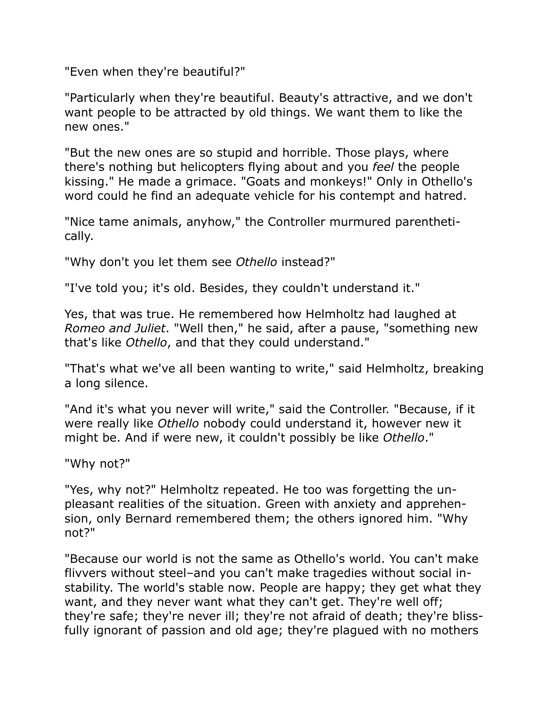"Even when they're beautiful?"

"Particularly when they're beautiful. Beauty's attractive, and we don't want people to be attracted by old things. We want them to like the new ones."

"But the new ones are so stupid and horrible. Those plays, where there's nothing but helicopters flying about and you *feel* the people kissing." He made a grimace. "Goats and monkeys!" Only in Othello's word could he find an adequate vehicle for his contempt and hatred.

"Nice tame animals, anyhow," the Controller murmured parenthetically.

"Why don't you let them see *Othello* instead?"

"I've told you; it's old. Besides, they couldn't understand it."

Yes, that was true. He remembered how Helmholtz had laughed at *Romeo and Juliet*. "Well then," he said, after a pause, "something new that's like *Othello*, and that they could understand."

"That's what we've all been wanting to write," said Helmholtz, breaking a long silence.

"And it's what you never will write," said the Controller. "Because, if it were really like *Othello* nobody could understand it, however new it might be. And if were new, it couldn't possibly be like *Othello*."

"Why not?"

"Yes, why not?" Helmholtz repeated. He too was forgetting the unpleasant realities of the situation. Green with anxiety and apprehension, only Bernard remembered them; the others ignored him. "Why not?"

"Because our world is not the same as Othello's world. You can't make flivvers without steel–and you can't make tragedies without social instability. The world's stable now. People are happy; they get what they want, and they never want what they can't get. They're well off; they're safe; they're never ill; they're not afraid of death; they're blissfully ignorant of passion and old age; they're plagued with no mothers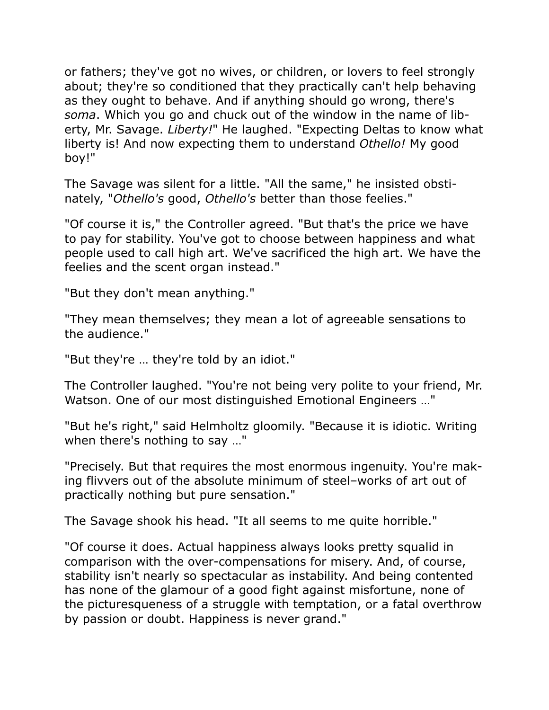or fathers; they've got no wives, or children, or lovers to feel strongly about; they're so conditioned that they practically can't help behaving as they ought to behave. And if anything should go wrong, there's *soma*. Which you go and chuck out of the window in the name of liberty, Mr. Savage. *Liberty!*" He laughed. "Expecting Deltas to know what liberty is! And now expecting them to understand *Othello!* My good boy!"

The Savage was silent for a little. "All the same," he insisted obstinately, "*Othello's* good, *Othello's* better than those feelies."

"Of course it is," the Controller agreed. "But that's the price we have to pay for stability. You've got to choose between happiness and what people used to call high art. We've sacrificed the high art. We have the feelies and the scent organ instead."

"But they don't mean anything."

"They mean themselves; they mean a lot of agreeable sensations to the audience."

"But they're … they're told by an idiot."

The Controller laughed. "You're not being very polite to your friend, Mr. Watson. One of our most distinguished Emotional Engineers …"

"But he's right," said Helmholtz gloomily. "Because it is idiotic. Writing when there's nothing to say …"

"Precisely. But that requires the most enormous ingenuity. You're making flivvers out of the absolute minimum of steel–works of art out of practically nothing but pure sensation."

The Savage shook his head. "It all seems to me quite horrible."

"Of course it does. Actual happiness always looks pretty squalid in comparison with the over-compensations for misery. And, of course, stability isn't nearly so spectacular as instability. And being contented has none of the glamour of a good fight against misfortune, none of the picturesqueness of a struggle with temptation, or a fatal overthrow by passion or doubt. Happiness is never grand."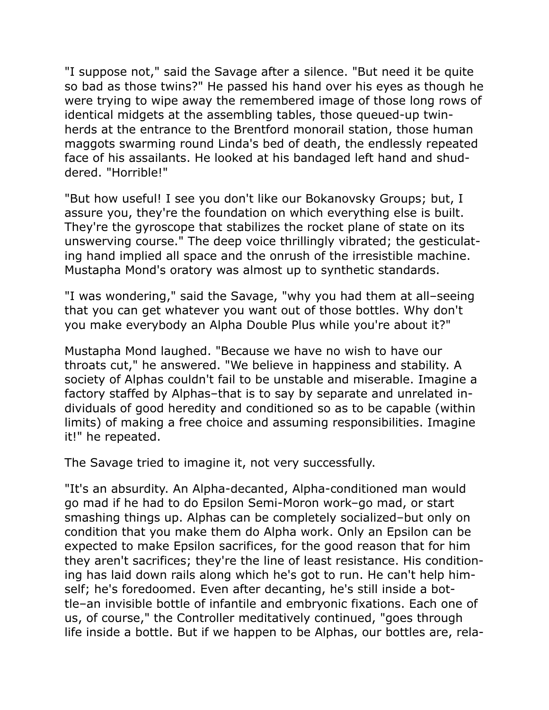"I suppose not," said the Savage after a silence. "But need it be quite so bad as those twins?" He passed his hand over his eyes as though he were trying to wipe away the remembered image of those long rows of identical midgets at the assembling tables, those queued-up twinherds at the entrance to the Brentford monorail station, those human maggots swarming round Linda's bed of death, the endlessly repeated face of his assailants. He looked at his bandaged left hand and shuddered. "Horrible!"

"But how useful! I see you don't like our Bokanovsky Groups; but, I assure you, they're the foundation on which everything else is built. They're the gyroscope that stabilizes the rocket plane of state on its unswerving course." The deep voice thrillingly vibrated; the gesticulating hand implied all space and the onrush of the irresistible machine. Mustapha Mond's oratory was almost up to synthetic standards.

"I was wondering," said the Savage, "why you had them at all–seeing that you can get whatever you want out of those bottles. Why don't you make everybody an Alpha Double Plus while you're about it?"

Mustapha Mond laughed. "Because we have no wish to have our throats cut," he answered. "We believe in happiness and stability. A society of Alphas couldn't fail to be unstable and miserable. Imagine a factory staffed by Alphas–that is to say by separate and unrelated individuals of good heredity and conditioned so as to be capable (within limits) of making a free choice and assuming responsibilities. Imagine it!" he repeated.

The Savage tried to imagine it, not very successfully.

"It's an absurdity. An Alpha-decanted, Alpha-conditioned man would go mad if he had to do Epsilon Semi-Moron work–go mad, or start smashing things up. Alphas can be completely socialized–but only on condition that you make them do Alpha work. Only an Epsilon can be expected to make Epsilon sacrifices, for the good reason that for him they aren't sacrifices; they're the line of least resistance. His conditioning has laid down rails along which he's got to run. He can't help himself; he's foredoomed. Even after decanting, he's still inside a bottle–an invisible bottle of infantile and embryonic fixations. Each one of us, of course," the Controller meditatively continued, "goes through life inside a bottle. But if we happen to be Alphas, our bottles are, rela-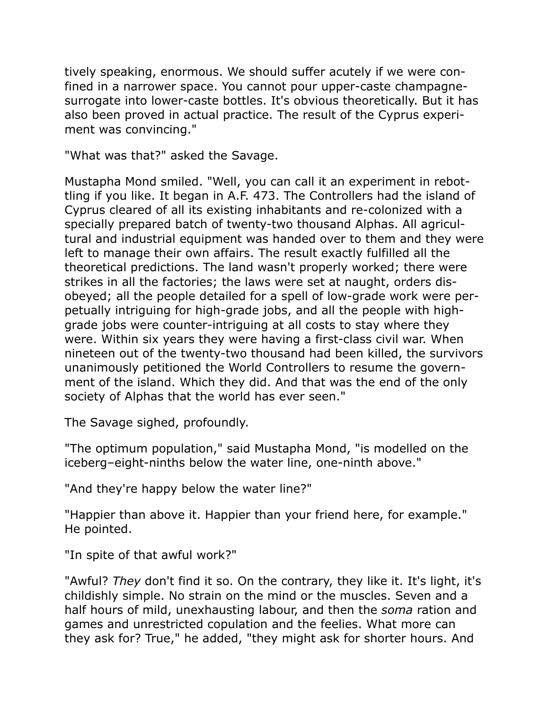tively speaking, enormous. We should suffer acutely if we were confined in a narrower space. You cannot pour upper-caste champagnesurrogate into lower-caste bottles. It's obvious theoretically. But it has also been proved in actual practice. The result of the Cyprus experiment was convincing."

"What was that?" asked the Savage.

Mustapha Mond smiled. "Well, you can call it an experiment in rebottling if you like. It began in A.F. 473. The Controllers had the island of Cyprus cleared of all its existing inhabitants and re-colonized with a specially prepared batch of twenty-two thousand Alphas. All agricultural and industrial equipment was handed over to them and they were left to manage their own affairs. The result exactly fulfilled all the theoretical predictions. The land wasn't properly worked; there were strikes in all the factories; the laws were set at naught, orders disobeyed; all the people detailed for a spell of low-grade work were perpetually intriguing for high-grade jobs, and all the people with highgrade jobs were counter-intriguing at all costs to stay where they were. Within six years they were having a first-class civil war. When nineteen out of the twenty-two thousand had been killed, the survivors unanimously petitioned the World Controllers to resume the government of the island. Which they did. And that was the end of the only society of Alphas that the world has ever seen."

The Savage sighed, profoundly.

"The optimum population," said Mustapha Mond, "is modelled on the iceberg–eight-ninths below the water line, one-ninth above."

"And they're happy below the water line?"

"Happier than above it. Happier than your friend here, for example." He pointed.

"In spite of that awful work?"

"Awful? *They* don't find it so. On the contrary, they like it. It's light, it's childishly simple. No strain on the mind or the muscles. Seven and a half hours of mild, unexhausting labour, and then the *soma* ration and games and unrestricted copulation and the feelies. What more can they ask for? True," he added, "they might ask for shorter hours. And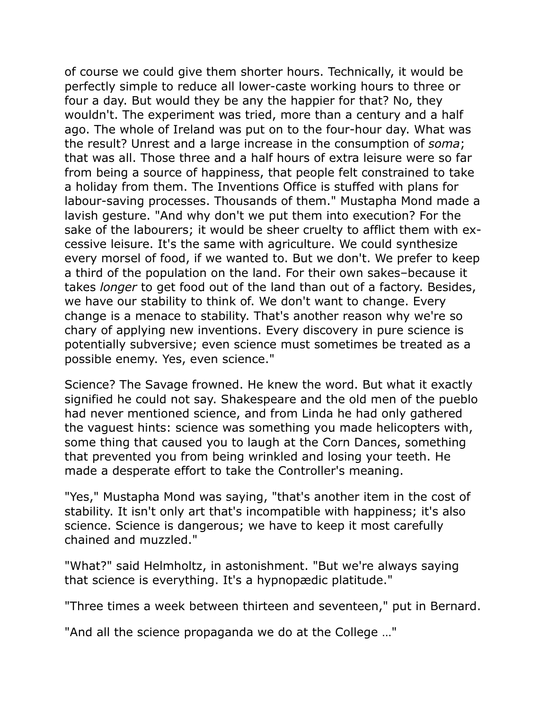of course we could give them shorter hours. Technically, it would be perfectly simple to reduce all lower-caste working hours to three or four a day. But would they be any the happier for that? No, they wouldn't. The experiment was tried, more than a century and a half ago. The whole of Ireland was put on to the four-hour day. What was the result? Unrest and a large increase in the consumption of *soma*; that was all. Those three and a half hours of extra leisure were so far from being a source of happiness, that people felt constrained to take a holiday from them. The Inventions Office is stuffed with plans for labour-saving processes. Thousands of them." Mustapha Mond made a lavish gesture. "And why don't we put them into execution? For the sake of the labourers; it would be sheer cruelty to afflict them with excessive leisure. It's the same with agriculture. We could synthesize every morsel of food, if we wanted to. But we don't. We prefer to keep a third of the population on the land. For their own sakes–because it takes *longer* to get food out of the land than out of a factory. Besides, we have our stability to think of. We don't want to change. Every change is a menace to stability. That's another reason why we're so chary of applying new inventions. Every discovery in pure science is potentially subversive; even science must sometimes be treated as a possible enemy. Yes, even science."

Science? The Savage frowned. He knew the word. But what it exactly signified he could not say. Shakespeare and the old men of the pueblo had never mentioned science, and from Linda he had only gathered the vaguest hints: science was something you made helicopters with, some thing that caused you to laugh at the Corn Dances, something that prevented you from being wrinkled and losing your teeth. He made a desperate effort to take the Controller's meaning.

"Yes," Mustapha Mond was saying, "that's another item in the cost of stability. It isn't only art that's incompatible with happiness; it's also science. Science is dangerous; we have to keep it most carefully chained and muzzled."

"What?" said Helmholtz, in astonishment. "But we're always saying that science is everything. It's a hypnopædic platitude."

"Three times a week between thirteen and seventeen," put in Bernard.

"And all the science propaganda we do at the College …"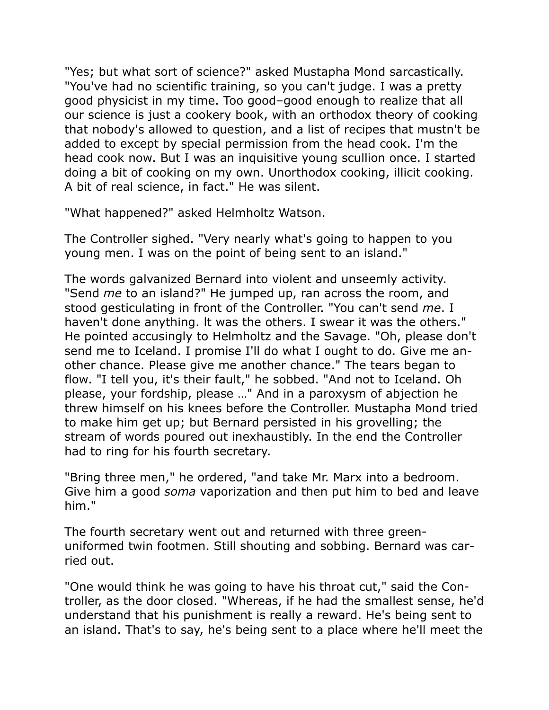"Yes; but what sort of science?" asked Mustapha Mond sarcastically. "You've had no scientific training, so you can't judge. I was a pretty good physicist in my time. Too good–good enough to realize that all our science is just a cookery book, with an orthodox theory of cooking that nobody's allowed to question, and a list of recipes that mustn't be added to except by special permission from the head cook. I'm the head cook now. But I was an inquisitive young scullion once. I started doing a bit of cooking on my own. Unorthodox cooking, illicit cooking. A bit of real science, in fact." He was silent.

"What happened?" asked Helmholtz Watson.

The Controller sighed. "Very nearly what's going to happen to you young men. I was on the point of being sent to an island."

The words galvanized Bernard into violent and unseemly activity. "Send *me* to an island?" He jumped up, ran across the room, and stood gesticulating in front of the Controller. "You can't send *me*. I haven't done anything. lt was the others. I swear it was the others." He pointed accusingly to Helmholtz and the Savage. "Oh, please don't send me to Iceland. I promise I'll do what I ought to do. Give me another chance. Please give me another chance." The tears began to flow. "I tell you, it's their fault," he sobbed. "And not to Iceland. Oh please, your fordship, please …" And in a paroxysm of abjection he threw himself on his knees before the Controller. Mustapha Mond tried to make him get up; but Bernard persisted in his grovelling; the stream of words poured out inexhaustibly. In the end the Controller had to ring for his fourth secretary.

"Bring three men," he ordered, "and take Mr. Marx into a bedroom. Give him a good *soma* vaporization and then put him to bed and leave him."

The fourth secretary went out and returned with three greenuniformed twin footmen. Still shouting and sobbing. Bernard was carried out.

"One would think he was going to have his throat cut," said the Controller, as the door closed. "Whereas, if he had the smallest sense, he'd understand that his punishment is really a reward. He's being sent to an island. That's to say, he's being sent to a place where he'll meet the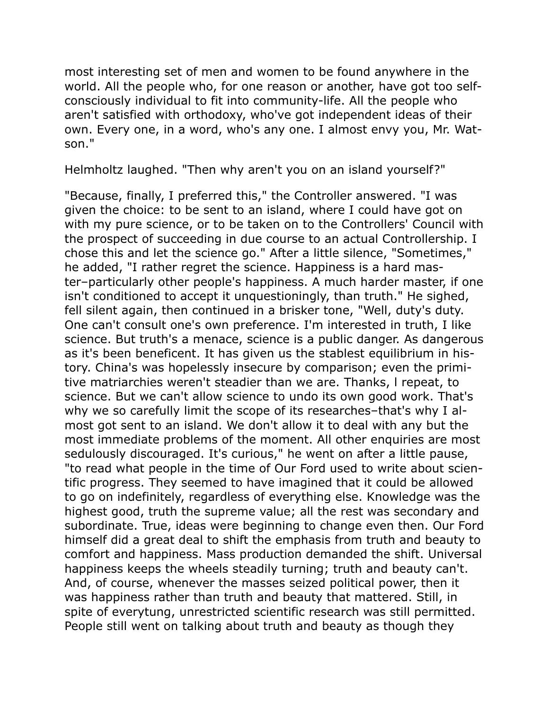most interesting set of men and women to be found anywhere in the world. All the people who, for one reason or another, have got too selfconsciously individual to fit into community-life. All the people who aren't satisfied with orthodoxy, who've got independent ideas of their own. Every one, in a word, who's any one. I almost envy you, Mr. Watson."

Helmholtz laughed. "Then why aren't you on an island yourself?"

"Because, finally, I preferred this," the Controller answered. "I was given the choice: to be sent to an island, where I could have got on with my pure science, or to be taken on to the Controllers' Council with the prospect of succeeding in due course to an actual Controllership. I chose this and let the science go." After a little silence, "Sometimes," he added, "I rather regret the science. Happiness is a hard master–particularly other people's happiness. A much harder master, if one isn't conditioned to accept it unquestioningly, than truth." He sighed, fell silent again, then continued in a brisker tone, "Well, duty's duty. One can't consult one's own preference. I'm interested in truth, I like science. But truth's a menace, science is a public danger. As dangerous as it's been beneficent. It has given us the stablest equilibrium in history. China's was hopelessly insecure by comparison; even the primitive matriarchies weren't steadier than we are. Thanks, l repeat, to science. But we can't allow science to undo its own good work. That's why we so carefully limit the scope of its researches–that's why I almost got sent to an island. We don't allow it to deal with any but the most immediate problems of the moment. All other enquiries are most sedulously discouraged. It's curious," he went on after a little pause, "to read what people in the time of Our Ford used to write about scientific progress. They seemed to have imagined that it could be allowed to go on indefinitely, regardless of everything else. Knowledge was the highest good, truth the supreme value; all the rest was secondary and subordinate. True, ideas were beginning to change even then. Our Ford himself did a great deal to shift the emphasis from truth and beauty to comfort and happiness. Mass production demanded the shift. Universal happiness keeps the wheels steadily turning; truth and beauty can't. And, of course, whenever the masses seized political power, then it was happiness rather than truth and beauty that mattered. Still, in spite of everytung, unrestricted scientific research was still permitted. People still went on talking about truth and beauty as though they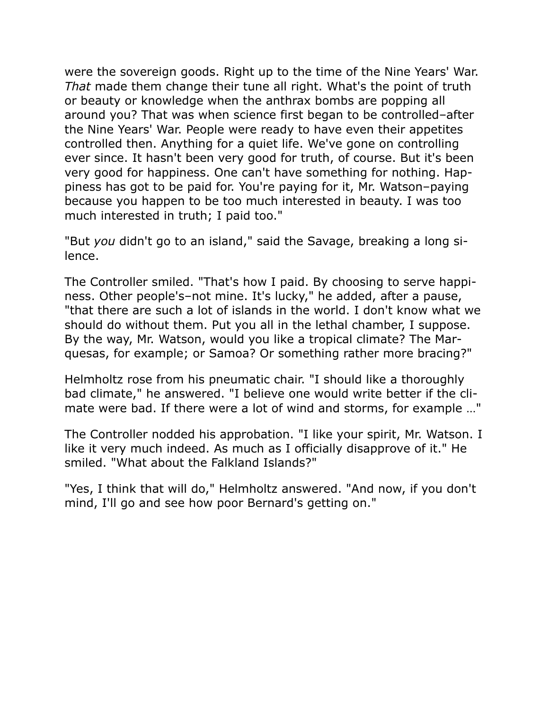were the sovereign goods. Right up to the time of the Nine Years' War. *That* made them change their tune all right. What's the point of truth or beauty or knowledge when the anthrax bombs are popping all around you? That was when science first began to be controlled–after the Nine Years' War. People were ready to have even their appetites controlled then. Anything for a quiet life. We've gone on controlling ever since. It hasn't been very good for truth, of course. But it's been very good for happiness. One can't have something for nothing. Happiness has got to be paid for. You're paying for it, Mr. Watson–paying because you happen to be too much interested in beauty. I was too much interested in truth; I paid too."

"But *you* didn't go to an island," said the Savage, breaking a long silence.

The Controller smiled. "That's how I paid. By choosing to serve happiness. Other people's–not mine. It's lucky," he added, after a pause, "that there are such a lot of islands in the world. I don't know what we should do without them. Put you all in the lethal chamber, I suppose. By the way, Mr. Watson, would you like a tropical climate? The Marquesas, for example; or Samoa? Or something rather more bracing?"

Helmholtz rose from his pneumatic chair. "I should like a thoroughly bad climate," he answered. "I believe one would write better if the climate were bad. If there were a lot of wind and storms, for example …"

The Controller nodded his approbation. "I like your spirit, Mr. Watson. I like it very much indeed. As much as I officially disapprove of it." He smiled. "What about the Falkland Islands?"

"Yes, I think that will do," Helmholtz answered. "And now, if you don't mind, I'll go and see how poor Bernard's getting on."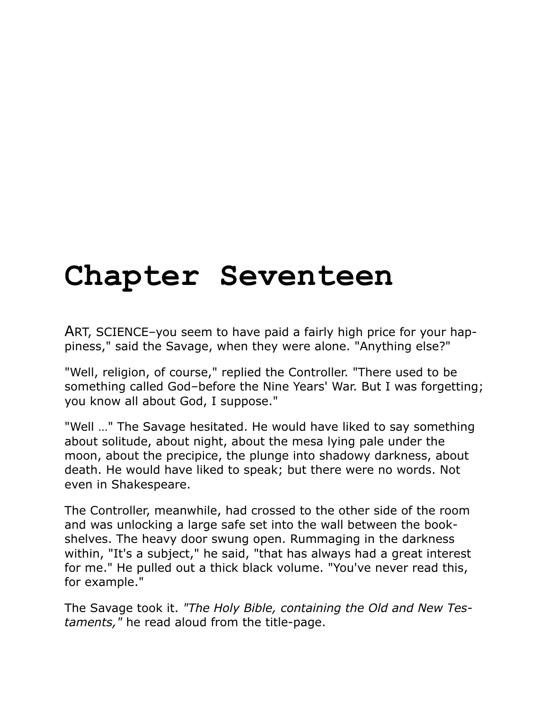# **Chapter Seventeen**

ART, SCIENCE–you seem to have paid a fairly high price for your happiness," said the Savage, when they were alone. "Anything else?"

"Well, religion, of course," replied the Controller. "There used to be something called God–before the Nine Years' War. But I was forgetting; you know all about God, I suppose."

"Well …" The Savage hesitated. He would have liked to say something about solitude, about night, about the mesa lying pale under the moon, about the precipice, the plunge into shadowy darkness, about death. He would have liked to speak; but there were no words. Not even in Shakespeare.

The Controller, meanwhile, had crossed to the other side of the room and was unlocking a large safe set into the wall between the bookshelves. The heavy door swung open. Rummaging in the darkness within, "It's a subject," he said, "that has always had a great interest for me." He pulled out a thick black volume. "You've never read this, for example."

The Savage took it. *"The Holy Bible, containing the Old and New Testaments,"* he read aloud from the title-page.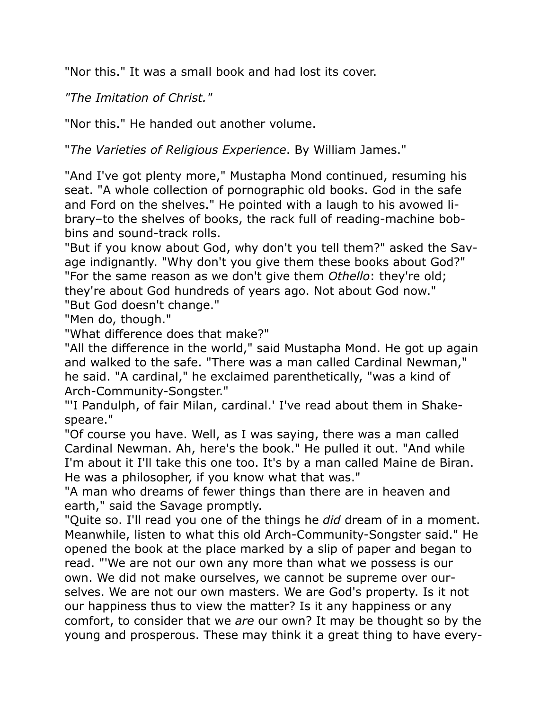"Nor this." It was a small book and had lost its cover.

*"The Imitation of Christ."*

"Nor this." He handed out another volume.

"*The Varieties of Religious Experience*. By William James."

"And I've got plenty more," Mustapha Mond continued, resuming his seat. "A whole collection of pornographic old books. God in the safe and Ford on the shelves." He pointed with a laugh to his avowed library–to the shelves of books, the rack full of reading-machine bobbins and sound-track rolls.

"But if you know about God, why don't you tell them?" asked the Savage indignantly. "Why don't you give them these books about God?" "For the same reason as we don't give them *Othello*: they're old; they're about God hundreds of years ago. Not about God now." "But God doesn't change."

"Men do, though."

"What difference does that make?"

"All the difference in the world," said Mustapha Mond. He got up again and walked to the safe. "There was a man called Cardinal Newman," he said. "A cardinal," he exclaimed parenthetically, "was a kind of Arch-Community-Songster."

"'I Pandulph, of fair Milan, cardinal.' I've read about them in Shakespeare."

"Of course you have. Well, as I was saying, there was a man called Cardinal Newman. Ah, here's the book." He pulled it out. "And while I'm about it I'll take this one too. It's by a man called Maine de Biran. He was a philosopher, if you know what that was."

"A man who dreams of fewer things than there are in heaven and earth," said the Savage promptly.

"Quite so. I'll read you one of the things he *did* dream of in a moment. Meanwhile, listen to what this old Arch-Community-Songster said." He opened the book at the place marked by a slip of paper and began to read. "'We are not our own any more than what we possess is our own. We did not make ourselves, we cannot be supreme over ourselves. We are not our own masters. We are God's property. Is it not our happiness thus to view the matter? Is it any happiness or any comfort, to consider that we *are* our own? It may be thought so by the young and prosperous. These may think it a great thing to have every-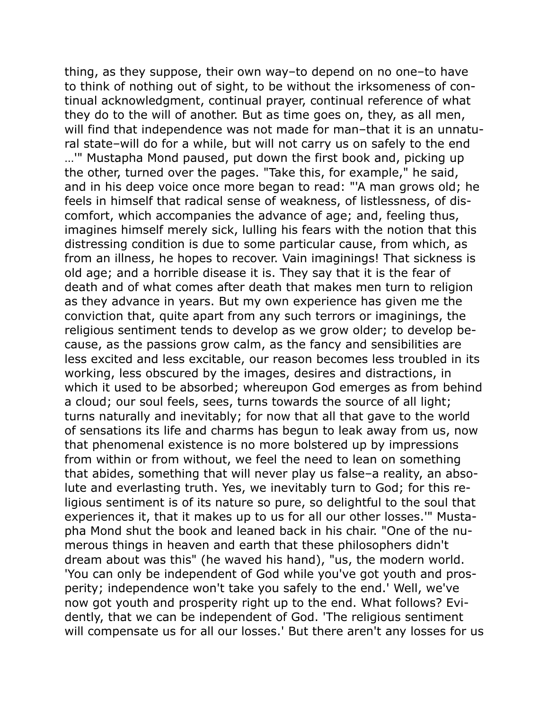thing, as they suppose, their own way–to depend on no one–to have to think of nothing out of sight, to be without the irksomeness of continual acknowledgment, continual prayer, continual reference of what they do to the will of another. But as time goes on, they, as all men, will find that independence was not made for man–that it is an unnatural state–will do for a while, but will not carry us on safely to the end …'" Mustapha Mond paused, put down the first book and, picking up the other, turned over the pages. "Take this, for example," he said, and in his deep voice once more began to read: "'A man grows old; he feels in himself that radical sense of weakness, of listlessness, of discomfort, which accompanies the advance of age; and, feeling thus, imagines himself merely sick, lulling his fears with the notion that this distressing condition is due to some particular cause, from which, as from an illness, he hopes to recover. Vain imaginings! That sickness is old age; and a horrible disease it is. They say that it is the fear of death and of what comes after death that makes men turn to religion as they advance in years. But my own experience has given me the conviction that, quite apart from any such terrors or imaginings, the religious sentiment tends to develop as we grow older; to develop because, as the passions grow calm, as the fancy and sensibilities are less excited and less excitable, our reason becomes less troubled in its working, less obscured by the images, desires and distractions, in which it used to be absorbed; whereupon God emerges as from behind a cloud; our soul feels, sees, turns towards the source of all light; turns naturally and inevitably; for now that all that gave to the world of sensations its life and charms has begun to leak away from us, now that phenomenal existence is no more bolstered up by impressions from within or from without, we feel the need to lean on something that abides, something that will never play us false–a reality, an absolute and everlasting truth. Yes, we inevitably turn to God; for this religious sentiment is of its nature so pure, so delightful to the soul that experiences it, that it makes up to us for all our other losses.'" Mustapha Mond shut the book and leaned back in his chair. "One of the numerous things in heaven and earth that these philosophers didn't dream about was this" (he waved his hand), "us, the modern world. 'You can only be independent of God while you've got youth and prosperity; independence won't take you safely to the end.' Well, we've now got youth and prosperity right up to the end. What follows? Evidently, that we can be independent of God. 'The religious sentiment will compensate us for all our losses.' But there aren't any losses for us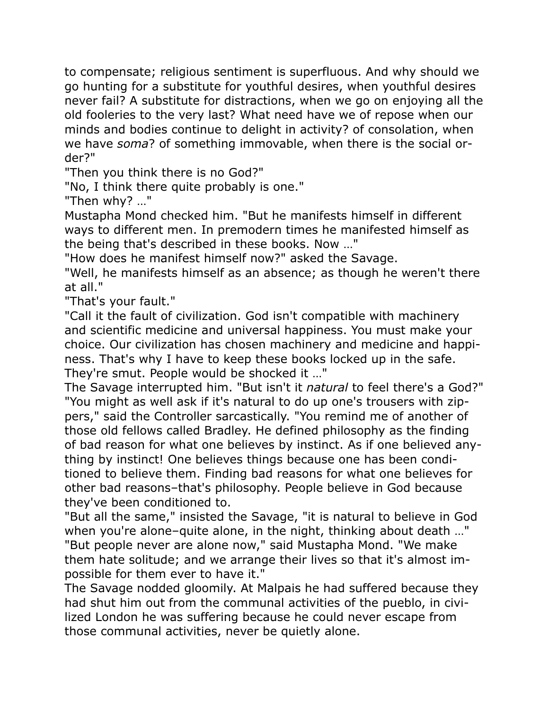to compensate; religious sentiment is superfluous. And why should we go hunting for a substitute for youthful desires, when youthful desires never fail? A substitute for distractions, when we go on enjoying all the old fooleries to the very last? What need have we of repose when our minds and bodies continue to delight in activity? of consolation, when we have *soma*? of something immovable, when there is the social order?"

"Then you think there is no God?"

"No, I think there quite probably is one."

"Then why? …"

Mustapha Mond checked him. "But he manifests himself in different ways to different men. In premodern times he manifested himself as the being that's described in these books. Now …"

"How does he manifest himself now?" asked the Savage.

"Well, he manifests himself as an absence; as though he weren't there at all."

"That's your fault."

"Call it the fault of civilization. God isn't compatible with machinery and scientific medicine and universal happiness. You must make your choice. Our civilization has chosen machinery and medicine and happiness. That's why I have to keep these books locked up in the safe. They're smut. People would be shocked it …"

The Savage interrupted him. "But isn't it *natural* to feel there's a God?" "You might as well ask if it's natural to do up one's trousers with zippers," said the Controller sarcastically. "You remind me of another of those old fellows called Bradley. He defined philosophy as the finding of bad reason for what one believes by instinct. As if one believed anything by instinct! One believes things because one has been conditioned to believe them. Finding bad reasons for what one believes for other bad reasons–that's philosophy. People believe in God because they've been conditioned to.

"But all the same," insisted the Savage, "it is natural to believe in God when you're alone–quite alone, in the night, thinking about death …" "But people never are alone now," said Mustapha Mond. "We make them hate solitude; and we arrange their lives so that it's almost impossible for them ever to have it."

The Savage nodded gloomily. At Malpais he had suffered because they had shut him out from the communal activities of the pueblo, in civilized London he was suffering because he could never escape from those communal activities, never be quietly alone.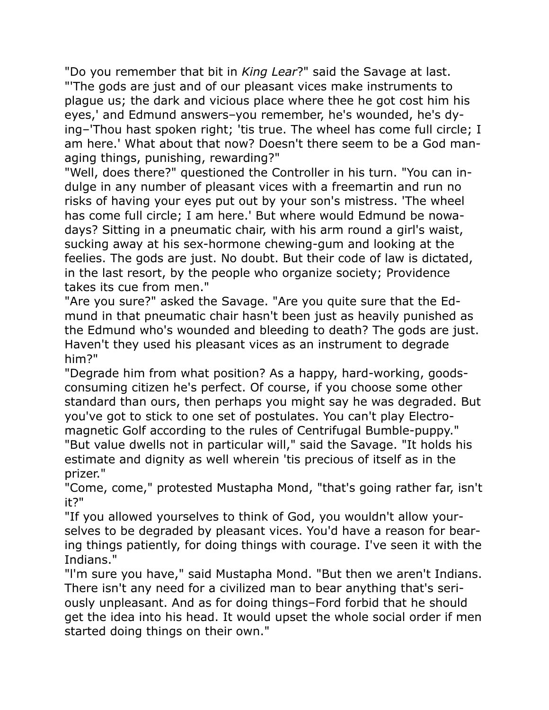"Do you remember that bit in *King Lear*?" said the Savage at last. "'The gods are just and of our pleasant vices make instruments to plague us; the dark and vicious place where thee he got cost him his eyes,' and Edmund answers–you remember, he's wounded, he's dying–'Thou hast spoken right; 'tis true. The wheel has come full circle; I am here.' What about that now? Doesn't there seem to be a God managing things, punishing, rewarding?"

"Well, does there?" questioned the Controller in his turn. "You can indulge in any number of pleasant vices with a freemartin and run no risks of having your eyes put out by your son's mistress. 'The wheel has come full circle; I am here.' But where would Edmund be nowadays? Sitting in a pneumatic chair, with his arm round a girl's waist, sucking away at his sex-hormone chewing-gum and looking at the feelies. The gods are just. No doubt. But their code of law is dictated, in the last resort, by the people who organize society; Providence takes its cue from men."

"Are you sure?" asked the Savage. "Are you quite sure that the Edmund in that pneumatic chair hasn't been just as heavily punished as the Edmund who's wounded and bleeding to death? The gods are just. Haven't they used his pleasant vices as an instrument to degrade him?"

"Degrade him from what position? As a happy, hard-working, goodsconsuming citizen he's perfect. Of course, if you choose some other standard than ours, then perhaps you might say he was degraded. But you've got to stick to one set of postulates. You can't play Electromagnetic Golf according to the rules of Centrifugal Bumble-puppy." "But value dwells not in particular will," said the Savage. "It holds his estimate and dignity as well wherein 'tis precious of itself as in the prizer."

"Come, come," protested Mustapha Mond, "that's going rather far, isn't it?"

"If you allowed yourselves to think of God, you wouldn't allow yourselves to be degraded by pleasant vices. You'd have a reason for bearing things patiently, for doing things with courage. I've seen it with the Indians."

"l'm sure you have," said Mustapha Mond. "But then we aren't Indians. There isn't any need for a civilized man to bear anything that's seriously unpleasant. And as for doing things–Ford forbid that he should get the idea into his head. It would upset the whole social order if men started doing things on their own."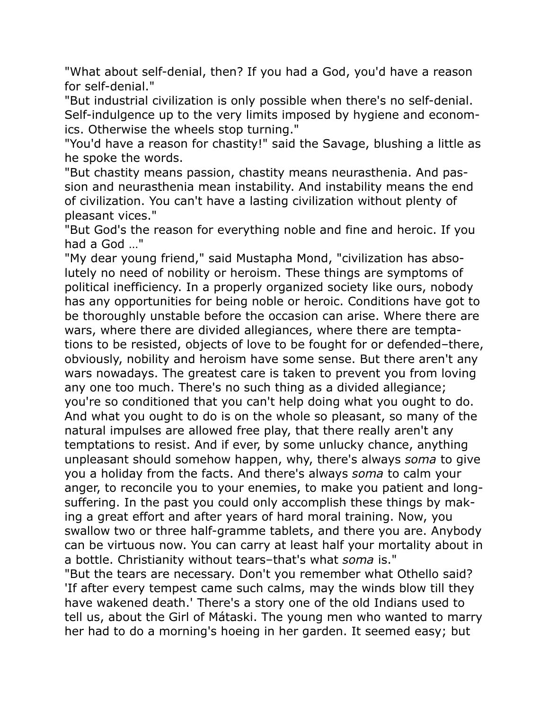"What about self-denial, then? If you had a God, you'd have a reason for self-denial."

"But industrial civilization is only possible when there's no self-denial. Self-indulgence up to the very limits imposed by hygiene and economics. Otherwise the wheels stop turning."

"You'd have a reason for chastity!" said the Savage, blushing a little as he spoke the words.

"But chastity means passion, chastity means neurasthenia. And passion and neurasthenia mean instability. And instability means the end of civilization. You can't have a lasting civilization without plenty of pleasant vices."

"But God's the reason for everything noble and fine and heroic. If you had a God …"

"My dear young friend," said Mustapha Mond, "civilization has absolutely no need of nobility or heroism. These things are symptoms of political inefficiency. In a properly organized society like ours, nobody has any opportunities for being noble or heroic. Conditions have got to be thoroughly unstable before the occasion can arise. Where there are wars, where there are divided allegiances, where there are temptations to be resisted, objects of love to be fought for or defended–there, obviously, nobility and heroism have some sense. But there aren't any wars nowadays. The greatest care is taken to prevent you from loving any one too much. There's no such thing as a divided allegiance; you're so conditioned that you can't help doing what you ought to do. And what you ought to do is on the whole so pleasant, so many of the natural impulses are allowed free play, that there really aren't any temptations to resist. And if ever, by some unlucky chance, anything unpleasant should somehow happen, why, there's always *soma* to give you a holiday from the facts. And there's always *soma* to calm your anger, to reconcile you to your enemies, to make you patient and longsuffering. In the past you could only accomplish these things by making a great effort and after years of hard moral training. Now, you swallow two or three half-gramme tablets, and there you are. Anybody can be virtuous now. You can carry at least half your mortality about in a bottle. Christianity without tears–that's what *soma* is." "But the tears are necessary. Don't you remember what Othello said? 'If after every tempest came such calms, may the winds blow till they have wakened death.' There's a story one of the old Indians used to tell us, about the Girl of Mátaski. The young men who wanted to marry her had to do a morning's hoeing in her garden. It seemed easy; but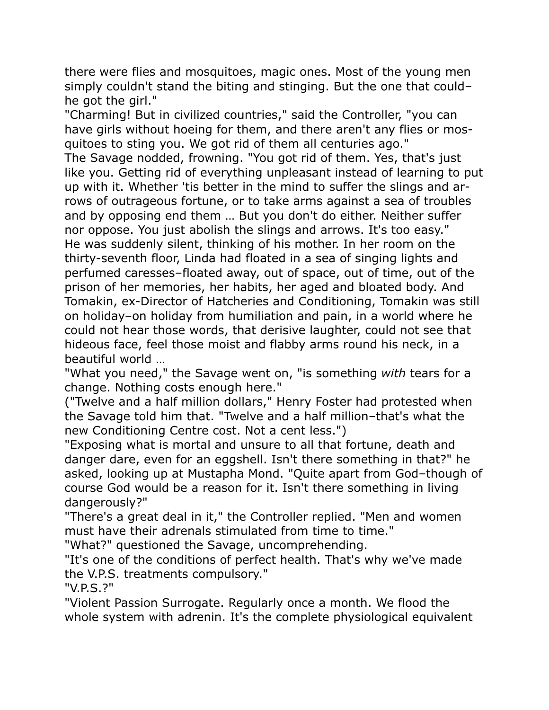there were flies and mosquitoes, magic ones. Most of the young men simply couldn't stand the biting and stinging. But the one that could– he got the girl."

"Charming! But in civilized countries," said the Controller, "you can have girls without hoeing for them, and there aren't any flies or mosquitoes to sting you. We got rid of them all centuries ago."

The Savage nodded, frowning. "You got rid of them. Yes, that's just like you. Getting rid of everything unpleasant instead of learning to put up with it. Whether 'tis better in the mind to suffer the slings and arrows of outrageous fortune, or to take arms against a sea of troubles and by opposing end them … But you don't do either. Neither suffer nor oppose. You just abolish the slings and arrows. It's too easy." He was suddenly silent, thinking of his mother. In her room on the thirty-seventh floor, Linda had floated in a sea of singing lights and perfumed caresses–floated away, out of space, out of time, out of the prison of her memories, her habits, her aged and bloated body. And Tomakin, ex-Director of Hatcheries and Conditioning, Tomakin was still on holiday–on holiday from humiliation and pain, in a world where he could not hear those words, that derisive laughter, could not see that hideous face, feel those moist and flabby arms round his neck, in a beautiful world …

"What you need," the Savage went on, "is something *with* tears for a change. Nothing costs enough here."

("Twelve and a half million dollars," Henry Foster had protested when the Savage told him that. "Twelve and a half million–that's what the new Conditioning Centre cost. Not a cent less.")

"Exposing what is mortal and unsure to all that fortune, death and danger dare, even for an eggshell. Isn't there something in that?" he asked, looking up at Mustapha Mond. "Quite apart from God–though of course God would be a reason for it. Isn't there something in living dangerously?"

"There's a great deal in it," the Controller replied. "Men and women must have their adrenals stimulated from time to time."

"What?" questioned the Savage, uncomprehending.

"It's one of the conditions of perfect health. That's why we've made the V.P.S. treatments compulsory."

"V.P.S.?"

"Violent Passion Surrogate. Regularly once a month. We flood the whole system with adrenin. It's the complete physiological equivalent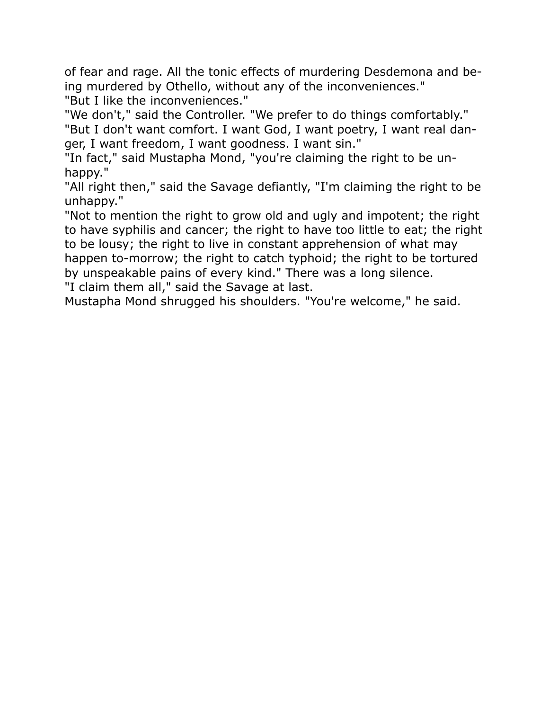of fear and rage. All the tonic effects of murdering Desdemona and being murdered by Othello, without any of the inconveniences." "But I like the inconveniences."

"We don't," said the Controller. "We prefer to do things comfortably." "But I don't want comfort. I want God, I want poetry, I want real danger, I want freedom, I want goodness. I want sin."

"In fact," said Mustapha Mond, "you're claiming the right to be unhappy."

"All right then," said the Savage defiantly, "I'm claiming the right to be unhappy."

"Not to mention the right to grow old and ugly and impotent; the right to have syphilis and cancer; the right to have too little to eat; the right to be lousy; the right to live in constant apprehension of what may happen to-morrow; the right to catch typhoid; the right to be tortured by unspeakable pains of every kind." There was a long silence. "I claim them all," said the Savage at last.

Mustapha Mond shrugged his shoulders. "You're welcome," he said.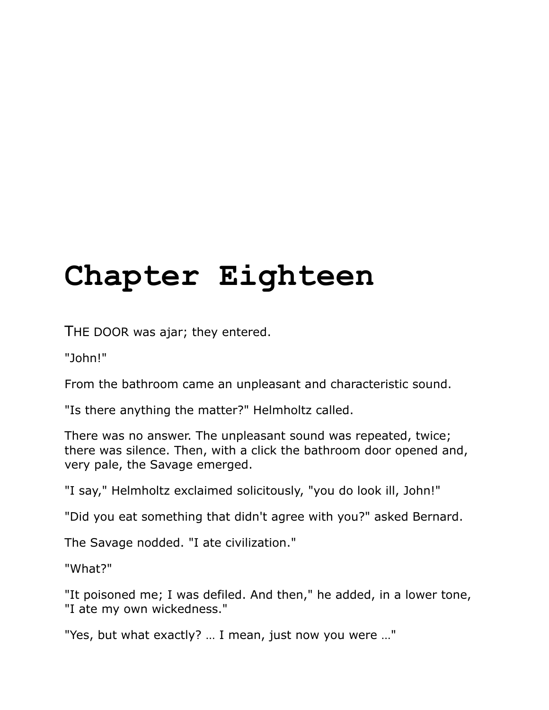## **Chapter Eighteen**

THE DOOR was ajar; they entered.

"John!"

From the bathroom came an unpleasant and characteristic sound.

"Is there anything the matter?" Helmholtz called.

There was no answer. The unpleasant sound was repeated, twice; there was silence. Then, with a click the bathroom door opened and, very pale, the Savage emerged.

"I say," Helmholtz exclaimed solicitously, "you do look ill, John!"

"Did you eat something that didn't agree with you?" asked Bernard.

The Savage nodded. "I ate civilization."

"What?"

"It poisoned me; I was defiled. And then," he added, in a lower tone, "I ate my own wickedness."

"Yes, but what exactly? … I mean, just now you were …"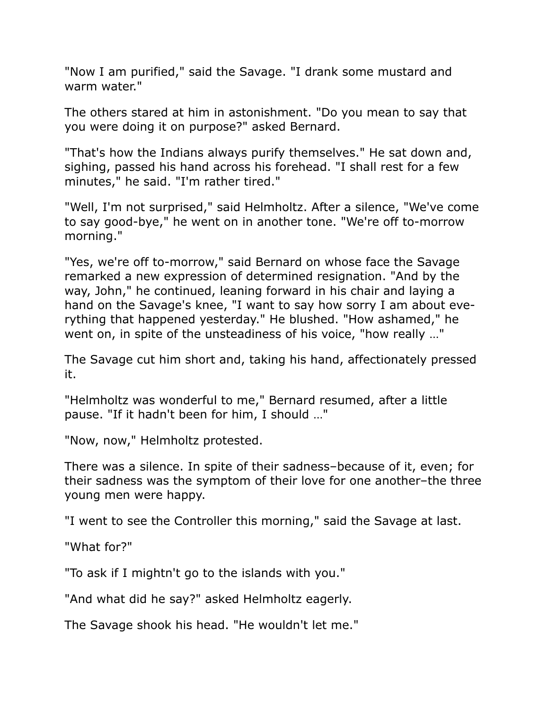"Now I am purified," said the Savage. "I drank some mustard and warm water."

The others stared at him in astonishment. "Do you mean to say that you were doing it on purpose?" asked Bernard.

"That's how the Indians always purify themselves." He sat down and, sighing, passed his hand across his forehead. "I shall rest for a few minutes," he said. "I'm rather tired."

"Well, I'm not surprised," said Helmholtz. After a silence, "We've come to say good-bye," he went on in another tone. "We're off to-morrow morning."

"Yes, we're off to-morrow," said Bernard on whose face the Savage remarked a new expression of determined resignation. "And by the way, John," he continued, leaning forward in his chair and laying a hand on the Savage's knee, "I want to say how sorry I am about everything that happened yesterday." He blushed. "How ashamed," he went on, in spite of the unsteadiness of his voice, "how really …"

The Savage cut him short and, taking his hand, affectionately pressed it.

"Helmholtz was wonderful to me," Bernard resumed, after a little pause. "If it hadn't been for him, I should …"

"Now, now," Helmholtz protested.

There was a silence. In spite of their sadness–because of it, even; for their sadness was the symptom of their love for one another–the three young men were happy.

"I went to see the Controller this morning," said the Savage at last.

"What for?"

"To ask if I mightn't go to the islands with you."

"And what did he say?" asked Helmholtz eagerly.

The Savage shook his head. "He wouldn't let me."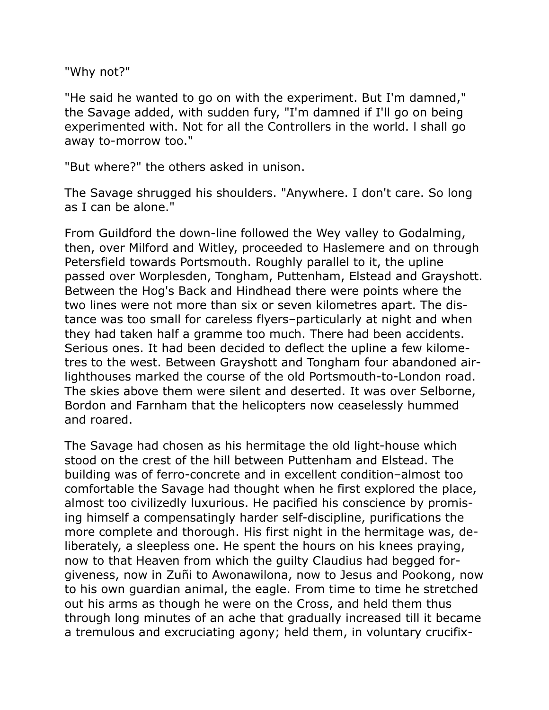"Why not?"

"He said he wanted to go on with the experiment. But I'm damned," the Savage added, with sudden fury, "I'm damned if I'll go on being experimented with. Not for all the Controllers in the world. l shall go away to-morrow too."

"But where?" the others asked in unison.

The Savage shrugged his shoulders. "Anywhere. I don't care. So long as I can be alone."

From Guildford the down-line followed the Wey valley to Godalming, then, over Milford and Witley, proceeded to Haslemere and on through Petersfield towards Portsmouth. Roughly parallel to it, the upline passed over Worplesden, Tongham, Puttenham, Elstead and Grayshott. Between the Hog's Back and Hindhead there were points where the two lines were not more than six or seven kilometres apart. The distance was too small for careless flyers–particularly at night and when they had taken half a gramme too much. There had been accidents. Serious ones. It had been decided to deflect the upline a few kilometres to the west. Between Grayshott and Tongham four abandoned airlighthouses marked the course of the old Portsmouth-to-London road. The skies above them were silent and deserted. It was over Selborne, Bordon and Farnham that the helicopters now ceaselessly hummed and roared.

The Savage had chosen as his hermitage the old light-house which stood on the crest of the hill between Puttenham and Elstead. The building was of ferro-concrete and in excellent condition–almost too comfortable the Savage had thought when he first explored the place, almost too civilizedly luxurious. He pacified his conscience by promising himself a compensatingly harder self-discipline, purifications the more complete and thorough. His first night in the hermitage was, deliberately, a sleepless one. He spent the hours on his knees praying, now to that Heaven from which the guilty Claudius had begged forgiveness, now in Zuñi to Awonawilona, now to Jesus and Pookong, now to his own guardian animal, the eagle. From time to time he stretched out his arms as though he were on the Cross, and held them thus through long minutes of an ache that gradually increased till it became a tremulous and excruciating agony; held them, in voluntary crucifix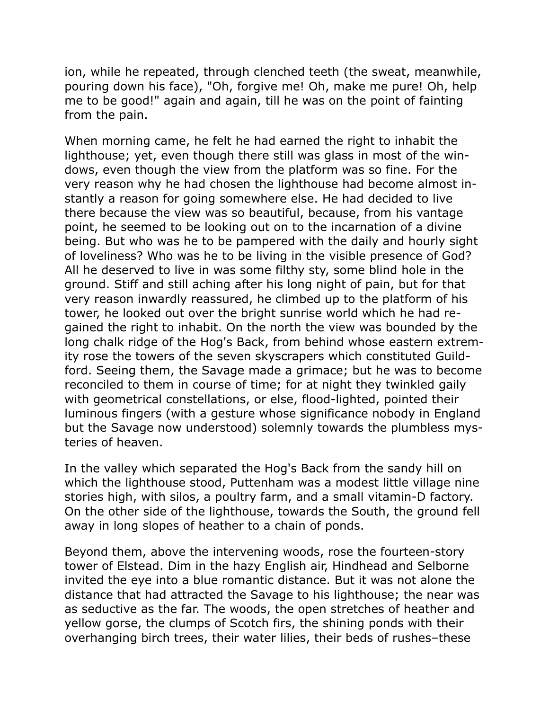ion, while he repeated, through clenched teeth (the sweat, meanwhile, pouring down his face), "Oh, forgive me! Oh, make me pure! Oh, help me to be good!" again and again, till he was on the point of fainting from the pain.

When morning came, he felt he had earned the right to inhabit the lighthouse; yet, even though there still was glass in most of the windows, even though the view from the platform was so fine. For the very reason why he had chosen the lighthouse had become almost instantly a reason for going somewhere else. He had decided to live there because the view was so beautiful, because, from his vantage point, he seemed to be looking out on to the incarnation of a divine being. But who was he to be pampered with the daily and hourly sight of loveliness? Who was he to be living in the visible presence of God? All he deserved to live in was some filthy sty, some blind hole in the ground. Stiff and still aching after his long night of pain, but for that very reason inwardly reassured, he climbed up to the platform of his tower, he looked out over the bright sunrise world which he had regained the right to inhabit. On the north the view was bounded by the long chalk ridge of the Hog's Back, from behind whose eastern extremity rose the towers of the seven skyscrapers which constituted Guildford. Seeing them, the Savage made a grimace; but he was to become reconciled to them in course of time; for at night they twinkled gaily with geometrical constellations, or else, flood-lighted, pointed their luminous fingers (with a gesture whose significance nobody in England but the Savage now understood) solemnly towards the plumbless mysteries of heaven.

In the valley which separated the Hog's Back from the sandy hill on which the lighthouse stood, Puttenham was a modest little village nine stories high, with silos, a poultry farm, and a small vitamin-D factory. On the other side of the lighthouse, towards the South, the ground fell away in long slopes of heather to a chain of ponds.

Beyond them, above the intervening woods, rose the fourteen-story tower of Elstead. Dim in the hazy English air, Hindhead and Selborne invited the eye into a blue romantic distance. But it was not alone the distance that had attracted the Savage to his lighthouse; the near was as seductive as the far. The woods, the open stretches of heather and yellow gorse, the clumps of Scotch firs, the shining ponds with their overhanging birch trees, their water lilies, their beds of rushes–these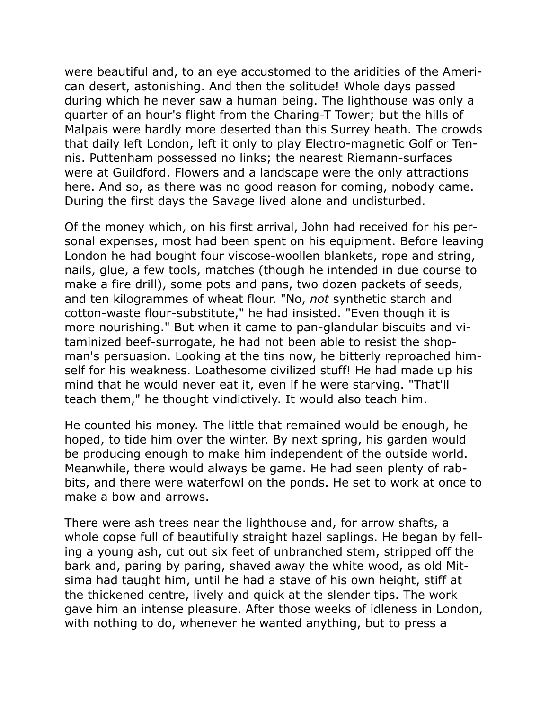were beautiful and, to an eye accustomed to the aridities of the American desert, astonishing. And then the solitude! Whole days passed during which he never saw a human being. The lighthouse was only a quarter of an hour's flight from the Charing-T Tower; but the hills of Malpais were hardly more deserted than this Surrey heath. The crowds that daily left London, left it only to play Electro-magnetic Golf or Tennis. Puttenham possessed no links; the nearest Riemann-surfaces were at Guildford. Flowers and a landscape were the only attractions here. And so, as there was no good reason for coming, nobody came. During the first days the Savage lived alone and undisturbed.

Of the money which, on his first arrival, John had received for his personal expenses, most had been spent on his equipment. Before leaving London he had bought four viscose-woollen blankets, rope and string, nails, glue, a few tools, matches (though he intended in due course to make a fire drill), some pots and pans, two dozen packets of seeds, and ten kilogrammes of wheat flour. "No, *not* synthetic starch and cotton-waste flour-substitute," he had insisted. "Even though it is more nourishing." But when it came to pan-glandular biscuits and vitaminized beef-surrogate, he had not been able to resist the shopman's persuasion. Looking at the tins now, he bitterly reproached himself for his weakness. Loathesome civilized stuff! He had made up his mind that he would never eat it, even if he were starving. "That'll teach them," he thought vindictively. It would also teach him.

He counted his money. The little that remained would be enough, he hoped, to tide him over the winter. By next spring, his garden would be producing enough to make him independent of the outside world. Meanwhile, there would always be game. He had seen plenty of rabbits, and there were waterfowl on the ponds. He set to work at once to make a bow and arrows.

There were ash trees near the lighthouse and, for arrow shafts, a whole copse full of beautifully straight hazel saplings. He began by felling a young ash, cut out six feet of unbranched stem, stripped off the bark and, paring by paring, shaved away the white wood, as old Mitsima had taught him, until he had a stave of his own height, stiff at the thickened centre, lively and quick at the slender tips. The work gave him an intense pleasure. After those weeks of idleness in London, with nothing to do, whenever he wanted anything, but to press a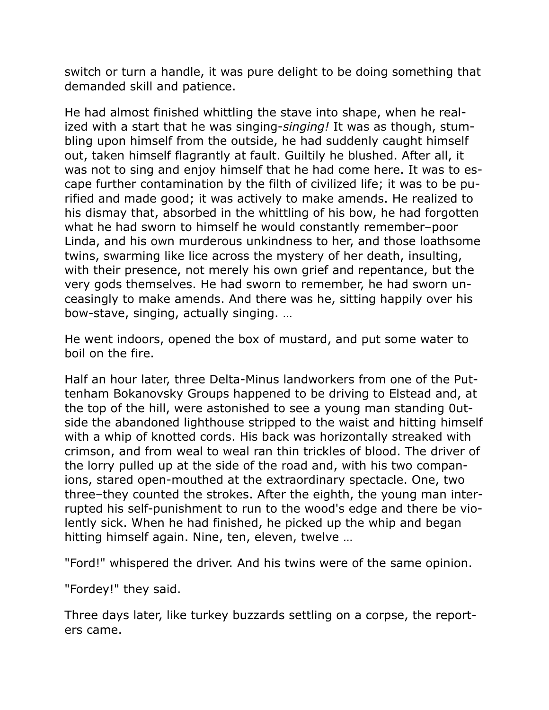switch or turn a handle, it was pure delight to be doing something that demanded skill and patience.

He had almost finished whittling the stave into shape, when he realized with a start that he was singing-*singing!* It was as though, stumbling upon himself from the outside, he had suddenly caught himself out, taken himself flagrantly at fault. Guiltily he blushed. After all, it was not to sing and enjoy himself that he had come here. It was to escape further contamination by the filth of civilized life; it was to be purified and made good; it was actively to make amends. He realized to his dismay that, absorbed in the whittling of his bow, he had forgotten what he had sworn to himself he would constantly remember–poor Linda, and his own murderous unkindness to her, and those loathsome twins, swarming like lice across the mystery of her death, insulting, with their presence, not merely his own grief and repentance, but the very gods themselves. He had sworn to remember, he had sworn unceasingly to make amends. And there was he, sitting happily over his bow-stave, singing, actually singing. …

He went indoors, opened the box of mustard, and put some water to boil on the fire.

Half an hour later, three Delta-Minus landworkers from one of the Puttenham Bokanovsky Groups happened to be driving to Elstead and, at the top of the hill, were astonished to see a young man standing 0utside the abandoned lighthouse stripped to the waist and hitting himself with a whip of knotted cords. His back was horizontally streaked with crimson, and from weal to weal ran thin trickles of blood. The driver of the lorry pulled up at the side of the road and, with his two companions, stared open-mouthed at the extraordinary spectacle. One, two three–they counted the strokes. After the eighth, the young man interrupted his self-punishment to run to the wood's edge and there be violently sick. When he had finished, he picked up the whip and began hitting himself again. Nine, ten, eleven, twelve …

"Ford!" whispered the driver. And his twins were of the same opinion.

"Fordey!" they said.

Three days later, like turkey buzzards settling on a corpse, the reporters came.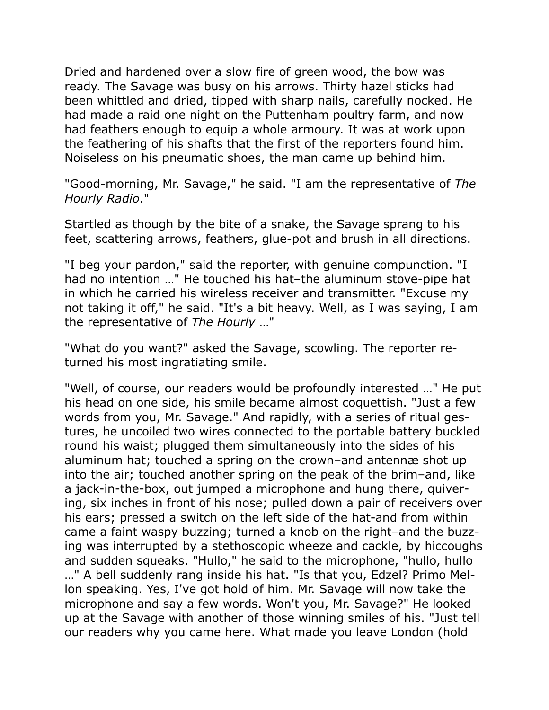Dried and hardened over a slow fire of green wood, the bow was ready. The Savage was busy on his arrows. Thirty hazel sticks had been whittled and dried, tipped with sharp nails, carefully nocked. He had made a raid one night on the Puttenham poultry farm, and now had feathers enough to equip a whole armoury. It was at work upon the feathering of his shafts that the first of the reporters found him. Noiseless on his pneumatic shoes, the man came up behind him.

"Good-morning, Mr. Savage," he said. "I am the representative of *The Hourly Radio*."

Startled as though by the bite of a snake, the Savage sprang to his feet, scattering arrows, feathers, glue-pot and brush in all directions.

"I beg your pardon," said the reporter, with genuine compunction. "I had no intention …" He touched his hat–the aluminum stove-pipe hat in which he carried his wireless receiver and transmitter. "Excuse my not taking it off," he said. "It's a bit heavy. Well, as I was saying, I am the representative of *The Hourly* …"

"What do you want?" asked the Savage, scowling. The reporter returned his most ingratiating smile.

"Well, of course, our readers would be profoundly interested …" He put his head on one side, his smile became almost coquettish. "Just a few words from you, Mr. Savage." And rapidly, with a series of ritual gestures, he uncoiled two wires connected to the portable battery buckled round his waist; plugged them simultaneously into the sides of his aluminum hat; touched a spring on the crown–and antennæ shot up into the air; touched another spring on the peak of the brim–and, like a jack-in-the-box, out jumped a microphone and hung there, quivering, six inches in front of his nose; pulled down a pair of receivers over his ears; pressed a switch on the left side of the hat-and from within came a faint waspy buzzing; turned a knob on the right–and the buzzing was interrupted by a stethoscopic wheeze and cackle, by hiccoughs and sudden squeaks. "Hullo," he said to the microphone, "hullo, hullo …" A bell suddenly rang inside his hat. "Is that you, Edzel? Primo Mellon speaking. Yes, I've got hold of him. Mr. Savage will now take the microphone and say a few words. Won't you, Mr. Savage?" He looked up at the Savage with another of those winning smiles of his. "Just tell our readers why you came here. What made you leave London (hold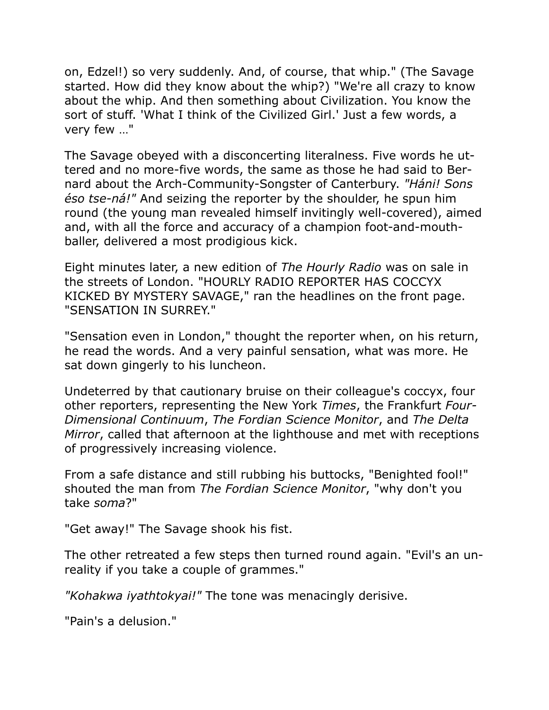on, Edzel!) so very suddenly. And, of course, that whip." (The Savage started. How did they know about the whip?) "We're all crazy to know about the whip. And then something about Civilization. You know the sort of stuff. 'What I think of the Civilized Girl.' Just a few words, a very few …"

The Savage obeyed with a disconcerting literalness. Five words he uttered and no more-five words, the same as those he had said to Bernard about the Arch-Community-Songster of Canterbury. *"Háni! Sons éso tse-ná!"* And seizing the reporter by the shoulder, he spun him round (the young man revealed himself invitingly well-covered), aimed and, with all the force and accuracy of a champion foot-and-mouthballer, delivered a most prodigious kick.

Eight minutes later, a new edition of *The Hourly Radio* was on sale in the streets of London. "HOURLY RADIO REPORTER HAS COCCYX KICKED BY MYSTERY SAVAGE," ran the headlines on the front page. "SENSATION IN SURREY."

"Sensation even in London," thought the reporter when, on his return, he read the words. And a very painful sensation, what was more. He sat down gingerly to his luncheon.

Undeterred by that cautionary bruise on their colleague's coccyx, four other reporters, representing the New York *Times*, the Frankfurt *Four-Dimensional Continuum*, *The Fordian Science Monitor*, and *The Delta Mirror*, called that afternoon at the lighthouse and met with receptions of progressively increasing violence.

From a safe distance and still rubbing his buttocks, "Benighted fool!" shouted the man from *The Fordian Science Monitor*, "why don't you take *soma*?"

"Get away!" The Savage shook his fist.

The other retreated a few steps then turned round again. "Evil's an unreality if you take a couple of grammes."

*"Kohakwa iyathtokyai!"* The tone was menacingly derisive.

"Pain's a delusion."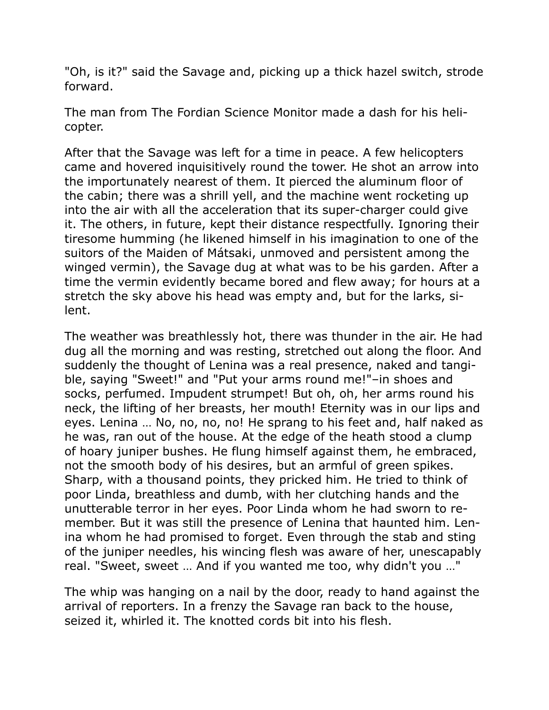"Oh, is it?" said the Savage and, picking up a thick hazel switch, strode forward.

The man from The Fordian Science Monitor made a dash for his helicopter.

After that the Savage was left for a time in peace. A few helicopters came and hovered inquisitively round the tower. He shot an arrow into the importunately nearest of them. It pierced the aluminum floor of the cabin; there was a shrill yell, and the machine went rocketing up into the air with all the acceleration that its super-charger could give it. The others, in future, kept their distance respectfully. Ignoring their tiresome humming (he likened himself in his imagination to one of the suitors of the Maiden of Mátsaki, unmoved and persistent among the winged vermin), the Savage dug at what was to be his garden. After a time the vermin evidently became bored and flew away; for hours at a stretch the sky above his head was empty and, but for the larks, silent.

The weather was breathlessly hot, there was thunder in the air. He had dug all the morning and was resting, stretched out along the floor. And suddenly the thought of Lenina was a real presence, naked and tangible, saying "Sweet!" and "Put your arms round me!"–in shoes and socks, perfumed. Impudent strumpet! But oh, oh, her arms round his neck, the lifting of her breasts, her mouth! Eternity was in our lips and eyes. Lenina … No, no, no, no! He sprang to his feet and, half naked as he was, ran out of the house. At the edge of the heath stood a clump of hoary juniper bushes. He flung himself against them, he embraced, not the smooth body of his desires, but an armful of green spikes. Sharp, with a thousand points, they pricked him. He tried to think of poor Linda, breathless and dumb, with her clutching hands and the unutterable terror in her eyes. Poor Linda whom he had sworn to remember. But it was still the presence of Lenina that haunted him. Lenina whom he had promised to forget. Even through the stab and sting of the juniper needles, his wincing flesh was aware of her, unescapably real. "Sweet, sweet … And if you wanted me too, why didn't you …"

The whip was hanging on a nail by the door, ready to hand against the arrival of reporters. In a frenzy the Savage ran back to the house, seized it, whirled it. The knotted cords bit into his flesh.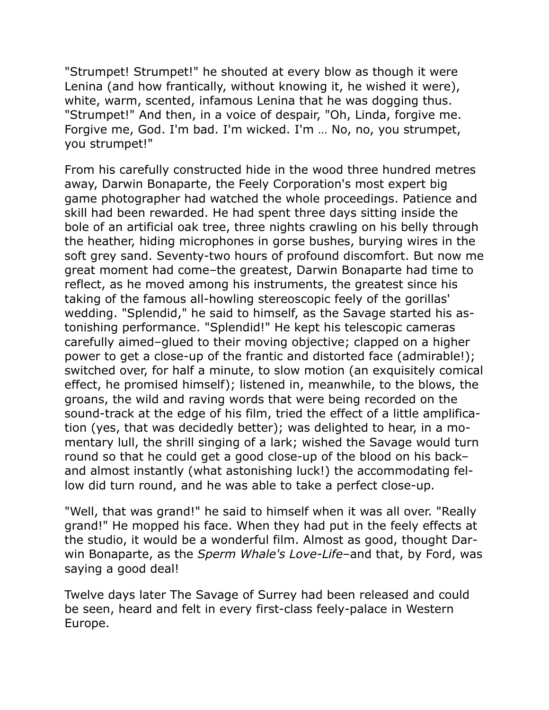"Strumpet! Strumpet!" he shouted at every blow as though it were Lenina (and how frantically, without knowing it, he wished it were), white, warm, scented, infamous Lenina that he was dogging thus. "Strumpet!" And then, in a voice of despair, "Oh, Linda, forgive me. Forgive me, God. I'm bad. I'm wicked. I'm … No, no, you strumpet, you strumpet!"

From his carefully constructed hide in the wood three hundred metres away, Darwin Bonaparte, the Feely Corporation's most expert big game photographer had watched the whole proceedings. Patience and skill had been rewarded. He had spent three days sitting inside the bole of an artificial oak tree, three nights crawling on his belly through the heather, hiding microphones in gorse bushes, burying wires in the soft grey sand. Seventy-two hours of profound discomfort. But now me great moment had come–the greatest, Darwin Bonaparte had time to reflect, as he moved among his instruments, the greatest since his taking of the famous all-howling stereoscopic feely of the gorillas' wedding. "Splendid," he said to himself, as the Savage started his astonishing performance. "Splendid!" He kept his telescopic cameras carefully aimed–glued to their moving objective; clapped on a higher power to get a close-up of the frantic and distorted face (admirable!); switched over, for half a minute, to slow motion (an exquisitely comical effect, he promised himself); listened in, meanwhile, to the blows, the groans, the wild and raving words that were being recorded on the sound-track at the edge of his film, tried the effect of a little amplification (yes, that was decidedly better); was delighted to hear, in a momentary lull, the shrill singing of a lark; wished the Savage would turn round so that he could get a good close-up of the blood on his back– and almost instantly (what astonishing luck!) the accommodating fellow did turn round, and he was able to take a perfect close-up.

"Well, that was grand!" he said to himself when it was all over. "Really grand!" He mopped his face. When they had put in the feely effects at the studio, it would be a wonderful film. Almost as good, thought Darwin Bonaparte, as the *Sperm Whale's Love-Life*–and that, by Ford, was saying a good deal!

Twelve days later The Savage of Surrey had been released and could be seen, heard and felt in every first-class feely-palace in Western Europe.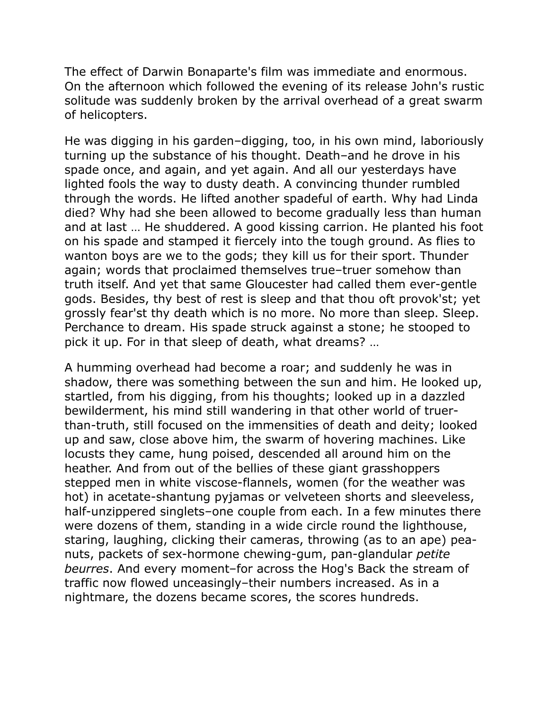The effect of Darwin Bonaparte's film was immediate and enormous. On the afternoon which followed the evening of its release John's rustic solitude was suddenly broken by the arrival overhead of a great swarm of helicopters.

He was digging in his garden–digging, too, in his own mind, laboriously turning up the substance of his thought. Death–and he drove in his spade once, and again, and yet again. And all our yesterdays have lighted fools the way to dusty death. A convincing thunder rumbled through the words. He lifted another spadeful of earth. Why had Linda died? Why had she been allowed to become gradually less than human and at last … He shuddered. A good kissing carrion. He planted his foot on his spade and stamped it fiercely into the tough ground. As flies to wanton boys are we to the gods; they kill us for their sport. Thunder again; words that proclaimed themselves true–truer somehow than truth itself. And yet that same Gloucester had called them ever-gentle gods. Besides, thy best of rest is sleep and that thou oft provok'st; yet grossly fear'st thy death which is no more. No more than sleep. Sleep. Perchance to dream. His spade struck against a stone; he stooped to pick it up. For in that sleep of death, what dreams? …

A humming overhead had become a roar; and suddenly he was in shadow, there was something between the sun and him. He looked up, startled, from his digging, from his thoughts; looked up in a dazzled bewilderment, his mind still wandering in that other world of truerthan-truth, still focused on the immensities of death and deity; looked up and saw, close above him, the swarm of hovering machines. Like locusts they came, hung poised, descended all around him on the heather. And from out of the bellies of these giant grasshoppers stepped men in white viscose-flannels, women (for the weather was hot) in acetate-shantung pyjamas or velveteen shorts and sleeveless, half-unzippered singlets-one couple from each. In a few minutes there were dozens of them, standing in a wide circle round the lighthouse, staring, laughing, clicking their cameras, throwing (as to an ape) peanuts, packets of sex-hormone chewing-gum, pan-glandular *petite beurres*. And every moment–for across the Hog's Back the stream of traffic now flowed unceasingly–their numbers increased. As in a nightmare, the dozens became scores, the scores hundreds.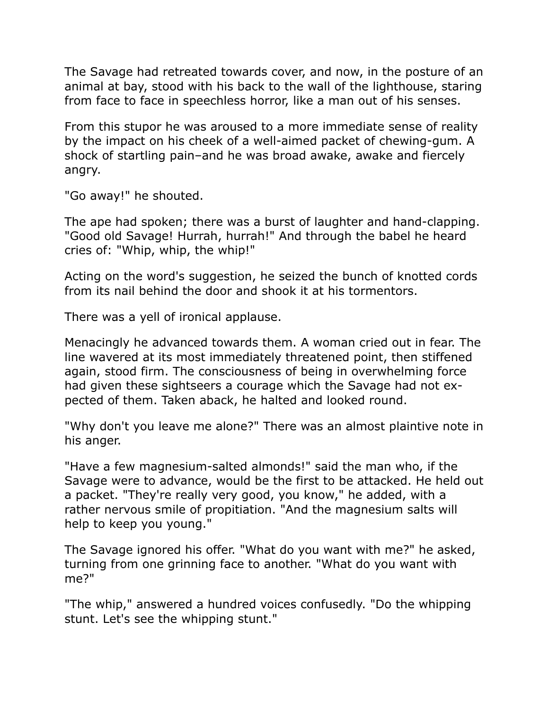The Savage had retreated towards cover, and now, in the posture of an animal at bay, stood with his back to the wall of the lighthouse, staring from face to face in speechless horror, like a man out of his senses.

From this stupor he was aroused to a more immediate sense of reality by the impact on his cheek of a well-aimed packet of chewing-gum. A shock of startling pain–and he was broad awake, awake and fiercely angry.

"Go away!" he shouted.

The ape had spoken; there was a burst of laughter and hand-clapping. "Good old Savage! Hurrah, hurrah!" And through the babel he heard cries of: "Whip, whip, the whip!"

Acting on the word's suggestion, he seized the bunch of knotted cords from its nail behind the door and shook it at his tormentors.

There was a yell of ironical applause.

Menacingly he advanced towards them. A woman cried out in fear. The line wavered at its most immediately threatened point, then stiffened again, stood firm. The consciousness of being in overwhelming force had given these sightseers a courage which the Savage had not expected of them. Taken aback, he halted and looked round.

"Why don't you leave me alone?" There was an almost plaintive note in his anger.

"Have a few magnesium-salted almonds!" said the man who, if the Savage were to advance, would be the first to be attacked. He held out a packet. "They're really very good, you know," he added, with a rather nervous smile of propitiation. "And the magnesium salts will help to keep you young."

The Savage ignored his offer. "What do you want with me?" he asked, turning from one grinning face to another. "What do you want with me?"

"The whip," answered a hundred voices confusedly. "Do the whipping stunt. Let's see the whipping stunt."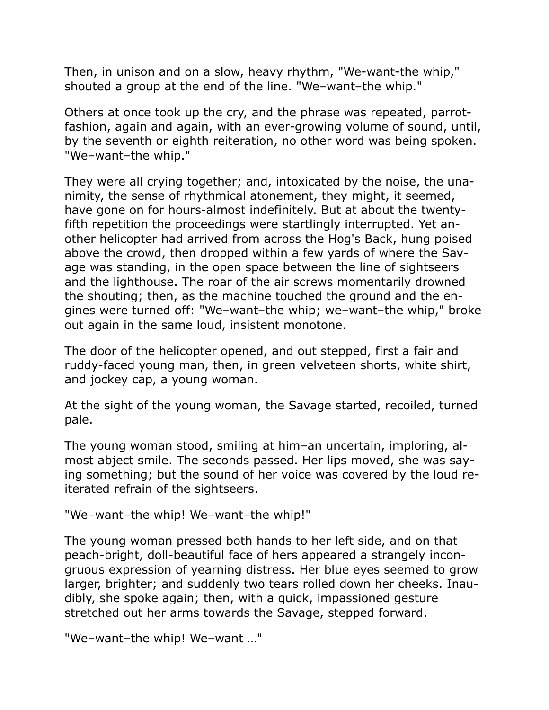Then, in unison and on a slow, heavy rhythm, "We-want-the whip," shouted a group at the end of the line. "We–want–the whip."

Others at once took up the cry, and the phrase was repeated, parrotfashion, again and again, with an ever-growing volume of sound, until, by the seventh or eighth reiteration, no other word was being spoken. "We–want–the whip."

They were all crying together; and, intoxicated by the noise, the unanimity, the sense of rhythmical atonement, they might, it seemed, have gone on for hours-almost indefinitely. But at about the twentyfifth repetition the proceedings were startlingly interrupted. Yet another helicopter had arrived from across the Hog's Back, hung poised above the crowd, then dropped within a few yards of where the Savage was standing, in the open space between the line of sightseers and the lighthouse. The roar of the air screws momentarily drowned the shouting; then, as the machine touched the ground and the engines were turned off: "We–want–the whip; we–want–the whip," broke out again in the same loud, insistent monotone.

The door of the helicopter opened, and out stepped, first a fair and ruddy-faced young man, then, in green velveteen shorts, white shirt, and jockey cap, a young woman.

At the sight of the young woman, the Savage started, recoiled, turned pale.

The young woman stood, smiling at him–an uncertain, imploring, almost abject smile. The seconds passed. Her lips moved, she was saying something; but the sound of her voice was covered by the loud reiterated refrain of the sightseers.

"We–want–the whip! We–want–the whip!"

The young woman pressed both hands to her left side, and on that peach-bright, doll-beautiful face of hers appeared a strangely incongruous expression of yearning distress. Her blue eyes seemed to grow larger, brighter; and suddenly two tears rolled down her cheeks. Inaudibly, she spoke again; then, with a quick, impassioned gesture stretched out her arms towards the Savage, stepped forward.

"We–want–the whip! We–want …"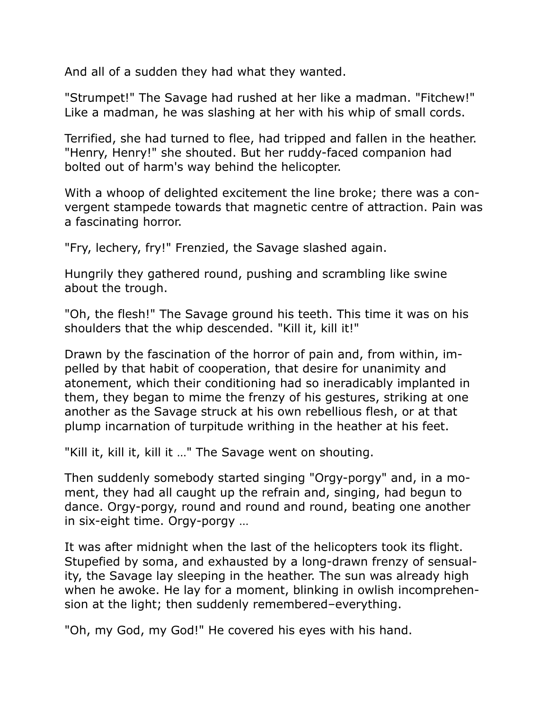And all of a sudden they had what they wanted.

"Strumpet!" The Savage had rushed at her like a madman. "Fitchew!" Like a madman, he was slashing at her with his whip of small cords.

Terrified, she had turned to flee, had tripped and fallen in the heather. "Henry, Henry!" she shouted. But her ruddy-faced companion had bolted out of harm's way behind the helicopter.

With a whoop of delighted excitement the line broke; there was a convergent stampede towards that magnetic centre of attraction. Pain was a fascinating horror.

"Fry, lechery, fry!" Frenzied, the Savage slashed again.

Hungrily they gathered round, pushing and scrambling like swine about the trough.

"Oh, the flesh!" The Savage ground his teeth. This time it was on his shoulders that the whip descended. "Kill it, kill it!"

Drawn by the fascination of the horror of pain and, from within, impelled by that habit of cooperation, that desire for unanimity and atonement, which their conditioning had so ineradicably implanted in them, they began to mime the frenzy of his gestures, striking at one another as the Savage struck at his own rebellious flesh, or at that plump incarnation of turpitude writhing in the heather at his feet.

"Kill it, kill it, kill it …" The Savage went on shouting.

Then suddenly somebody started singing "Orgy-porgy" and, in a moment, they had all caught up the refrain and, singing, had begun to dance. Orgy-porgy, round and round and round, beating one another in six-eight time. Orgy-porgy …

It was after midnight when the last of the helicopters took its flight. Stupefied by soma, and exhausted by a long-drawn frenzy of sensuality, the Savage lay sleeping in the heather. The sun was already high when he awoke. He lay for a moment, blinking in owlish incomprehension at the light; then suddenly remembered–everything.

"Oh, my God, my God!" He covered his eyes with his hand.